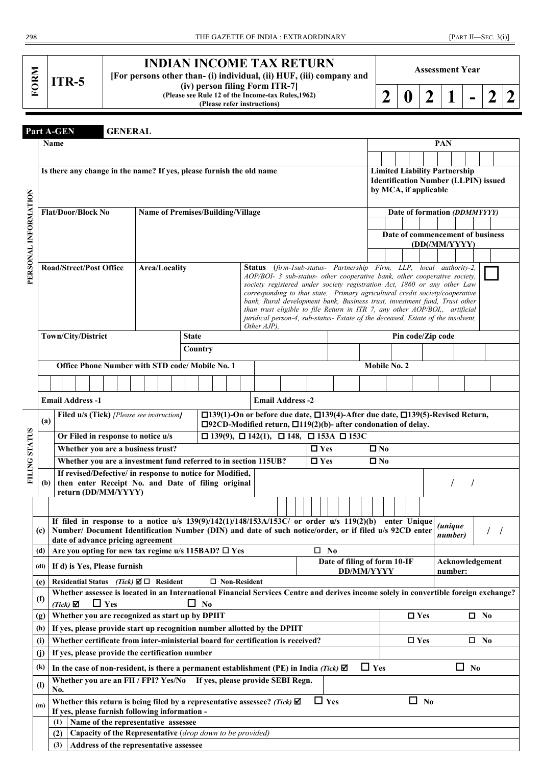|  | <b>TTR-5</b> |
|--|--------------|
|--|--------------|

# **INDIAN INCOME TAX RETURN**

**[For persons other than- (i) individual, (ii) HUF, (iii) company and (iv) person filing Form ITR-7]**

**(Please see Rule 12 of the Income-tax Rules,1962) (Please refer instructions)**

| ◠<br>∠ | $\therefore$   0   2 |  |  | ▅ | $\bigcap$<br>$2 \mid 2$ |  |
|--------|----------------------|--|--|---|-------------------------|--|
|--------|----------------------|--|--|---|-------------------------|--|

**Assessment Year**

| Part A-GEN |  |
|------------|--|
|            |  |

 $$ 

|                      | Name                           |     |                 |  |  |            |                                                                                       |  |                      |  |              |                                                 |                                                                |  |                                                                                     |                                                                                                                                                           |               |            |                   |                                             |               | PAN            |           |                 |  |
|----------------------|--------------------------------|-----|-----------------|--|--|------------|---------------------------------------------------------------------------------------|--|----------------------|--|--------------|-------------------------------------------------|----------------------------------------------------------------|--|-------------------------------------------------------------------------------------|-----------------------------------------------------------------------------------------------------------------------------------------------------------|---------------|------------|-------------------|---------------------------------------------|---------------|----------------|-----------|-----------------|--|
|                      |                                |     |                 |  |  |            |                                                                                       |  |                      |  |              |                                                 |                                                                |  |                                                                                     |                                                                                                                                                           |               |            |                   |                                             |               |                |           |                 |  |
|                      |                                |     |                 |  |  |            |                                                                                       |  |                      |  |              |                                                 |                                                                |  | Is there any change in the name? If yes, please furnish the old name                |                                                                                                                                                           |               |            |                   | <b>Limited Liability Partnership</b>        |               |                |           |                 |  |
|                      |                                |     |                 |  |  |            |                                                                                       |  |                      |  |              |                                                 |                                                                |  |                                                                                     |                                                                                                                                                           |               |            |                   | <b>Identification Number (LLPIN) issued</b> |               |                |           |                 |  |
|                      |                                |     |                 |  |  |            |                                                                                       |  |                      |  |              |                                                 |                                                                |  |                                                                                     |                                                                                                                                                           |               |            |                   | by MCA, if applicable                       |               |                |           |                 |  |
| PERSONAL INFORMATION |                                |     |                 |  |  |            |                                                                                       |  |                      |  |              |                                                 |                                                                |  |                                                                                     |                                                                                                                                                           |               |            |                   |                                             |               |                |           |                 |  |
|                      | Flat/Door/Block No             |     |                 |  |  |            |                                                                                       |  |                      |  |              |                                                 | <b>Name of Premises/Building/Village</b>                       |  |                                                                                     |                                                                                                                                                           |               |            |                   | Date of formation (DDMMYYYY)                |               |                |           |                 |  |
|                      |                                |     |                 |  |  |            |                                                                                       |  |                      |  |              |                                                 |                                                                |  |                                                                                     |                                                                                                                                                           |               |            |                   |                                             |               |                |           |                 |  |
|                      |                                |     |                 |  |  |            |                                                                                       |  |                      |  |              |                                                 |                                                                |  |                                                                                     |                                                                                                                                                           |               |            |                   | Date of commencement of business            |               |                |           |                 |  |
|                      |                                |     |                 |  |  |            |                                                                                       |  |                      |  |              |                                                 |                                                                |  |                                                                                     |                                                                                                                                                           |               |            |                   |                                             | (DD(/MM/YYYY) |                |           |                 |  |
|                      |                                |     |                 |  |  |            |                                                                                       |  |                      |  |              |                                                 |                                                                |  |                                                                                     |                                                                                                                                                           |               |            |                   |                                             |               |                |           |                 |  |
|                      | <b>Road/Street/Post Office</b> |     |                 |  |  |            |                                                                                       |  | <b>Area/Locality</b> |  |              |                                                 |                                                                |  |                                                                                     | Status (firm-1sub-status- Partnership Firm, LLP, local authority-2,<br>AOP/BOI- 3 sub-status- other cooperative bank, other cooperative society,          |               |            |                   |                                             |               |                |           |                 |  |
|                      |                                |     |                 |  |  |            |                                                                                       |  |                      |  |              |                                                 |                                                                |  |                                                                                     | society registered under society registration Act, 1860 or any other Law                                                                                  |               |            |                   |                                             |               |                |           |                 |  |
|                      |                                |     |                 |  |  |            |                                                                                       |  |                      |  |              |                                                 |                                                                |  |                                                                                     | corresponding to that state, Primary agricultural credit society/cooperative                                                                              |               |            |                   |                                             |               |                |           |                 |  |
|                      |                                |     |                 |  |  |            |                                                                                       |  |                      |  |              |                                                 |                                                                |  |                                                                                     | bank, Rural development bank, Business trust, investment fund, Trust other<br>than trust eligible to file Return in ITR 7, any other AOP/BOI,, artificial |               |            |                   |                                             |               |                |           |                 |  |
|                      |                                |     |                 |  |  |            |                                                                                       |  |                      |  |              |                                                 |                                                                |  |                                                                                     | juridical person-4, sub-status- Estate of the deceased, Estate of the insolvent,                                                                          |               |            |                   |                                             |               |                |           |                 |  |
|                      |                                |     |                 |  |  |            |                                                                                       |  |                      |  |              |                                                 |                                                                |  | Other AJP),                                                                         |                                                                                                                                                           |               |            |                   |                                             |               |                |           |                 |  |
|                      | Town/City/District             |     |                 |  |  |            |                                                                                       |  |                      |  | <b>State</b> |                                                 |                                                                |  |                                                                                     |                                                                                                                                                           |               |            |                   | Pin code/Zip code                           |               |                |           |                 |  |
|                      |                                |     |                 |  |  |            |                                                                                       |  |                      |  |              | Country                                         |                                                                |  |                                                                                     |                                                                                                                                                           |               |            |                   |                                             |               |                |           |                 |  |
|                      |                                |     |                 |  |  |            |                                                                                       |  |                      |  |              |                                                 | Office Phone Number with STD code/ Mobile No. 1                |  |                                                                                     |                                                                                                                                                           |               |            |                   | Mobile No. 2                                |               |                |           |                 |  |
|                      |                                |     |                 |  |  |            |                                                                                       |  |                      |  |              |                                                 |                                                                |  |                                                                                     |                                                                                                                                                           |               |            |                   |                                             |               |                |           |                 |  |
|                      |                                |     |                 |  |  |            |                                                                                       |  |                      |  |              |                                                 |                                                                |  |                                                                                     |                                                                                                                                                           |               |            |                   |                                             |               |                |           |                 |  |
|                      | <b>Email Address -1</b>        |     |                 |  |  |            |                                                                                       |  |                      |  |              |                                                 |                                                                |  |                                                                                     | <b>Email Address -2</b>                                                                                                                                   |               |            |                   |                                             |               |                |           |                 |  |
|                      |                                |     |                 |  |  |            | <b>Filed u/s (Tick)</b> [Please see instruction]                                      |  |                      |  |              |                                                 |                                                                |  |                                                                                     | □139(1)-On or before due date, □139(4)-After due date, □139(5)-Revised Return,                                                                            |               |            |                   |                                             |               |                |           |                 |  |
|                      | (a)                            |     |                 |  |  |            |                                                                                       |  |                      |  |              |                                                 |                                                                |  |                                                                                     | $\square$ 92CD-Modified return, $\square$ 119(2)(b)- after condonation of delay.                                                                          |               |            |                   |                                             |               |                |           |                 |  |
|                      |                                |     |                 |  |  |            | Or Filed in response to notice u/s                                                    |  |                      |  |              |                                                 |                                                                |  |                                                                                     | $\Box$ 139(9), $\Box$ 142(1), $\Box$ 148, $\Box$ 153A $\Box$ 153C                                                                                         |               |            |                   |                                             |               |                |           |                 |  |
|                      |                                |     |                 |  |  |            | Whether you are a business trust?                                                     |  |                      |  |              |                                                 |                                                                |  |                                                                                     |                                                                                                                                                           | $\square$ Yes |            | $\square$ No      |                                             |               |                |           |                 |  |
| <b>FILING STATUS</b> |                                |     |                 |  |  |            |                                                                                       |  |                      |  |              |                                                 |                                                                |  | Whether you are a investment fund referred to in section 115UB?                     |                                                                                                                                                           | $\Box$ Yes    |            | $\square$ No      |                                             |               |                |           |                 |  |
|                      |                                |     |                 |  |  |            |                                                                                       |  |                      |  |              |                                                 | If revised/Defective/ in response to notice for Modified,      |  |                                                                                     |                                                                                                                                                           |               |            |                   |                                             |               |                |           |                 |  |
|                      | (b)                            |     |                 |  |  |            | return (DD/MM/YYYY)                                                                   |  |                      |  |              |                                                 | then enter Receipt No. and Date of filing original             |  |                                                                                     |                                                                                                                                                           |               |            |                   |                                             |               |                |           |                 |  |
|                      |                                |     |                 |  |  |            |                                                                                       |  |                      |  |              |                                                 |                                                                |  |                                                                                     |                                                                                                                                                           |               |            |                   |                                             |               |                |           |                 |  |
|                      |                                |     |                 |  |  |            |                                                                                       |  |                      |  |              |                                                 |                                                                |  |                                                                                     |                                                                                                                                                           |               |            |                   |                                             |               |                |           |                 |  |
|                      |                                |     |                 |  |  |            |                                                                                       |  |                      |  |              |                                                 |                                                                |  |                                                                                     | If filed in response to a notice $u/s$ 139(9)/142(1)/148/153A/153C/ or order $u/s$ 119(2)(b)                                                              |               |            |                   | enter Unique                                |               | <i>(unique</i> |           |                 |  |
|                      | (c)                            |     |                 |  |  |            | date of advance pricing agreement                                                     |  |                      |  |              |                                                 |                                                                |  |                                                                                     | Number/ Document Identification Number (DIN) and date of such notice/order, or if filed u/s 92CD enter                                                    |               |            |                   |                                             |               | number)        |           |                 |  |
|                      |                                |     |                 |  |  |            |                                                                                       |  |                      |  |              |                                                 | (d)   Are you opting for new tax regime u/s 115BAD? $\Box$ Yes |  |                                                                                     |                                                                                                                                                           | $\square$ No  |            |                   |                                             |               |                |           |                 |  |
|                      |                                |     |                 |  |  |            |                                                                                       |  |                      |  |              |                                                 |                                                                |  |                                                                                     |                                                                                                                                                           |               |            |                   | Date of filing of form 10-IF                |               |                |           | Acknowledgement |  |
|                      | (dii)                          |     |                 |  |  |            | If d) is Yes, Please furnish                                                          |  |                      |  |              |                                                 |                                                                |  |                                                                                     |                                                                                                                                                           |               |            | <b>DD/MM/YYYY</b> |                                             |               | number:        |           |                 |  |
|                      | (e)                            |     |                 |  |  |            | Residential Status (Tick) $\Box$ Resident                                             |  |                      |  |              |                                                 | □ Non-Resident                                                 |  |                                                                                     |                                                                                                                                                           |               |            |                   |                                             |               |                |           |                 |  |
|                      | (f)                            |     |                 |  |  |            |                                                                                       |  |                      |  |              |                                                 |                                                                |  |                                                                                     | Whether assessee is located in an International Financial Services Centre and derives income solely in convertible foreign exchange?                      |               |            |                   |                                             |               |                |           |                 |  |
|                      |                                |     | $(Tick)$ $\Box$ |  |  | $\Box$ Yes |                                                                                       |  |                      |  |              | $\Box$ No                                       |                                                                |  |                                                                                     |                                                                                                                                                           |               |            |                   |                                             |               |                |           |                 |  |
|                      | (g)                            |     |                 |  |  |            |                                                                                       |  |                      |  |              | Whether you are recognized as start up by DPIIT |                                                                |  |                                                                                     |                                                                                                                                                           |               |            |                   |                                             | $\Box$ Yes    |                |           | $\Box$ No       |  |
|                      | (h)                            |     |                 |  |  |            |                                                                                       |  |                      |  |              |                                                 |                                                                |  | If yes, please provide start up recognition number allotted by the DPIIT            |                                                                                                                                                           |               |            |                   |                                             |               |                |           |                 |  |
|                      | (i)                            |     |                 |  |  |            |                                                                                       |  |                      |  |              |                                                 |                                                                |  |                                                                                     | Whether certificate from inter-ministerial board for certification is received?                                                                           |               |            |                   |                                             | $\square$ Yes |                |           | $\square$ No    |  |
|                      | (j)                            |     |                 |  |  |            |                                                                                       |  |                      |  |              | If yes, please provide the certification number |                                                                |  |                                                                                     |                                                                                                                                                           |               |            |                   |                                             |               |                |           |                 |  |
|                      | (k)                            |     |                 |  |  |            |                                                                                       |  |                      |  |              |                                                 |                                                                |  |                                                                                     | In the case of non-resident, is there a permanent establishment (PE) in India (Tick) $\boxtimes$                                                          |               |            | $\Box$ Yes        |                                             |               |                | $\Box$ No |                 |  |
|                      | (1)                            |     | No.             |  |  |            | Whether you are an FII / FPI? Yes/No                                                  |  |                      |  |              |                                                 |                                                                |  |                                                                                     | If yes, please provide SEBI Regn.                                                                                                                         |               |            |                   |                                             |               |                |           |                 |  |
|                      | (m)                            |     |                 |  |  |            |                                                                                       |  |                      |  |              |                                                 |                                                                |  | Whether this return is being filed by a representative assessee? (Tick) $\boxtimes$ |                                                                                                                                                           |               | $\Box$ Yes |                   |                                             | $\Box$ No     |                |           |                 |  |
|                      |                                | (1) |                 |  |  |            | If yes, please furnish following information -<br>Name of the representative assessee |  |                      |  |              |                                                 |                                                                |  |                                                                                     |                                                                                                                                                           |               |            |                   |                                             |               |                |           |                 |  |
|                      |                                | (2) |                 |  |  |            |                                                                                       |  |                      |  |              |                                                 | Capacity of the Representative (drop down to be provided)      |  |                                                                                     |                                                                                                                                                           |               |            |                   |                                             |               |                |           |                 |  |
|                      |                                | (3) |                 |  |  |            | Address of the representative assessee                                                |  |                      |  |              |                                                 |                                                                |  |                                                                                     |                                                                                                                                                           |               |            |                   |                                             |               |                |           |                 |  |
|                      |                                |     |                 |  |  |            |                                                                                       |  |                      |  |              |                                                 |                                                                |  |                                                                                     |                                                                                                                                                           |               |            |                   |                                             |               |                |           |                 |  |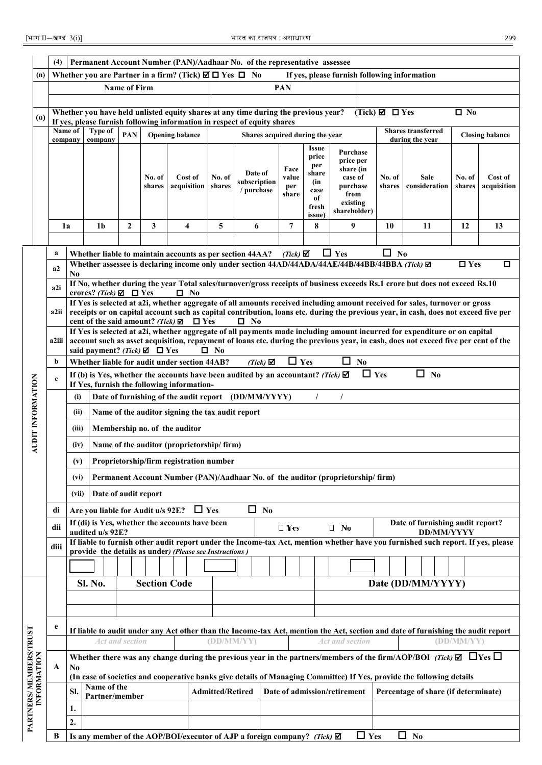|                                                                                                                                                                                                                                                                                                                                                                                                                                                        | (4)         |         |                                       |              |                     | Permanent Account Number (PAN)/Aadhaar No. of the representative assessee                                                                |                         |                                       |                                 |                                                               |                                                                                                 |                               |                                                                                                                                                                                                                                                                    |                  |                        |  |  |  |  |  |
|--------------------------------------------------------------------------------------------------------------------------------------------------------------------------------------------------------------------------------------------------------------------------------------------------------------------------------------------------------------------------------------------------------------------------------------------------------|-------------|---------|---------------------------------------|--------------|---------------------|------------------------------------------------------------------------------------------------------------------------------------------|-------------------------|---------------------------------------|---------------------------------|---------------------------------------------------------------|-------------------------------------------------------------------------------------------------|-------------------------------|--------------------------------------------------------------------------------------------------------------------------------------------------------------------------------------------------------------------------------------------------------------------|------------------|------------------------|--|--|--|--|--|
| (n)                                                                                                                                                                                                                                                                                                                                                                                                                                                    |             |         |                                       |              |                     | Whether you are Partner in a firm? (Tick) $\boxtimes \Box$ Yes $\Box$ No                                                                 |                         |                                       |                                 |                                                               | If yes, please furnish following information                                                    |                               |                                                                                                                                                                                                                                                                    |                  |                        |  |  |  |  |  |
|                                                                                                                                                                                                                                                                                                                                                                                                                                                        |             |         |                                       | Name of Firm |                     |                                                                                                                                          |                         |                                       | <b>PAN</b>                      |                                                               |                                                                                                 |                               |                                                                                                                                                                                                                                                                    |                  |                        |  |  |  |  |  |
|                                                                                                                                                                                                                                                                                                                                                                                                                                                        |             |         |                                       |              |                     |                                                                                                                                          |                         |                                       |                                 |                                                               |                                                                                                 |                               |                                                                                                                                                                                                                                                                    |                  |                        |  |  |  |  |  |
| (o)                                                                                                                                                                                                                                                                                                                                                                                                                                                    |             |         |                                       |              |                     | Whether you have held unlisted equity shares at any time during the previous year?                                                       |                         |                                       |                                 |                                                               |                                                                                                 | (Tick) $\boxtimes$ $\Box$ Yes |                                                                                                                                                                                                                                                                    | $\square$ No     |                        |  |  |  |  |  |
|                                                                                                                                                                                                                                                                                                                                                                                                                                                        |             | Name of | Type of                               | <b>PAN</b>   |                     | If yes, please furnish following information in respect of equity shares                                                                 |                         |                                       |                                 |                                                               |                                                                                                 |                               | <b>Shares transferred</b>                                                                                                                                                                                                                                          |                  |                        |  |  |  |  |  |
|                                                                                                                                                                                                                                                                                                                                                                                                                                                        |             | company | company                               |              |                     | <b>Opening balance</b>                                                                                                                   |                         |                                       | Shares acquired during the year | Issue                                                         |                                                                                                 |                               | during the year                                                                                                                                                                                                                                                    |                  | <b>Closing balance</b> |  |  |  |  |  |
|                                                                                                                                                                                                                                                                                                                                                                                                                                                        |             |         |                                       |              | No. of<br>shares    | Cost of<br>acquisition                                                                                                                   | No. of<br>shares        | Date of<br>subscription<br>/ purchase | Face<br>value<br>per<br>share   | price<br>per<br>share<br>(in<br>case<br>of<br>fresh<br>issue) | Purchase<br>price per<br>share (in<br>case of<br>purchase<br>from<br>existing<br>shareholder)   | No. of<br>shares              | Sale<br>consideration                                                                                                                                                                                                                                              | No. of<br>shares | Cost of<br>acquisition |  |  |  |  |  |
|                                                                                                                                                                                                                                                                                                                                                                                                                                                        |             | 1a      | 1 <sub>b</sub>                        | $\mathbf{2}$ | 3                   | 4                                                                                                                                        | 5                       | 6                                     | 7                               | 8                                                             | 9                                                                                               | 10                            | 11                                                                                                                                                                                                                                                                 | 12               | 13                     |  |  |  |  |  |
|                                                                                                                                                                                                                                                                                                                                                                                                                                                        |             |         |                                       |              |                     |                                                                                                                                          |                         |                                       |                                 |                                                               |                                                                                                 |                               |                                                                                                                                                                                                                                                                    |                  |                        |  |  |  |  |  |
|                                                                                                                                                                                                                                                                                                                                                                                                                                                        | a           |         |                                       |              |                     | Whether liable to maintain accounts as per section 44AA?                                                                                 |                         |                                       | $(Tick)$ $\mathbf{\nabla}$      |                                                               | $\Box$ Yes                                                                                      | □<br>$\mathbf{N}$             |                                                                                                                                                                                                                                                                    |                  |                        |  |  |  |  |  |
|                                                                                                                                                                                                                                                                                                                                                                                                                                                        | a2          |         |                                       |              |                     |                                                                                                                                          |                         |                                       |                                 |                                                               | Whether assessee is declaring income only under section 44AD/44ADA/44AE/44B/44BB/44BBA (Tick) Ø |                               |                                                                                                                                                                                                                                                                    | $\Box$ Yes       | O                      |  |  |  |  |  |
|                                                                                                                                                                                                                                                                                                                                                                                                                                                        |             | No      |                                       |              |                     |                                                                                                                                          |                         |                                       |                                 |                                                               |                                                                                                 |                               | If No, whether during the year Total sales/turnover/gross receipts of business exceeds Rs.1 crore but does not exceed Rs.10                                                                                                                                        |                  |                        |  |  |  |  |  |
|                                                                                                                                                                                                                                                                                                                                                                                                                                                        | a2i         |         | crores? (Tick) $\boxtimes$ $\Box$ Yes |              |                     | $\square$ No                                                                                                                             |                         |                                       |                                 |                                                               |                                                                                                 |                               |                                                                                                                                                                                                                                                                    |                  |                        |  |  |  |  |  |
|                                                                                                                                                                                                                                                                                                                                                                                                                                                        | a2ii        |         |                                       |              |                     | cent of the said amount? (Tick) $\boxtimes$ $\Box$ Yes                                                                                   |                         | $\Box$ No                             |                                 |                                                               |                                                                                                 |                               | If Yes is selected at a2i, whether aggregate of all amounts received including amount received for sales, turnover or gross<br>receipts or on capital account such as capital contribution, loans etc. during the previous year, in cash, does not exceed five per |                  |                        |  |  |  |  |  |
| If Yes is selected at a2i, whether aggregate of all payments made including amount incurred for expenditure or on capital<br>account such as asset acquisition, repayment of loans etc. during the previous year, in cash, does not exceed five per cent of the<br>a2iii  <br>said payment? (Tick) $\boxtimes$ $\Box$ Yes<br>$\square$ No<br>$\Box$ Yes<br>0<br>$\mathbf{N_0}$<br>b<br>Whether liable for audit under section 44AB?<br>$(Tick)$ $\Box$ |             |         |                                       |              |                     |                                                                                                                                          |                         |                                       |                                 |                                                               |                                                                                                 |                               |                                                                                                                                                                                                                                                                    |                  |                        |  |  |  |  |  |
|                                                                                                                                                                                                                                                                                                                                                                                                                                                        |             |         |                                       |              |                     |                                                                                                                                          |                         |                                       |                                 |                                                               |                                                                                                 |                               |                                                                                                                                                                                                                                                                    |                  |                        |  |  |  |  |  |
|                                                                                                                                                                                                                                                                                                                                                                                                                                                        | $\mathbf c$ |         |                                       |              |                     | If (b) is Yes, whether the accounts have been audited by an accountant? (Tick) $\boxtimes$<br>If Yes, furnish the following information- |                         |                                       |                                 |                                                               | $\Box$ Yes                                                                                      |                               | $\Box$ No                                                                                                                                                                                                                                                          |                  |                        |  |  |  |  |  |
|                                                                                                                                                                                                                                                                                                                                                                                                                                                        |             | (i)     |                                       |              |                     | Date of furnishing of the audit report (DD/MM/YYYY)                                                                                      |                         |                                       |                                 | $\sqrt{2}$                                                    |                                                                                                 |                               |                                                                                                                                                                                                                                                                    |                  |                        |  |  |  |  |  |
|                                                                                                                                                                                                                                                                                                                                                                                                                                                        |             | (ii)    |                                       |              |                     | Name of the auditor signing the tax audit report                                                                                         |                         |                                       |                                 |                                                               |                                                                                                 |                               |                                                                                                                                                                                                                                                                    |                  |                        |  |  |  |  |  |
| AUDIT INFORMATION                                                                                                                                                                                                                                                                                                                                                                                                                                      |             | (iii)   |                                       |              |                     | Membership no. of the auditor                                                                                                            |                         |                                       |                                 |                                                               |                                                                                                 |                               |                                                                                                                                                                                                                                                                    |                  |                        |  |  |  |  |  |
|                                                                                                                                                                                                                                                                                                                                                                                                                                                        |             | (iv)    |                                       |              |                     | Name of the auditor (proprietorship/firm)                                                                                                |                         |                                       |                                 |                                                               |                                                                                                 |                               |                                                                                                                                                                                                                                                                    |                  |                        |  |  |  |  |  |
|                                                                                                                                                                                                                                                                                                                                                                                                                                                        |             | (v)     |                                       |              |                     | Proprietorship/firm registration number                                                                                                  |                         |                                       |                                 |                                                               |                                                                                                 |                               |                                                                                                                                                                                                                                                                    |                  |                        |  |  |  |  |  |
|                                                                                                                                                                                                                                                                                                                                                                                                                                                        |             | (vi)    |                                       |              |                     |                                                                                                                                          |                         |                                       |                                 |                                                               | Permanent Account Number (PAN)/Aadhaar No. of the auditor (proprietorship/firm)                 |                               |                                                                                                                                                                                                                                                                    |                  |                        |  |  |  |  |  |
|                                                                                                                                                                                                                                                                                                                                                                                                                                                        |             | (vii)   | Date of audit report                  |              |                     |                                                                                                                                          |                         |                                       |                                 |                                                               |                                                                                                 |                               |                                                                                                                                                                                                                                                                    |                  |                        |  |  |  |  |  |
|                                                                                                                                                                                                                                                                                                                                                                                                                                                        | di          |         | Are you liable for Audit u/s 92E?     |              |                     | $\Box$ Yes                                                                                                                               |                         | $\Box$ No                             |                                 |                                                               |                                                                                                 |                               |                                                                                                                                                                                                                                                                    |                  |                        |  |  |  |  |  |
|                                                                                                                                                                                                                                                                                                                                                                                                                                                        | dii         |         |                                       |              |                     | If (di) is Yes, whether the accounts have been                                                                                           |                         |                                       | $\Box$ Yes                      |                                                               | $\Box$ No                                                                                       |                               | Date of furnishing audit report?                                                                                                                                                                                                                                   |                  |                        |  |  |  |  |  |
|                                                                                                                                                                                                                                                                                                                                                                                                                                                        |             |         | audited u/s 92E?                      |              |                     |                                                                                                                                          |                         |                                       |                                 |                                                               |                                                                                                 |                               | <b>DD/MM/YYYY</b><br>If liable to furnish other audit report under the Income-tax Act, mention whether have you furnished such report. If yes, please                                                                                                              |                  |                        |  |  |  |  |  |
|                                                                                                                                                                                                                                                                                                                                                                                                                                                        | diii        |         |                                       |              |                     | provide the details as under) (Please see Instructions)                                                                                  |                         |                                       |                                 |                                                               |                                                                                                 |                               |                                                                                                                                                                                                                                                                    |                  |                        |  |  |  |  |  |
|                                                                                                                                                                                                                                                                                                                                                                                                                                                        |             |         |                                       |              |                     |                                                                                                                                          |                         |                                       |                                 |                                                               |                                                                                                 |                               |                                                                                                                                                                                                                                                                    |                  |                        |  |  |  |  |  |
|                                                                                                                                                                                                                                                                                                                                                                                                                                                        |             |         | <b>Sl. No.</b>                        |              | <b>Section Code</b> |                                                                                                                                          |                         |                                       |                                 |                                                               |                                                                                                 |                               | Date (DD/MM/YYYY)                                                                                                                                                                                                                                                  |                  |                        |  |  |  |  |  |
|                                                                                                                                                                                                                                                                                                                                                                                                                                                        |             |         |                                       |              |                     |                                                                                                                                          |                         |                                       |                                 |                                                               |                                                                                                 |                               |                                                                                                                                                                                                                                                                    |                  |                        |  |  |  |  |  |
|                                                                                                                                                                                                                                                                                                                                                                                                                                                        |             |         |                                       |              |                     |                                                                                                                                          |                         |                                       |                                 |                                                               |                                                                                                 |                               |                                                                                                                                                                                                                                                                    |                  |                        |  |  |  |  |  |
|                                                                                                                                                                                                                                                                                                                                                                                                                                                        | e           |         |                                       |              |                     |                                                                                                                                          |                         |                                       |                                 |                                                               |                                                                                                 |                               | If liable to audit under any Act other than the Income-tax Act, mention the Act, section and date of furnishing the audit report                                                                                                                                   |                  |                        |  |  |  |  |  |
| <b>Act and section</b><br>(DD/MM/YY)<br>Act and section<br>(DD/MM/YY)                                                                                                                                                                                                                                                                                                                                                                                  |             |         |                                       |              |                     |                                                                                                                                          |                         |                                       |                                 |                                                               |                                                                                                 |                               |                                                                                                                                                                                                                                                                    |                  |                        |  |  |  |  |  |
|                                                                                                                                                                                                                                                                                                                                                                                                                                                        |             |         |                                       |              |                     |                                                                                                                                          |                         |                                       |                                 |                                                               |                                                                                                 |                               | Whether there was any change during the previous year in the partners/members of the firm/AOP/BOI (Tick) $\Box$ $\Box$ Yes $\Box$                                                                                                                                  |                  |                        |  |  |  |  |  |
|                                                                                                                                                                                                                                                                                                                                                                                                                                                        | A           | No      |                                       |              |                     |                                                                                                                                          |                         |                                       |                                 |                                                               |                                                                                                 |                               | (In case of societies and cooperative banks give details of Managing Committee) If Yes, provide the following details                                                                                                                                              |                  |                        |  |  |  |  |  |
|                                                                                                                                                                                                                                                                                                                                                                                                                                                        |             | SI.     | Name of the                           |              |                     |                                                                                                                                          | <b>Admitted/Retired</b> |                                       |                                 |                                                               | Date of admission/retirement                                                                    |                               | Percentage of share (if determinate)                                                                                                                                                                                                                               |                  |                        |  |  |  |  |  |
| PARTNERS/MEMBERS/TRUST<br>INFORMATION                                                                                                                                                                                                                                                                                                                                                                                                                  |             |         | Partner/member                        |              |                     |                                                                                                                                          |                         |                                       |                                 |                                                               |                                                                                                 |                               |                                                                                                                                                                                                                                                                    |                  |                        |  |  |  |  |  |
|                                                                                                                                                                                                                                                                                                                                                                                                                                                        |             | 1.      |                                       |              |                     |                                                                                                                                          |                         |                                       |                                 |                                                               |                                                                                                 |                               |                                                                                                                                                                                                                                                                    |                  |                        |  |  |  |  |  |
|                                                                                                                                                                                                                                                                                                                                                                                                                                                        | B           | 2.      |                                       |              |                     |                                                                                                                                          |                         |                                       |                                 |                                                               |                                                                                                 |                               | □                                                                                                                                                                                                                                                                  |                  |                        |  |  |  |  |  |
|                                                                                                                                                                                                                                                                                                                                                                                                                                                        |             |         |                                       |              |                     | Is any member of the AOP/BOI/executor of AJP a foreign company? (Tick) $\boxtimes$                                                       |                         |                                       |                                 |                                                               | $\Box$ Yes                                                                                      |                               | N <sub>0</sub>                                                                                                                                                                                                                                                     |                  |                        |  |  |  |  |  |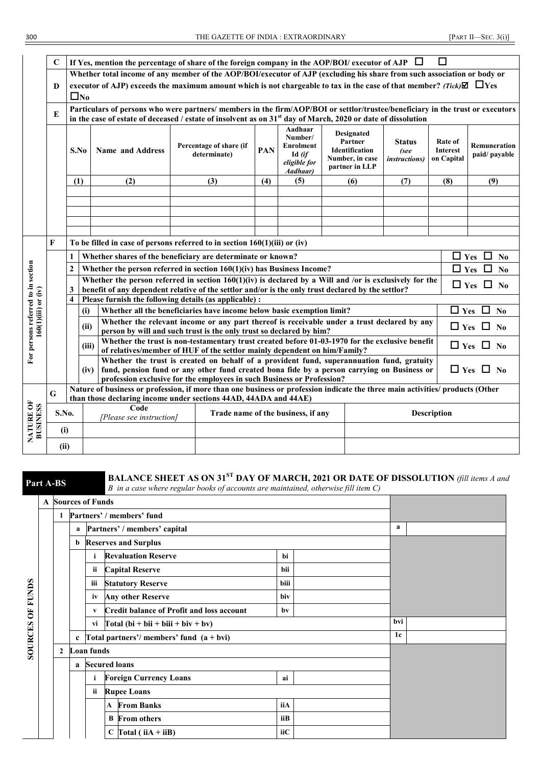|                                    | $\mathbf C$ |                                                                                                                                                                                                                                                                                                                                                                                                                                 |                       |                          | If Yes, mention the percentage of share of the foreign company in the AOP/BOI/ executor of AJP $\Box$                                                                        |     |                                                                              |                                                                                            |                                                | $\Box$                                   |                                     |  |  |  |  |  |
|------------------------------------|-------------|---------------------------------------------------------------------------------------------------------------------------------------------------------------------------------------------------------------------------------------------------------------------------------------------------------------------------------------------------------------------------------------------------------------------------------|-----------------------|--------------------------|------------------------------------------------------------------------------------------------------------------------------------------------------------------------------|-----|------------------------------------------------------------------------------|--------------------------------------------------------------------------------------------|------------------------------------------------|------------------------------------------|-------------------------------------|--|--|--|--|--|
|                                    |             | Whether total income of any member of the AOP/BOI/executor of AJP (excluding his share from such association or body or<br>executor of AJP) exceeds the maximum amount which is not chargeable to tax in the case of that member? (Tick) $\Box$ $\Box$ Yes                                                                                                                                                                      |                       |                          |                                                                                                                                                                              |     |                                                                              |                                                                                            |                                                |                                          |                                     |  |  |  |  |  |
|                                    | D           |                                                                                                                                                                                                                                                                                                                                                                                                                                 |                       |                          |                                                                                                                                                                              |     |                                                                              |                                                                                            |                                                |                                          |                                     |  |  |  |  |  |
|                                    |             |                                                                                                                                                                                                                                                                                                                                                                                                                                 | $\square_{\text{No}}$ |                          |                                                                                                                                                                              |     |                                                                              |                                                                                            |                                                |                                          |                                     |  |  |  |  |  |
|                                    | E           | Particulars of persons who were partners/members in the firm/AOP/BOI or settlor/trustee/beneficiary in the trust or executors<br>in the case of estate of deceased / estate of insolvent as on $31st$ day of March, 2020 or date of dissolution                                                                                                                                                                                 |                       |                          |                                                                                                                                                                              |     |                                                                              |                                                                                            |                                                |                                          |                                     |  |  |  |  |  |
|                                    |             |                                                                                                                                                                                                                                                                                                                                                                                                                                 |                       |                          |                                                                                                                                                                              |     |                                                                              |                                                                                            |                                                |                                          |                                     |  |  |  |  |  |
|                                    |             |                                                                                                                                                                                                                                                                                                                                                                                                                                 | S.No                  | <b>Name and Address</b>  | Percentage of share (if<br>determinate)                                                                                                                                      | PAN | Aadhaar<br>Number/<br><b>Enrolment</b><br>Id (if<br>eligible for<br>Aadhaar) | <b>Designated</b><br>Partner<br><b>Identification</b><br>Number, in case<br>partner in LLP | <b>Status</b><br>(see<br><i>instructions</i> ) | Rate of<br><b>Interest</b><br>on Capital | <b>Remuneration</b><br>paid/payable |  |  |  |  |  |
|                                    |             | (1)                                                                                                                                                                                                                                                                                                                                                                                                                             |                       | (2)                      | (3)                                                                                                                                                                          | (4) | (5)                                                                          | (6)                                                                                        | (7)                                            | (8)                                      | (9)                                 |  |  |  |  |  |
|                                    |             |                                                                                                                                                                                                                                                                                                                                                                                                                                 |                       |                          |                                                                                                                                                                              |     |                                                                              |                                                                                            |                                                |                                          |                                     |  |  |  |  |  |
|                                    |             |                                                                                                                                                                                                                                                                                                                                                                                                                                 |                       |                          |                                                                                                                                                                              |     |                                                                              |                                                                                            |                                                |                                          |                                     |  |  |  |  |  |
|                                    |             |                                                                                                                                                                                                                                                                                                                                                                                                                                 |                       |                          |                                                                                                                                                                              |     |                                                                              |                                                                                            |                                                |                                          |                                     |  |  |  |  |  |
|                                    |             |                                                                                                                                                                                                                                                                                                                                                                                                                                 |                       |                          |                                                                                                                                                                              |     |                                                                              |                                                                                            |                                                |                                          |                                     |  |  |  |  |  |
|                                    | F           | To be filled in case of persons referred to in section $160(1)(iii)$ or (iv)                                                                                                                                                                                                                                                                                                                                                    |                       |                          |                                                                                                                                                                              |     |                                                                              |                                                                                            |                                                |                                          |                                     |  |  |  |  |  |
|                                    |             | $\mathbf{1}$                                                                                                                                                                                                                                                                                                                                                                                                                    |                       |                          | Whether shares of the beneficiary are determinate or known?                                                                                                                  |     |                                                                              |                                                                                            |                                                | $\Box$ Yes                               | П<br>N <sub>0</sub>                 |  |  |  |  |  |
|                                    |             | $\overline{2}$                                                                                                                                                                                                                                                                                                                                                                                                                  |                       |                          | Whether the person referred in section $160(1)(iv)$ has Business Income?                                                                                                     |     |                                                                              |                                                                                            |                                                | $\Box$ Yes                               | $\Box$<br>$\mathbf{N}\mathbf{0}$    |  |  |  |  |  |
|                                    |             |                                                                                                                                                                                                                                                                                                                                                                                                                                 |                       |                          | Whether the person referred in section $160(1)(iv)$ is declared by a Will and /or is exclusively for the                                                                     |     |                                                                              |                                                                                            |                                                |                                          |                                     |  |  |  |  |  |
|                                    |             | 3                                                                                                                                                                                                                                                                                                                                                                                                                               |                       |                          | benefit of any dependent relative of the settlor and/or is the only trust declared by the settlor?                                                                           |     |                                                                              |                                                                                            |                                                |                                          | $\Box$ Yes $\Box$ No                |  |  |  |  |  |
|                                    |             | $\overline{\mathbf{4}}$                                                                                                                                                                                                                                                                                                                                                                                                         |                       |                          | Please furnish the following details (as applicable) :                                                                                                                       |     |                                                                              |                                                                                            |                                                |                                          |                                     |  |  |  |  |  |
|                                    |             |                                                                                                                                                                                                                                                                                                                                                                                                                                 | (i)                   |                          | Whether all the beneficiaries have income below basic exemption limit?                                                                                                       |     |                                                                              |                                                                                            |                                                | $\Box$ Yes                               | $\Box$<br>N <sub>0</sub>            |  |  |  |  |  |
|                                    |             |                                                                                                                                                                                                                                                                                                                                                                                                                                 |                       |                          | Whether the relevant income or any part thereof is receivable under a trust declared by any                                                                                  |     |                                                                              |                                                                                            |                                                |                                          |                                     |  |  |  |  |  |
| $160(1)(iii)$ or $(iv)$            |             |                                                                                                                                                                                                                                                                                                                                                                                                                                 | (ii)                  |                          | person by will and such trust is the only trust so declared by him?                                                                                                          |     |                                                                              |                                                                                            |                                                |                                          | $\Box$ Yes $\Box$ No                |  |  |  |  |  |
| For persons referred to in section |             |                                                                                                                                                                                                                                                                                                                                                                                                                                 | (iii)                 |                          | Whether the trust is non-testamentary trust created before 01-03-1970 for the exclusive benefit<br>of relatives/member of HUF of the settlor mainly dependent on him/Family? |     |                                                                              |                                                                                            |                                                |                                          | $\Box$ Yes $\Box$ No                |  |  |  |  |  |
|                                    |             |                                                                                                                                                                                                                                                                                                                                                                                                                                 |                       |                          |                                                                                                                                                                              |     |                                                                              |                                                                                            |                                                |                                          |                                     |  |  |  |  |  |
|                                    |             | Whether the trust is created on behalf of a provident fund, superannuation fund, gratuity<br>$\Box$ Yes $\Box$ No<br>(iv) fund, pension fund or any other fund created bona fide by a person carrying on Business or<br>profession exclusive for the employees in such Business or Profession?<br>Nature of business or profession, if more than one business or profession indicate the three main activities/ products (Other |                       |                          |                                                                                                                                                                              |     |                                                                              |                                                                                            |                                                |                                          |                                     |  |  |  |  |  |
|                                    |             |                                                                                                                                                                                                                                                                                                                                                                                                                                 |                       |                          |                                                                                                                                                                              |     |                                                                              |                                                                                            |                                                |                                          |                                     |  |  |  |  |  |
|                                    | G           |                                                                                                                                                                                                                                                                                                                                                                                                                                 |                       |                          | than those declaring income under sections 44AD, 44ADA and 44AE)                                                                                                             |     |                                                                              |                                                                                            |                                                |                                          |                                     |  |  |  |  |  |
| NATURE OF<br>BUSINESS              | S.No.       |                                                                                                                                                                                                                                                                                                                                                                                                                                 |                       | Code                     |                                                                                                                                                                              |     | Trade name of the business, if any                                           |                                                                                            |                                                | Description                              |                                     |  |  |  |  |  |
|                                    |             |                                                                                                                                                                                                                                                                                                                                                                                                                                 |                       | [Please see instruction] |                                                                                                                                                                              |     |                                                                              |                                                                                            |                                                |                                          |                                     |  |  |  |  |  |
|                                    | (i)         |                                                                                                                                                                                                                                                                                                                                                                                                                                 |                       |                          |                                                                                                                                                                              |     |                                                                              |                                                                                            |                                                |                                          |                                     |  |  |  |  |  |
|                                    | (ii)        |                                                                                                                                                                                                                                                                                                                                                                                                                                 |                       |                          |                                                                                                                                                                              |     |                                                                              |                                                                                            |                                                |                                          |                                     |  |  |  |  |  |

**SOURCES OF FUNDS**

**SOURCES OF FUNDS** 

# **Part A-BS BALANCE SHEET AS ON 31<sup>ST</sup> DAY OF MARCH, 2021 OR DATE OF DISSOLUTION** (fill items A and B in a case where regular books of accounts are maintained, otherwise fill item C)

|                |             | <b>A</b> Sources of Funds |                                                     |      |     |
|----------------|-------------|---------------------------|-----------------------------------------------------|------|-----|
| 1              |             |                           | Partners' / members' fund                           |      |     |
|                | a           |                           | Partners' / members' capital                        |      | a   |
|                | b           |                           | <b>Reserves and Surplus</b>                         |      |     |
|                |             | $\mathbf{i}$              | <b>Revaluation Reserve</b>                          | bi   |     |
|                |             | ii                        | <b>Capital Reserve</b>                              | bii  |     |
|                |             | iii                       | <b>Statutory Reserve</b>                            | biii |     |
|                |             | iv                        | <b>Any other Reserve</b>                            | biv  |     |
|                |             | V                         | <b>Credit balance of Profit and loss account</b>    |      |     |
|                |             | vi                        | $\boxed{\text{Total (bi + bii + biii + biv + bv)}}$ |      | bvi |
|                | $\mathbf c$ |                           | Total partners'/members' fund $(a + bvi)$           |      | 1c  |
| $\overline{2}$ |             | Loan funds                |                                                     |      |     |
|                | a           |                           | <b>Secured loans</b>                                |      |     |
|                |             | i                         | <b>Foreign Currency Loans</b>                       | ai   |     |
|                |             | ii                        | <b>Rupee Loans</b>                                  |      |     |
|                |             |                           | <b>From Banks</b><br>A                              | iiA  |     |
|                |             |                           | <b>B</b> From others                                | iiB  |     |
|                |             |                           | $C$ Total (iiA + iiB)                               | iiC  |     |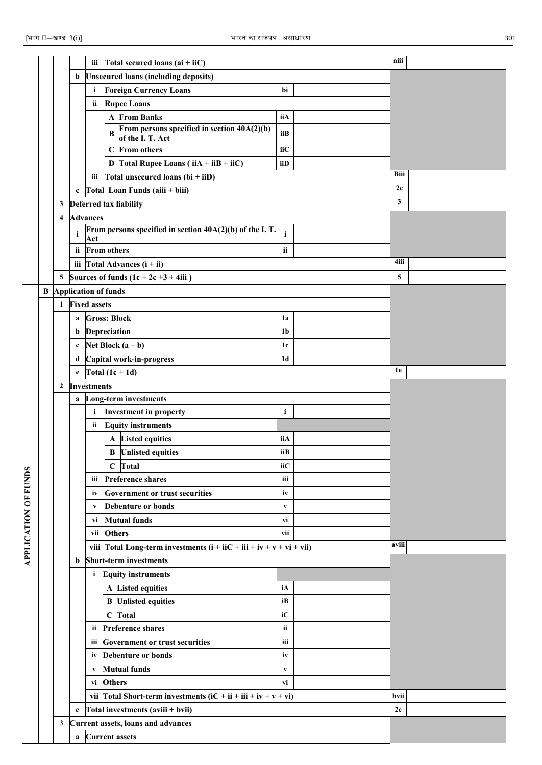|                    |   |                         |              | Total secured loans $(ai + iiC)$<br>iii                                      |                | aiii         |
|--------------------|---|-------------------------|--------------|------------------------------------------------------------------------------|----------------|--------------|
|                    |   |                         | b            | <b>Unsecured loans (including deposits)</b>                                  |                |              |
|                    |   |                         |              | <b>Foreign Currency Loans</b><br>i.                                          | bi             |              |
|                    |   |                         |              | <b>Rupee Loans</b><br>ii                                                     |                |              |
|                    |   |                         |              | <b>A</b> From Banks                                                          | iiA            |              |
|                    |   |                         |              | From persons specified in section $40A(2)(b)$<br>B<br>of the I. T. Act       | iiB            |              |
|                    |   |                         |              | From others<br>$\mathbf C$                                                   | iiC            |              |
|                    |   |                         |              | D Total Rupee Loans ( $i\overline{A} + i\overline{B} + i\overline{C}$ )      | iiD            |              |
|                    |   |                         |              | Total unsecured loans $(bi + iiD)$<br>iii                                    |                | Biii         |
|                    |   |                         | $\mathbf c$  | Total Loan Funds (aiii + biii)                                               |                | 2c           |
|                    |   |                         |              | 3 Deferred tax liability                                                     |                | $\mathbf{3}$ |
|                    |   | $\overline{\mathbf{4}}$ |              | <b>Advances</b>                                                              |                |              |
|                    |   |                         | $\mathbf{i}$ | From persons specified in section 40A(2)(b) of the I.T.<br>Act               | $\mathbf{i}$   |              |
|                    |   |                         | ii           | <b>From others</b>                                                           | ii             |              |
|                    |   |                         |              | iii $Total Advances (i + ii)$                                                |                | 4iii         |
|                    |   | 5 <sup>5</sup>          |              | Sources of funds $(1c + 2c +3 + 4iii)$                                       |                | 5            |
|                    | B |                         |              | <b>Application of funds</b>                                                  |                |              |
|                    |   | $\mathbf{1}$            |              | <b>Fixed assets</b>                                                          |                |              |
|                    |   |                         |              | <b>Gross: Block</b>                                                          | 1a             |              |
|                    |   |                         | a            |                                                                              | 1 <sub>b</sub> |              |
|                    |   |                         | b            | Depreciation                                                                 |                |              |
|                    |   |                         | $\mathbf c$  | Net Block $(a - b)$                                                          | 1c             |              |
|                    |   |                         | d            | Capital work-in-progress                                                     | 1 <sub>d</sub> | 1e           |
|                    |   |                         | $\mathbf e$  | Total $(1c + 1d)$                                                            |                |              |
|                    |   | $\overline{2}$          |              | <b>Investments</b>                                                           |                |              |
|                    |   |                         | a            | <b>Long-term investments</b>                                                 |                |              |
|                    |   |                         |              | <b>Investment in property</b><br>$\mathbf{i}$                                | $\mathbf{i}$   |              |
|                    |   |                         |              | <b>Equity instruments</b><br>ii                                              |                |              |
|                    |   |                         |              | A Listed equities                                                            | iiA            |              |
|                    |   |                         |              | <b>B</b> Unlisted equities                                                   | iiB            |              |
|                    |   |                         |              | Total<br>$\mathbf C$                                                         | iiC            |              |
| <b>OF FUNDS</b>    |   |                         |              | iii Preference shares                                                        | iii            |              |
|                    |   |                         |              | <b>Government or trust securities</b><br>iv                                  | iv             |              |
|                    |   |                         |              | <b>Debenture or bonds</b><br>V                                               | V              |              |
|                    |   |                         |              | <b>Mutual funds</b><br>vi                                                    | vi             |              |
|                    |   |                         |              | <b>Others</b><br>vii                                                         | vii            |              |
| <b>APPLICATION</b> |   |                         |              | viii $\Gamma$ otal Long-term investments (i + iiC + iii + iv + v + vi + vii) |                | aviii        |
|                    |   |                         | b            | <b>Short-term investments</b>                                                |                |              |
|                    |   |                         |              | <b>Equity instruments</b><br>i.                                              |                |              |
|                    |   |                         |              | A Listed equities                                                            | iA             |              |
|                    |   |                         |              | <b>B</b> Unlisted equities                                                   | iB             |              |
|                    |   |                         |              | $\mathbf C$<br>Total                                                         | iC             |              |
|                    |   |                         |              | <b>Preference shares</b><br>ii.                                              | ii             |              |
|                    |   |                         |              | <b>Government or trust securities</b><br>Ш                                   | iii            |              |
|                    |   |                         |              | <b>Debenture or bonds</b><br>İV                                              | iv             |              |
|                    |   |                         |              | <b>Mutual funds</b><br>V                                                     | V              |              |
|                    |   |                         |              | <b>Others</b><br>vi                                                          | vi             |              |
|                    |   |                         |              | vii   Total Short-term investments $(iC + ii + iii + iv + v + vi)$           |                | bvii         |
|                    |   |                         | $\mathbf c$  | Total investments (aviii + bvii)                                             |                | 2c           |
|                    |   | 3                       |              | Current assets, loans and advances                                           |                |              |
|                    |   |                         | a            | <b>Current assets</b>                                                        |                |              |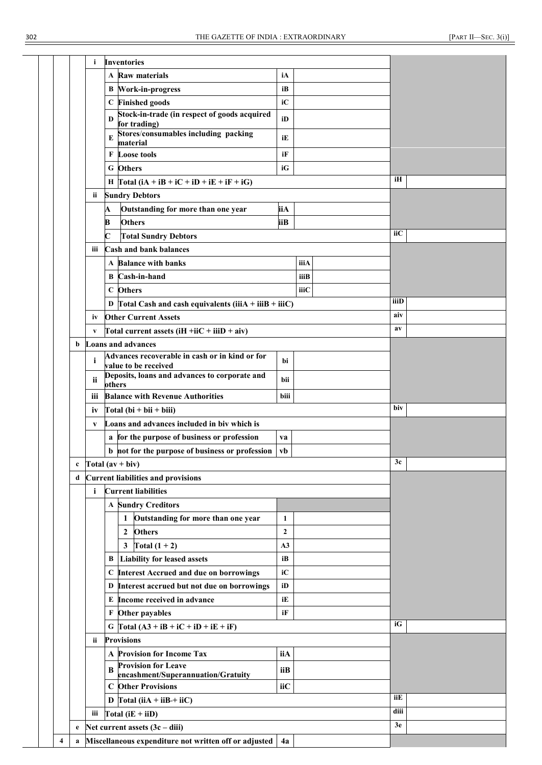|   | i   | <b>Inventories</b>                                      |                  |      |      |  |
|---|-----|---------------------------------------------------------|------------------|------|------|--|
|   |     | A Raw materials                                         | iA               |      |      |  |
|   |     | <b>B</b> Work-in-progress                               | iB               |      |      |  |
|   |     | C Finished goods                                        | iC               |      |      |  |
|   |     | Stock-in-trade (in respect of goods acquired<br>D       | iD               |      |      |  |
|   |     | for trading)<br>Stores/consumables including packing    |                  |      |      |  |
|   |     | E<br>material                                           | iE               |      |      |  |
|   |     | <b>F</b> Loose tools                                    | iF               |      |      |  |
|   |     | G Others                                                | iG               |      |      |  |
|   |     | H Total $(iA + iB + iC + iD + iE + iF + iG)$            |                  |      | iH   |  |
|   | ii  | <b>Sundry Debtors</b>                                   |                  |      |      |  |
|   | A   | Outstanding for more than one year                      | iiA              |      |      |  |
|   | B   | <b>Others</b>                                           | iіB              |      |      |  |
|   | C   | <b>Total Sundry Debtors</b>                             |                  |      | iіC  |  |
|   | iii | <b>Cash and bank balances</b>                           |                  |      |      |  |
|   |     | A Balance with banks                                    |                  | iiiA |      |  |
|   |     | <b>B</b> Cash-in-hand                                   |                  | iiiB |      |  |
|   |     | C Others                                                |                  | iiiC |      |  |
|   |     | D Total Cash and cash equivalents (iiiA + iiiB + iiiC)  |                  |      | iiiD |  |
|   | iv  | <b>Other Current Assets</b>                             |                  |      | aiv  |  |
|   | V   | Total current assets $(iH + iiC + iiiD + aiv)$          |                  |      | av   |  |
| b |     | <b>Loans and advances</b>                               |                  |      |      |  |
|   |     | Advances recoverable in cash or in kind or for          |                  |      |      |  |
|   | i   | value to be received                                    | bi               |      |      |  |
|   | ii  | Deposits, loans and advances to corporate and<br>others | bii              |      |      |  |
|   | iii | <b>Balance with Revenue Authorities</b>                 | biii             |      |      |  |
|   | iv  | $\Gamma$ otal (bi + bii + biii)                         |                  |      | biv  |  |
|   | V   | Loans and advances included in biv which is             |                  |      |      |  |
|   |     | a for the purpose of business or profession             | va               |      |      |  |
|   |     | b not for the purpose of business or profession         | vb               |      |      |  |
|   |     | Total $(av + biv)$                                      |                  |      | 3c   |  |
| d |     | <b>Current liabilities and provisions</b>               |                  |      |      |  |
|   | i   | <b>Current liabilities</b>                              |                  |      |      |  |
|   |     | <b>A Sundry Creditors</b>                               |                  |      |      |  |
|   |     | Outstanding for more than one year<br>1                 | $\mathbf{1}$     |      |      |  |
|   |     | <b>Others</b><br>2                                      | $\boldsymbol{2}$ |      |      |  |
|   |     | $\mathbf{3}$<br>Total $(1 + 2)$                         | A3               |      |      |  |
|   |     | <b>Liability for leased assets</b><br>B                 | iB               |      |      |  |
|   |     | C Interest Accrued and due on borrowings                | iC               |      |      |  |
|   |     | D Interest accrued but not due on borrowings            | iD               |      |      |  |
|   |     | E Income received in advance                            | iE               |      |      |  |
|   |     | F Other payables                                        | iF               |      |      |  |
|   |     | G Total $(A3 + iB + iC + iD + iE + iF)$                 |                  |      | iG   |  |
|   | ii  | <b>Provisions</b>                                       |                  |      |      |  |
|   |     | A Provision for Income Tax                              | iiA              |      |      |  |
|   |     | <b>Provision for Leave</b>                              |                  |      |      |  |
|   |     | B<br>encashment/Superannuation/Gratuity                 | iiB              |      |      |  |
|   |     | <b>C</b> Other Provisions                               | iiC              |      |      |  |
|   |     | D $\Gamma$ otal (iiA + iiB + iiC)                       |                  |      | iiE  |  |
|   |     | iii $Total (iE + iiD)$                                  |                  |      | diii |  |
| e |     | Net current assets $(3c - diii)$                        |                  |      | 3e   |  |
| a |     | Miscellaneous expenditure not written off or adjusted   | 4a               |      |      |  |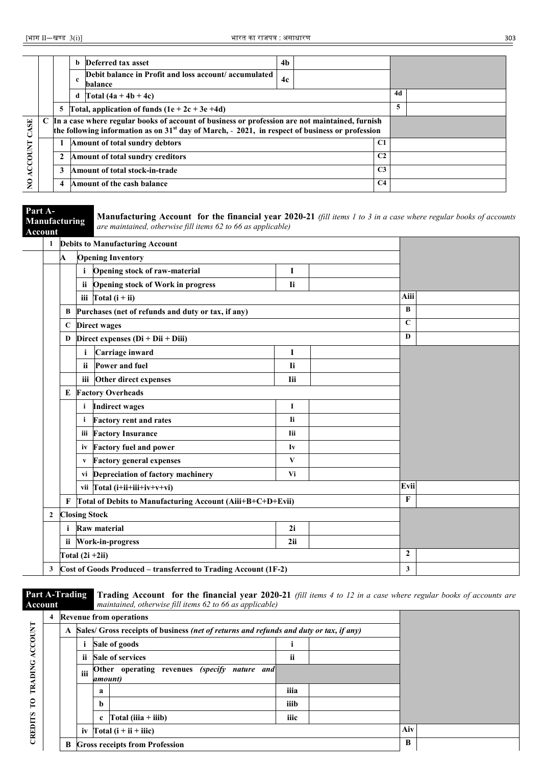|                |   | b | Deferred tax asset                                                                                                                                                                                    | 4 <sub>b</sub> |                |    |  |
|----------------|---|---|-------------------------------------------------------------------------------------------------------------------------------------------------------------------------------------------------------|----------------|----------------|----|--|
|                |   | c | Debit balance in Profit and loss account/accumulated<br>balance                                                                                                                                       | 4c             |                |    |  |
|                |   | d | Total $(4a + 4b + 4c)$                                                                                                                                                                                |                |                | 4d |  |
|                | 5 |   | Total, application of funds $(1e + 2c + 3e + 4d)$                                                                                                                                                     |                |                | 5  |  |
| ASE            |   |   | C In a case where regular books of account of business or profession are not maintained, furnish<br>the following information as on $31st$ day of March, - 2021, in respect of business or profession |                |                |    |  |
|                |   |   | Amount of total sundry debtors                                                                                                                                                                        |                | C1             |    |  |
| <b>ACCOUNT</b> | 2 |   | Amount of total sundry creditors                                                                                                                                                                      |                | C <sub>2</sub> |    |  |
|                | 3 |   | Amount of total stock-in-trade                                                                                                                                                                        |                | C <sub>3</sub> |    |  |
| $\mathsf{S}$   | 4 |   | Amount of the cash balance                                                                                                                                                                            |                | C <sub>4</sub> |    |  |

**Part A-Manufacturing** 

**Manufacturing Account for the financial year 2020-21** *(fill items 1 to 3 in a case where regular books of accounts are maintained, otherwise fill items 62 to 66 as applicable)*

| Account |                |              |              | $\mu$ c manuality, only way furthermal $\sigma$ to 00 as applicable)      |              |              |  |
|---------|----------------|--------------|--------------|---------------------------------------------------------------------------|--------------|--------------|--|
|         |                |              |              | 1 Debits to Manufacturing Account                                         |              |              |  |
|         |                | A            |              | <b>Opening Inventory</b>                                                  |              |              |  |
|         |                |              |              | Opening stock of raw-material                                             | I            |              |  |
|         |                |              | ii           | <b>Opening stock of Work in progress</b>                                  | <b>Ii</b>    |              |  |
|         |                |              |              | iii $\left  \text{Total} \left( \mathbf{i} + \mathbf{ii} \right) \right $ |              | Aiii         |  |
|         |                | B            |              | Purchases (net of refunds and duty or tax, if any)                        |              | $\bf{B}$     |  |
|         |                | $\mathbf C$  |              | <b>Direct wages</b>                                                       |              | $\mathbf C$  |  |
|         |                | D            |              | Direct expenses $(Di + Dii + Diii)$                                       |              | D            |  |
|         |                |              | i            | Carriage inward                                                           | I            |              |  |
|         |                |              | ii           | Power and fuel                                                            | <b>Ii</b>    |              |  |
|         |                |              |              | iii Other direct expenses                                                 | <b>Iii</b>   |              |  |
|         |                | Е            |              | <b>Factory Overheads</b>                                                  |              |              |  |
|         |                |              | $\mathbf{i}$ | <b>Indirect wages</b>                                                     | I            |              |  |
|         |                |              |              | <b>Factory rent and rates</b>                                             | <b>Ii</b>    |              |  |
|         |                |              |              | iii Factory Insurance                                                     | <b>Iii</b>   |              |  |
|         |                |              |              | iv Factory fuel and power                                                 | Iv           |              |  |
|         |                |              | $\mathbf{V}$ | <b>Factory general expenses</b>                                           | $\mathbf{V}$ |              |  |
|         |                |              |              | vi Depreciation of factory machinery                                      | Vi           |              |  |
|         |                |              |              | vii $\text{Total}$ (i+ii+iii+iv+v+vi)                                     |              | Evii         |  |
|         |                | F            |              | Total of Debits to Manufacturing Account (Aiii+B+C+D+Evii)                |              | $\mathbf{F}$ |  |
|         | $\overline{2}$ |              |              | <b>Closing Stock</b>                                                      |              |              |  |
|         |                | $\mathbf{i}$ |              | Raw material                                                              | 2i           |              |  |
|         |                | ii.          |              | Work-in-progress                                                          | 2ii          |              |  |
|         |                |              |              | Total $(2i + 2ii)$                                                        |              | $\mathbf{2}$ |  |
|         | 3              |              |              | Cost of Goods Produced – transferred to Trading Account (1F-2)            |              | 3            |  |

**Part A-Trading Account** 

**CREDITS TO TRADING ACCOUNT**

CREDITS TO TRADING ACCOUNT

**Trading Account for the financial year 2020-21** *(fill items 4 to 12 in a case where regular books of accounts are maintained, otherwise fill items 62 to 66 as applicable)*

| 4 |   |     |             | <b>Revenue from operations</b>                                                         |      |   |  |
|---|---|-----|-------------|----------------------------------------------------------------------------------------|------|---|--|
|   | A |     |             | Sales/ Gross receipts of business (net of returns and refunds and duty or tax, if any) |      |   |  |
|   |   |     |             | Sale of goods                                                                          |      |   |  |
|   |   | ii  |             | <b>Sale of services</b>                                                                | ii   |   |  |
|   |   | iii | amount)     | Other operating revenues (specify nature and                                           |      |   |  |
|   |   |     | a           |                                                                                        | iiia |   |  |
|   |   |     | b           |                                                                                        | iiib |   |  |
|   |   |     | $\mathbf c$ | $\int \text{Total (iiia + iiib)}$                                                      | iiic |   |  |
|   |   |     |             | iv $\text{Total}(\mathbf{i} + \mathbf{ii} + \mathbf{iii})$                             | Aiv  |   |  |
|   | B |     |             | <b>Gross receipts from Profession</b>                                                  |      | B |  |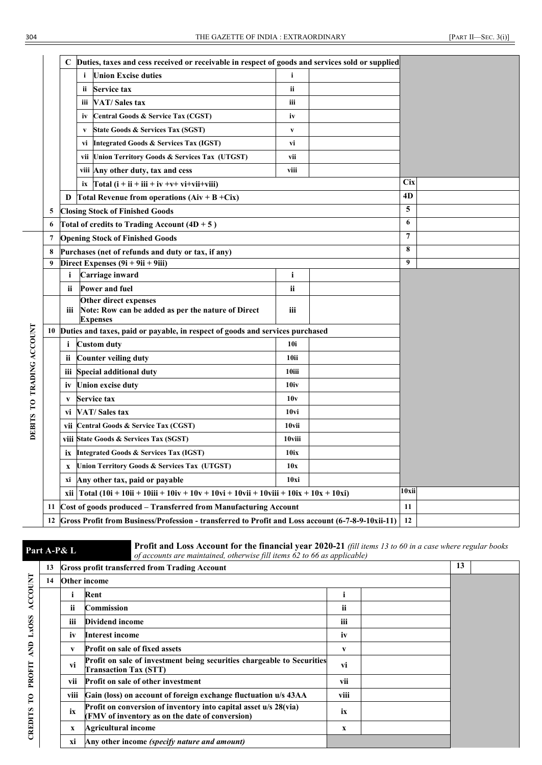|                        |    | C         | Duties, taxes and cess received or receivable in respect of goods and services sold or supplied   |                  |       |            |
|------------------------|----|-----------|---------------------------------------------------------------------------------------------------|------------------|-------|------------|
|                        |    |           | <b>Union Excise duties</b><br>i.                                                                  | i                |       |            |
|                        |    |           | <b>Service tax</b><br>ii.                                                                         | ii               |       |            |
|                        |    |           | VAT/Sales tax<br>ш                                                                                | iii              |       |            |
|                        |    |           | Central Goods & Service Tax (CGST)<br>iv                                                          | iv               |       |            |
|                        |    |           | State Goods & Services Tax (SGST)<br>V                                                            | $\mathbf{v}$     |       |            |
|                        |    |           | <b>Integrated Goods &amp; Services Tax (IGST)</b><br>VÌ                                           | vi               |       |            |
|                        |    |           | vii Union Territory Goods & Services Tax (UTGST)                                                  | vii              |       |            |
|                        |    |           | viii Any other duty, tax and cess                                                                 | viii             |       |            |
|                        |    |           | $Total (i + ii + iii + iv + v + vi + vi + viii)$<br>ix                                            |                  |       | <b>Cix</b> |
|                        |    | D         | Total Revenue from operations $(Aiv + B + Cix)$                                                   |                  |       | 4D         |
|                        | 5  |           | <b>Closing Stock of Finished Goods</b>                                                            |                  |       | 5          |
|                        | 6  |           | Total of credits to Trading Account $(4D + 5)$                                                    |                  |       | 6          |
|                        | 7  |           | <b>Opening Stock of Finished Goods</b>                                                            |                  |       | 7          |
|                        | 8  |           | Purchases (net of refunds and duty or tax, if any)                                                | 8                |       |            |
|                        | 9  |           | Direct Expenses $(9i + 9ii + 9iii)$                                                               |                  |       | 9          |
|                        |    | i         | Carriage inward                                                                                   | i                |       |            |
|                        |    | ii        | Power and fuel                                                                                    | ii               |       |            |
|                        |    | Ш         | Other direct expenses<br>Note: Row can be added as per the nature of Direct<br><b>Expenses</b>    | iii              |       |            |
|                        | 10 |           | Duties and taxes, paid or payable, in respect of goods and services purchased                     |                  |       |            |
| <b>TRADING ACCOUNT</b> |    | i         | <b>Custom duty</b>                                                                                | 10i              |       |            |
|                        |    | <b>ii</b> | <b>Counter veiling duty</b>                                                                       | 10ii             |       |            |
|                        |    | iii       | Special additional duty                                                                           | 10iii            |       |            |
|                        |    | İV        | Union excise duty                                                                                 | 10iv             |       |            |
| $\overline{r}$         |    | V         | Service tax                                                                                       | 10v              |       |            |
|                        |    | vi        | <b>VAT/Sales tax</b>                                                                              | 10 <sub>vi</sub> |       |            |
| <b>DEBITS</b>          |    | vii       | Central Goods & Service Tax (CGST)                                                                | 10vii            |       |            |
|                        |    |           | viii State Goods & Services Tax (SGST)                                                            | 10viii           |       |            |
|                        |    |           | ix Integrated Goods & Services Tax (IGST)                                                         | 10ix             |       |            |
|                        |    | x         | Union Territory Goods & Services Tax (UTGST)                                                      | 10x              |       |            |
|                        |    | хi        | Any other tax, paid or payable                                                                    | 10xi             |       |            |
|                        |    |           | xii   Total (10i + 10ii + 10iii + 10iv + 10v + 10vi + 10vii + 10viii + 10ix + 10x + 10xi)         |                  | 10xii |            |
|                        | 11 |           | Cost of goods produced – Transferred from Manufacturing Account                                   |                  |       | 11         |
|                        | 12 |           | Gross Profit from Business/Profession - transferred to Profit and Loss account (6-7-8-9-10xii-11) |                  |       | 12         |

**Part A-P& L Profit and Loss Account for the financial year 2020-21** *(fill items 13 to 60 in a case where regular books* of accounts are maintained otherwise *fill items 62 to 66 as applicable*) *of accounts are maintained, otherwise fill items 62 to 66 as applicable)*

|                | 13 |           | <b>Gross profit transferred from Trading Account</b>                                                                |        | 13 |  |
|----------------|----|-----------|---------------------------------------------------------------------------------------------------------------------|--------|----|--|
|                | 14 |           | <b>Other income</b>                                                                                                 |        |    |  |
| <b>ACCOUNT</b> |    |           | Rent                                                                                                                |        |    |  |
|                |    | ÎÌ        | <b>Commission</b>                                                                                                   | ii     |    |  |
| LxOSS          |    | <br>ĤÎ    | Dividend income                                                                                                     | <br>îĤ |    |  |
|                |    | <b>iv</b> | <b>Interest income</b>                                                                                              | iv     |    |  |
| <b>AND</b>     |    | V         | <b>Profit on sale of fixed assets</b>                                                                               | V      |    |  |
| PROFIT         |    | vi        | Profit on sale of investment being securities chargeable to Securities<br><b>Transaction Tax (STT)</b>              | vi     |    |  |
|                |    | vii       | <b>Profit on sale of other investment</b>                                                                           | vii    |    |  |
| $\mathbf{C}$   |    | viii      | Gain (loss) on account of foreign exchange fluctuation u/s 43AA                                                     | viii   |    |  |
| CREDITS        |    | İХ        | Profit on conversion of inventory into capital asset u/s 28(via)<br>(FMV of inventory as on the date of conversion) | İХ     |    |  |
|                |    | x         | <b>Agricultural income</b>                                                                                          | x      |    |  |
|                |    | xi        | Any other income <i>(specify nature and amount)</i>                                                                 |        |    |  |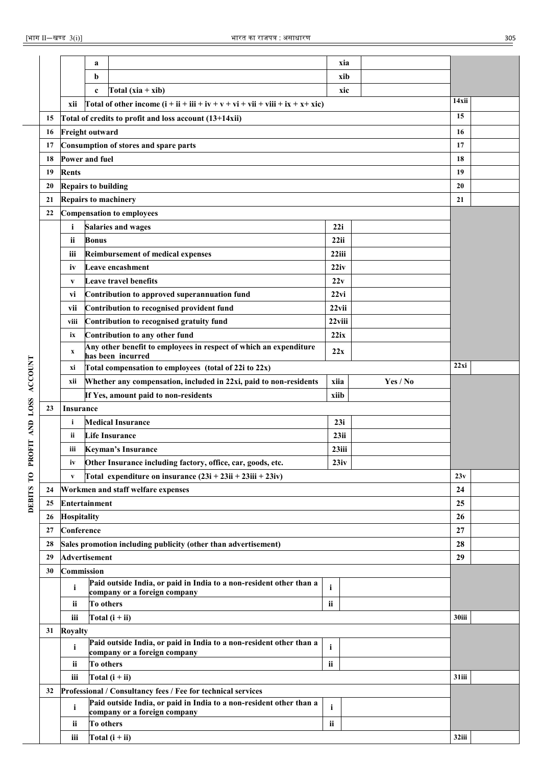|                |    |                            | a            |                                                                                                     | xia           |          |       |  |  |  |
|----------------|----|----------------------------|--------------|-----------------------------------------------------------------------------------------------------|---------------|----------|-------|--|--|--|
|                |    |                            | b            |                                                                                                     | xib           |          |       |  |  |  |
|                |    |                            | $\mathbf c$  | Total $(xia + xib)$                                                                                 | xic           |          |       |  |  |  |
|                |    | xii                        |              | Total of other income $(i + ii + iii + iv + v + vi + vii + viii + ix + x + xic)$                    |               |          | 14xii |  |  |  |
|                | 15 |                            |              | Total of credits to profit and loss account $(13+14xi)$                                             |               |          | 15    |  |  |  |
|                | 16 | <b>Freight outward</b>     |              |                                                                                                     |               |          | 16    |  |  |  |
|                | 17 |                            |              | Consumption of stores and spare parts                                                               |               |          | 17    |  |  |  |
|                | 18 | Power and fuel             |              |                                                                                                     |               |          | 18    |  |  |  |
|                | 19 | <b>Rents</b>               |              |                                                                                                     |               |          | 19    |  |  |  |
|                | 20 | <b>Repairs to building</b> |              |                                                                                                     |               |          | 20    |  |  |  |
|                | 21 |                            |              | <b>Repairs to machinery</b>                                                                         |               |          | 21    |  |  |  |
|                | 22 |                            |              | <b>Compensation to employees</b>                                                                    |               |          |       |  |  |  |
|                |    | i                          |              | <b>Salaries and wages</b>                                                                           | 22i           |          |       |  |  |  |
|                |    | ii.                        | <b>Bonus</b> |                                                                                                     | 22ii          |          |       |  |  |  |
|                |    | iii                        |              | <b>Reimbursement of medical expenses</b>                                                            | 22iii         |          |       |  |  |  |
|                |    | İV                         |              | Leave encashment                                                                                    | 22iv          |          |       |  |  |  |
|                |    | V                          |              | Leave travel benefits                                                                               | 22v           |          |       |  |  |  |
|                |    | Vĺ                         |              | Contribution to approved superannuation fund                                                        | 22vi          |          |       |  |  |  |
|                |    | vii                        |              | Contribution to recognised provident fund                                                           | $22$ vii      |          |       |  |  |  |
|                |    | viii                       |              | Contribution to recognised gratuity fund                                                            | 22viii        |          |       |  |  |  |
|                |    | ix                         |              | Contribution to any other fund                                                                      | 22ix          |          |       |  |  |  |
|                |    |                            |              | Any other benefit to employees in respect of which an expenditure                                   | 22x           |          |       |  |  |  |
|                |    | x<br>has been incurred     |              |                                                                                                     |               |          |       |  |  |  |
|                |    | xi                         |              | Total compensation to employees (total of 22i to 22x)                                               |               |          | 22xi  |  |  |  |
| <b>ACCOUNT</b> |    | xii                        |              | Whether any compensation, included in 22xi, paid to non-residents                                   | xiia          | Yes / No |       |  |  |  |
|                |    |                            |              | If Yes, amount paid to non-residents                                                                | xiib          |          |       |  |  |  |
| <b>LOSS</b>    | 23 | <b>Insurance</b>           |              |                                                                                                     |               |          |       |  |  |  |
| <b>AND</b>     |    | i                          |              | <b>Medical Insurance</b>                                                                            |               |          |       |  |  |  |
|                |    | ii.                        |              | <b>Life Insurance</b>                                                                               | 23ii          |          |       |  |  |  |
| <b>ROFIT</b>   |    | iii                        |              | <b>Keyman's Insurance</b>                                                                           | 23iii         |          |       |  |  |  |
|                |    | iv                         |              | Other Insurance including factory, office, car, goods, etc.                                         | 23iv          |          |       |  |  |  |
| $\mathbf{C}$   |    | $\mathbf{V}$               |              | Total expenditure on insurance $(23i + 23ii + 23iii + 23iv)$                                        |               |          | 23v   |  |  |  |
|                | 24 |                            |              | Workmen and staff welfare expenses                                                                  |               |          | 24    |  |  |  |
| <b>DEBITS</b>  | 25 | <b>Entertainment</b>       |              |                                                                                                     |               |          | 25    |  |  |  |
|                | 26 | <b>Hospitality</b>         |              |                                                                                                     |               |          | 26    |  |  |  |
|                | 27 | Conference                 |              |                                                                                                     |               |          | 27    |  |  |  |
|                | 28 |                            |              | Sales promotion including publicity (other than advertisement)                                      |               |          | 28    |  |  |  |
|                | 29 | <b>Advertisement</b>       |              |                                                                                                     |               |          | 29    |  |  |  |
|                | 30 | Commission                 |              |                                                                                                     |               |          |       |  |  |  |
|                |    | i                          |              | Paid outside India, or paid in India to a non-resident other than a                                 | $\mathbf{i}$  |          |       |  |  |  |
|                |    | ii                         | To others    | company or a foreign company                                                                        | $\mathbf{ii}$ |          |       |  |  |  |
|                |    | iii                        |              | Total $(i + ii)$                                                                                    |               |          | 30iii |  |  |  |
|                |    |                            |              |                                                                                                     |               |          |       |  |  |  |
|                | 31 | <b>Royalty</b>             |              | Paid outside India, or paid in India to a non-resident other than a                                 |               |          |       |  |  |  |
|                |    | i                          |              | company or a foreign company                                                                        | $\mathbf{i}$  |          |       |  |  |  |
|                |    | ii                         | To others    |                                                                                                     | ii            |          |       |  |  |  |
|                |    | iii                        |              | Total $(i + ii)$                                                                                    |               |          | 31iii |  |  |  |
|                | 32 |                            |              | Professional / Consultancy fees / Fee for technical services                                        |               |          |       |  |  |  |
|                |    | i                          |              | Paid outside India, or paid in India to a non-resident other than a<br>company or a foreign company | $\mathbf{i}$  |          |       |  |  |  |
|                |    | ii                         | To others    |                                                                                                     | ii            |          |       |  |  |  |
|                |    | iii                        |              | Total $(i + ii)$                                                                                    |               |          | 32iii |  |  |  |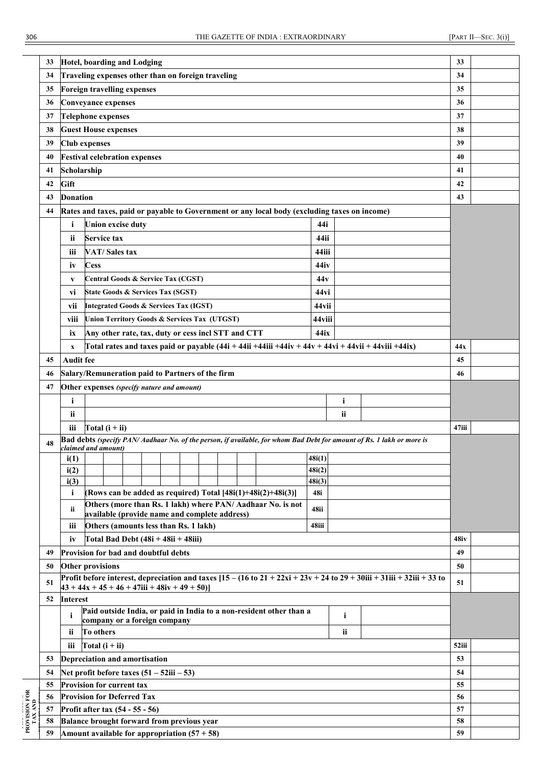|                          | 33 | Hotel, boarding and Lodging                                                                                                                                                               | 33    |  |  |  |  |  |  |  |  |
|--------------------------|----|-------------------------------------------------------------------------------------------------------------------------------------------------------------------------------------------|-------|--|--|--|--|--|--|--|--|
|                          | 34 | Traveling expenses other than on foreign traveling                                                                                                                                        | 34    |  |  |  |  |  |  |  |  |
|                          | 35 | Foreign travelling expenses                                                                                                                                                               | 35    |  |  |  |  |  |  |  |  |
|                          | 36 | <b>Conveyance expenses</b>                                                                                                                                                                | 36    |  |  |  |  |  |  |  |  |
|                          | 37 | <b>Telephone expenses</b>                                                                                                                                                                 | 37    |  |  |  |  |  |  |  |  |
|                          | 38 | <b>Guest House expenses</b>                                                                                                                                                               | 38    |  |  |  |  |  |  |  |  |
|                          | 39 | <b>Club expenses</b>                                                                                                                                                                      | 39    |  |  |  |  |  |  |  |  |
|                          | 40 | <b>Festival celebration expenses</b>                                                                                                                                                      | 40    |  |  |  |  |  |  |  |  |
|                          | 41 | Scholarship                                                                                                                                                                               | 41    |  |  |  |  |  |  |  |  |
|                          | 42 | Gift                                                                                                                                                                                      | 42    |  |  |  |  |  |  |  |  |
|                          | 43 | <b>Donation</b>                                                                                                                                                                           | 43    |  |  |  |  |  |  |  |  |
|                          | 44 | Rates and taxes, paid or payable to Government or any local body (excluding taxes on income)                                                                                              |       |  |  |  |  |  |  |  |  |
|                          |    | <b>Union excise duty</b><br>44i<br>i.                                                                                                                                                     |       |  |  |  |  |  |  |  |  |
|                          |    | <b>Service tax</b><br>44ii<br>ii                                                                                                                                                          |       |  |  |  |  |  |  |  |  |
|                          |    | <b>VAT/Sales tax</b><br>44iii<br>iii                                                                                                                                                      |       |  |  |  |  |  |  |  |  |
|                          |    | <b>Cess</b><br>44iv<br>iv                                                                                                                                                                 |       |  |  |  |  |  |  |  |  |
|                          |    | Central Goods & Service Tax (CGST)<br>44v                                                                                                                                                 |       |  |  |  |  |  |  |  |  |
|                          |    | V                                                                                                                                                                                         |       |  |  |  |  |  |  |  |  |
|                          |    | 44 <sub>vi</sub><br>State Goods & Services Tax (SGST)<br>vi                                                                                                                               |       |  |  |  |  |  |  |  |  |
|                          |    | <b>Integrated Goods &amp; Services Tax (IGST)</b><br>44vii<br>vii                                                                                                                         |       |  |  |  |  |  |  |  |  |
|                          |    | <b>Union Territory Goods &amp; Services Tax (UTGST)</b><br>44viii<br>viii                                                                                                                 |       |  |  |  |  |  |  |  |  |
|                          |    | Any other rate, tax, duty or cess incl STT and CTT<br>44ix<br>ix                                                                                                                          |       |  |  |  |  |  |  |  |  |
|                          |    | Total rates and taxes paid or payable (44i + 44ii +44iii +44iv + 44v + 44vi + 44vii + 44viii +44ix)<br>$\boldsymbol{\mathrm{X}}$                                                          | 44x   |  |  |  |  |  |  |  |  |
|                          | 45 | <b>Audit fee</b>                                                                                                                                                                          | 45    |  |  |  |  |  |  |  |  |
|                          | 46 | Salary/Remuneration paid to Partners of the firm                                                                                                                                          | 46    |  |  |  |  |  |  |  |  |
|                          | 47 | Other expenses (specify nature and amount)                                                                                                                                                |       |  |  |  |  |  |  |  |  |
|                          |    | $\mathbf{i}$<br>$\mathbf{i}$                                                                                                                                                              |       |  |  |  |  |  |  |  |  |
|                          |    | ii<br>ii                                                                                                                                                                                  |       |  |  |  |  |  |  |  |  |
|                          |    | Total $(i + ii)$<br>iii                                                                                                                                                                   | 47iii |  |  |  |  |  |  |  |  |
|                          | 48 | Bad debts (specify PAN/Aadhaar No. of the person, if available, for whom Bad Debt for amount of Rs. 1 lakh or more is<br>claimed and amount)                                              |       |  |  |  |  |  |  |  |  |
|                          |    | 48i(1)<br>i(1)                                                                                                                                                                            |       |  |  |  |  |  |  |  |  |
|                          |    | 48i(2)<br>i(2)                                                                                                                                                                            |       |  |  |  |  |  |  |  |  |
|                          |    | i(3)<br>48i(3)                                                                                                                                                                            |       |  |  |  |  |  |  |  |  |
|                          |    | (Rows can be added as required) Total $[48i(1)+48i(2)+48i(3)]$<br>48i<br>i.                                                                                                               |       |  |  |  |  |  |  |  |  |
|                          |    | Others (more than Rs. 1 lakh) where PAN/Aadhaar No. is not<br>48ii<br>ii.<br>available (provide name and complete address)                                                                |       |  |  |  |  |  |  |  |  |
|                          |    | Others (amounts less than Rs. 1 lakh)<br>48iii<br>iii                                                                                                                                     |       |  |  |  |  |  |  |  |  |
|                          |    | Total Bad Debt $(48i + 48ii + 48iii)$<br>iv                                                                                                                                               | 48iv  |  |  |  |  |  |  |  |  |
|                          | 49 | Provision for bad and doubtful debts                                                                                                                                                      | 49    |  |  |  |  |  |  |  |  |
|                          | 50 | <b>Other provisions</b>                                                                                                                                                                   | 50    |  |  |  |  |  |  |  |  |
|                          | 51 | Profit before interest, depreciation and taxes $[15 - (16 \text{ to } 21 + 22 \text{x}) + 23 \text{y} + 24 \text{ to } 29 + 30 \text{iii} + 31 \text{iii} + 32 \text{iii} + 33 \text{to}$ | 51    |  |  |  |  |  |  |  |  |
|                          |    | $43 + 44x + 45 + 46 + 47$ iii + $48$ iv + $49 + 50$ )                                                                                                                                     |       |  |  |  |  |  |  |  |  |
|                          | 52 | <b>Interest</b>                                                                                                                                                                           |       |  |  |  |  |  |  |  |  |
|                          |    | Paid outside India, or paid in India to a non-resident other than a<br>$\mathbf{i}$<br>i<br>company or a foreign company                                                                  |       |  |  |  |  |  |  |  |  |
|                          |    | To others<br>ii<br>ii                                                                                                                                                                     |       |  |  |  |  |  |  |  |  |
|                          |    | iii<br>Total $(i + ii)$                                                                                                                                                                   | 52iii |  |  |  |  |  |  |  |  |
|                          | 53 | Depreciation and amortisation                                                                                                                                                             | 53    |  |  |  |  |  |  |  |  |
|                          | 54 | Net profit before taxes $(51 – 52iii – 53)$                                                                                                                                               | 54    |  |  |  |  |  |  |  |  |
|                          | 55 | Provision for current tax                                                                                                                                                                 | 55    |  |  |  |  |  |  |  |  |
| PROVISION FOR<br>TAX AND | 56 | <b>Provision for Deferred Tax</b>                                                                                                                                                         | 56    |  |  |  |  |  |  |  |  |
|                          | 57 | Profit after tax (54 - 55 - 56)                                                                                                                                                           | 57    |  |  |  |  |  |  |  |  |
|                          | 58 | Balance brought forward from previous year                                                                                                                                                | 58    |  |  |  |  |  |  |  |  |
|                          | 59 | Amount available for appropriation $(57 + 58)$                                                                                                                                            | 59    |  |  |  |  |  |  |  |  |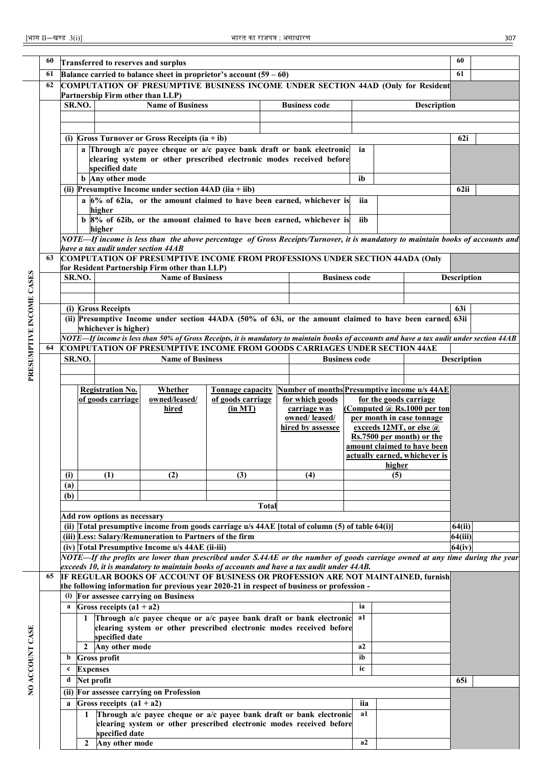| 60<br>60<br>Transferred to reserves and surplus<br>61<br>61<br>Balance carried to balance sheet in proprietor's account $(59 - 60)$ |                                                                                                                                      |                                                                                                                                 |                                                           |                                              |                                                                                                                                                                                 |                                              |              |                                                                        |                      |        |                                                      |                    |  |
|-------------------------------------------------------------------------------------------------------------------------------------|--------------------------------------------------------------------------------------------------------------------------------------|---------------------------------------------------------------------------------------------------------------------------------|-----------------------------------------------------------|----------------------------------------------|---------------------------------------------------------------------------------------------------------------------------------------------------------------------------------|----------------------------------------------|--------------|------------------------------------------------------------------------|----------------------|--------|------------------------------------------------------|--------------------|--|
|                                                                                                                                     |                                                                                                                                      |                                                                                                                                 |                                                           |                                              |                                                                                                                                                                                 |                                              |              |                                                                        |                      |        |                                                      |                    |  |
|                                                                                                                                     | 62                                                                                                                                   |                                                                                                                                 |                                                           |                                              | COMPUTATION OF PRESUMPTIVE BUSINESS INCOME UNDER SECTION 44AD (Only for Resident                                                                                                |                                              |              |                                                                        |                      |        |                                                      |                    |  |
|                                                                                                                                     |                                                                                                                                      |                                                                                                                                 |                                                           | Partnership Firm other than LLP)             |                                                                                                                                                                                 |                                              |              |                                                                        |                      |        |                                                      |                    |  |
|                                                                                                                                     |                                                                                                                                      |                                                                                                                                 | <b>Name of Business</b><br><b>Business code</b><br>SR.NO. |                                              |                                                                                                                                                                                 |                                              |              |                                                                        | <b>Description</b>   |        |                                                      |                    |  |
|                                                                                                                                     |                                                                                                                                      |                                                                                                                                 |                                                           |                                              |                                                                                                                                                                                 |                                              |              |                                                                        |                      |        |                                                      |                    |  |
|                                                                                                                                     |                                                                                                                                      |                                                                                                                                 |                                                           |                                              |                                                                                                                                                                                 |                                              |              |                                                                        |                      |        |                                                      |                    |  |
|                                                                                                                                     |                                                                                                                                      |                                                                                                                                 |                                                           |                                              | (i) Gross Turnover or Gross Receipts $(ia + ib)$                                                                                                                                |                                              |              |                                                                        |                      |        |                                                      | 62i                |  |
|                                                                                                                                     |                                                                                                                                      |                                                                                                                                 |                                                           |                                              | a Through $a/c$ payee cheque or $a/c$ payee bank draft or bank electronic                                                                                                       |                                              |              |                                                                        | ia                   |        |                                                      |                    |  |
|                                                                                                                                     |                                                                                                                                      |                                                                                                                                 |                                                           |                                              | clearing system or other prescribed electronic modes received before                                                                                                            |                                              |              |                                                                        |                      |        |                                                      |                    |  |
|                                                                                                                                     |                                                                                                                                      |                                                                                                                                 |                                                           | specified date<br><b>b</b> Any other mode    |                                                                                                                                                                                 |                                              |              |                                                                        | ib                   |        |                                                      |                    |  |
|                                                                                                                                     | (ii) Presumptive Income under section $44AD$ (iia + iib)                                                                             |                                                                                                                                 |                                                           |                                              |                                                                                                                                                                                 |                                              |              |                                                                        |                      |        |                                                      |                    |  |
|                                                                                                                                     |                                                                                                                                      |                                                                                                                                 |                                                           |                                              | a $6\%$ of 62ia, or the amount claimed to have been earned, whichever is                                                                                                        |                                              |              |                                                                        | iia                  |        |                                                      | 62ii               |  |
|                                                                                                                                     |                                                                                                                                      |                                                                                                                                 |                                                           | higher                                       |                                                                                                                                                                                 |                                              |              |                                                                        |                      |        |                                                      |                    |  |
|                                                                                                                                     |                                                                                                                                      |                                                                                                                                 |                                                           |                                              | b 8% of 62ib, or the amount claimed to have been earned, whichever is                                                                                                           |                                              |              |                                                                        | iib                  |        |                                                      |                    |  |
|                                                                                                                                     |                                                                                                                                      |                                                                                                                                 |                                                           | higher                                       |                                                                                                                                                                                 |                                              |              |                                                                        |                      |        |                                                      |                    |  |
|                                                                                                                                     |                                                                                                                                      |                                                                                                                                 |                                                           | have a tax audit under section 44AB          | NOTE—If income is less than the above percentage of Gross Receipts/Turnover, it is mandatory to maintain books of accounts and                                                  |                                              |              |                                                                        |                      |        |                                                      |                    |  |
|                                                                                                                                     | 63                                                                                                                                   |                                                                                                                                 |                                                           |                                              |                                                                                                                                                                                 |                                              |              |                                                                        |                      |        |                                                      |                    |  |
|                                                                                                                                     | <b>COMPUTATION OF PRESUMPTIVE INCOME FROM PROFESSIONS UNDER SECTION 44ADA (Only</b><br>for Resident Partnership Firm other than LLP) |                                                                                                                                 |                                                           |                                              |                                                                                                                                                                                 |                                              |              |                                                                        |                      |        |                                                      |                    |  |
|                                                                                                                                     | <b>Name of Business</b><br><b>Business code</b><br>SR.NO.                                                                            |                                                                                                                                 |                                                           |                                              |                                                                                                                                                                                 |                                              |              |                                                                        |                      |        |                                                      | <b>Description</b> |  |
|                                                                                                                                     |                                                                                                                                      |                                                                                                                                 |                                                           |                                              |                                                                                                                                                                                 |                                              |              |                                                                        |                      |        |                                                      |                    |  |
|                                                                                                                                     |                                                                                                                                      |                                                                                                                                 |                                                           |                                              |                                                                                                                                                                                 |                                              |              |                                                                        |                      |        |                                                      |                    |  |
|                                                                                                                                     |                                                                                                                                      |                                                                                                                                 |                                                           | (i) Gross Receipts                           |                                                                                                                                                                                 |                                              |              |                                                                        |                      |        |                                                      | 63i                |  |
|                                                                                                                                     |                                                                                                                                      | (ii) Presumptive Income under section 44ADA (50% of 63i, or the amount claimed to have been earned 63ii<br>whichever is higher) |                                                           |                                              |                                                                                                                                                                                 |                                              |              |                                                                        |                      |        |                                                      |                    |  |
|                                                                                                                                     |                                                                                                                                      |                                                                                                                                 |                                                           |                                              | NOTE—If income is less than 50% of Gross Receipts, it is mandatory to maintain books of accounts and have a tax audit under section 44AB                                        |                                              |              |                                                                        |                      |        |                                                      |                    |  |
|                                                                                                                                     | 64                                                                                                                                   |                                                                                                                                 |                                                           |                                              | <b>COMPUTATION OF PRESUMPTIVE INCOME FROM GOODS CARRIAGES UNDER SECTION 44AE</b>                                                                                                |                                              |              |                                                                        |                      |        |                                                      |                    |  |
| PRESUMPTIVE INCOME CASES                                                                                                            |                                                                                                                                      | SR.NO.                                                                                                                          |                                                           |                                              | <b>Name of Business</b>                                                                                                                                                         |                                              |              |                                                                        | <b>Business code</b> |        |                                                      | <b>Description</b> |  |
|                                                                                                                                     |                                                                                                                                      |                                                                                                                                 |                                                           |                                              |                                                                                                                                                                                 |                                              |              |                                                                        |                      |        |                                                      |                    |  |
|                                                                                                                                     |                                                                                                                                      |                                                                                                                                 |                                                           |                                              |                                                                                                                                                                                 |                                              |              |                                                                        |                      |        |                                                      |                    |  |
|                                                                                                                                     |                                                                                                                                      |                                                                                                                                 |                                                           | <b>Registration No.</b><br>of goods carriage | Whether<br>owned/leased/                                                                                                                                                        | <b>Tonnage capacity</b><br>of goods carriage |              | <b>Number of months Presumptive income u/s 44AE</b><br>for which goods |                      |        | for the goods carriage                               |                    |  |
|                                                                                                                                     |                                                                                                                                      |                                                                                                                                 |                                                           |                                              | hired                                                                                                                                                                           | (in MT)                                      |              | carriage was                                                           |                      |        | (Computed $\omega$ Rs.1000 per ton                   |                    |  |
|                                                                                                                                     |                                                                                                                                      |                                                                                                                                 |                                                           |                                              |                                                                                                                                                                                 |                                              |              | owned/leased/                                                          |                      |        | per month in case tonnage                            |                    |  |
|                                                                                                                                     |                                                                                                                                      |                                                                                                                                 |                                                           |                                              |                                                                                                                                                                                 |                                              |              | hired by assessee                                                      |                      |        | exceeds 12MT, or else @<br>Rs.7500 per month) or the |                    |  |
|                                                                                                                                     |                                                                                                                                      |                                                                                                                                 |                                                           |                                              |                                                                                                                                                                                 |                                              |              |                                                                        |                      |        | amount claimed to have been                          |                    |  |
|                                                                                                                                     |                                                                                                                                      |                                                                                                                                 |                                                           |                                              |                                                                                                                                                                                 |                                              |              |                                                                        |                      |        | actually earned, whichever is                        |                    |  |
|                                                                                                                                     |                                                                                                                                      |                                                                                                                                 |                                                           |                                              |                                                                                                                                                                                 |                                              |              |                                                                        |                      | higher |                                                      |                    |  |
|                                                                                                                                     |                                                                                                                                      | (i)                                                                                                                             |                                                           | (1)                                          | (2)                                                                                                                                                                             | (3)                                          |              | (4)                                                                    |                      | (5)    |                                                      |                    |  |
|                                                                                                                                     |                                                                                                                                      | (a)                                                                                                                             |                                                           |                                              |                                                                                                                                                                                 |                                              |              |                                                                        |                      |        |                                                      |                    |  |
|                                                                                                                                     |                                                                                                                                      | (b)                                                                                                                             |                                                           |                                              |                                                                                                                                                                                 |                                              | <b>Total</b> |                                                                        |                      |        |                                                      |                    |  |
|                                                                                                                                     |                                                                                                                                      |                                                                                                                                 |                                                           | Add row options as necessary                 |                                                                                                                                                                                 |                                              |              |                                                                        |                      |        |                                                      |                    |  |
|                                                                                                                                     |                                                                                                                                      |                                                                                                                                 |                                                           |                                              | (ii) Total presumptive income from goods carriage u/s 44AE [total of column (5) of table 64(i)]                                                                                 |                                              |              |                                                                        |                      |        |                                                      | 64(ii)             |  |
|                                                                                                                                     |                                                                                                                                      |                                                                                                                                 |                                                           |                                              | (iii) Less: Salary/Remuneration to Partners of the firm                                                                                                                         |                                              |              |                                                                        |                      |        |                                                      | 64(iii)            |  |
|                                                                                                                                     |                                                                                                                                      |                                                                                                                                 |                                                           |                                              | (iv) Total Presumptive Income u/s 44AE (ii-iii)                                                                                                                                 |                                              |              |                                                                        |                      |        |                                                      | 64(iv)             |  |
|                                                                                                                                     |                                                                                                                                      |                                                                                                                                 |                                                           |                                              | NOTE—If the profits are lower than prescribed under S.44AE or the number of goods carriage owned at any time during the year                                                    |                                              |              |                                                                        |                      |        |                                                      |                    |  |
|                                                                                                                                     |                                                                                                                                      |                                                                                                                                 |                                                           |                                              | exceeds 10, it is mandatory to maintain books of accounts and have a tax audit under 44AB.                                                                                      |                                              |              |                                                                        |                      |        |                                                      |                    |  |
|                                                                                                                                     | 65                                                                                                                                   |                                                                                                                                 |                                                           |                                              | IF REGULAR BOOKS OF ACCOUNT OF BUSINESS OR PROFESSION ARE NOT MAINTAINED, furnish<br>the following information for previous year 2020-21 in respect of business or profession - |                                              |              |                                                                        |                      |        |                                                      |                    |  |
|                                                                                                                                     |                                                                                                                                      |                                                                                                                                 |                                                           |                                              | (i) For assessee carrying on Business                                                                                                                                           |                                              |              |                                                                        |                      |        |                                                      |                    |  |
|                                                                                                                                     |                                                                                                                                      | a                                                                                                                               |                                                           | Gross receipts $(a1 + a2)$                   |                                                                                                                                                                                 |                                              |              |                                                                        | ia                   |        |                                                      |                    |  |
|                                                                                                                                     |                                                                                                                                      |                                                                                                                                 | 1                                                         |                                              | Through a/c payee cheque or a/c payee bank draft or bank electronic                                                                                                             |                                              |              |                                                                        | a1                   |        |                                                      |                    |  |
|                                                                                                                                     |                                                                                                                                      |                                                                                                                                 |                                                           |                                              | clearing system or other prescribed electronic modes received before                                                                                                            |                                              |              |                                                                        |                      |        |                                                      |                    |  |
|                                                                                                                                     |                                                                                                                                      |                                                                                                                                 |                                                           | specified date                               |                                                                                                                                                                                 |                                              |              |                                                                        | a2                   |        |                                                      |                    |  |
| NO ACCOUNT CASE                                                                                                                     |                                                                                                                                      | b                                                                                                                               | $\overline{2}$                                            | Any other mode<br><b>Gross profit</b>        |                                                                                                                                                                                 |                                              |              |                                                                        | ib                   |        |                                                      |                    |  |
|                                                                                                                                     |                                                                                                                                      | c                                                                                                                               | <b>Expenses</b>                                           |                                              |                                                                                                                                                                                 |                                              |              |                                                                        | ic                   |        |                                                      |                    |  |
|                                                                                                                                     |                                                                                                                                      | d                                                                                                                               | Net profit                                                |                                              |                                                                                                                                                                                 |                                              |              |                                                                        |                      |        |                                                      | 65i                |  |
|                                                                                                                                     |                                                                                                                                      |                                                                                                                                 |                                                           |                                              | (ii) For assessee carrying on Profession                                                                                                                                        |                                              |              |                                                                        |                      |        |                                                      |                    |  |
|                                                                                                                                     |                                                                                                                                      | a                                                                                                                               |                                                           | Gross receipts $(a1 + a2)$                   |                                                                                                                                                                                 |                                              |              |                                                                        | iia                  |        |                                                      |                    |  |
|                                                                                                                                     |                                                                                                                                      |                                                                                                                                 | 1                                                         |                                              | Through a/c payee cheque or a/c payee bank draft or bank electronic                                                                                                             |                                              |              |                                                                        | a1                   |        |                                                      |                    |  |
|                                                                                                                                     |                                                                                                                                      |                                                                                                                                 |                                                           |                                              | clearing system or other prescribed electronic modes received before                                                                                                            |                                              |              |                                                                        |                      |        |                                                      |                    |  |
|                                                                                                                                     |                                                                                                                                      |                                                                                                                                 |                                                           | specified date                               |                                                                                                                                                                                 |                                              |              |                                                                        |                      |        |                                                      |                    |  |
|                                                                                                                                     |                                                                                                                                      |                                                                                                                                 | $2^{\circ}$                                               | Any other mode                               |                                                                                                                                                                                 |                                              |              |                                                                        | a <sub>2</sub>       |        |                                                      |                    |  |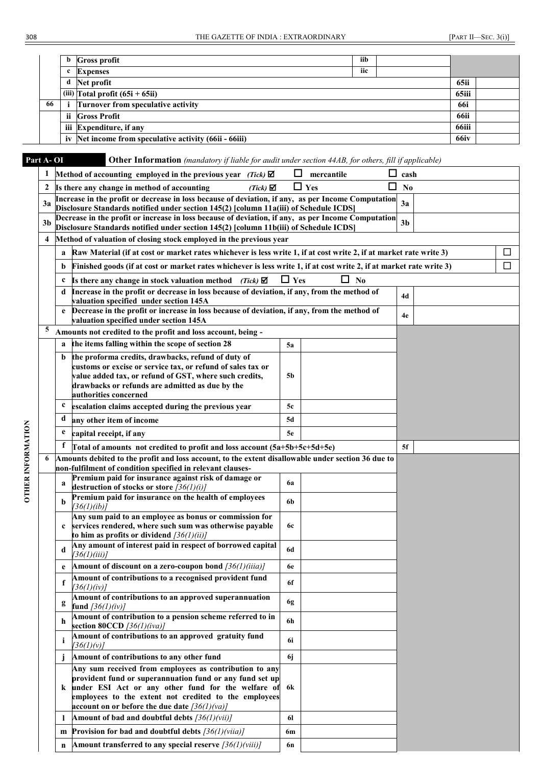|    |    | <b>b</b> Gross profit                                   | iib   |  |             |  |
|----|----|---------------------------------------------------------|-------|--|-------------|--|
|    |    | <b>Expenses</b>                                         | iic   |  |             |  |
|    |    | d Net profit                                            |       |  | 65ii        |  |
|    |    | (iii) $\text{Total profit } (65\text{i} + 65\text{ii})$ | 65iii |  |             |  |
| 66 |    | Turnover from speculative activity                      |       |  | <b>66i</b>  |  |
|    | ii | <b>Gross Profit</b>                                     |       |  | <b>66ii</b> |  |
|    |    | iii Expenditure, if any                                 |       |  | 66iii       |  |
|    |    | iv Net income from speculative activity (66ii - 66iii)  |       |  | 66iv        |  |

OTHER INFORMATION

# **Part A- OI Other Information** *(mandatory if liable for audit under section 44AB, for others, fill if applicable)*<br>1 **Method of accounting employed in the previous year** *(Tick)*  $\blacksquare$  **negative n** cash

|                   | 1  |              | Method of accounting employed in the previous year (Tick) $\boxtimes$                                                                                                                       | ப          | mercantile | □<br>cash           |        |
|-------------------|----|--------------|---------------------------------------------------------------------------------------------------------------------------------------------------------------------------------------------|------------|------------|---------------------|--------|
|                   | 2  |              | Is there any change in method of accounting<br>$(Tick) \nabla$                                                                                                                              |            | $\Box$ Yes | ப<br>N <sub>0</sub> |        |
|                   | 3a |              | Increase in the profit or decrease in loss because of deviation, if any, as per Income Computation<br>Disclosure Standards notified under section 145(2) [column 11a(iii) of Schedule ICDS] |            |            | 3a                  |        |
|                   | 3b |              | Decrease in the profit or increase in loss because of deviation, if any, as per Income Computation                                                                                          |            |            | 3 <sub>b</sub>      |        |
|                   |    |              | Disclosure Standards notified under section 145(2) [column 11b(iii) of Schedule ICDS]<br>Method of valuation of closing stock employed in the previous year                                 |            |            |                     |        |
|                   | 4  |              |                                                                                                                                                                                             |            |            |                     |        |
|                   |    | a            | Raw Material (if at cost or market rates whichever is less write 1, if at cost write 2, if at market rate write 3)                                                                          |            |            |                     | $\Box$ |
|                   |    | b            | Finished goods (if at cost or market rates whichever is less write 1, if at cost write 2, if at market rate write 3)                                                                        |            |            |                     | $\Box$ |
|                   |    | c            | Is there any change in stock valuation method<br>(Tick)                                                                                                                                     | $\Box$ Yes | $\Box$ No  |                     |        |
|                   |    | d            | Increase in the profit or decrease in loss because of deviation, if any, from the method of<br>valuation specified under section 145A                                                       |            |            | 4d                  |        |
|                   |    | e            | Decrease in the profit or increase in loss because of deviation, if any, from the method of<br>valuation specified under section 145A                                                       |            |            | 4e                  |        |
|                   | 5  |              | Amounts not credited to the profit and loss account, being -                                                                                                                                |            |            |                     |        |
|                   |    |              | the items falling within the scope of section 28                                                                                                                                            | 5a         |            |                     |        |
|                   |    | b            | the proforma credits, drawbacks, refund of duty of                                                                                                                                          |            |            |                     |        |
|                   |    |              | customs or excise or service tax, or refund of sales tax or                                                                                                                                 |            |            |                     |        |
|                   |    |              | value added tax, or refund of GST, where such credits,<br>drawbacks or refunds are admitted as due by the                                                                                   | 5b         |            |                     |        |
|                   |    |              | authorities concerned                                                                                                                                                                       |            |            |                     |        |
|                   |    | c            | escalation claims accepted during the previous year                                                                                                                                         | 5c         |            |                     |        |
|                   |    | $\mathbf d$  | any other item of income                                                                                                                                                                    | 5d         |            |                     |        |
| OTHER INFORMATION |    | e            | capital receipt, if any                                                                                                                                                                     | 5e         |            |                     |        |
|                   |    | f            | Total of amounts not credited to profit and loss account (5a+5b+5c+5d+5e)                                                                                                                   |            |            | 5f                  |        |
|                   | 6  |              | Amounts debited to the profit and loss account, to the extent disallowable under section 36 due to                                                                                          |            |            |                     |        |
|                   |    |              | non-fulfilment of condition specified in relevant clauses-<br>Premium paid for insurance against risk of damage or                                                                          |            |            |                     |        |
|                   |    | a            | destruction of stocks or store $[36(1)(i)]$                                                                                                                                                 | 6a         |            |                     |        |
|                   |    | b            | Premium paid for insurance on the health of employees<br>[36(1)(ib)]                                                                                                                        | 6b         |            |                     |        |
|                   |    | $\mathbf c$  | Any sum paid to an employee as bonus or commission for<br>services rendered, where such sum was otherwise payable                                                                           | <b>6c</b>  |            |                     |        |
|                   |    |              | to him as profits or dividend $\frac{36}{1}{ii}$                                                                                                                                            |            |            |                     |        |
|                   |    | d            | Any amount of interest paid in respect of borrowed capital<br>[36(1)(iii)]                                                                                                                  | 6d         |            |                     |        |
|                   |    | e            | Amount of discount on a zero-coupon bond $\frac{36}{1}\frac{36}{1}\frac{1}{1}$                                                                                                              | 6e         |            |                     |        |
|                   |    |              | Amount of contributions to a recognised provident fund<br>[36(1)(iv)]                                                                                                                       | 6f         |            |                     |        |
|                   |    | g            | Amount of contributions to an approved superannuation<br><b>fund</b> $\frac{36(1)(iv)}{i}$                                                                                                  | 6g         |            |                     |        |
|                   |    | h            | Amount of contribution to a pension scheme referred to in<br>section 80CCD $[36(1)(iva)]$                                                                                                   | 6h         |            |                     |        |
|                   |    | i            | Amount of contributions to an approved gratuity fund<br>[36(1)(v)]                                                                                                                          | 6i         |            |                     |        |
|                   |    |              | Amount of contributions to any other fund                                                                                                                                                   | 6j         |            |                     |        |
|                   |    |              | Any sum received from employees as contribution to any<br>provident fund or superannuation fund or any fund set up                                                                          |            |            |                     |        |
|                   |    |              | k under ESI Act or any other fund for the welfare of                                                                                                                                        | 6k         |            |                     |        |
|                   |    |              | employees to the extent not credited to the employees                                                                                                                                       |            |            |                     |        |
|                   |    |              | account on or before the due date $\frac{36(1)}{v a}$                                                                                                                                       |            |            |                     |        |
|                   |    | $\mathbf{I}$ | Amount of bad and doubtful debts $\frac{36}{l}$ / $\frac{v}{l}$                                                                                                                             | 61         |            |                     |        |
|                   |    | m            | Provision for bad and doubtful debts $\frac{36}{1}\frac{\nu}{4}$                                                                                                                            | 6m         |            |                     |        |
|                   |    | n            | Amount transferred to any special reserve $\frac{36}{1}\frac{\gamma}{\gamma}$                                                                                                               | 6n         |            |                     |        |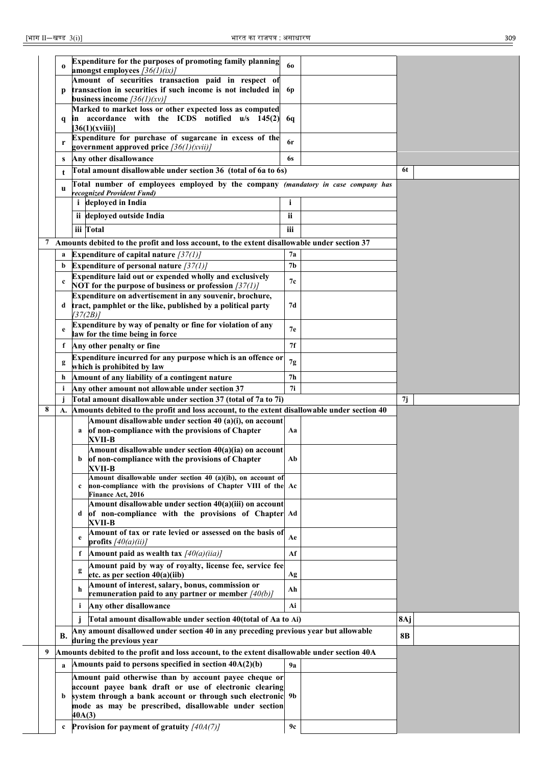|   | $\bf{0}$     |           | Expenditure for the purposes of promoting family planning<br>amongst employees $\frac{36}{1}\frac{\varepsilon}{\varepsilon}$                                  | 60             |     |  |
|---|--------------|-----------|---------------------------------------------------------------------------------------------------------------------------------------------------------------|----------------|-----|--|
|   |              |           | Amount of securities transaction paid in respect of                                                                                                           |                |     |  |
|   |              |           | transaction in securities if such income is not included in                                                                                                   | 6p             |     |  |
|   |              |           | business income $(36(1)(xy))$                                                                                                                                 |                |     |  |
|   |              |           | Marked to market loss or other expected loss as computed                                                                                                      |                |     |  |
|   | q            |           | in accordance with the ICDS notified u/s 145(2)<br>[36(1)(xviii)]                                                                                             | 6q             |     |  |
|   |              |           | Expenditure for purchase of sugarcane in excess of the                                                                                                        |                |     |  |
|   | r            |           | government approved price $\frac{36}{l}$ (xvii)                                                                                                               | 6r             |     |  |
|   | S            |           | Any other disallowance                                                                                                                                        | 6s             |     |  |
|   | t            |           | Total amount disallowable under section 36 (total of 6a to 6s)                                                                                                |                | 6t  |  |
|   |              |           | Total number of employees employed by the company (mandatory in case company has                                                                              |                |     |  |
|   | u            |           | recognized Provident Fund)                                                                                                                                    |                |     |  |
|   |              |           | <i>i</i> deployed in India                                                                                                                                    |                |     |  |
|   |              |           | ii deployed outside India                                                                                                                                     | ii             |     |  |
|   |              | iii Total |                                                                                                                                                               | iii            |     |  |
|   |              |           | 7 Amounts debited to the profit and loss account, to the extent disallowable under section 37                                                                 |                |     |  |
|   | a            |           | Expenditure of capital nature $\frac{37}{1}$                                                                                                                  | 7a             |     |  |
|   | b            |           | Expenditure of personal nature $\frac{37}{11}$                                                                                                                | 7 <sub>b</sub> |     |  |
|   | c            |           | Expenditure laid out or expended wholly and exclusively                                                                                                       | 7с             |     |  |
|   |              |           | NOT for the purpose of business or profession $\frac{37}{11}$                                                                                                 |                |     |  |
|   | d            |           | Expenditure on advertisement in any souvenir, brochure,<br>tract, pamphlet or the like, published by a political party                                        | 7d             |     |  |
|   |              | [37(2B)]  |                                                                                                                                                               |                |     |  |
|   | e            |           | Expenditure by way of penalty or fine for violation of any                                                                                                    | 7e             |     |  |
|   |              |           | law for the time being in force                                                                                                                               |                |     |  |
|   | $\mathbf{f}$ |           | Any other penalty or fine                                                                                                                                     | 7f             |     |  |
|   | g            |           | Expenditure incurred for any purpose which is an offence or                                                                                                   | 7g             |     |  |
|   | h            |           | which is prohibited by law<br>Amount of any liability of a contingent nature                                                                                  | 7h             |     |  |
|   |              |           |                                                                                                                                                               |                |     |  |
|   |              |           |                                                                                                                                                               |                |     |  |
|   | i<br>j       |           | Any other amount not allowable under section 37                                                                                                               | 7i             | 7j  |  |
| 8 | А.           |           | Total amount disallowable under section 37 (total of 7a to 7i)<br>Amounts debited to the profit and loss account, to the extent disallowable under section 40 |                |     |  |
|   |              |           | Amount disallowable under section 40 (a)(i), on account                                                                                                       |                |     |  |
|   |              | a         | of non-compliance with the provisions of Chapter                                                                                                              | Aa             |     |  |
|   |              |           | XVII-B                                                                                                                                                        |                |     |  |
|   |              |           | Amount disallowable under section 40(a)(ia) on account<br>of non-compliance with the provisions of Chapter                                                    | Ab             |     |  |
|   |              |           | XVII-B                                                                                                                                                        |                |     |  |
|   |              | c         | Amount disallowable under section 40 (a)(ib), on account of                                                                                                   |                |     |  |
|   |              |           | non-compliance with the provisions of Chapter VIII of the Ac<br><b>Finance Act, 2016</b>                                                                      |                |     |  |
|   |              |           | Amount disallowable under section 40(a)(iii) on account                                                                                                       |                |     |  |
|   |              | d         | of non-compliance with the provisions of Chapter Ad                                                                                                           |                |     |  |
|   |              |           | XVII-B<br>Amount of tax or rate levied or assessed on the basis of                                                                                            |                |     |  |
|   |              | e         | profits $[40(a)(ii)]$                                                                                                                                         | Ae             |     |  |
|   |              | f         | Amount paid as wealth tax $\frac{1}{40(a)(iia)}$                                                                                                              | Af             |     |  |
|   |              | g         | Amount paid by way of royalty, license fee, service fee                                                                                                       |                |     |  |
|   |              |           | etc. as per section 40(a)(iib)                                                                                                                                | Ag             |     |  |
|   |              | h         | Amount of interest, salary, bonus, commission or                                                                                                              | Ah             |     |  |
|   |              | i.        | remuneration paid to any partner or member $\left[40(b)\right]$<br>Any other disallowance                                                                     | Ai             |     |  |
|   |              |           |                                                                                                                                                               |                |     |  |
|   |              |           | Total amount disallowable under section 40(total of Aa to Ai)                                                                                                 |                | 8Aj |  |
|   | <b>B.</b>    |           | Any amount disallowed under section 40 in any preceding previous year but allowable<br>during the previous year                                               |                | 8B  |  |
| 9 |              |           | Amounts debited to the profit and loss account, to the extent disallowable under section 40A                                                                  |                |     |  |
|   |              |           | Amounts paid to persons specified in section $40A(2)(b)$                                                                                                      | 9a             |     |  |
|   |              |           | Amount paid otherwise than by account payee cheque or                                                                                                         |                |     |  |
|   |              |           | account payee bank draft or use of electronic clearing                                                                                                        |                |     |  |
|   | b            |           | system through a bank account or through such electronic 9b                                                                                                   |                |     |  |
|   |              | 40A(3)    | mode as may be prescribed, disallowable under section                                                                                                         |                |     |  |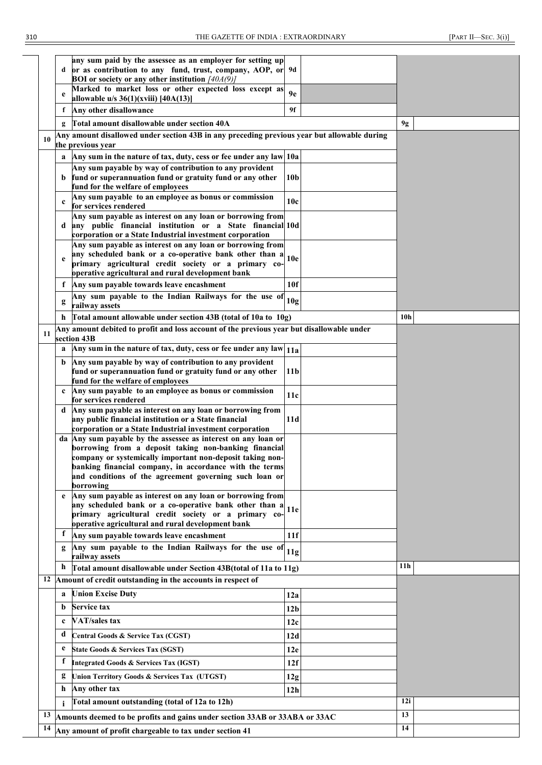|    | d            | any sum paid by the assessee as an employer for setting up<br>or as contribution to any fund, trust, company, AOP, or 9d<br><b>BOI</b> or society or any other institution $[40A(9)]$ |                 |                 |
|----|--------------|---------------------------------------------------------------------------------------------------------------------------------------------------------------------------------------|-----------------|-----------------|
|    | e            | Marked to market loss or other expected loss except as<br>allowable u/s $36(1)(xviii)$ [40A(13)]                                                                                      | 9e              |                 |
|    | f            | Any other disallowance                                                                                                                                                                | 9f              |                 |
|    | g            | Total amount disallowable under section 40A                                                                                                                                           |                 | 9g              |
| 10 |              | Any amount disallowed under section 43B in any preceding previous year but allowable during                                                                                           |                 |                 |
|    |              | the previous year                                                                                                                                                                     |                 |                 |
|    | a            | Any sum in the nature of tax, duty, cess or fee under any law 10a<br>Any sum payable by way of contribution to any provident                                                          |                 |                 |
|    | b.           | fund or superannuation fund or gratuity fund or any other                                                                                                                             | 10 <sub>b</sub> |                 |
|    |              | fund for the welfare of employees                                                                                                                                                     |                 |                 |
|    | $\mathbf c$  | Any sum payable to an employee as bonus or commission<br>for services rendered                                                                                                        | 10c             |                 |
|    |              | Any sum payable as interest on any loan or borrowing from                                                                                                                             |                 |                 |
|    | d            | any public financial institution or a State financial 10d<br>corporation or a State Industrial investment corporation                                                                 |                 |                 |
|    |              | Any sum payable as interest on any loan or borrowing from                                                                                                                             |                 |                 |
|    | e            | any scheduled bank or a co-operative bank other than a                                                                                                                                | 10 <sub>e</sub> |                 |
|    |              | primary agricultural credit society or a primary co-<br>operative agricultural and rural development bank                                                                             |                 |                 |
|    | f            | Any sum payable towards leave encashment                                                                                                                                              | 10f             |                 |
|    | g            | Any sum payable to the Indian Railways for the use of                                                                                                                                 | 10g             |                 |
|    |              | railway assets                                                                                                                                                                        |                 |                 |
|    | h            | Total amount allowable under section 43B (total of 10a to 10g)<br>Any amount debited to profit and loss account of the previous year but disallowable under                           |                 | 10 <sub>h</sub> |
| 11 |              | section 43B                                                                                                                                                                           |                 |                 |
|    | a            | Any sum in the nature of tax, duty, cess or fee under any law 11a                                                                                                                     |                 |                 |
|    | b            | Any sum payable by way of contribution to any provident                                                                                                                               |                 |                 |
|    |              | fund or superannuation fund or gratuity fund or any other<br>fund for the welfare of employees                                                                                        | 11 <sub>b</sub> |                 |
|    | $\mathbf{c}$ | Any sum payable to an employee as bonus or commission                                                                                                                                 | 11c             |                 |
|    | d            | for services rendered<br>Any sum payable as interest on any loan or borrowing from                                                                                                    |                 |                 |
|    |              | any public financial institution or a State financial                                                                                                                                 | 11d             |                 |
|    |              | corporation or a State Industrial investment corporation                                                                                                                              |                 |                 |
|    |              | da Any sum payable by the assessee as interest on any loan or<br>borrowing from a deposit taking non-banking financial                                                                |                 |                 |
|    |              | company or systemically important non-deposit taking non-                                                                                                                             |                 |                 |
|    |              | banking financial company, in accordance with the terms<br>and conditions of the agreement governing such loan or                                                                     |                 |                 |
|    |              | borrowing                                                                                                                                                                             |                 |                 |
|    | $\mathbf{e}$ | Any sum payable as interest on any loan or borrowing from                                                                                                                             |                 |                 |
|    |              | any scheduled bank or a co-operative bank other than a<br>primary agricultural credit society or a primary co-                                                                        | 11e             |                 |
|    |              | operative agricultural and rural development bank                                                                                                                                     |                 |                 |
|    | f            | Any sum payable towards leave encashment                                                                                                                                              | 11f             |                 |
|    |              | Any sum payable to the Indian Railways for the use of<br>railway assets                                                                                                               | 11g             |                 |
|    | h            | Total amount disallowable under Section 43B(total of 11a to 11g)                                                                                                                      |                 | 11h             |
|    |              | 12 Amount of credit outstanding in the accounts in respect of                                                                                                                         |                 |                 |
|    | a            | <b>Union Excise Duty</b>                                                                                                                                                              | 12a             |                 |
|    | b            | <b>Service tax</b>                                                                                                                                                                    | 12 <sub>b</sub> |                 |
|    | $\mathbf c$  | VAT/sales tax                                                                                                                                                                         | 12c             |                 |
|    | d            | Central Goods & Service Tax (CGST)                                                                                                                                                    | 12d             |                 |
|    | e            | State Goods & Services Tax (SGST)                                                                                                                                                     | 12e             |                 |
|    | f            | <b>Integrated Goods &amp; Services Tax (IGST)</b>                                                                                                                                     | 12f             |                 |
|    | g            | Union Territory Goods & Services Tax (UTGST)                                                                                                                                          | 12g             |                 |
|    | h            | Any other tax                                                                                                                                                                         | 12 <sub>h</sub> |                 |
|    |              | Total amount outstanding (total of 12a to 12h)                                                                                                                                        |                 | 12i             |
|    |              | 13 Amounts deemed to be profits and gains under section 33AB or 33ABA or 33AC                                                                                                         |                 | 13              |
| 14 |              | Any amount of profit chargeable to tax under section 41                                                                                                                               |                 | 14              |
|    |              |                                                                                                                                                                                       |                 |                 |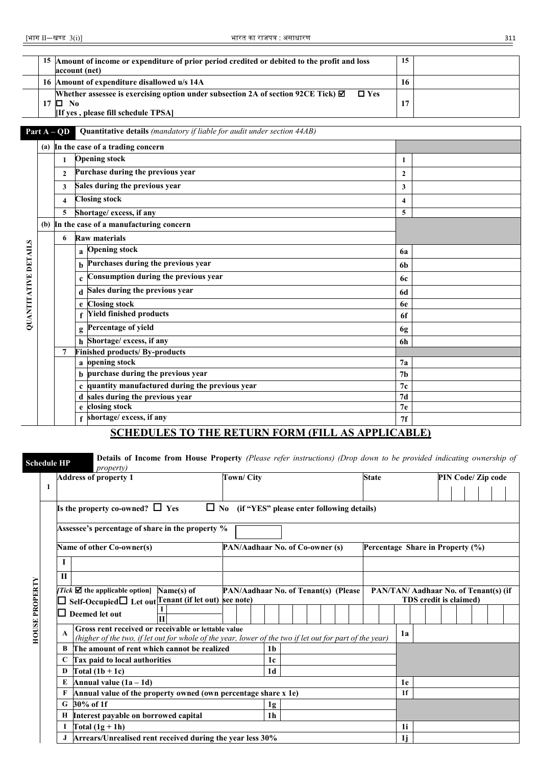|                      |                  | 15 Amount of income or expenditure of prior period credited or debited to the profit and loss<br>account (net)                                   | 15                      |  |
|----------------------|------------------|--------------------------------------------------------------------------------------------------------------------------------------------------|-------------------------|--|
|                      |                  | 16 Amount of expenditure disallowed u/s 14A                                                                                                      | 16                      |  |
|                      | $17$ $\Box$ No   | Whether assessee is exercising option under subsection 2A of section 92CE Tick) $\boxtimes$<br>$\Box$ Yes<br>[If yes, please fill schedule TPSA] | 17                      |  |
|                      | Part $A - QD$    | <b>Quantitative details</b> (mandatory if liable for audit under section 44AB)                                                                   |                         |  |
|                      |                  | (a) In the case of a trading concern                                                                                                             |                         |  |
|                      | 1                | <b>Opening stock</b>                                                                                                                             | 1                       |  |
|                      | $\mathbf{2}$     | Purchase during the previous year                                                                                                                | $\mathbf{2}$            |  |
|                      | 3                | Sales during the previous year                                                                                                                   | 3                       |  |
|                      | $\boldsymbol{4}$ | <b>Closing stock</b>                                                                                                                             | $\overline{\mathbf{4}}$ |  |
|                      | 5                | Shortage/ excess, if any                                                                                                                         | 5                       |  |
|                      |                  | (b) In the case of a manufacturing concern                                                                                                       |                         |  |
|                      | 6                | <b>Raw materials</b>                                                                                                                             |                         |  |
|                      |                  | <b>Opening stock</b><br>a                                                                                                                        | 6a                      |  |
|                      |                  | Purchases during the previous year                                                                                                               | 6b                      |  |
| QUANTITATIVE DETAILS |                  | Consumption during the previous year<br>$\mathbf c$                                                                                              | 6c                      |  |
|                      |                  | Sales during the previous year<br>d                                                                                                              | <b>6d</b>               |  |
|                      |                  | <b>Closing stock</b><br>e                                                                                                                        | 6e                      |  |
|                      |                  | <b>Yield finished products</b>                                                                                                                   | 6f                      |  |
|                      |                  | Percentage of yield<br>g                                                                                                                         | 6g                      |  |
|                      |                  | h Shortage/ excess, if any                                                                                                                       | 6h                      |  |
|                      | 7                | <b>Finished products/ By-products</b>                                                                                                            |                         |  |
|                      |                  | a opening stock                                                                                                                                  | 7a                      |  |
|                      |                  | purchase during the previous year                                                                                                                | 7 <sub>b</sub>          |  |
|                      |                  | quantity manufactured during the previous year                                                                                                   | 7c                      |  |
|                      |                  | d sales during the previous year                                                                                                                 | 7d                      |  |
|                      |                  | closing stock<br>e                                                                                                                               | 7 <sub>e</sub>          |  |
|                      |                  | shortage/ excess, if any                                                                                                                         | 7f                      |  |

### **SCHEDULES TO THE RETURN FORM (FILL AS APPLICABLE)**

**Address of property 1 Town/ City Town/ City State PIN Code/ Zip code** 

| <b>OUSE PROPERTY</b> |  |
|----------------------|--|

**Schedule HP Details of Income from House Property** *(Please refer instructions) (Drop down to be provided indicating ownership of property)*

|                       | -1 |    |                                                                                                                                                                |  |                |  |                                      |  |                                  |                |  |  |                        |  |                                              |  |  |  |  |
|-----------------------|----|----|----------------------------------------------------------------------------------------------------------------------------------------------------------------|--|----------------|--|--------------------------------------|--|----------------------------------|----------------|--|--|------------------------|--|----------------------------------------------|--|--|--|--|
|                       |    |    | Is the property co-owned? $\Box$ Yes<br>$\Box$ No (if "YES" please enter following details)                                                                    |  |                |  |                                      |  |                                  |                |  |  |                        |  |                                              |  |  |  |  |
|                       |    |    | Assessee's percentage of share in the property %                                                                                                               |  |                |  |                                      |  |                                  |                |  |  |                        |  |                                              |  |  |  |  |
|                       |    |    | Name of other Co-owner(s)                                                                                                                                      |  |                |  | PAN/Aadhaar No. of Co-owner (s)      |  | Percentage Share in Property (%) |                |  |  |                        |  |                                              |  |  |  |  |
|                       |    |    |                                                                                                                                                                |  |                |  |                                      |  |                                  |                |  |  |                        |  |                                              |  |  |  |  |
| <b>HOUSE PROPERTY</b> |    | П  |                                                                                                                                                                |  |                |  |                                      |  |                                  |                |  |  |                        |  |                                              |  |  |  |  |
|                       |    |    | <i>Tick</i> $\boldsymbol{\nabla}$ the applicable option Name(s) of<br>Self-Occupied□ Let out Tenant (if let out) see note)                                     |  |                |  | PAN/Aadhaar No. of Tenant(s) (Please |  |                                  |                |  |  | TDS credit is claimed) |  | <b>PAN/TAN/ Aadhaar No. of Tenant(s) (if</b> |  |  |  |  |
|                       |    |    | Deemed let out                                                                                                                                                 |  |                |  |                                      |  |                                  |                |  |  |                        |  |                                              |  |  |  |  |
|                       |    | A  | Gross rent received or receivable or lettable value<br>(higher of the two, if let out for whole of the year, lower of the two if let out for part of the year) |  |                |  |                                      |  |                                  | 1a             |  |  |                        |  |                                              |  |  |  |  |
|                       |    | B. | The amount of rent which cannot be realized                                                                                                                    |  | 1b             |  |                                      |  |                                  |                |  |  |                        |  |                                              |  |  |  |  |
|                       |    | C  | Tax paid to local authorities                                                                                                                                  |  | 1 <sub>c</sub> |  |                                      |  |                                  |                |  |  |                        |  |                                              |  |  |  |  |
|                       |    | D  | Total $(1b + 1c)$                                                                                                                                              |  | 1d             |  |                                      |  |                                  |                |  |  |                        |  |                                              |  |  |  |  |
|                       |    | E  | Annual value $(1a - 1d)$                                                                                                                                       |  |                |  |                                      |  |                                  | 1e             |  |  |                        |  |                                              |  |  |  |  |
|                       |    | F  | Annual value of the property owned (own percentage share x 1e)                                                                                                 |  |                |  |                                      |  |                                  | 1 <sup>f</sup> |  |  |                        |  |                                              |  |  |  |  |
|                       |    | G. | 30% of 1f                                                                                                                                                      |  | 1g             |  |                                      |  |                                  |                |  |  |                        |  |                                              |  |  |  |  |
|                       |    |    | H Interest payable on borrowed capital                                                                                                                         |  | 1 <sub>h</sub> |  |                                      |  |                                  |                |  |  |                        |  |                                              |  |  |  |  |
|                       |    |    | Total $(1g + 1h)$                                                                                                                                              |  |                |  |                                      |  |                                  | 1i             |  |  |                        |  |                                              |  |  |  |  |
|                       |    |    | Arrears/Unrealised rent received during the year less 30%                                                                                                      |  |                |  |                                      |  |                                  | 1i             |  |  |                        |  |                                              |  |  |  |  |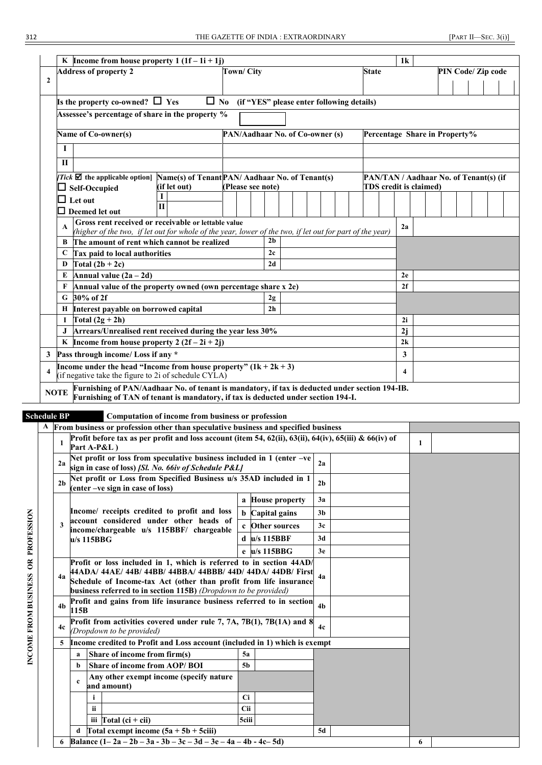|                         | 1 <sup>k</sup><br>K Income from house property $1(1f-1i+1j)$                                                                                                                                       |                                                                                                          |              |                                                                  |                |  |                                           |  |                         |  |    |  |                               |    |  |  |                                        |  |
|-------------------------|----------------------------------------------------------------------------------------------------------------------------------------------------------------------------------------------------|----------------------------------------------------------------------------------------------------------|--------------|------------------------------------------------------------------|----------------|--|-------------------------------------------|--|-------------------------|--|----|--|-------------------------------|----|--|--|----------------------------------------|--|
|                         |                                                                                                                                                                                                    | <b>Address of property 2</b>                                                                             |              | <b>Town/City</b>                                                 |                |  |                                           |  |                         |  |    |  | <b>State</b>                  |    |  |  | PIN Code/ Zip code                     |  |
| $\overline{2}$          |                                                                                                                                                                                                    |                                                                                                          |              |                                                                  |                |  |                                           |  |                         |  |    |  |                               |    |  |  |                                        |  |
|                         |                                                                                                                                                                                                    |                                                                                                          |              |                                                                  |                |  |                                           |  |                         |  |    |  |                               |    |  |  |                                        |  |
|                         |                                                                                                                                                                                                    | Is the property co-owned? $\Box$ Yes                                                                     | $\Box$ No    |                                                                  |                |  | (if "YES" please enter following details) |  |                         |  |    |  |                               |    |  |  |                                        |  |
|                         | Assessee's percentage of share in the property %                                                                                                                                                   |                                                                                                          |              |                                                                  |                |  |                                           |  |                         |  |    |  |                               |    |  |  |                                        |  |
|                         |                                                                                                                                                                                                    | Name of Co-owner(s)                                                                                      |              | PAN/Aadhaar No. of Co-owner (s)<br>Percentage Share in Property% |                |  |                                           |  |                         |  |    |  |                               |    |  |  |                                        |  |
|                         |                                                                                                                                                                                                    |                                                                                                          |              |                                                                  |                |  |                                           |  |                         |  |    |  |                               |    |  |  |                                        |  |
|                         | $\Pi$                                                                                                                                                                                              |                                                                                                          |              |                                                                  |                |  |                                           |  |                         |  |    |  |                               |    |  |  |                                        |  |
|                         |                                                                                                                                                                                                    | Tick $\boxtimes$ the applicable option   Name(s) of Tenant PAN/Aadhaar No. of Tenant(s)                  |              |                                                                  |                |  |                                           |  |                         |  |    |  |                               |    |  |  | PAN/TAN / Aadhaar No. of Tenant(s) (if |  |
|                         |                                                                                                                                                                                                    | $\Box$ Self-Occupied                                                                                     | (if let out) | (Please see note)                                                |                |  |                                           |  |                         |  |    |  | <b>TDS</b> credit is claimed) |    |  |  |                                        |  |
|                         |                                                                                                                                                                                                    | $\Box$ Let out                                                                                           |              |                                                                  |                |  |                                           |  |                         |  |    |  |                               |    |  |  |                                        |  |
|                         |                                                                                                                                                                                                    | Deemed let out                                                                                           | $\mathbf{H}$ |                                                                  |                |  |                                           |  |                         |  |    |  |                               |    |  |  |                                        |  |
|                         |                                                                                                                                                                                                    | Gross rent received or receivable or lettable value                                                      |              |                                                                  |                |  |                                           |  |                         |  |    |  |                               |    |  |  |                                        |  |
|                         | $\mathbf{A}$                                                                                                                                                                                       | (higher of the two, if let out for whole of the year, lower of the two, if let out for part of the year) |              |                                                                  |                |  |                                           |  |                         |  |    |  |                               | 2a |  |  |                                        |  |
|                         | В                                                                                                                                                                                                  | The amount of rent which cannot be realized                                                              |              |                                                                  | 2 <sub>h</sub> |  |                                           |  |                         |  |    |  |                               |    |  |  |                                        |  |
|                         | C                                                                                                                                                                                                  | Tax paid to local authorities                                                                            |              |                                                                  |                |  | 2c                                        |  |                         |  |    |  |                               |    |  |  |                                        |  |
|                         | D                                                                                                                                                                                                  | Total $(2b + 2c)$                                                                                        |              |                                                                  |                |  | 2d                                        |  |                         |  |    |  |                               |    |  |  |                                        |  |
|                         | E                                                                                                                                                                                                  | Annual value $(2a - 2d)$                                                                                 |              |                                                                  |                |  |                                           |  |                         |  |    |  |                               | 2e |  |  |                                        |  |
|                         |                                                                                                                                                                                                    | Annual value of the property owned (own percentage share x 2e)                                           |              |                                                                  |                |  |                                           |  |                         |  |    |  |                               | 2f |  |  |                                        |  |
|                         |                                                                                                                                                                                                    | G 30% of 2f                                                                                              |              |                                                                  |                |  | 2g                                        |  |                         |  |    |  |                               |    |  |  |                                        |  |
|                         | н                                                                                                                                                                                                  | Interest payable on borrowed capital                                                                     |              |                                                                  |                |  | 2 <sub>h</sub>                            |  |                         |  |    |  |                               |    |  |  |                                        |  |
|                         |                                                                                                                                                                                                    | Total $(2g + 2h)$                                                                                        |              |                                                                  |                |  |                                           |  |                         |  |    |  |                               | 2i |  |  |                                        |  |
|                         |                                                                                                                                                                                                    | Arrears/Unrealised rent received during the year less 30%                                                |              |                                                                  |                |  |                                           |  |                         |  |    |  |                               | 2j |  |  |                                        |  |
|                         | K   Income from house property 2 $(2f - 2i + 2j)$                                                                                                                                                  |                                                                                                          |              |                                                                  |                |  |                                           |  |                         |  | 2k |  |                               |    |  |  |                                        |  |
|                         | Pass through income/ Loss if any *<br>$\mathbf{3}$                                                                                                                                                 |                                                                                                          |              |                                                                  |                |  |                                           |  | 3                       |  |    |  |                               |    |  |  |                                        |  |
| $\overline{\mathbf{4}}$ | Income under the head "Income from house property" $(1k + 2k + 3)$<br>(if negative take the figure to 2i of schedule CYLA)                                                                         |                                                                                                          |              |                                                                  |                |  |                                           |  | $\overline{\mathbf{4}}$ |  |    |  |                               |    |  |  |                                        |  |
|                         | Furnishing of PAN/Aadhaar No. of tenant is mandatory, if tax is deducted under section 194-IB.<br><b>NOTE</b><br>Furnishing of TAN of tenant is mandatory, if tax is deducted under section 194-I. |                                                                                                          |              |                                                                  |                |  |                                           |  |                         |  |    |  |                               |    |  |  |                                        |  |

**Schedule BP Computation of income from business or profession**

|                           |                |                                              | From business or profession other than speculative business and specified business                                                                                                                                                                                          |                        |                 |                |  |  |  |
|---------------------------|----------------|----------------------------------------------|-----------------------------------------------------------------------------------------------------------------------------------------------------------------------------------------------------------------------------------------------------------------------------|------------------------|-----------------|----------------|--|--|--|
| PROFESSION<br>$\tilde{a}$ | 1              |                                              | Profit before tax as per profit and loss account (item 54, 62(ii), 63(ii), 64(iv), 65(iii) & 66(iv) of<br>Part A-P&L)                                                                                                                                                       |                        | 1               |                |  |  |  |
|                           | 2a             |                                              | Net profit or loss from speculative business included in $1$ (enter $-ve$<br>sign in case of loss) [Sl. No. 66iv of Schedule P&L]                                                                                                                                           |                        |                 | 2a             |  |  |  |
|                           | 2 <sub>h</sub> |                                              | Net profit or Loss from Specified Business u/s 35AD included in 1<br>(enter -ve sign in case of loss)                                                                                                                                                                       |                        |                 | 2 <sub>b</sub> |  |  |  |
|                           |                |                                              |                                                                                                                                                                                                                                                                             | a House property       |                 | 3a             |  |  |  |
|                           |                |                                              | Income/ receipts credited to profit and loss                                                                                                                                                                                                                                | <b>b</b> Capital gains |                 | 3 <sub>b</sub> |  |  |  |
|                           |                |                                              | account considered under other heads of<br>income/chargeable u/s 115BBF/ chargeable                                                                                                                                                                                         |                        | c Other sources | 3c             |  |  |  |
|                           |                |                                              | $u/s$ 115BBG                                                                                                                                                                                                                                                                | $d$ u/s 115BBF         |                 | 3d             |  |  |  |
|                           |                |                                              |                                                                                                                                                                                                                                                                             | e u/s 115BBG           |                 | 3e             |  |  |  |
|                           | 4a             |                                              | Profit or loss included in 1, which is referred to in section 44AD/<br>44ADA/ 44AE/ 44B/ 44BB/ 44BBA/ 44BBB/ 44D/ 44DA/ 44DB/ First<br>Schedule of Income-tax Act (other than profit from life insurance<br>business referred to in section 115B) (Dropdown to be provided) |                        | 4a              |                |  |  |  |
|                           | 4 <sub>b</sub> | 115B                                         | Profit and gains from life insurance business referred to in section                                                                                                                                                                                                        |                        | 4 <sub>b</sub>  |                |  |  |  |
| INCOME FROM BUSINESS      | 4c             |                                              | Profit from activities covered under rule 7, 7A, 7B(1), 7B(1A) and 8<br>(Dropdown to be provided)                                                                                                                                                                           |                        | 4c              |                |  |  |  |
|                           | 5              |                                              | Income credited to Profit and Loss account (included in 1) which is exempt                                                                                                                                                                                                  |                        |                 |                |  |  |  |
|                           |                | a                                            | Share of income from firm(s)                                                                                                                                                                                                                                                | 5a                     |                 |                |  |  |  |
|                           |                | h                                            | Share of income from AOP/BOI                                                                                                                                                                                                                                                | 5 <sub>b</sub>         |                 |                |  |  |  |
|                           |                | $\mathbf c$                                  | Any other exempt income (specify nature<br>and amount)                                                                                                                                                                                                                      |                        |                 |                |  |  |  |
|                           |                |                                              | i.                                                                                                                                                                                                                                                                          | <b>Ci</b>              |                 |                |  |  |  |
|                           |                |                                              | ii.                                                                                                                                                                                                                                                                         | Cii                    |                 |                |  |  |  |
|                           |                |                                              | iii Total $(c\mathbf{i} + c\mathbf{ii})$                                                                                                                                                                                                                                    | 5ciii                  |                 |                |  |  |  |
|                           |                | Total exempt income $(5a + 5b + 5ciii)$<br>d |                                                                                                                                                                                                                                                                             |                        |                 | 5d             |  |  |  |
|                           |                |                                              | Balance $(1-2a-2b-3a-3b-3c-3d-3e-4a-4b-4c-5d)$                                                                                                                                                                                                                              |                        |                 |                |  |  |  |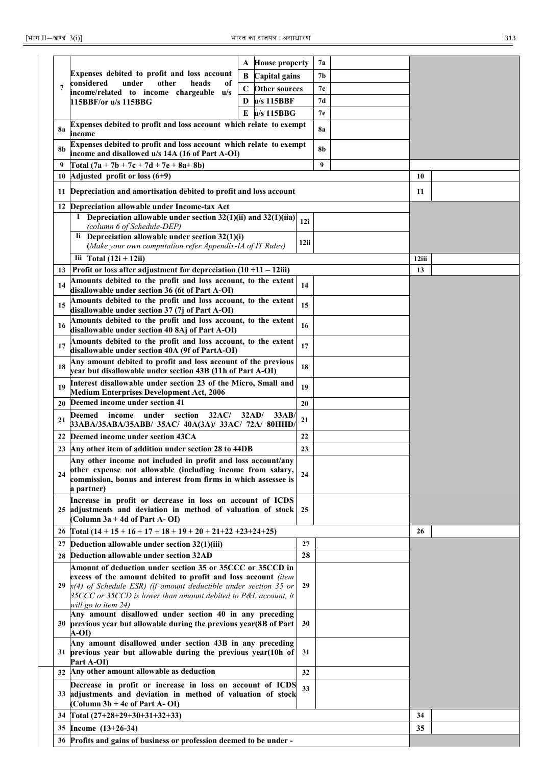|                                                                                                                                                                     |                                                                                                                                                                                                                                                                                                      | <b>House property</b><br>A          |    | 7a             |       |  |
|---------------------------------------------------------------------------------------------------------------------------------------------------------------------|------------------------------------------------------------------------------------------------------------------------------------------------------------------------------------------------------------------------------------------------------------------------------------------------------|-------------------------------------|----|----------------|-------|--|
|                                                                                                                                                                     | Expenses debited to profit and loss account<br>considered<br>under<br>other<br>heads<br>of                                                                                                                                                                                                           | B<br>Capital gains                  |    | 7 <sub>b</sub> |       |  |
| $\overline{7}$                                                                                                                                                      | income/related to income chargeable u/s                                                                                                                                                                                                                                                              | $\mathbf C$<br><b>Other sources</b> |    | 7c             |       |  |
|                                                                                                                                                                     | 115BBF/or u/s 115BBG                                                                                                                                                                                                                                                                                 | $u/s$ 115BBF<br>D                   |    | 7d             |       |  |
|                                                                                                                                                                     |                                                                                                                                                                                                                                                                                                      | $u/s$ 115BBG<br>E                   |    | 7e             |       |  |
| <b>8a</b>                                                                                                                                                           | Expenses debited to profit and loss account which relate to exempt<br>income                                                                                                                                                                                                                         |                                     |    | <b>8a</b>      |       |  |
| 8b                                                                                                                                                                  | Expenses debited to profit and loss account which relate to exempt<br>income and disallowed u/s 14A (16 of Part A-OI)                                                                                                                                                                                |                                     |    | 8b             |       |  |
| 9                                                                                                                                                                   | Total $(7a + 7b + 7c + 7d + 7e + 8a + 8b)$                                                                                                                                                                                                                                                           |                                     |    | 9              |       |  |
| 10                                                                                                                                                                  | Adjusted profit or loss $(6+9)$                                                                                                                                                                                                                                                                      |                                     |    |                | 10    |  |
|                                                                                                                                                                     | 11 Depreciation and amortisation debited to profit and loss account                                                                                                                                                                                                                                  |                                     |    |                | 11    |  |
| 12 Depreciation allowable under Income-tax Act<br>Depreciation allowable under section $32(1)(ii)$ and $32(1)(ii)$<br>$\bf{l}$<br>12i<br>(column 6 of Schedule-DEP) |                                                                                                                                                                                                                                                                                                      |                                     |    |                |       |  |
|                                                                                                                                                                     | Depreciation allowable under section $32(1)(i)$<br>Ii.<br>(Make your own computation refer Appendix-IA of IT Rules)                                                                                                                                                                                  | 12ii                                |    |                |       |  |
|                                                                                                                                                                     | Iii $\text{Total} (12\mathbf{i} + 12\mathbf{ii})$                                                                                                                                                                                                                                                    |                                     |    |                | 12iii |  |
| 13                                                                                                                                                                  | Profit or loss after adjustment for depreciation $(10 +11 - 12)$ ii)                                                                                                                                                                                                                                 |                                     |    |                | 13    |  |
| 14                                                                                                                                                                  | Amounts debited to the profit and loss account, to the extent                                                                                                                                                                                                                                        |                                     | 14 |                |       |  |
|                                                                                                                                                                     | disallowable under section 36 (6t of Part A-OI)<br>Amounts debited to the profit and loss account, to the extent                                                                                                                                                                                     |                                     |    |                |       |  |
| 15                                                                                                                                                                  | disallowable under section 37 (7j of Part A-OI)<br>Amounts debited to the profit and loss account, to the extent                                                                                                                                                                                     |                                     | 15 |                |       |  |
| 16                                                                                                                                                                  | disallowable under section 40 8Aj of Part A-OI)                                                                                                                                                                                                                                                      |                                     | 16 |                |       |  |
| 17                                                                                                                                                                  | Amounts debited to the profit and loss account, to the extent<br>disallowable under section 40A (9f of PartA-OI)                                                                                                                                                                                     |                                     | 17 |                |       |  |
| 18                                                                                                                                                                  | Any amount debited to profit and loss account of the previous<br>year but disallowable under section 43B (11h of Part A-OI)                                                                                                                                                                          |                                     | 18 |                |       |  |
| Interest disallowable under section 23 of the Micro, Small and<br>19<br><b>Medium Enterprises Development Act, 2006</b>                                             |                                                                                                                                                                                                                                                                                                      |                                     | 19 |                |       |  |
| 20                                                                                                                                                                  | Deemed income under section 41                                                                                                                                                                                                                                                                       | 20                                  |    |                |       |  |
| 21                                                                                                                                                                  | section<br>32AC/<br>Deemed<br>income under<br>33ABA/35ABA/35ABB/ 35AC/ 40A(3A)/ 33AC/ 72A/ 80HHD/                                                                                                                                                                                                    | 32AD/<br>33AB                       | 21 |                |       |  |
| 22                                                                                                                                                                  | Deemed income under section 43CA                                                                                                                                                                                                                                                                     |                                     | 22 |                |       |  |
|                                                                                                                                                                     | 23 Any other item of addition under section 28 to 44DB                                                                                                                                                                                                                                               |                                     | 23 |                |       |  |
| 24                                                                                                                                                                  | Any other income not included in profit and loss account/any<br>other expense not allowable (including income from salary,<br>commission, bonus and interest from firms in which assessee is<br>a partner)                                                                                           |                                     | 24 |                |       |  |
|                                                                                                                                                                     | Increase in profit or decrease in loss on account of ICDS<br>25 adjustments and deviation in method of valuation of stock 25<br>(Column 3a + 4d of Part A- OI)                                                                                                                                       |                                     |    |                |       |  |
|                                                                                                                                                                     | 26 Total $(14 + 15 + 16 + 17 + 18 + 19 + 20 + 21 + 22 + 23 + 24 + 25)$                                                                                                                                                                                                                               |                                     |    |                | 26    |  |
| 27                                                                                                                                                                  | Deduction allowable under section 32(1)(iii)                                                                                                                                                                                                                                                         |                                     | 27 |                |       |  |
| 28                                                                                                                                                                  | Deduction allowable under section 32AD                                                                                                                                                                                                                                                               |                                     | 28 |                |       |  |
|                                                                                                                                                                     | Amount of deduction under section 35 or 35CCC or 35CCD in<br>excess of the amount debited to profit and loss account (item<br>29 $\mathbf{k}(4)$ of Schedule ESR) (if amount deductible under section 35 or<br>35CCC or 35CCD is lower than amount debited to P&L account, it<br>will go to item 24) |                                     | 29 |                |       |  |
| Any amount disallowed under section 40 in any preceding<br>30 previous year but allowable during the previous year (8B of Part<br>A-OI)                             |                                                                                                                                                                                                                                                                                                      |                                     | 30 |                |       |  |
|                                                                                                                                                                     | Any amount disallowed under section 43B in any preceding<br>31 previous year but allowable during the previous year(10h of<br>Part A-OI)                                                                                                                                                             |                                     | 31 |                |       |  |
| Any other amount allowable as deduction<br>32                                                                                                                       |                                                                                                                                                                                                                                                                                                      |                                     | 32 |                |       |  |
| Decrease in profit or increase in loss on account of ICDS<br>33 adjustments and deviation in method of valuation of stock<br>(Column 3b + 4e of Part A-OI)          |                                                                                                                                                                                                                                                                                                      |                                     |    |                |       |  |
| 34                                                                                                                                                                  | Total $(27+28+29+30+31+32+33)$                                                                                                                                                                                                                                                                       |                                     |    |                | 34    |  |
|                                                                                                                                                                     | 35 Income (13+26-34)                                                                                                                                                                                                                                                                                 |                                     |    | 35             |       |  |
|                                                                                                                                                                     | 36 Profits and gains of business or profession deemed to be under -                                                                                                                                                                                                                                  |                                     |    |                |       |  |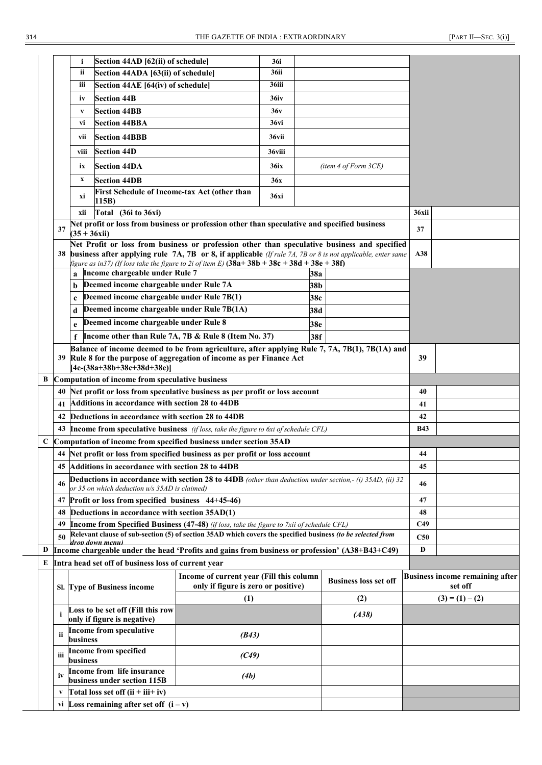|                                              | i                         |                                |                                                                                                                                                                                                                                                                                                                                                                                                                                                                                                                                                                      | 36i                                                                                                                                                                                                                                                                                                                                                                                                                                                                                                                                                                                                                                                                                                                                                                                                      |                                                                                                                                                  |                                                                                                                                                                                                                                                                                                                                     |                                                                                                                                                                                                                                                                                                                                                                                                                                                                                                                                                                                                                    |                                                                                                                                                                                                                                                                                                                                                                                                                                                               |
|----------------------------------------------|---------------------------|--------------------------------|----------------------------------------------------------------------------------------------------------------------------------------------------------------------------------------------------------------------------------------------------------------------------------------------------------------------------------------------------------------------------------------------------------------------------------------------------------------------------------------------------------------------------------------------------------------------|----------------------------------------------------------------------------------------------------------------------------------------------------------------------------------------------------------------------------------------------------------------------------------------------------------------------------------------------------------------------------------------------------------------------------------------------------------------------------------------------------------------------------------------------------------------------------------------------------------------------------------------------------------------------------------------------------------------------------------------------------------------------------------------------------------|--------------------------------------------------------------------------------------------------------------------------------------------------|-------------------------------------------------------------------------------------------------------------------------------------------------------------------------------------------------------------------------------------------------------------------------------------------------------------------------------------|--------------------------------------------------------------------------------------------------------------------------------------------------------------------------------------------------------------------------------------------------------------------------------------------------------------------------------------------------------------------------------------------------------------------------------------------------------------------------------------------------------------------------------------------------------------------------------------------------------------------|---------------------------------------------------------------------------------------------------------------------------------------------------------------------------------------------------------------------------------------------------------------------------------------------------------------------------------------------------------------------------------------------------------------------------------------------------------------|
|                                              | ii                        |                                |                                                                                                                                                                                                                                                                                                                                                                                                                                                                                                                                                                      | 36ii                                                                                                                                                                                                                                                                                                                                                                                                                                                                                                                                                                                                                                                                                                                                                                                                     |                                                                                                                                                  |                                                                                                                                                                                                                                                                                                                                     |                                                                                                                                                                                                                                                                                                                                                                                                                                                                                                                                                                                                                    |                                                                                                                                                                                                                                                                                                                                                                                                                                                               |
|                                              | iii                       |                                |                                                                                                                                                                                                                                                                                                                                                                                                                                                                                                                                                                      | 36iii                                                                                                                                                                                                                                                                                                                                                                                                                                                                                                                                                                                                                                                                                                                                                                                                    |                                                                                                                                                  |                                                                                                                                                                                                                                                                                                                                     |                                                                                                                                                                                                                                                                                                                                                                                                                                                                                                                                                                                                                    |                                                                                                                                                                                                                                                                                                                                                                                                                                                               |
|                                              | iv                        |                                |                                                                                                                                                                                                                                                                                                                                                                                                                                                                                                                                                                      | <b>36iv</b>                                                                                                                                                                                                                                                                                                                                                                                                                                                                                                                                                                                                                                                                                                                                                                                              |                                                                                                                                                  |                                                                                                                                                                                                                                                                                                                                     |                                                                                                                                                                                                                                                                                                                                                                                                                                                                                                                                                                                                                    |                                                                                                                                                                                                                                                                                                                                                                                                                                                               |
|                                              |                           |                                |                                                                                                                                                                                                                                                                                                                                                                                                                                                                                                                                                                      |                                                                                                                                                                                                                                                                                                                                                                                                                                                                                                                                                                                                                                                                                                                                                                                                          |                                                                                                                                                  |                                                                                                                                                                                                                                                                                                                                     |                                                                                                                                                                                                                                                                                                                                                                                                                                                                                                                                                                                                                    |                                                                                                                                                                                                                                                                                                                                                                                                                                                               |
|                                              |                           |                                |                                                                                                                                                                                                                                                                                                                                                                                                                                                                                                                                                                      |                                                                                                                                                                                                                                                                                                                                                                                                                                                                                                                                                                                                                                                                                                                                                                                                          |                                                                                                                                                  |                                                                                                                                                                                                                                                                                                                                     |                                                                                                                                                                                                                                                                                                                                                                                                                                                                                                                                                                                                                    |                                                                                                                                                                                                                                                                                                                                                                                                                                                               |
|                                              |                           |                                |                                                                                                                                                                                                                                                                                                                                                                                                                                                                                                                                                                      |                                                                                                                                                                                                                                                                                                                                                                                                                                                                                                                                                                                                                                                                                                                                                                                                          |                                                                                                                                                  |                                                                                                                                                                                                                                                                                                                                     |                                                                                                                                                                                                                                                                                                                                                                                                                                                                                                                                                                                                                    |                                                                                                                                                                                                                                                                                                                                                                                                                                                               |
|                                              |                           |                                |                                                                                                                                                                                                                                                                                                                                                                                                                                                                                                                                                                      |                                                                                                                                                                                                                                                                                                                                                                                                                                                                                                                                                                                                                                                                                                                                                                                                          |                                                                                                                                                  |                                                                                                                                                                                                                                                                                                                                     |                                                                                                                                                                                                                                                                                                                                                                                                                                                                                                                                                                                                                    |                                                                                                                                                                                                                                                                                                                                                                                                                                                               |
|                                              | viii                      |                                |                                                                                                                                                                                                                                                                                                                                                                                                                                                                                                                                                                      | 36viii                                                                                                                                                                                                                                                                                                                                                                                                                                                                                                                                                                                                                                                                                                                                                                                                   |                                                                                                                                                  |                                                                                                                                                                                                                                                                                                                                     |                                                                                                                                                                                                                                                                                                                                                                                                                                                                                                                                                                                                                    |                                                                                                                                                                                                                                                                                                                                                                                                                                                               |
|                                              | ix                        |                                |                                                                                                                                                                                                                                                                                                                                                                                                                                                                                                                                                                      | <b>36ix</b>                                                                                                                                                                                                                                                                                                                                                                                                                                                                                                                                                                                                                                                                                                                                                                                              |                                                                                                                                                  |                                                                                                                                                                                                                                                                                                                                     |                                                                                                                                                                                                                                                                                                                                                                                                                                                                                                                                                                                                                    |                                                                                                                                                                                                                                                                                                                                                                                                                                                               |
|                                              | $\boldsymbol{\mathrm{X}}$ |                                |                                                                                                                                                                                                                                                                                                                                                                                                                                                                                                                                                                      | 36x                                                                                                                                                                                                                                                                                                                                                                                                                                                                                                                                                                                                                                                                                                                                                                                                      |                                                                                                                                                  |                                                                                                                                                                                                                                                                                                                                     |                                                                                                                                                                                                                                                                                                                                                                                                                                                                                                                                                                                                                    |                                                                                                                                                                                                                                                                                                                                                                                                                                                               |
|                                              | хi                        |                                |                                                                                                                                                                                                                                                                                                                                                                                                                                                                                                                                                                      | <b>36xi</b>                                                                                                                                                                                                                                                                                                                                                                                                                                                                                                                                                                                                                                                                                                                                                                                              |                                                                                                                                                  |                                                                                                                                                                                                                                                                                                                                     |                                                                                                                                                                                                                                                                                                                                                                                                                                                                                                                                                                                                                    |                                                                                                                                                                                                                                                                                                                                                                                                                                                               |
|                                              | xii                       |                                |                                                                                                                                                                                                                                                                                                                                                                                                                                                                                                                                                                      |                                                                                                                                                                                                                                                                                                                                                                                                                                                                                                                                                                                                                                                                                                                                                                                                          |                                                                                                                                                  |                                                                                                                                                                                                                                                                                                                                     | 36xii                                                                                                                                                                                                                                                                                                                                                                                                                                                                                                                                                                                                              |                                                                                                                                                                                                                                                                                                                                                                                                                                                               |
| 37                                           |                           |                                |                                                                                                                                                                                                                                                                                                                                                                                                                                                                                                                                                                      |                                                                                                                                                                                                                                                                                                                                                                                                                                                                                                                                                                                                                                                                                                                                                                                                          |                                                                                                                                                  |                                                                                                                                                                                                                                                                                                                                     | 37                                                                                                                                                                                                                                                                                                                                                                                                                                                                                                                                                                                                                 |                                                                                                                                                                                                                                                                                                                                                                                                                                                               |
|                                              |                           |                                |                                                                                                                                                                                                                                                                                                                                                                                                                                                                                                                                                                      |                                                                                                                                                                                                                                                                                                                                                                                                                                                                                                                                                                                                                                                                                                                                                                                                          |                                                                                                                                                  |                                                                                                                                                                                                                                                                                                                                     |                                                                                                                                                                                                                                                                                                                                                                                                                                                                                                                                                                                                                    |                                                                                                                                                                                                                                                                                                                                                                                                                                                               |
|                                              |                           |                                |                                                                                                                                                                                                                                                                                                                                                                                                                                                                                                                                                                      |                                                                                                                                                                                                                                                                                                                                                                                                                                                                                                                                                                                                                                                                                                                                                                                                          |                                                                                                                                                  |                                                                                                                                                                                                                                                                                                                                     |                                                                                                                                                                                                                                                                                                                                                                                                                                                                                                                                                                                                                    |                                                                                                                                                                                                                                                                                                                                                                                                                                                               |
|                                              |                           |                                |                                                                                                                                                                                                                                                                                                                                                                                                                                                                                                                                                                      |                                                                                                                                                                                                                                                                                                                                                                                                                                                                                                                                                                                                                                                                                                                                                                                                          |                                                                                                                                                  |                                                                                                                                                                                                                                                                                                                                     |                                                                                                                                                                                                                                                                                                                                                                                                                                                                                                                                                                                                                    |                                                                                                                                                                                                                                                                                                                                                                                                                                                               |
|                                              | a                         |                                |                                                                                                                                                                                                                                                                                                                                                                                                                                                                                                                                                                      |                                                                                                                                                                                                                                                                                                                                                                                                                                                                                                                                                                                                                                                                                                                                                                                                          | 38a                                                                                                                                              |                                                                                                                                                                                                                                                                                                                                     |                                                                                                                                                                                                                                                                                                                                                                                                                                                                                                                                                                                                                    |                                                                                                                                                                                                                                                                                                                                                                                                                                                               |
|                                              | b                         |                                |                                                                                                                                                                                                                                                                                                                                                                                                                                                                                                                                                                      |                                                                                                                                                                                                                                                                                                                                                                                                                                                                                                                                                                                                                                                                                                                                                                                                          | 38b                                                                                                                                              |                                                                                                                                                                                                                                                                                                                                     |                                                                                                                                                                                                                                                                                                                                                                                                                                                                                                                                                                                                                    |                                                                                                                                                                                                                                                                                                                                                                                                                                                               |
|                                              | $\mathbf c$               |                                |                                                                                                                                                                                                                                                                                                                                                                                                                                                                                                                                                                      |                                                                                                                                                                                                                                                                                                                                                                                                                                                                                                                                                                                                                                                                                                                                                                                                          | 38c                                                                                                                                              |                                                                                                                                                                                                                                                                                                                                     |                                                                                                                                                                                                                                                                                                                                                                                                                                                                                                                                                                                                                    |                                                                                                                                                                                                                                                                                                                                                                                                                                                               |
|                                              | d                         |                                |                                                                                                                                                                                                                                                                                                                                                                                                                                                                                                                                                                      |                                                                                                                                                                                                                                                                                                                                                                                                                                                                                                                                                                                                                                                                                                                                                                                                          | 38d                                                                                                                                              |                                                                                                                                                                                                                                                                                                                                     |                                                                                                                                                                                                                                                                                                                                                                                                                                                                                                                                                                                                                    |                                                                                                                                                                                                                                                                                                                                                                                                                                                               |
|                                              |                           |                                |                                                                                                                                                                                                                                                                                                                                                                                                                                                                                                                                                                      |                                                                                                                                                                                                                                                                                                                                                                                                                                                                                                                                                                                                                                                                                                                                                                                                          |                                                                                                                                                  |                                                                                                                                                                                                                                                                                                                                     |                                                                                                                                                                                                                                                                                                                                                                                                                                                                                                                                                                                                                    |                                                                                                                                                                                                                                                                                                                                                                                                                                                               |
|                                              | f                         |                                |                                                                                                                                                                                                                                                                                                                                                                                                                                                                                                                                                                      |                                                                                                                                                                                                                                                                                                                                                                                                                                                                                                                                                                                                                                                                                                                                                                                                          |                                                                                                                                                  |                                                                                                                                                                                                                                                                                                                                     |                                                                                                                                                                                                                                                                                                                                                                                                                                                                                                                                                                                                                    |                                                                                                                                                                                                                                                                                                                                                                                                                                                               |
|                                              |                           |                                |                                                                                                                                                                                                                                                                                                                                                                                                                                                                                                                                                                      |                                                                                                                                                                                                                                                                                                                                                                                                                                                                                                                                                                                                                                                                                                                                                                                                          |                                                                                                                                                  |                                                                                                                                                                                                                                                                                                                                     |                                                                                                                                                                                                                                                                                                                                                                                                                                                                                                                                                                                                                    |                                                                                                                                                                                                                                                                                                                                                                                                                                                               |
|                                              |                           |                                |                                                                                                                                                                                                                                                                                                                                                                                                                                                                                                                                                                      |                                                                                                                                                                                                                                                                                                                                                                                                                                                                                                                                                                                                                                                                                                                                                                                                          |                                                                                                                                                  |                                                                                                                                                                                                                                                                                                                                     |                                                                                                                                                                                                                                                                                                                                                                                                                                                                                                                                                                                                                    |                                                                                                                                                                                                                                                                                                                                                                                                                                                               |
|                                              |                           |                                |                                                                                                                                                                                                                                                                                                                                                                                                                                                                                                                                                                      |                                                                                                                                                                                                                                                                                                                                                                                                                                                                                                                                                                                                                                                                                                                                                                                                          |                                                                                                                                                  |                                                                                                                                                                                                                                                                                                                                     |                                                                                                                                                                                                                                                                                                                                                                                                                                                                                                                                                                                                                    |                                                                                                                                                                                                                                                                                                                                                                                                                                                               |
|                                              |                           |                                |                                                                                                                                                                                                                                                                                                                                                                                                                                                                                                                                                                      |                                                                                                                                                                                                                                                                                                                                                                                                                                                                                                                                                                                                                                                                                                                                                                                                          |                                                                                                                                                  |                                                                                                                                                                                                                                                                                                                                     |                                                                                                                                                                                                                                                                                                                                                                                                                                                                                                                                                                                                                    |                                                                                                                                                                                                                                                                                                                                                                                                                                                               |
| 40                                           |                           |                                |                                                                                                                                                                                                                                                                                                                                                                                                                                                                                                                                                                      |                                                                                                                                                                                                                                                                                                                                                                                                                                                                                                                                                                                                                                                                                                                                                                                                          |                                                                                                                                                  |                                                                                                                                                                                                                                                                                                                                     | 40                                                                                                                                                                                                                                                                                                                                                                                                                                                                                                                                                                                                                 |                                                                                                                                                                                                                                                                                                                                                                                                                                                               |
| 41                                           |                           |                                |                                                                                                                                                                                                                                                                                                                                                                                                                                                                                                                                                                      |                                                                                                                                                                                                                                                                                                                                                                                                                                                                                                                                                                                                                                                                                                                                                                                                          |                                                                                                                                                  |                                                                                                                                                                                                                                                                                                                                     | 41                                                                                                                                                                                                                                                                                                                                                                                                                                                                                                                                                                                                                 |                                                                                                                                                                                                                                                                                                                                                                                                                                                               |
| 42                                           |                           |                                |                                                                                                                                                                                                                                                                                                                                                                                                                                                                                                                                                                      |                                                                                                                                                                                                                                                                                                                                                                                                                                                                                                                                                                                                                                                                                                                                                                                                          |                                                                                                                                                  |                                                                                                                                                                                                                                                                                                                                     | 42                                                                                                                                                                                                                                                                                                                                                                                                                                                                                                                                                                                                                 |                                                                                                                                                                                                                                                                                                                                                                                                                                                               |
| 43                                           |                           |                                |                                                                                                                                                                                                                                                                                                                                                                                                                                                                                                                                                                      |                                                                                                                                                                                                                                                                                                                                                                                                                                                                                                                                                                                                                                                                                                                                                                                                          |                                                                                                                                                  |                                                                                                                                                                                                                                                                                                                                     | <b>B43</b>                                                                                                                                                                                                                                                                                                                                                                                                                                                                                                                                                                                                         |                                                                                                                                                                                                                                                                                                                                                                                                                                                               |
|                                              |                           |                                |                                                                                                                                                                                                                                                                                                                                                                                                                                                                                                                                                                      |                                                                                                                                                                                                                                                                                                                                                                                                                                                                                                                                                                                                                                                                                                                                                                                                          |                                                                                                                                                  |                                                                                                                                                                                                                                                                                                                                     |                                                                                                                                                                                                                                                                                                                                                                                                                                                                                                                                                                                                                    |                                                                                                                                                                                                                                                                                                                                                                                                                                                               |
|                                              |                           |                                |                                                                                                                                                                                                                                                                                                                                                                                                                                                                                                                                                                      |                                                                                                                                                                                                                                                                                                                                                                                                                                                                                                                                                                                                                                                                                                                                                                                                          |                                                                                                                                                  |                                                                                                                                                                                                                                                                                                                                     | 44                                                                                                                                                                                                                                                                                                                                                                                                                                                                                                                                                                                                                 |                                                                                                                                                                                                                                                                                                                                                                                                                                                               |
| 45                                           |                           |                                |                                                                                                                                                                                                                                                                                                                                                                                                                                                                                                                                                                      |                                                                                                                                                                                                                                                                                                                                                                                                                                                                                                                                                                                                                                                                                                                                                                                                          |                                                                                                                                                  |                                                                                                                                                                                                                                                                                                                                     | 45                                                                                                                                                                                                                                                                                                                                                                                                                                                                                                                                                                                                                 |                                                                                                                                                                                                                                                                                                                                                                                                                                                               |
|                                              |                           |                                |                                                                                                                                                                                                                                                                                                                                                                                                                                                                                                                                                                      |                                                                                                                                                                                                                                                                                                                                                                                                                                                                                                                                                                                                                                                                                                                                                                                                          |                                                                                                                                                  |                                                                                                                                                                                                                                                                                                                                     | 46                                                                                                                                                                                                                                                                                                                                                                                                                                                                                                                                                                                                                 |                                                                                                                                                                                                                                                                                                                                                                                                                                                               |
|                                              |                           |                                |                                                                                                                                                                                                                                                                                                                                                                                                                                                                                                                                                                      |                                                                                                                                                                                                                                                                                                                                                                                                                                                                                                                                                                                                                                                                                                                                                                                                          |                                                                                                                                                  |                                                                                                                                                                                                                                                                                                                                     |                                                                                                                                                                                                                                                                                                                                                                                                                                                                                                                                                                                                                    |                                                                                                                                                                                                                                                                                                                                                                                                                                                               |
| 48                                           |                           |                                |                                                                                                                                                                                                                                                                                                                                                                                                                                                                                                                                                                      |                                                                                                                                                                                                                                                                                                                                                                                                                                                                                                                                                                                                                                                                                                                                                                                                          |                                                                                                                                                  |                                                                                                                                                                                                                                                                                                                                     | 48                                                                                                                                                                                                                                                                                                                                                                                                                                                                                                                                                                                                                 |                                                                                                                                                                                                                                                                                                                                                                                                                                                               |
|                                              |                           |                                |                                                                                                                                                                                                                                                                                                                                                                                                                                                                                                                                                                      |                                                                                                                                                                                                                                                                                                                                                                                                                                                                                                                                                                                                                                                                                                                                                                                                          |                                                                                                                                                  |                                                                                                                                                                                                                                                                                                                                     |                                                                                                                                                                                                                                                                                                                                                                                                                                                                                                                                                                                                                    |                                                                                                                                                                                                                                                                                                                                                                                                                                                               |
| 50                                           |                           |                                |                                                                                                                                                                                                                                                                                                                                                                                                                                                                                                                                                                      |                                                                                                                                                                                                                                                                                                                                                                                                                                                                                                                                                                                                                                                                                                                                                                                                          |                                                                                                                                                  |                                                                                                                                                                                                                                                                                                                                     | <b>C50</b>                                                                                                                                                                                                                                                                                                                                                                                                                                                                                                                                                                                                         |                                                                                                                                                                                                                                                                                                                                                                                                                                                               |
|                                              |                           |                                |                                                                                                                                                                                                                                                                                                                                                                                                                                                                                                                                                                      |                                                                                                                                                                                                                                                                                                                                                                                                                                                                                                                                                                                                                                                                                                                                                                                                          |                                                                                                                                                  |                                                                                                                                                                                                                                                                                                                                     | D                                                                                                                                                                                                                                                                                                                                                                                                                                                                                                                                                                                                                  |                                                                                                                                                                                                                                                                                                                                                                                                                                                               |
|                                              |                           |                                |                                                                                                                                                                                                                                                                                                                                                                                                                                                                                                                                                                      |                                                                                                                                                                                                                                                                                                                                                                                                                                                                                                                                                                                                                                                                                                                                                                                                          |                                                                                                                                                  |                                                                                                                                                                                                                                                                                                                                     |                                                                                                                                                                                                                                                                                                                                                                                                                                                                                                                                                                                                                    |                                                                                                                                                                                                                                                                                                                                                                                                                                                               |
|                                              |                           |                                |                                                                                                                                                                                                                                                                                                                                                                                                                                                                                                                                                                      |                                                                                                                                                                                                                                                                                                                                                                                                                                                                                                                                                                                                                                                                                                                                                                                                          |                                                                                                                                                  | <b>Business loss set off</b>                                                                                                                                                                                                                                                                                                        |                                                                                                                                                                                                                                                                                                                                                                                                                                                                                                                                                                                                                    | <b>Business income remaining after</b><br>set off                                                                                                                                                                                                                                                                                                                                                                                                             |
|                                              |                           |                                | (1)                                                                                                                                                                                                                                                                                                                                                                                                                                                                                                                                                                  |                                                                                                                                                                                                                                                                                                                                                                                                                                                                                                                                                                                                                                                                                                                                                                                                          |                                                                                                                                                  | (2)                                                                                                                                                                                                                                                                                                                                 |                                                                                                                                                                                                                                                                                                                                                                                                                                                                                                                                                                                                                    | $(3) = (1) - (2)$                                                                                                                                                                                                                                                                                                                                                                                                                                             |
|                                              |                           |                                |                                                                                                                                                                                                                                                                                                                                                                                                                                                                                                                                                                      |                                                                                                                                                                                                                                                                                                                                                                                                                                                                                                                                                                                                                                                                                                                                                                                                          |                                                                                                                                                  | (A38)                                                                                                                                                                                                                                                                                                                               |                                                                                                                                                                                                                                                                                                                                                                                                                                                                                                                                                                                                                    |                                                                                                                                                                                                                                                                                                                                                                                                                                                               |
| ii                                           |                           |                                | (B43)                                                                                                                                                                                                                                                                                                                                                                                                                                                                                                                                                                |                                                                                                                                                                                                                                                                                                                                                                                                                                                                                                                                                                                                                                                                                                                                                                                                          |                                                                                                                                                  |                                                                                                                                                                                                                                                                                                                                     |                                                                                                                                                                                                                                                                                                                                                                                                                                                                                                                                                                                                                    |                                                                                                                                                                                                                                                                                                                                                                                                                                                               |
| iii                                          |                           |                                | (C49)                                                                                                                                                                                                                                                                                                                                                                                                                                                                                                                                                                |                                                                                                                                                                                                                                                                                                                                                                                                                                                                                                                                                                                                                                                                                                                                                                                                          |                                                                                                                                                  |                                                                                                                                                                                                                                                                                                                                     |                                                                                                                                                                                                                                                                                                                                                                                                                                                                                                                                                                                                                    |                                                                                                                                                                                                                                                                                                                                                                                                                                                               |
| iv                                           |                           |                                | (4b)                                                                                                                                                                                                                                                                                                                                                                                                                                                                                                                                                                 |                                                                                                                                                                                                                                                                                                                                                                                                                                                                                                                                                                                                                                                                                                                                                                                                          |                                                                                                                                                  |                                                                                                                                                                                                                                                                                                                                     |                                                                                                                                                                                                                                                                                                                                                                                                                                                                                                                                                                                                                    |                                                                                                                                                                                                                                                                                                                                                                                                                                                               |
| V                                            |                           |                                |                                                                                                                                                                                                                                                                                                                                                                                                                                                                                                                                                                      |                                                                                                                                                                                                                                                                                                                                                                                                                                                                                                                                                                                                                                                                                                                                                                                                          |                                                                                                                                                  |                                                                                                                                                                                                                                                                                                                                     |                                                                                                                                                                                                                                                                                                                                                                                                                                                                                                                                                                                                                    |                                                                                                                                                                                                                                                                                                                                                                                                                                                               |
| Loss remaining after set off $(i - v)$<br>vi |                           |                                |                                                                                                                                                                                                                                                                                                                                                                                                                                                                                                                                                                      |                                                                                                                                                                                                                                                                                                                                                                                                                                                                                                                                                                                                                                                                                                                                                                                                          |                                                                                                                                                  |                                                                                                                                                                                                                                                                                                                                     |                                                                                                                                                                                                                                                                                                                                                                                                                                                                                                                                                                                                                    |                                                                                                                                                                                                                                                                                                                                                                                                                                                               |
|                                              | 38<br>47<br>49            | $\mathbf{V}$<br>vi<br>vii<br>e | <b>Section 44B</b><br><b>Section 44BB</b><br><b>Section 44BBA</b><br><b>Section 44BBB</b><br><b>Section 44D</b><br><b>Section 44DA</b><br><b>Section 44DB</b><br>115B)<br>Total (36i to 36xi)<br>$(35 + 36xii)$<br>$[4c-(38a+38b+38c+38d+38e)]$<br>dron down menu.<br>Sl. Type of Business income<br>Loss to be set off (Fill this row<br>only if figure is negative)<br><b>Income from speculative</b><br>business<br><b>Income from specified</b><br>business<br>Income from life insurance<br>business under section 115B<br>Total loss set off $(ii + iii + iv)$ | Section 44AD [62(ii) of schedule]<br>Section 44ADA [63(ii) of schedule]<br>Section 44AE [64(iv) of schedule]<br>First Schedule of Income-tax Act (other than<br>Income chargeable under Rule 7<br>Deemed income chargeable under Rule 7A<br>Deemed income chargeable under Rule 7B(1)<br>Deemed income chargeable under Rule 7B(1A)<br>Deemed income chargeable under Rule 8<br>Computation of income from speculative business<br>Additions in accordance with section 28 to 44DB<br>Deductions in accordance with section 28 to 44DB<br>Additions in accordance with section 28 to 44DB<br>or 35 on which deduction u/s 35AD is claimed)<br>Profit or loss from specified business 44+45-46)<br>Deductions in accordance with section 35AD(1)<br>E Intra head set off of business loss of current year | 36v<br>36vi<br>36vii<br>Income other than Rule 7A, 7B & Rule 8 (Item No. 37)<br>Computation of income from specified business under section 35AD | 38e<br>38f<br>39 Rule 8 for the purpose of aggregation of income as per Finance Act<br>Net profit or loss from speculative business as per profit or loss account<br>44 Net profit or loss from specified business as per profit or loss account<br>Income of current year (Fill this column<br>only if figure is zero or positive) | (item 4 of Form 3CE)<br>Net profit or loss from business or profession other than speculative and specified business<br>figure as in 37) (If loss take the figure to 2i of item E) $(38a+38b+38c+38d+38e+38f)$<br>Income from speculative business (if loss, take the figure to 6xi of schedule CFL)<br>Income from Specified Business (47-48) (if loss, take the figure to 7xii of schedule CFL)<br>Relevant clause of sub-section (5) of section 35AD which covers the specified business (to be selected from<br>Income chargeable under the head 'Profits and gains from business or profession' (A38+B43+C49) | Net Profit or loss from business or profession other than speculative business and specified<br>business after applying rule 7A, 7B or 8, if applicable (If rule 7A, 7B or 8 is not applicable, enter same<br>A38<br>Balance of income deemed to be from agriculture, after applying Rule 7, 7A, 7B(1), 7B(1A) and<br>39<br>Deductions in accordance with section 28 to 44DB (other than deduction under section,- (i) 35AD, (ii) 32<br>47<br>C <sub>49</sub> |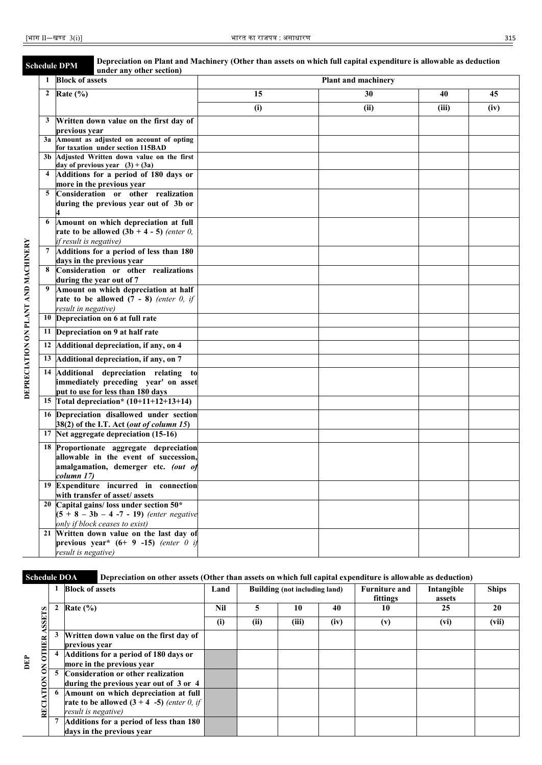|                                     | <b>Schedule DPM</b> |                        | Depreciation on Plant and Machinery (Other than assets on which full capital expenditure is allowable as deduction<br>under any other section) |     |                     |       |      |
|-------------------------------------|---------------------|------------------------|------------------------------------------------------------------------------------------------------------------------------------------------|-----|---------------------|-------|------|
|                                     | 1                   | <b>Block of assets</b> |                                                                                                                                                |     | Plant and machinery |       |      |
|                                     | $\mathbf{2}$        | Rate $(\% )$           |                                                                                                                                                | 15  | 30                  | 40    | 45   |
|                                     |                     |                        |                                                                                                                                                | (i) | (ii)                | (iii) | (iv) |
|                                     | 3                   |                        | Written down value on the first day of                                                                                                         |     |                     |       |      |
|                                     |                     | previous year          |                                                                                                                                                |     |                     |       |      |
|                                     | 3a                  |                        | Amount as adjusted on account of opting                                                                                                        |     |                     |       |      |
|                                     | 3 <sub>b</sub>      |                        | for taxation under section 115BAD<br>Adjusted Written down value on the first                                                                  |     |                     |       |      |
|                                     |                     |                        | day of previous year $(3) + (3a)$                                                                                                              |     |                     |       |      |
|                                     | 4                   |                        | Additions for a period of 180 days or                                                                                                          |     |                     |       |      |
|                                     |                     |                        | more in the previous year                                                                                                                      |     |                     |       |      |
|                                     | 5                   |                        | Consideration or other realization                                                                                                             |     |                     |       |      |
|                                     |                     |                        | during the previous year out of 3b or                                                                                                          |     |                     |       |      |
|                                     |                     |                        |                                                                                                                                                |     |                     |       |      |
|                                     | 6                   |                        | Amount on which depreciation at full                                                                                                           |     |                     |       |      |
|                                     |                     |                        | rate to be allowed $(3b + 4 - 5)$ (enter 0,                                                                                                    |     |                     |       |      |
|                                     |                     | if result is negative) |                                                                                                                                                |     |                     |       |      |
|                                     | 7                   |                        | Additions for a period of less than 180<br>days in the previous year                                                                           |     |                     |       |      |
|                                     | 8                   |                        | Consideration or other realizations                                                                                                            |     |                     |       |      |
|                                     |                     |                        | during the year out of 7                                                                                                                       |     |                     |       |      |
|                                     | 9                   |                        | Amount on which depreciation at half                                                                                                           |     |                     |       |      |
|                                     |                     |                        | rate to be allowed $(7 - 8)$ (enter 0, if                                                                                                      |     |                     |       |      |
|                                     |                     | result in negative)    |                                                                                                                                                |     |                     |       |      |
|                                     | 10                  |                        | Depreciation on 6 at full rate                                                                                                                 |     |                     |       |      |
|                                     | 11                  |                        | Depreciation on 9 at half rate                                                                                                                 |     |                     |       |      |
|                                     | 12                  |                        | Additional depreciation, if any, on 4                                                                                                          |     |                     |       |      |
| DEPRECIATION ON PLANT AND MACHINERY | 13                  |                        | Additional depreciation, if any, on 7                                                                                                          |     |                     |       |      |
|                                     | 14                  |                        | Additional depreciation relating to                                                                                                            |     |                     |       |      |
|                                     |                     |                        | immediately preceding year' on asset                                                                                                           |     |                     |       |      |
|                                     |                     |                        | put to use for less than 180 days                                                                                                              |     |                     |       |      |
|                                     | 15                  |                        | Total depreciation* $(10+11+12+13+14)$                                                                                                         |     |                     |       |      |
|                                     | 16                  |                        | Depreciation disallowed under section                                                                                                          |     |                     |       |      |
|                                     |                     |                        | 38(2) of the I.T. Act (out of column 15)                                                                                                       |     |                     |       |      |
|                                     | 17                  |                        | Net aggregate depreciation (15-16)                                                                                                             |     |                     |       |      |
|                                     | 18                  |                        | Proportionate aggregate depreciation                                                                                                           |     |                     |       |      |
|                                     |                     |                        | allowable in the event of succession,                                                                                                          |     |                     |       |      |
|                                     |                     | column 17)             | amalgamation, demerger etc. (out of                                                                                                            |     |                     |       |      |
|                                     |                     |                        | 19 Expenditure incurred in connection                                                                                                          |     |                     |       |      |
|                                     |                     |                        | with transfer of asset/assets                                                                                                                  |     |                     |       |      |
|                                     |                     |                        | 20 Capital gains/ loss under section $50*$                                                                                                     |     |                     |       |      |
|                                     |                     |                        | $(5 + 8 - 3b - 4 - 7 - 19)$ (enter negative                                                                                                    |     |                     |       |      |
|                                     |                     |                        | only if block ceases to exist)                                                                                                                 |     |                     |       |      |
|                                     |                     |                        | 21 Written down value on the last day of                                                                                                       |     |                     |       |      |
|                                     |                     |                        | previous year* $(6+ 9 -15)$ (enter 0 if                                                                                                        |     |                     |       |      |
|                                     |                     | result is negative)    |                                                                                                                                                |     |                     |       |      |

DEPRECIATION ON PLANT AND MACHINERY

### **Schedule DOA Depreciation on other assets (Other than assets on which full capital expenditure is allowable as deduction)**

|                                    | <b>Block of assets</b>                                                                                      | Land |      | Building (not including land) | <b>Furniture and</b> | Intangible | <b>Ships</b> |       |
|------------------------------------|-------------------------------------------------------------------------------------------------------------|------|------|-------------------------------|----------------------|------------|--------------|-------|
|                                    |                                                                                                             |      |      |                               |                      | fittings   | assets       |       |
|                                    | Rate $(\% )$                                                                                                | Nil  |      | 10                            | 40                   | 10         | 25           | 20    |
| <b>SEETS</b>                       |                                                                                                             | (i)  | (ii) | (iii)                         | (iv)                 | (v)        | (vi)         | (vii) |
| ≃                                  | Written down value on the first day of<br>previous year                                                     |      |      |                               |                      |            |              |       |
| $0$ THE<br>È<br>$\mathsf{S}% _{T}$ | Additions for a period of 180 days or<br>more in the previous year                                          |      |      |                               |                      |            |              |       |
|                                    | Consideration or other realization<br>during the previous year out of 3 or 4                                |      |      |                               |                      |            |              |       |
| RECIATION                          | Amount on which depreciation at full<br>rate to be allowed $(3 + 4 -5)$ (enter 0, if<br>result is negative) |      |      |                               |                      |            |              |       |
|                                    | Additions for a period of less than 180<br>days in the previous year                                        |      |      |                               |                      |            |              |       |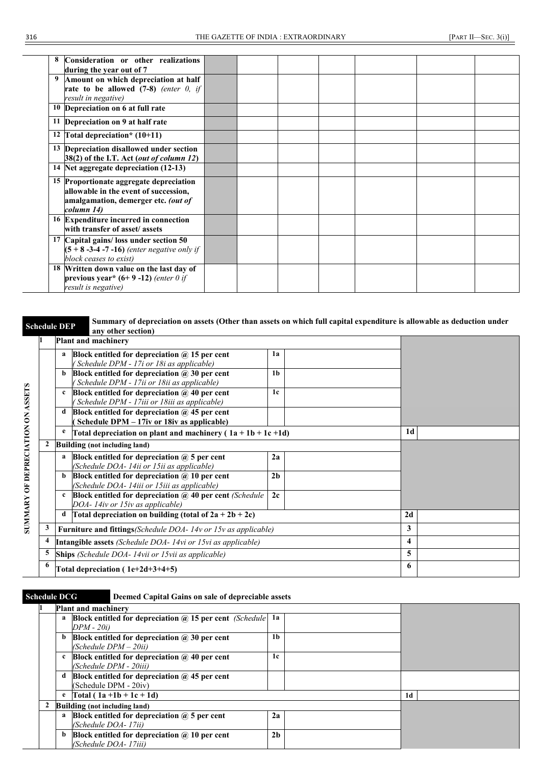| Consideration or other realizations<br>during the year out of 7                                                                       |  |  |  |  |
|---------------------------------------------------------------------------------------------------------------------------------------|--|--|--|--|
| Amount on which depreciation at half<br>rate to be allowed $(7-8)$ (enter 0, if<br>result in negative)                                |  |  |  |  |
| 10 Depreciation on 6 at full rate                                                                                                     |  |  |  |  |
| 11 Depreciation on 9 at half rate                                                                                                     |  |  |  |  |
| 12 Total depreciation* $(10+11)$                                                                                                      |  |  |  |  |
| 13 Depreciation disallowed under section<br>38(2) of the I.T. Act (out of column 12)                                                  |  |  |  |  |
| 14 Net aggregate depreciation (12-13)                                                                                                 |  |  |  |  |
| 15 Proportionate aggregate depreciation<br>allowable in the event of succession,<br>amalgamation, demerger etc. (out of<br>column 14) |  |  |  |  |
| 16 Expenditure incurred in connection<br>with transfer of asset/assets                                                                |  |  |  |  |
| 17 Capital gains/loss under section 50<br>$(5 + 8 -3 -4 -7 -16)$ (enter negative only if<br>block ceases to exist)                    |  |  |  |  |
| 18 Written down value on the last day of<br>previous year* $(6+9-12)$ (enter 0 if<br>result is negative)                              |  |  |  |  |

### **Schedule DEP** Summary of depreciation on assets (Other than assets on which full capital expenditure is allowable as deduction under **any other section) 1 Plant and machinery a Block entitled for depreciation @ 15 per cent 1a** *( Schedule DPM - 17i or 18i as applicable)* **1b b Block entitled for depreciation @ 30 per cent** *( Schedule DPM - 17ii or 18ii as applicable)* **SUMMARY OF DEPRECIATION ON ASSETS SUMMARY OF DEPRECIATION ON ASSETS c Block entitled for depreciation @ 40 per cent 1c** *( Schedule DPM - 17iii or 18iii as applicable)* **d Block entitled for depreciation @ 45 per cent ( Schedule DPM – 17iv or 18iv as applicable)**  $\frac{e}{\pi}$  **Total depreciation on plant and machinery ( 1a + 1b + 1c +1d)**  $\boxed{1d}$ **2 Building (not including land) a Block entitled for depreciation @ 5 per cent 2a** *(Schedule DOA- 14ii or 15ii as applicable)* **2b b Block entitled for depreciation @ 10 per cent** *(Schedule DOA- 14iii or 15iii as applicable)* **c Block entitled for depreciation @ 40 per cent** *(Schedule*  **2c** *DOA- 14iv or 15iv as applicable)* **d Total depreciation on building (total of**  $2a + 2b + 2c$ **) <b>2d 3 Furniture and fittings***(Schedule DOA- 14v or 15v as applicable)* **3 4 Intangible assets** *(Schedule DOA- 14vi or 15vi as applicable)* **4 5 Ships** *(Schedule DOA- 14vii or 15vii as applicable)* **5 6 Total depreciation ( 1e+2d+3+4+5) 6**

### **Schedule DCG Deemed Capital Gains on sale of depreciable assets**

|              | <b>Plant and machinery</b>                                        |                |  |    |  |
|--------------|-------------------------------------------------------------------|----------------|--|----|--|
| a            | Block entitled for depreciation $\omega$ 15 per cent (Schedule 1a |                |  |    |  |
|              | DPM - 20i)                                                        |                |  |    |  |
| b            | Block entitled for depreciation $\omega$ 30 per cent              | 1 <sub>b</sub> |  |    |  |
|              | $(Scheduledule$ $DPM-20ii)$                                       |                |  |    |  |
| $\mathbf{c}$ | Block entitled for depreciation $\omega$ 40 per cent              | 1c             |  |    |  |
|              | (Schedule DPM - 20iii)                                            |                |  |    |  |
| d            | Block entitled for depreciation $\omega$ 45 per cent              |                |  |    |  |
|              | (Schedule DPM - 20iv)                                             |                |  |    |  |
| e            | $Total (1a + 1b + 1c + 1d)$                                       |                |  | 1d |  |
|              | Building (not including land)                                     |                |  |    |  |
| a            | Block entitled for depreciation $@$ 5 per cent                    | 2a             |  |    |  |
|              | (Schedule DOA-17ii)                                               |                |  |    |  |
| b            | Block entitled for depreciation $\omega$ 10 per cent              | 2 <sub>h</sub> |  |    |  |
|              | (Schedule DOA-17iii)                                              |                |  |    |  |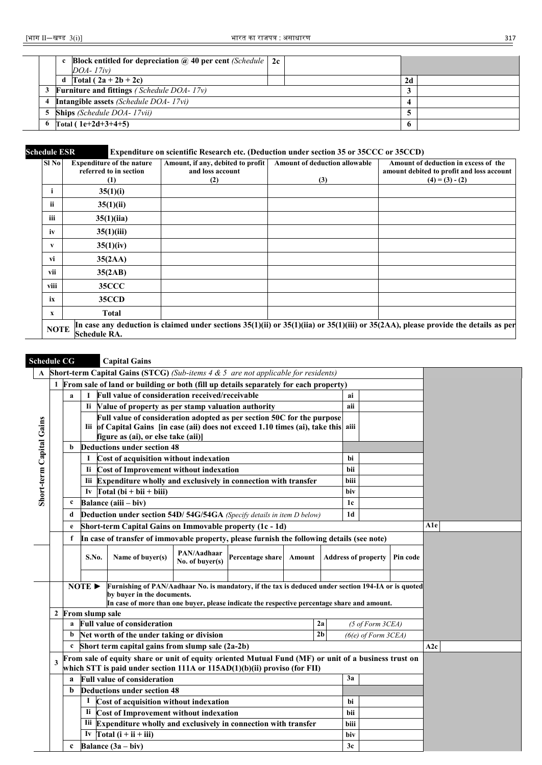|  | <b>Block entitled for depreciation @ 40 per cent</b> (Schedule $\vert$ 2c |  |              |  |
|--|---------------------------------------------------------------------------|--|--------------|--|
|  | $DOA-17iv)$                                                               |  |              |  |
|  | Total $(2a+2b+2c)$<br>d                                                   |  | 2d           |  |
|  | 3 Furniture and fittings (Schedule DOA- $17v$ )                           |  |              |  |
|  | 4 Intangible assets (Schedule DOA- 17vi)                                  |  |              |  |
|  | <b>5</b> Ships (Schedule DOA- 17vii)                                      |  |              |  |
|  | 6 Total ( $1e+2d+3+4+5$ )                                                 |  | $\mathbf{p}$ |  |

## **Schedule ESR Expenditure on scientific Research etc. (Deduction under section 35 or 35CCC or 35CCD)**

| Sl No        | <b>Expenditure of the nature</b><br>referred to in section | Amount, if any, debited to profit<br>and loss account | <b>Amount of deduction allowable</b> | Amount of deduction in excess of the<br>amount debited to profit and loss account                                                            |
|--------------|------------------------------------------------------------|-------------------------------------------------------|--------------------------------------|----------------------------------------------------------------------------------------------------------------------------------------------|
|              | $\left(1\right)$                                           | (2)                                                   | (3)                                  | $(4) = (3) - (2)$                                                                                                                            |
| i            | 35(1)(i)                                                   |                                                       |                                      |                                                                                                                                              |
| ii           | 35(1)(ii)                                                  |                                                       |                                      |                                                                                                                                              |
| iii          | 35(1)(ii)                                                  |                                                       |                                      |                                                                                                                                              |
| iv           | 35(1)(iii)                                                 |                                                       |                                      |                                                                                                                                              |
| v            | 35(1)(iv)                                                  |                                                       |                                      |                                                                                                                                              |
| vi           | 35(2AA)                                                    |                                                       |                                      |                                                                                                                                              |
| vii          | 35(2AB)                                                    |                                                       |                                      |                                                                                                                                              |
| viii         | <b>35CCC</b>                                               |                                                       |                                      |                                                                                                                                              |
| ix           | 35CCD                                                      |                                                       |                                      |                                                                                                                                              |
| $\mathbf{x}$ | Total                                                      |                                                       |                                      |                                                                                                                                              |
| <b>NOTE</b>  | Schedule RA.                                               |                                                       |                                      | In case any deduction is claimed under sections $35(1)(ii)$ or $35(1)(iii)$ or $35(1)(iii)$ or $35(2AA)$ , please provide the details as per |

### **Schedule CG Capital Gains**

|                          | <b>Short-term Capital Gains (STCG)</b> (Sub-items $4 \& 5$ are not applicable for residents)                                                                                               |                                                                                                 |                            |                                                                                                                                                                                                                                  |  |  |                            |                |      |                             |  |     |
|--------------------------|--------------------------------------------------------------------------------------------------------------------------------------------------------------------------------------------|-------------------------------------------------------------------------------------------------|----------------------------|----------------------------------------------------------------------------------------------------------------------------------------------------------------------------------------------------------------------------------|--|--|----------------------------|----------------|------|-----------------------------|--|-----|
|                          |                                                                                                                                                                                            |                                                                                                 |                            | 1 From sale of land or building or both (fill up details separately for each property)                                                                                                                                           |  |  |                            |                |      |                             |  |     |
|                          |                                                                                                                                                                                            | a                                                                                               |                            | Full value of consideration received/receivable                                                                                                                                                                                  |  |  |                            |                | ai   |                             |  |     |
|                          |                                                                                                                                                                                            |                                                                                                 |                            | Ii Value of property as per stamp valuation authority                                                                                                                                                                            |  |  |                            |                | aii  |                             |  |     |
|                          |                                                                                                                                                                                            |                                                                                                 |                            | Full value of consideration adopted as per section 50C for the purpose                                                                                                                                                           |  |  |                            |                |      |                             |  |     |
|                          |                                                                                                                                                                                            |                                                                                                 |                            | Iii of Capital Gains [in case (aii) does not exceed 1.10 times (ai), take this aii                                                                                                                                               |  |  |                            |                |      |                             |  |     |
| Short-term Capital Gains |                                                                                                                                                                                            |                                                                                                 |                            | figure as (ai), or else take (aii)]                                                                                                                                                                                              |  |  |                            |                |      |                             |  |     |
|                          |                                                                                                                                                                                            | b                                                                                               |                            | <b>Deductions under section 48</b>                                                                                                                                                                                               |  |  |                            |                |      |                             |  |     |
|                          |                                                                                                                                                                                            |                                                                                                 | 1                          | Cost of acquisition without indexation                                                                                                                                                                                           |  |  |                            |                | hi   |                             |  |     |
|                          | Ii Cost of Improvement without indexation<br>bii                                                                                                                                           |                                                                                                 |                            |                                                                                                                                                                                                                                  |  |  |                            |                |      |                             |  |     |
|                          |                                                                                                                                                                                            | Iii Expenditure wholly and exclusively in connection with transfer                              |                            |                                                                                                                                                                                                                                  |  |  |                            |                | biii |                             |  |     |
|                          | Iv $\Gamma$ otal (bi + bii + biii)<br>biv                                                                                                                                                  |                                                                                                 |                            |                                                                                                                                                                                                                                  |  |  |                            |                |      |                             |  |     |
|                          | Balance (aiii – biv)<br>$\mathbf c$<br>1 <sub>c</sub>                                                                                                                                      |                                                                                                 |                            |                                                                                                                                                                                                                                  |  |  |                            |                |      |                             |  |     |
|                          | Deduction under section 54D/ 54G/54GA (Specify details in item D below)<br>1 <sub>d</sub><br>d                                                                                             |                                                                                                 |                            |                                                                                                                                                                                                                                  |  |  |                            |                |      |                             |  |     |
|                          |                                                                                                                                                                                            | e                                                                                               |                            | Short-term Capital Gains on Immovable property (1c - 1d)                                                                                                                                                                         |  |  |                            |                |      |                             |  | A1e |
|                          |                                                                                                                                                                                            | In case of transfer of immovable property, please furnish the following details (see note)<br>f |                            |                                                                                                                                                                                                                                  |  |  |                            |                |      |                             |  |     |
|                          |                                                                                                                                                                                            | PAN/Aadhaar<br>Percentage share<br>S.No.<br>Name of buyer(s)<br>Amount<br>No. of buver(s)       |                            |                                                                                                                                                                                                                                  |  |  | <b>Address of property</b> | Pin code       |      |                             |  |     |
|                          |                                                                                                                                                                                            |                                                                                                 |                            |                                                                                                                                                                                                                                  |  |  |                            |                |      |                             |  |     |
|                          |                                                                                                                                                                                            |                                                                                                 | NOTE $\blacktriangleright$ | Furnishing of PAN/Aadhaar No. is mandatory, if the tax is deduced under section 194-IA or is quoted<br>by buyer in the documents.<br>In case of more than one buyer, please indicate the respective percentage share and amount. |  |  |                            |                |      |                             |  |     |
|                          | $\mathbf{2}$                                                                                                                                                                               |                                                                                                 | From slump sale            |                                                                                                                                                                                                                                  |  |  |                            |                |      |                             |  |     |
|                          |                                                                                                                                                                                            | a                                                                                               |                            | <b>Full value of consideration</b>                                                                                                                                                                                               |  |  |                            | 2a             |      | $(5 \text{ of Form } 3CEA)$ |  |     |
|                          |                                                                                                                                                                                            | b                                                                                               |                            | Net worth of the under taking or division                                                                                                                                                                                        |  |  |                            | 2 <sub>b</sub> |      | $(6(e)$ of Form $3CEA)$     |  |     |
|                          | Short term capital gains from slump sale (2a-2b)<br>$\mathbf{c}$                                                                                                                           |                                                                                                 |                            |                                                                                                                                                                                                                                  |  |  |                            | A2c            |      |                             |  |     |
|                          | From sale of equity share or unit of equity oriented Mutual Fund (MF) or unit of a business trust on<br>3<br>which STT is paid under section $111A$ or $115AD(1)(b)(ii)$ proviso (for FII) |                                                                                                 |                            |                                                                                                                                                                                                                                  |  |  |                            |                |      |                             |  |     |
|                          | 3a<br><b>Full value of consideration</b><br>a                                                                                                                                              |                                                                                                 |                            |                                                                                                                                                                                                                                  |  |  |                            |                |      |                             |  |     |
|                          | Deductions under section 48<br>b                                                                                                                                                           |                                                                                                 |                            |                                                                                                                                                                                                                                  |  |  |                            |                |      |                             |  |     |
|                          |                                                                                                                                                                                            |                                                                                                 |                            | Cost of acquisition without indexation                                                                                                                                                                                           |  |  |                            |                | hi   |                             |  |     |
|                          |                                                                                                                                                                                            |                                                                                                 |                            | Ii Cost of Improvement without indexation                                                                                                                                                                                        |  |  |                            |                | bii  |                             |  |     |
|                          |                                                                                                                                                                                            |                                                                                                 |                            | Iii Expenditure wholly and exclusively in connection with transfer                                                                                                                                                               |  |  |                            |                | biii |                             |  |     |
|                          |                                                                                                                                                                                            | Iv Total $(i + ii + iii)$<br>biv                                                                |                            |                                                                                                                                                                                                                                  |  |  |                            |                |      |                             |  |     |
|                          |                                                                                                                                                                                            | $\mathbf c$                                                                                     |                            | Balance $(3a - biv)$                                                                                                                                                                                                             |  |  |                            |                | 3c   |                             |  |     |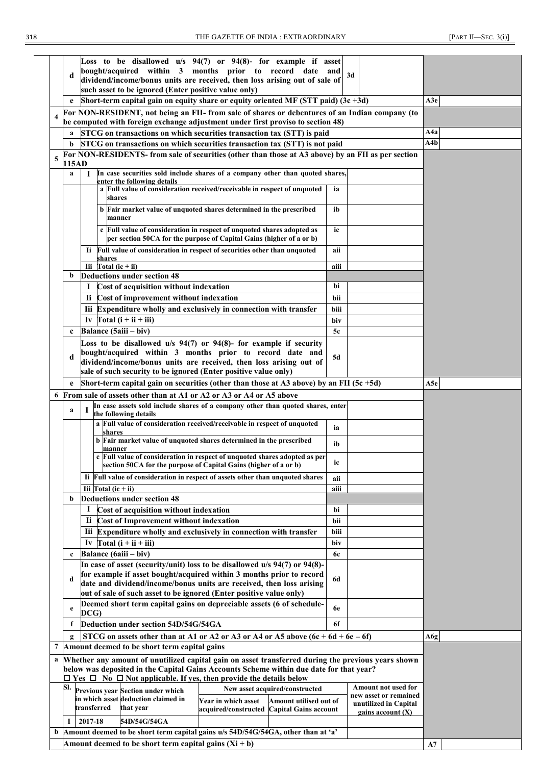|                                                                                                                       | d           | Loss to be disallowed u/s 94(7) or 94(8)- for example if asset<br>bought/acquired within 3 months prior to record date and                                                                        | 3d                                             |     |  |  |
|-----------------------------------------------------------------------------------------------------------------------|-------------|---------------------------------------------------------------------------------------------------------------------------------------------------------------------------------------------------|------------------------------------------------|-----|--|--|
|                                                                                                                       |             | dividend/income/bonus units are received, then loss arising out of sale of<br>such asset to be ignored (Enter positive value only)                                                                |                                                |     |  |  |
|                                                                                                                       |             | Short-term capital gain on equity share or equity oriented MF (STT paid) $(3c + 3d)$                                                                                                              |                                                | A3e |  |  |
|                                                                                                                       |             | For NON-RESIDENT, not being an FII- from sale of shares or debentures of an Indian company (to                                                                                                    |                                                |     |  |  |
| $\overline{\mathbf{4}}$                                                                                               |             | be computed with foreign exchange adjustment under first proviso to section 48)                                                                                                                   |                                                |     |  |  |
|                                                                                                                       | a           | STCG on transactions on which securities transaction tax (STT) is paid                                                                                                                            |                                                | A4a |  |  |
|                                                                                                                       | b           | STCG on transactions on which securities transaction tax (STT) is not paid                                                                                                                        |                                                | A4b |  |  |
| 5                                                                                                                     | 115AD       | For NON-RESIDENTS- from sale of securities (other than those at A3 above) by an FII as per section                                                                                                |                                                |     |  |  |
|                                                                                                                       | a           | In case securities sold include shares of a company other than quoted shares,<br>Т<br>enter the following details                                                                                 |                                                |     |  |  |
|                                                                                                                       |             | a Full value of consideration received/receivable in respect of unquoted<br>shares                                                                                                                | ia                                             |     |  |  |
|                                                                                                                       |             | b Fair market value of unquoted shares determined in the prescribed<br>manner                                                                                                                     | ib                                             |     |  |  |
|                                                                                                                       |             | c Full value of consideration in respect of unquoted shares adopted as<br>per section 50CA for the purpose of Capital Gains (higher of a or b)                                                    | ic                                             |     |  |  |
|                                                                                                                       |             | Full value of consideration in respect of securities other than unquoted<br>Ii.                                                                                                                   | aii                                            |     |  |  |
|                                                                                                                       |             | shares<br>Iii $Total (ic + ii)$                                                                                                                                                                   | aiii                                           |     |  |  |
|                                                                                                                       | b           | <b>Deductions under section 48</b>                                                                                                                                                                |                                                |     |  |  |
|                                                                                                                       |             | Cost of acquisition without indexation<br>1                                                                                                                                                       | bi                                             |     |  |  |
|                                                                                                                       |             | Ii Cost of improvement without indexation                                                                                                                                                         | bii                                            |     |  |  |
|                                                                                                                       |             | Iii Expenditure wholly and exclusively in connection with transfer                                                                                                                                | biii                                           |     |  |  |
|                                                                                                                       |             | Iv $\Gamma$ otal (i + ii + iii)                                                                                                                                                                   | biv                                            |     |  |  |
|                                                                                                                       | $\mathbf c$ | Balance (5aiii – biv)<br>Loss to be disallowed $u/s$ 94(7) or 94(8)- for example if security                                                                                                      | 5c                                             |     |  |  |
|                                                                                                                       | d           | bought/acquired within 3 months prior to record date and<br>dividend/income/bonus units are received, then loss arising out of<br>sale of such security to be ignored (Enter positive value only) | 5d                                             |     |  |  |
|                                                                                                                       |             | Short-term capital gain on securities (other than those at A3 above) by an FII (5c $+5d$ )                                                                                                        |                                                | A5e |  |  |
| 6                                                                                                                     |             | From sale of assets other than at A1 or A2 or A3 or A4 or A5 above                                                                                                                                |                                                |     |  |  |
|                                                                                                                       |             | In case assets sold include shares of a company other than quoted shares, enter                                                                                                                   |                                                |     |  |  |
|                                                                                                                       | a           | L<br>the following details                                                                                                                                                                        |                                                |     |  |  |
|                                                                                                                       |             | a Full value of consideration received/receivable in respect of unquoted<br>shares                                                                                                                | ia                                             |     |  |  |
|                                                                                                                       |             | b Fair market value of unquoted shares determined in the prescribed<br>manner                                                                                                                     | ib                                             |     |  |  |
|                                                                                                                       |             | c Full value of consideration in respect of unquoted shares adopted as per<br>section 50CA for the purpose of Capital Gains (higher of a or b)                                                    | ıc                                             |     |  |  |
|                                                                                                                       |             | Ii Full value of consideration in respect of assets other than unquoted shares                                                                                                                    | aii                                            |     |  |  |
|                                                                                                                       | b           | Iii $\Gamma$ otal (ic + ii)<br><b>Deductions under section 48</b>                                                                                                                                 | aiii                                           |     |  |  |
|                                                                                                                       |             | Cost of acquisition without indexation<br>1                                                                                                                                                       | bi                                             |     |  |  |
|                                                                                                                       |             | Ii.<br>Cost of Improvement without indexation                                                                                                                                                     | bii                                            |     |  |  |
|                                                                                                                       |             | Iii<br>Expenditure wholly and exclusively in connection with transfer                                                                                                                             | biii                                           |     |  |  |
|                                                                                                                       |             | Iv $\Gamma$ otal (i + ii + iii)                                                                                                                                                                   | biv                                            |     |  |  |
|                                                                                                                       | $\mathbf c$ | Balance (6aiii – biv)                                                                                                                                                                             | <b>6c</b>                                      |     |  |  |
|                                                                                                                       |             | In case of asset (security/unit) loss to be disallowed u/s 94(7) or 94(8)-                                                                                                                        |                                                |     |  |  |
|                                                                                                                       | d           | for example if asset bought/acquired within 3 months prior to record<br>date and dividend/income/bonus units are received, then loss arising                                                      | 6d                                             |     |  |  |
|                                                                                                                       |             | out of sale of such asset to be ignored (Enter positive value only)                                                                                                                               |                                                |     |  |  |
|                                                                                                                       | e           | Deemed short term capital gains on depreciable assets (6 of schedule-                                                                                                                             | <b>6e</b>                                      |     |  |  |
|                                                                                                                       |             | DCG)                                                                                                                                                                                              |                                                |     |  |  |
|                                                                                                                       | f           | Deduction under section 54D/54G/54GA                                                                                                                                                              | 6f                                             |     |  |  |
| 7                                                                                                                     |             | STCG on assets other than at A1 or A2 or A3 or A4 or A5 above $(6c + 6d + 6e - 6f)$                                                                                                               |                                                | A6g |  |  |
|                                                                                                                       |             | Amount deemed to be short term capital gains                                                                                                                                                      |                                                |     |  |  |
| a                                                                                                                     |             | Whether any amount of unutilized capital gain on asset transferred during the previous years shown<br>below was deposited in the Capital Gains Accounts Scheme within due date for that year?     |                                                |     |  |  |
|                                                                                                                       |             | $\Box$ Yes $\Box$ No $\Box$ Not applicable. If yes, then provide the details below                                                                                                                |                                                |     |  |  |
|                                                                                                                       | SI.         | New asset acquired/constructed<br>Previous year Section under which                                                                                                                               | Amount not used for                            |     |  |  |
|                                                                                                                       |             | in which asset deduction claimed in<br>Year in which asset<br>Amount utilised out of                                                                                                              | new asset or remained<br>unutilized in Capital |     |  |  |
|                                                                                                                       |             | transferred<br>that year<br>acquired/constructed Capital Gains account                                                                                                                            | gains account $(X)$                            |     |  |  |
| 2017-18<br>I<br>54D/54G/54GA<br>Amount deemed to be short term capital gains u/s 54D/54G/54GA, other than at 'a'<br>b |             |                                                                                                                                                                                                   |                                                |     |  |  |
|                                                                                                                       |             | Amount deemed to be short term capital gains $(Xi + b)$                                                                                                                                           |                                                |     |  |  |
|                                                                                                                       |             |                                                                                                                                                                                                   |                                                | A7  |  |  |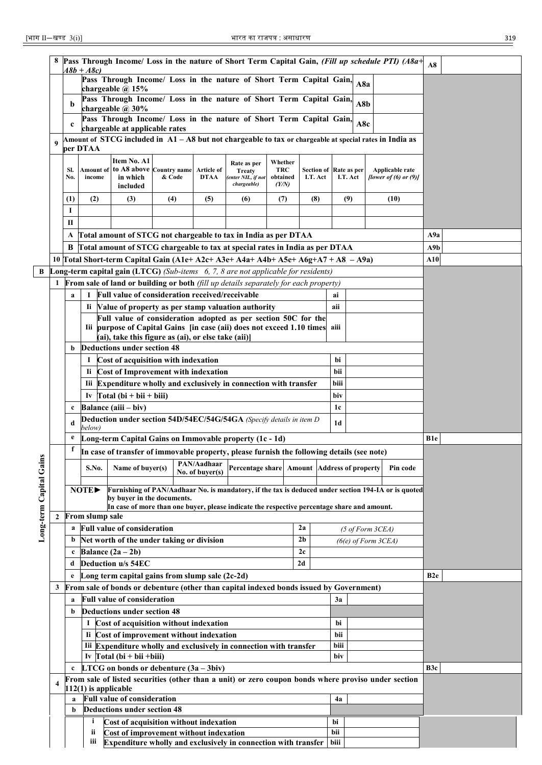| ٦<br>w<br>۰, | I<br>×<br>۰, |
|--------------|--------------|

|                      |                                                                                              |                                                                                                                                         |                        |                                                                                           |                                                                                         |                                                                                                  | Pass Through Income/ Loss in the nature of Short Term Capital Gain, (Fill up schedule PTI) (A8a+        |                        |                |                        |                |                             |  |                            | A8               |  |
|----------------------|----------------------------------------------------------------------------------------------|-----------------------------------------------------------------------------------------------------------------------------------------|------------------------|-------------------------------------------------------------------------------------------|-----------------------------------------------------------------------------------------|--------------------------------------------------------------------------------------------------|---------------------------------------------------------------------------------------------------------|------------------------|----------------|------------------------|----------------|-----------------------------|--|----------------------------|------------------|--|
|                      |                                                                                              |                                                                                                                                         | $A8b + A8c$            |                                                                                           |                                                                                         |                                                                                                  | Pass Through Income/ Loss in the nature of Short Term Capital Gain,                                     |                        |                |                        |                |                             |  |                            |                  |  |
|                      |                                                                                              |                                                                                                                                         |                        | chargeable $@$ 15%                                                                        |                                                                                         |                                                                                                  |                                                                                                         |                        |                |                        |                | A8a                         |  |                            |                  |  |
|                      |                                                                                              | b                                                                                                                                       |                        |                                                                                           |                                                                                         |                                                                                                  | Pass Through Income/ Loss in the nature of Short Term Capital Gain,                                     |                        |                |                        |                | A8b                         |  |                            |                  |  |
|                      |                                                                                              |                                                                                                                                         |                        | chargeable @ 30%                                                                          |                                                                                         |                                                                                                  |                                                                                                         |                        |                |                        |                |                             |  |                            |                  |  |
|                      |                                                                                              | $\mathbf c$                                                                                                                             |                        | chargeable at applicable rates                                                            |                                                                                         |                                                                                                  | Pass Through Income/ Loss in the nature of Short Term Capital Gain,                                     |                        |                |                        |                | A8c                         |  |                            |                  |  |
|                      |                                                                                              |                                                                                                                                         |                        |                                                                                           |                                                                                         |                                                                                                  | Amount of STCG included in A1 – A8 but not chargeable to tax or chargeable at special rates in India as |                        |                |                        |                |                             |  |                            |                  |  |
|                      | 9                                                                                            |                                                                                                                                         | per DTAA               |                                                                                           |                                                                                         |                                                                                                  |                                                                                                         |                        |                |                        |                |                             |  |                            |                  |  |
|                      |                                                                                              |                                                                                                                                         |                        | Item No. A1                                                                               |                                                                                         |                                                                                                  | Rate as per                                                                                             | Whether                |                |                        |                |                             |  |                            |                  |  |
|                      |                                                                                              | SI.                                                                                                                                     | income                 | Amount of to A8 above Country name                                                        | & Code                                                                                  | Article of                                                                                       | <b>Treaty</b>                                                                                           | <b>TRC</b><br>obtained |                | Section of Rate as per |                |                             |  | Applicable rate            |                  |  |
|                      |                                                                                              | No.                                                                                                                                     |                        | in which<br>included                                                                      |                                                                                         | DTAA                                                                                             | (enter NIL, if not<br>chargeable)                                                                       | (Y/N)                  |                | I.T. Act               |                | I.T. Act                    |  | [lower of $(6)$ or $(9)$ ] |                  |  |
|                      |                                                                                              | (1)                                                                                                                                     | (2)                    | (3)                                                                                       | (4)                                                                                     | (5)                                                                                              | (6)                                                                                                     | (7)                    |                | (8)                    | (9)            |                             |  | (10)                       |                  |  |
|                      |                                                                                              | 1                                                                                                                                       |                        |                                                                                           |                                                                                         |                                                                                                  |                                                                                                         |                        |                |                        |                |                             |  |                            |                  |  |
|                      |                                                                                              | П                                                                                                                                       |                        |                                                                                           |                                                                                         |                                                                                                  |                                                                                                         |                        |                |                        |                |                             |  |                            |                  |  |
|                      |                                                                                              | A                                                                                                                                       |                        |                                                                                           |                                                                                         |                                                                                                  | Total amount of STCG not chargeable to tax in India as per DTAA                                         |                        |                |                        |                |                             |  |                            | A9a              |  |
|                      |                                                                                              | B                                                                                                                                       |                        |                                                                                           |                                                                                         |                                                                                                  | Total amount of STCG chargeable to tax at special rates in India as per DTAA                            |                        |                |                        |                |                             |  |                            | A9b              |  |
|                      |                                                                                              |                                                                                                                                         |                        |                                                                                           |                                                                                         |                                                                                                  | 10 Total Short-term Capital Gain (A1e+ A2c+ A3e+ A4a+ A4b+ A5e+ A6g+A7 + A8 - A9a)                      |                        |                |                        |                |                             |  |                            | A10              |  |
| B                    |                                                                                              |                                                                                                                                         |                        |                                                                                           |                                                                                         |                                                                                                  | <b>Long-term capital gain (LTCG)</b> (Sub-items $\,$ 6, 7, 8 are not applicable for residents)          |                        |                |                        |                |                             |  |                            |                  |  |
|                      |                                                                                              |                                                                                                                                         |                        |                                                                                           |                                                                                         |                                                                                                  | 1 From sale of land or building or both (fill up details separately for each property)                  |                        |                |                        |                |                             |  |                            |                  |  |
|                      |                                                                                              | a                                                                                                                                       | 1                      | Full value of consideration received/receivable                                           |                                                                                         |                                                                                                  |                                                                                                         |                        |                |                        | ai             |                             |  |                            |                  |  |
|                      |                                                                                              |                                                                                                                                         |                        |                                                                                           |                                                                                         |                                                                                                  | Ii Value of property as per stamp valuation authority                                                   |                        |                |                        | aii            |                             |  |                            |                  |  |
|                      |                                                                                              |                                                                                                                                         |                        |                                                                                           |                                                                                         |                                                                                                  | Full value of consideration adopted as per section 50C for the                                          |                        |                |                        |                |                             |  |                            |                  |  |
|                      |                                                                                              |                                                                                                                                         |                        |                                                                                           |                                                                                         |                                                                                                  | Iii purpose of Capital Gains [in case (aii) does not exceed 1.10 times aiii                             |                        |                |                        |                |                             |  |                            |                  |  |
|                      |                                                                                              | b                                                                                                                                       |                        | (ai), take this figure as (ai), or else take (aii)]<br><b>Deductions under section 48</b> |                                                                                         |                                                                                                  |                                                                                                         |                        |                |                        |                |                             |  |                            |                  |  |
|                      |                                                                                              |                                                                                                                                         | 1                      | Cost of acquisition with indexation                                                       |                                                                                         |                                                                                                  |                                                                                                         |                        |                |                        | bi             |                             |  |                            |                  |  |
|                      |                                                                                              |                                                                                                                                         |                        | Ii Cost of Improvement with indexation                                                    |                                                                                         |                                                                                                  |                                                                                                         |                        |                |                        | bii            |                             |  |                            |                  |  |
|                      |                                                                                              |                                                                                                                                         |                        |                                                                                           |                                                                                         | Iii Expenditure wholly and exclusively in connection with transfer                               |                                                                                                         |                        | biii           |                        |                |                             |  |                            |                  |  |
|                      |                                                                                              |                                                                                                                                         |                        |                                                                                           |                                                                                         |                                                                                                  |                                                                                                         |                        |                |                        | biv            |                             |  |                            |                  |  |
|                      |                                                                                              | Iv $Total (bi + bii + biii)$<br>Balance (aiii - biv)<br>1c<br>c<br>Deduction under section 54D/54EC/54G/54GA (Specify details in item D |                        |                                                                                           |                                                                                         |                                                                                                  |                                                                                                         |                        |                |                        |                |                             |  |                            |                  |  |
|                      |                                                                                              |                                                                                                                                         |                        |                                                                                           |                                                                                         |                                                                                                  |                                                                                                         |                        |                |                        |                |                             |  |                            |                  |  |
|                      | d<br>below)                                                                                  |                                                                                                                                         |                        |                                                                                           |                                                                                         |                                                                                                  |                                                                                                         |                        |                |                        | 1 <sub>d</sub> |                             |  |                            |                  |  |
|                      |                                                                                              | e                                                                                                                                       |                        |                                                                                           |                                                                                         |                                                                                                  | Long-term Capital Gains on Immovable property (1c - 1d)                                                 |                        |                |                        |                |                             |  |                            | <b>B1e</b>       |  |
| Σmi.                 |                                                                                              | f                                                                                                                                       |                        |                                                                                           |                                                                                         |                                                                                                  | In case of transfer of immovable property, please furnish the following details (see note)              |                        |                |                        |                |                             |  |                            |                  |  |
|                      |                                                                                              |                                                                                                                                         | S.No.                  | Name of buyer(s)                                                                          |                                                                                         | $\left  \begin{array}{c} \text{PAN/Aadhaar} \\ \text{D.} \end{array} \right $<br>No. of buyer(s) | Percentage share   Amount   Address of property                                                         |                        |                |                        |                |                             |  | Pin code                   |                  |  |
|                      |                                                                                              |                                                                                                                                         |                        |                                                                                           |                                                                                         |                                                                                                  |                                                                                                         |                        |                |                        |                |                             |  |                            |                  |  |
|                      |                                                                                              |                                                                                                                                         | NOTE>                  |                                                                                           |                                                                                         |                                                                                                  | Furnishing of PAN/Aadhaar No. is mandatory, if the tax is deduced under section 194-IA or is quoted     |                        |                |                        |                |                             |  |                            |                  |  |
|                      |                                                                                              |                                                                                                                                         |                        | by buver in the documents.                                                                |                                                                                         |                                                                                                  | In case of more than one buyer, please indicate the respective percentage share and amount.             |                        |                |                        |                |                             |  |                            |                  |  |
|                      | $\mathbf{2}$                                                                                 |                                                                                                                                         | From slump sale        |                                                                                           |                                                                                         |                                                                                                  |                                                                                                         |                        |                |                        |                |                             |  |                            |                  |  |
| Long-term Capital Ga |                                                                                              |                                                                                                                                         |                        | a Full value of consideration                                                             |                                                                                         |                                                                                                  |                                                                                                         |                        | 2a             |                        |                | $(5 \text{ of Form } 3CEA)$ |  |                            |                  |  |
|                      |                                                                                              | b                                                                                                                                       |                        | Net worth of the under taking or division                                                 |                                                                                         |                                                                                                  |                                                                                                         |                        | 2 <sub>b</sub> |                        |                | $(6(e)$ of Form $3CEA)$     |  |                            |                  |  |
|                      |                                                                                              | c                                                                                                                                       | Balance $(2a-2b)$      |                                                                                           |                                                                                         |                                                                                                  |                                                                                                         |                        | 2c             |                        |                |                             |  |                            |                  |  |
|                      | <b>Deduction u/s 54EC</b><br>2d<br>d<br>Long term capital gains from slump sale (2c-2d)<br>e |                                                                                                                                         |                        |                                                                                           |                                                                                         |                                                                                                  |                                                                                                         |                        |                |                        |                |                             |  |                            |                  |  |
|                      |                                                                                              |                                                                                                                                         |                        |                                                                                           |                                                                                         |                                                                                                  |                                                                                                         |                        |                |                        |                |                             |  |                            | B <sub>2e</sub>  |  |
|                      | 3                                                                                            |                                                                                                                                         |                        |                                                                                           | From sale of bonds or debenture (other than capital indexed bonds issued by Government) |                                                                                                  |                                                                                                         |                        |                |                        |                |                             |  |                            |                  |  |
|                      | <b>Full value of consideration</b><br>a                                                      |                                                                                                                                         |                        |                                                                                           |                                                                                         |                                                                                                  |                                                                                                         |                        |                |                        | 3a             |                             |  |                            |                  |  |
|                      |                                                                                              | b                                                                                                                                       |                        | <b>Deductions under section 48</b>                                                        |                                                                                         |                                                                                                  |                                                                                                         |                        |                |                        |                |                             |  |                            |                  |  |
|                      |                                                                                              |                                                                                                                                         | 1                      | Cost of acquisition without indexation                                                    |                                                                                         |                                                                                                  |                                                                                                         |                        |                |                        | bi             |                             |  |                            |                  |  |
|                      |                                                                                              |                                                                                                                                         |                        | Ii Cost of improvement without indexation                                                 |                                                                                         |                                                                                                  |                                                                                                         |                        |                |                        | bii            |                             |  |                            |                  |  |
|                      |                                                                                              |                                                                                                                                         |                        |                                                                                           |                                                                                         |                                                                                                  | Iii Expenditure wholly and exclusively in connection with transfer                                      |                        |                |                        | biii           |                             |  |                            |                  |  |
|                      |                                                                                              |                                                                                                                                         |                        | Iv $Total (bi + bii + biii)$<br>$LTCG$ on bonds or debenture $(3a - 3biv)$                |                                                                                         |                                                                                                  |                                                                                                         |                        |                | biv                    |                |                             |  |                            | B <sub>3</sub> c |  |
|                      |                                                                                              | c                                                                                                                                       |                        |                                                                                           |                                                                                         |                                                                                                  | From sale of listed securities (other than a unit) or zero coupon bonds where proviso under section     |                        |                |                        |                |                             |  |                            |                  |  |
|                      | 4                                                                                            |                                                                                                                                         | $112(1)$ is applicable |                                                                                           |                                                                                         |                                                                                                  |                                                                                                         |                        |                |                        |                |                             |  |                            |                  |  |
|                      |                                                                                              | a                                                                                                                                       |                        | Full value of consideration                                                               |                                                                                         |                                                                                                  |                                                                                                         |                        |                |                        | 4a             |                             |  |                            |                  |  |
|                      |                                                                                              | b                                                                                                                                       |                        | <b>Deductions under section 48</b>                                                        |                                                                                         |                                                                                                  |                                                                                                         |                        |                |                        |                |                             |  |                            |                  |  |
|                      |                                                                                              |                                                                                                                                         | i                      | Cost of acquisition without indexation                                                    |                                                                                         |                                                                                                  |                                                                                                         |                        |                |                        | bi             |                             |  |                            |                  |  |
|                      |                                                                                              |                                                                                                                                         | ii                     | Cost of improvement without indexation                                                    |                                                                                         |                                                                                                  | Expenditure wholly and exclusively in connection with transfer                                          |                        |                |                        | bii<br>biii    |                             |  |                            |                  |  |
|                      |                                                                                              |                                                                                                                                         | iіi                    |                                                                                           |                                                                                         |                                                                                                  |                                                                                                         |                        |                |                        |                |                             |  |                            |                  |  |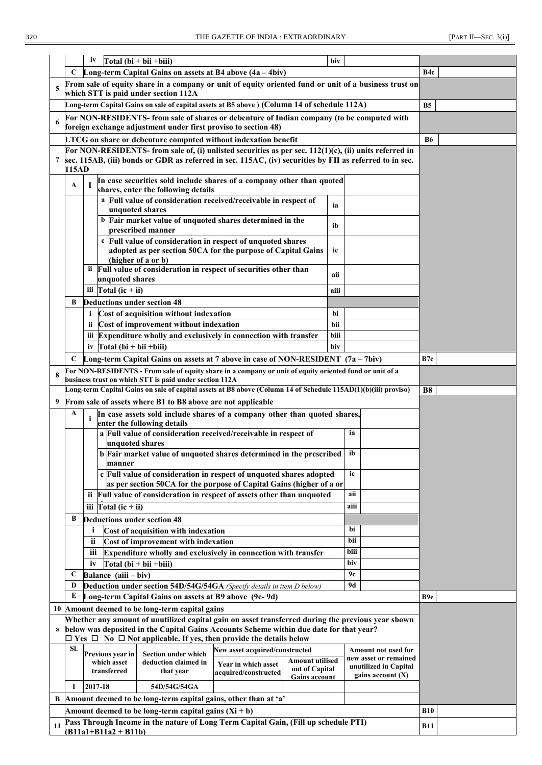|    |       | iv<br>$Total (bi + bii + biii)$                                                                                                                                                    | biv  |                                                                       |                 |
|----|-------|------------------------------------------------------------------------------------------------------------------------------------------------------------------------------------|------|-----------------------------------------------------------------------|-----------------|
|    | C     | Long-term Capital Gains on assets at B4 above $(4a - 4biv)$                                                                                                                        |      |                                                                       | B4c             |
| 5  |       | From sale of equity share in a company or unit of equity oriented fund or unit of a business trust on<br>which STT is paid under section 112A                                      |      |                                                                       |                 |
|    |       | Long-term Capital Gains on sale of capital assets at B5 above ) (Column 14 of schedule 112A)                                                                                       |      |                                                                       | <b>B5</b>       |
| 6  |       | For NON-RESIDENTS- from sale of shares or debenture of Indian company (to be computed with<br>foreign exchange adjustment under first proviso to section 48)                       |      |                                                                       |                 |
|    |       | LTCG on share or debenture computed without indexation benefit                                                                                                                     |      |                                                                       | <b>B6</b>       |
|    |       | For NON-RESIDENTS- from sale of, (i) unlisted securities as per sec. $112(1)(c)$ , (ii) units referred in                                                                          |      |                                                                       |                 |
|    | 115AD | sec. 115AB, (iii) bonds or GDR as referred in sec. 115AC, (iv) securities by FII as referred to in sec.                                                                            |      |                                                                       |                 |
|    | A     | In case securities sold include shares of a company other than quoted<br>-1<br>shares, enter the following details                                                                 |      |                                                                       |                 |
|    |       | a Full value of consideration received/receivable in respect of<br>unquoted shares                                                                                                 | ia   |                                                                       |                 |
|    |       | b Fair market value of unquoted shares determined in the<br>prescribed manner                                                                                                      | ib   |                                                                       |                 |
|    |       | c Full value of consideration in respect of unquoted shares                                                                                                                        |      |                                                                       |                 |
|    |       | adopted as per section 50CA for the purpose of Capital Gains<br>(higher of a or b)                                                                                                 | ic   |                                                                       |                 |
|    |       | ii Full value of consideration in respect of securities other than<br>unquoted shares                                                                                              | aii  |                                                                       |                 |
|    |       | iii $\Gamma$ otal (ic + ii)                                                                                                                                                        | aiii |                                                                       |                 |
|    | B     | <b>Deductions under section 48</b>                                                                                                                                                 |      |                                                                       |                 |
|    |       | Cost of acquisition without indexation<br>i.                                                                                                                                       | bi   |                                                                       |                 |
|    |       | Cost of improvement without indexation<br>ii.                                                                                                                                      | bii  |                                                                       |                 |
|    |       | iii Expenditure wholly and exclusively in connection with transfer                                                                                                                 | biii |                                                                       |                 |
|    |       | iv $\Gamma$ otal (bi + bii + biii)                                                                                                                                                 | biv  |                                                                       |                 |
|    | C     | Long-term Capital Gains on assets at 7 above in case of NON-RESIDENT $(7a - 7biv)$                                                                                                 |      |                                                                       | B7c             |
|    |       | For NON-RESIDENTS - From sale of equity share in a company or unit of equity oriented fund or unit of a                                                                            |      |                                                                       |                 |
|    |       | business trust on which STT is paid under section 112A<br>Long-term Capital Gains on sale of capital assets at B8 above (Column 14 of Schedule 115AD(1)(b)(iii) proviso)           |      |                                                                       | <b>B8</b>       |
| 9  |       | From sale of assets where B1 to B8 above are not applicable                                                                                                                        |      |                                                                       |                 |
|    | A     | In case assets sold include shares of a company other than quoted shares,                                                                                                          |      |                                                                       |                 |
|    |       | i<br>enter the following details<br>a Full value of consideration received/receivable in respect of                                                                                |      | ia                                                                    |                 |
|    |       | unquoted shares<br>b Fair market value of unquoted shares determined in the prescribed                                                                                             |      | ib                                                                    |                 |
|    |       | manner<br>c Full value of consideration in respect of unquoted shares adopted                                                                                                      |      | ic                                                                    |                 |
|    |       | as per section 50CA for the purpose of Capital Gains (higher of a or                                                                                                               |      |                                                                       |                 |
|    |       | ii Full value of consideration in respect of assets other than unquoted                                                                                                            |      | aii                                                                   |                 |
|    |       | iii $\Gamma$ otal (ic + ii)                                                                                                                                                        |      | aiii                                                                  |                 |
|    | В     | <b>Deductions under section 48</b>                                                                                                                                                 |      |                                                                       |                 |
|    |       | i<br>Cost of acquisition with indexation                                                                                                                                           |      | bi<br>bii                                                             |                 |
|    |       | ii<br>Cost of improvement with indexation<br>iii                                                                                                                                   |      | biii                                                                  |                 |
|    |       | Expenditure wholly and exclusively in connection with transfer<br>$Total (bi + bii + biii)$<br>iv                                                                                  |      | biv                                                                   |                 |
|    | C     | Balance (aiii - biv)                                                                                                                                                               |      | 9с                                                                    |                 |
|    | D     | Deduction under section 54D/54G/54GA (Specify details in item D below)                                                                                                             |      | 9d                                                                    |                 |
|    | E     | Long-term Capital Gains on assets at B9 above (9c-9d)                                                                                                                              |      |                                                                       | B <sub>9e</sub> |
|    |       | 10 Amount deemed to be long-term capital gains                                                                                                                                     |      |                                                                       |                 |
|    |       | Whether any amount of unutilized capital gain on asset transferred during the previous year shown                                                                                  |      |                                                                       |                 |
|    |       | below was deposited in the Capital Gains Accounts Scheme within due date for that year?<br>$\Box$ Yes $\Box$ No $\Box$ Not applicable. If yes, then provide the details below      |      |                                                                       |                 |
|    | SI.   | New asset acquired/constructed<br><b>Section under which</b><br>Previous year in                                                                                                   |      | <b>Amount not used for</b>                                            |                 |
|    |       | <b>Amount utilised</b><br>which asset<br>deduction claimed in<br>Year in which asset<br>out of Capital<br>transferred<br>that year<br>acquired/constructed<br><b>Gains account</b> |      | new asset or remained<br>unutilized in Capital<br>gains account $(X)$ |                 |
|    | 1     | 2017-18<br>54D/54G/54GA                                                                                                                                                            |      |                                                                       |                 |
| B  |       | Amount deemed to be long-term capital gains, other than at 'a'                                                                                                                     |      |                                                                       |                 |
|    |       | Amount deemed to be long-term capital gains $(Xi + b)$                                                                                                                             |      |                                                                       | <b>B10</b>      |
| 11 |       | Pass Through Income in the nature of Long Term Capital Gain, (Fill up schedule PTI)                                                                                                |      |                                                                       | <b>B11</b>      |
|    |       | $(B11a1+B11a2+B11b)$                                                                                                                                                               |      |                                                                       |                 |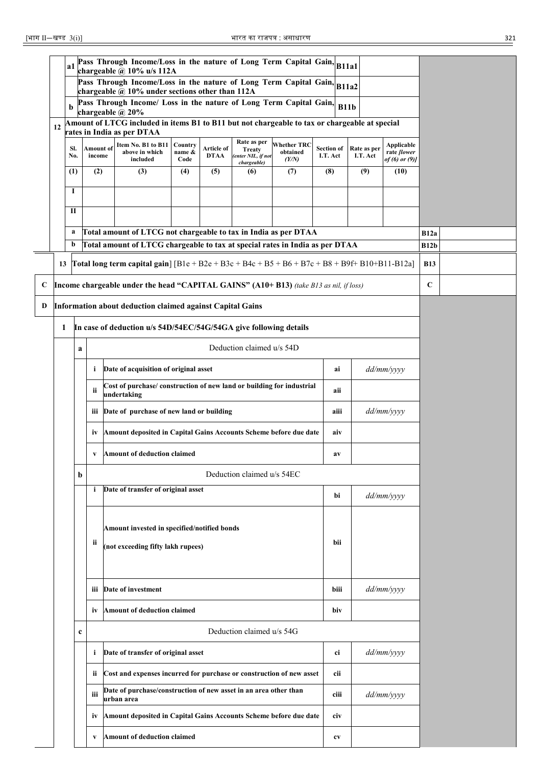|   |    | a1          |           | Pass Through Income/Loss in the nature of Long Term Capital Gain, B11a1<br>chargeable $\hat{a}$ 10% u/s 112A               |                |             |                                             |                    |                   |      |             |                                           |             |  |
|---|----|-------------|-----------|----------------------------------------------------------------------------------------------------------------------------|----------------|-------------|---------------------------------------------|--------------------|-------------------|------|-------------|-------------------------------------------|-------------|--|
|   |    |             |           | Pass Through Income/Loss in the nature of Long Term Capital Gain, B11a2<br>chargeable @ 10% under sections other than 112A |                |             |                                             |                    |                   |      |             |                                           |             |  |
|   |    | b           |           | Pass Through Income/ Loss in the nature of Long Term Capital Gain,                                                         |                |             |                                             |                    |                   | B11b |             |                                           |             |  |
|   | 12 |             |           | chargeable $\omega$ 20%<br>Amount of LTCG included in items B1 to B11 but not chargeable to tax or chargeable at special   |                |             |                                             |                    |                   |      |             |                                           |             |  |
|   |    | SI.         | Amount of | rates in India as per DTAA<br>Item No. B1 to B11                                                                           | Country        | Article of  | Rate as per                                 | <b>Whether TRC</b> | <b>Section of</b> |      | Rate as per | <b>Applicable</b>                         |             |  |
|   |    | No.         | income    | above in which<br>included                                                                                                 | name &<br>Code | <b>DTAA</b> | Treaty<br>(enter NIL, if not<br>chargeable) | obtained<br>(Y/N)  | I.T. Act          |      | I.T. Act    | rate <i>[lower</i><br>of $(6)$ or $(9)$ ] |             |  |
|   |    | (1)         | (2)       | (3)                                                                                                                        | (4)            | (5)         | (6)                                         | (7)                | (8)               |      | (9)         | (10)                                      |             |  |
|   |    | 1           |           |                                                                                                                            |                |             |                                             |                    |                   |      |             |                                           |             |  |
|   |    | П           |           |                                                                                                                            |                |             |                                             |                    |                   |      |             |                                           |             |  |
|   |    | a           |           | Total amount of LTCG not chargeable to tax in India as per DTAA                                                            |                |             |                                             |                    |                   |      |             |                                           | B12a        |  |
|   |    | b           |           | Total amount of LTCG chargeable to tax at special rates in India as per DTAA                                               |                |             |                                             |                    |                   |      |             |                                           | <b>B12b</b> |  |
|   |    |             |           | 13 Total long term capital gain] $[B1e + B2e + B3c + B4c + B5 + B6 + B7c + B8 + B9f + B10 + B11 - B12a]$                   |                |             |                                             |                    |                   |      |             |                                           | <b>B13</b>  |  |
| C |    |             |           | Income chargeable under the head "CAPITAL GAINS" (A10+ B13) (take B13 as nil, if loss)                                     |                |             |                                             |                    |                   |      |             |                                           | $\mathbf C$ |  |
| D |    |             |           | Information about deduction claimed against Capital Gains                                                                  |                |             |                                             |                    |                   |      |             |                                           |             |  |
|   | 1  |             |           | In case of deduction u/s 54D/54EC/54G/54GA give following details                                                          |                |             |                                             |                    |                   |      |             |                                           |             |  |
|   |    | a           |           |                                                                                                                            |                |             |                                             |                    |                   |      |             |                                           |             |  |
|   |    |             | i         | Date of acquisition of original asset                                                                                      |                |             |                                             |                    | ai                |      | dd/mm/yyyy  |                                           |             |  |
|   |    |             | ii        | Cost of purchase/ construction of new land or building for industrial<br>undertaking                                       |                |             |                                             |                    |                   | aii  |             |                                           |             |  |
|   |    |             | ш         | Date of purchase of new land or building                                                                                   |                |             |                                             |                    |                   | aiii |             | $dd/mm/ \gamma \gamma \gamma \gamma$      |             |  |
|   |    |             | İV        | Amount deposited in Capital Gains Accounts Scheme before due date                                                          |                |             |                                             |                    |                   | aiv  |             |                                           |             |  |
|   |    |             | V         | <b>Amount of deduction claimed</b>                                                                                         |                |             |                                             |                    |                   | av   |             |                                           |             |  |
|   |    | b           |           |                                                                                                                            |                |             | Deduction claimed u/s 54EC                  |                    |                   |      |             |                                           |             |  |
|   |    |             | i         | Date of transfer of original asset                                                                                         |                |             |                                             |                    |                   | bi   |             | dd/mm/yyyy                                |             |  |
|   |    |             |           |                                                                                                                            |                |             |                                             |                    |                   |      |             |                                           |             |  |
|   |    |             | ii        | Amount invested in specified/notified bonds                                                                                |                |             |                                             |                    |                   | bii  |             |                                           |             |  |
|   |    |             |           | (not exceeding fifty lakh rupees)                                                                                          |                |             |                                             |                    |                   |      |             |                                           |             |  |
|   |    |             |           |                                                                                                                            |                |             |                                             |                    |                   |      |             |                                           |             |  |
|   |    |             | iіi       | Date of investment                                                                                                         |                |             |                                             |                    |                   | biii |             | dd/mm/yyyy                                |             |  |
|   |    |             | iv        | <b>Amount of deduction claimed</b>                                                                                         |                |             |                                             |                    |                   | biv  |             |                                           |             |  |
|   |    | $\mathbf c$ |           |                                                                                                                            |                |             | Deduction claimed u/s 54G                   |                    |                   |      |             |                                           |             |  |
|   |    |             | i         | Date of transfer of original asset                                                                                         |                |             |                                             |                    |                   | ci   |             | dd/mm/yyyy                                |             |  |
|   |    |             | ii.       | Cost and expenses incurred for purchase or construction of new asset                                                       |                |             |                                             |                    |                   | cii  |             |                                           |             |  |
|   |    |             | iii       | Date of purchase/construction of new asset in an area other than<br>urban area                                             |                |             |                                             |                    |                   | ciii |             | dd/mm/yyyy                                |             |  |
|   |    |             | iv        | Amount deposited in Capital Gains Accounts Scheme before due date                                                          |                |             | civ                                         |                    |                   |      |             |                                           |             |  |
|   |    |             | V         | <b>Amount of deduction claimed</b>                                                                                         |                |             |                                             |                    |                   | cv   |             |                                           |             |  |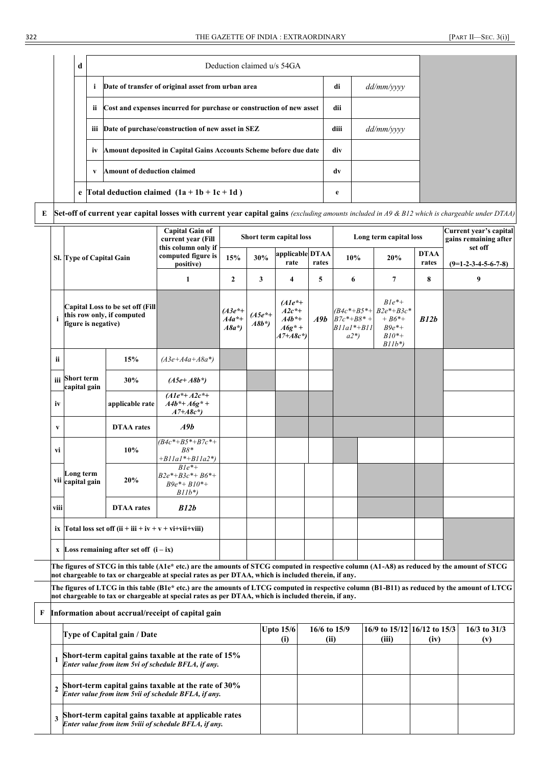| d |     | Deduction claimed u/s 54GA                                           |      |                                      |
|---|-----|----------------------------------------------------------------------|------|--------------------------------------|
|   | i   | Date of transfer of original asset from urban area                   | di   | $dd/mm/ \gamma \gamma \gamma \gamma$ |
|   | ii  | Cost and expenses incurred for purchase or construction of new asset | dii  |                                      |
|   | iii | Date of purchase/construction of new asset in SEZ                    | diii | $dd/mm/ \gamma \gamma \gamma \gamma$ |
|   | iv  | Amount deposited in Capital Gains Accounts Scheme before due date    | div  |                                      |
|   | V   | Amount of deduction claimed                                          | dv   |                                      |
|   |     | e Total deduction claimed $(1a + 1b + 1c + 1d)$                      | e    |                                      |

**E Set-off of current year capital losses with current year capital gains** *(excluding amounts included in A9 & B12 which is chargeable under DTAA)*

|                |                                |                                                                       | <b>Capital Gain of</b><br>current year (Fill                                                                                                                                                                                                          |                               |                      | Short term capital loss                                         |                      |                                                                    | Long term capital loss                                                          |                      | Current year's capital                                                                |
|----------------|--------------------------------|-----------------------------------------------------------------------|-------------------------------------------------------------------------------------------------------------------------------------------------------------------------------------------------------------------------------------------------------|-------------------------------|----------------------|-----------------------------------------------------------------|----------------------|--------------------------------------------------------------------|---------------------------------------------------------------------------------|----------------------|---------------------------------------------------------------------------------------|
|                | Sl. Type of Capital Gain       |                                                                       | this column only if<br>computed figure is<br>positive)                                                                                                                                                                                                | 15%                           | 30%                  | applicable DTAA<br>rate                                         | rates                | 10%                                                                | 20%                                                                             | <b>DTAA</b><br>rates |                                                                                       |
|                |                                |                                                                       | 1                                                                                                                                                                                                                                                     | $\mathbf{2}$                  | 3                    | 4                                                               | 5                    | 6                                                                  | 7                                                                               | 8                    | gains remaining after<br>set off<br>$(9=1-2-3-4-5-6-7-8)$<br>9<br>16/3 to 31/3<br>(v) |
| $\mathbf{i}$   | figure is negative)            | <b>Capital Loss to be set off (Fill</b><br>this row only, if computed |                                                                                                                                                                                                                                                       | (A3e*+<br>$A4a^*+$<br>$A8a^*$ | $(A5e^*+$<br>$A8b^*$ | $(A1e^*+)$<br>$A2c^*+$<br>$A4b^*+$<br>$A6g^* +$<br>$A7 + A8c^*$ |                      | $(B4c^*+B5^*+$<br>$A9b$ $B7c^*+B8^*$ +<br>$B11a1* + B11$<br>$a2*)$ | $B1e^{*}+$<br>$B2e^{*}+B3c^{*}$<br>$+ B6* +$<br>$B9e^*+$<br>$B10*+$<br>$B11b^*$ | B12b                 |                                                                                       |
| ii             |                                | 15%                                                                   | $(A3e+A4a+A8a^*)$                                                                                                                                                                                                                                     |                               |                      |                                                                 |                      |                                                                    |                                                                                 |                      |                                                                                       |
|                | iii Short term<br>capital gain | 30%                                                                   | $(A5e+A8b^*)$                                                                                                                                                                                                                                         |                               |                      |                                                                 |                      |                                                                    |                                                                                 |                      |                                                                                       |
| iv             |                                | applicable rate                                                       | $(A1e^*+A2c^*+$<br>$A4b^* + A6g^* +$<br>$A7 + A8c^*$                                                                                                                                                                                                  |                               |                      |                                                                 |                      |                                                                    |                                                                                 |                      |                                                                                       |
| V              |                                | <b>DTAA</b> rates                                                     | A9b                                                                                                                                                                                                                                                   |                               |                      |                                                                 |                      |                                                                    |                                                                                 |                      |                                                                                       |
| vi             |                                | 10%                                                                   | $(B4c^*+B5^*+B7c^*+$<br>$B8*$<br>$+BIIaI^*+BIIa2^*$                                                                                                                                                                                                   |                               |                      |                                                                 |                      |                                                                    |                                                                                 |                      |                                                                                       |
|                | Long term<br>vii capital gain  | 20%                                                                   | $B1e^*+$<br>$B2e^{*}+B3c^{*}+B6^{*}+$<br>$B9e^* + B10^* +$<br>$B11b^*$                                                                                                                                                                                |                               |                      |                                                                 |                      |                                                                    |                                                                                 |                      |                                                                                       |
| viii           |                                | <b>DTAA</b> rates                                                     | B12b                                                                                                                                                                                                                                                  |                               |                      |                                                                 |                      |                                                                    |                                                                                 |                      |                                                                                       |
|                |                                | ix Total loss set off $(ii + iii + iv + v + vi + vi + viii)$          |                                                                                                                                                                                                                                                       |                               |                      |                                                                 |                      |                                                                    |                                                                                 |                      |                                                                                       |
|                |                                | x Loss remaining after set off $(i - ix)$                             |                                                                                                                                                                                                                                                       |                               |                      |                                                                 |                      |                                                                    |                                                                                 |                      |                                                                                       |
|                |                                |                                                                       | The figures of STCG in this table (A1e* etc.) are the amounts of STCG computed in respective column (A1-A8) as reduced by the amount of STCG<br>not chargeable to tax or chargeable at special rates as per DTAA, which is included therein, if any.  |                               |                      |                                                                 |                      |                                                                    |                                                                                 |                      |                                                                                       |
|                |                                |                                                                       | The figures of LTCG in this table (B1e* etc.) are the amounts of LTCG computed in respective column (B1-B11) as reduced by the amount of LTCG<br>not chargeable to tax or chargeable at special rates as per DTAA, which is included therein, if any. |                               |                      |                                                                 |                      |                                                                    |                                                                                 |                      |                                                                                       |
| F              |                                |                                                                       | Information about accrual/receipt of capital gain                                                                                                                                                                                                     |                               |                      |                                                                 |                      |                                                                    |                                                                                 |                      |                                                                                       |
|                |                                | Type of Capital gain / Date                                           |                                                                                                                                                                                                                                                       |                               |                      | <b>Upto 15/6</b><br>(i)                                         | 16/6 to 15/9<br>(ii) |                                                                    | 16/9 to 15/12 16/12 to 15/3<br>(iii)                                            | (iv)                 |                                                                                       |
| 1              |                                |                                                                       | Short-term capital gains taxable at the rate of 15%<br>Enter value from item 5vi of schedule BFLA, if any.                                                                                                                                            |                               |                      |                                                                 |                      |                                                                    |                                                                                 |                      |                                                                                       |
| $\overline{2}$ |                                |                                                                       | Short-term capital gains taxable at the rate of 30%<br>Enter value from item 5vii of schedule BFLA, if any.                                                                                                                                           |                               |                      |                                                                 |                      |                                                                    |                                                                                 |                      |                                                                                       |
| 3              |                                |                                                                       | Short-term capital gains taxable at applicable rates<br>Enter value from item 5viii of schedule BFLA, if any.                                                                                                                                         |                               |                      |                                                                 |                      |                                                                    |                                                                                 |                      |                                                                                       |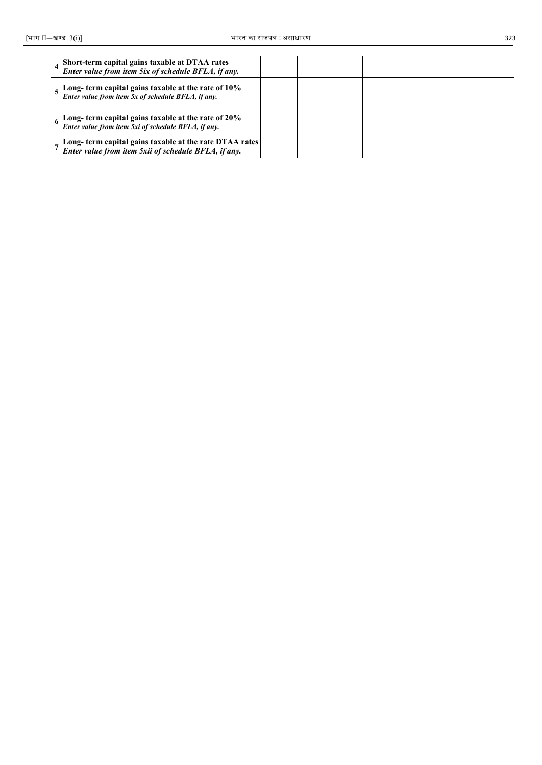|  | Short-term capital gains taxable at DTAA rates<br>Enter value from item 5ix of schedule BFLA, if any.          |  |  |  |
|--|----------------------------------------------------------------------------------------------------------------|--|--|--|
|  | Long- term capital gains taxable at the rate of 10%<br>Enter value from item 5x of schedule BFLA, if any.      |  |  |  |
|  | Long- term capital gains taxable at the rate of 20%<br>Enter value from item 5xi of schedule BFLA, if any.     |  |  |  |
|  | Long-term capital gains taxable at the rate DTAA rates<br>Enter value from item 5xii of schedule BFLA, if any. |  |  |  |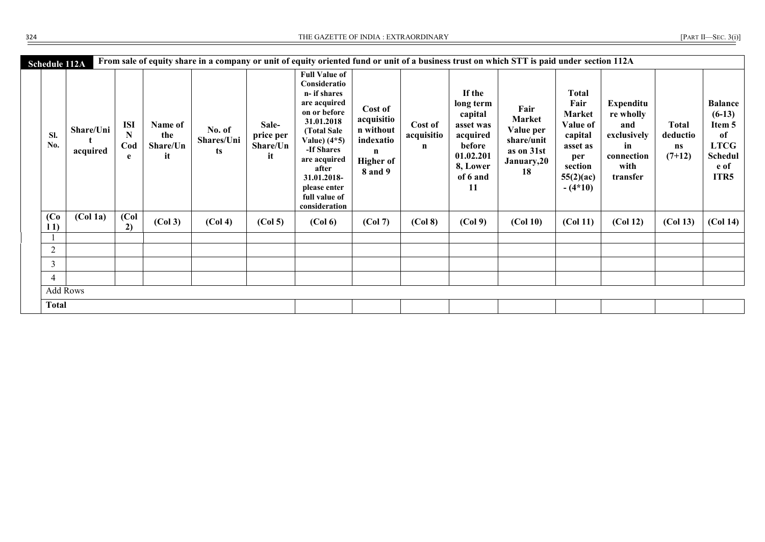THE GAZETTE OF INDIA : EXTRAORDINARY [PART III] — THE GAZETTE OF INDIA : EXTRAORDINARY

|  | [PART II-SEC. $3(i)$ |  |
|--|----------------------|--|
|  |                      |  |

| <b>Schedule 112A</b>     |                       |                             |                                  |                             |                                      | From sale of equity share in a company or unit of equity oriented fund or unit of a business trust on which STT is paid under section 112A                                                                                                |                                                                                                      |                            |                                                                                                              |                                                                                     |                                                                                                                      |                                                                                             |                                            |                                                                                             |
|--------------------------|-----------------------|-----------------------------|----------------------------------|-----------------------------|--------------------------------------|-------------------------------------------------------------------------------------------------------------------------------------------------------------------------------------------------------------------------------------------|------------------------------------------------------------------------------------------------------|----------------------------|--------------------------------------------------------------------------------------------------------------|-------------------------------------------------------------------------------------|----------------------------------------------------------------------------------------------------------------------|---------------------------------------------------------------------------------------------|--------------------------------------------|---------------------------------------------------------------------------------------------|
| SI.<br>No.               | Share/Uni<br>acquired | <b>ISI</b><br>N<br>Cod<br>e | Name of<br>the<br>Share/Un<br>it | No. of<br>Shares/Uni<br>ts. | Sale-<br>price per<br>Share/Un<br>it | <b>Full Value of</b><br>Consideratio<br>n- if shares<br>are acquired<br>on or before<br>31.01.2018<br>(Total Sale<br>Value) (4*5)<br>-If Shares<br>are acquired<br>after<br>31.01.2018-<br>please enter<br>full value of<br>consideration | Cost of<br>acquisitio<br>n without<br>indexatio<br>$\mathbf n$<br><b>Higher of</b><br><b>8</b> and 9 | Cost of<br>acquisitio<br>n | If the<br>long term<br>capital<br>asset was<br>acquired<br>before<br>01.02.201<br>8, Lower<br>of 6 and<br>11 | Fair<br><b>Market</b><br>Value per<br>share/unit<br>as on 31st<br>January, 20<br>18 | <b>Total</b><br>Fair<br><b>Market</b><br>Value of<br>capital<br>asset as<br>per<br>section<br>55(2)(ac)<br>$-(4*10)$ | <b>Expenditu</b><br>re wholly<br>and<br>exclusively<br>in<br>connection<br>with<br>transfer | <b>Total</b><br>deductio<br>ns<br>$(7+12)$ | <b>Balance</b><br>$(6-13)$<br>Item 5<br>of<br><b>LTCG</b><br><b>Schedul</b><br>e of<br>ITR5 |
| (C <sub>0</sub> )<br>11) | (Col <sub>1a</sub> )  | (Col<br>2)                  | (Col 3)                          | (Col 4)                     | (Col <sub>5</sub> )                  | (Col 6)                                                                                                                                                                                                                                   | (Col 7)                                                                                              | (Col 8)                    | (Col 9)                                                                                                      | (Col 10)                                                                            | (Col 11)                                                                                                             | (Col 12)                                                                                    | (Col 13)                                   | (Col <sub>14</sub> )                                                                        |
|                          |                       |                             |                                  |                             |                                      |                                                                                                                                                                                                                                           |                                                                                                      |                            |                                                                                                              |                                                                                     |                                                                                                                      |                                                                                             |                                            |                                                                                             |
| 2                        |                       |                             |                                  |                             |                                      |                                                                                                                                                                                                                                           |                                                                                                      |                            |                                                                                                              |                                                                                     |                                                                                                                      |                                                                                             |                                            |                                                                                             |
| 3                        |                       |                             |                                  |                             |                                      |                                                                                                                                                                                                                                           |                                                                                                      |                            |                                                                                                              |                                                                                     |                                                                                                                      |                                                                                             |                                            |                                                                                             |
| 4                        |                       |                             |                                  |                             |                                      |                                                                                                                                                                                                                                           |                                                                                                      |                            |                                                                                                              |                                                                                     |                                                                                                                      |                                                                                             |                                            |                                                                                             |
|                          | <b>Add Rows</b>       |                             |                                  |                             |                                      |                                                                                                                                                                                                                                           |                                                                                                      |                            |                                                                                                              |                                                                                     |                                                                                                                      |                                                                                             |                                            |                                                                                             |
| <b>Total</b>             |                       |                             |                                  |                             |                                      |                                                                                                                                                                                                                                           |                                                                                                      |                            |                                                                                                              |                                                                                     |                                                                                                                      |                                                                                             |                                            |                                                                                             |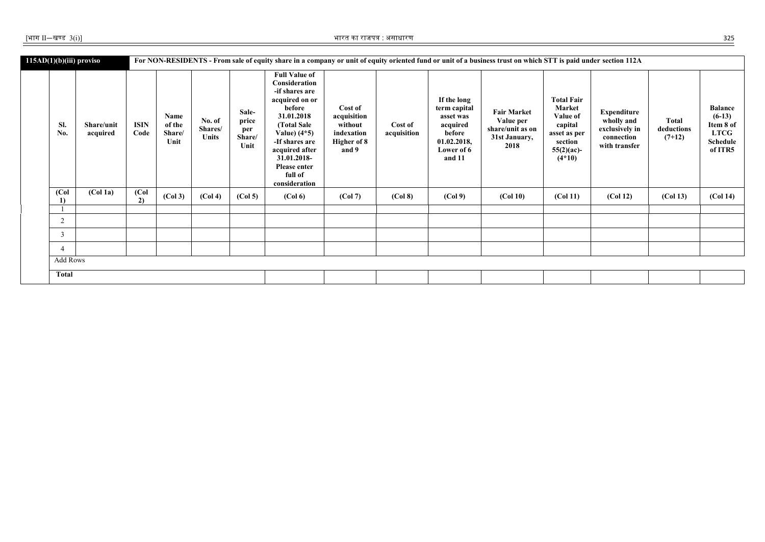| $115AD(1)(b)(iii)$ proviso<br>SI.<br>No. | Share/unit<br>acquired | <b>ISIN</b><br>Code | Name<br>of the<br>Share/<br>Unit | No. of<br>Shares/<br><b>Units</b> | Sale-<br>price<br>per<br>Share/<br>Unit | <b>Full Value of</b><br>Consideration<br>-if shares are<br>acquired on or<br>before<br>31.01.2018<br>(Total Sale<br>Value) $(4*5)$<br>-If shares are<br>acquired after<br>31.01.2018-<br>Please enter<br>full of<br>consideration | Cost of<br>acquisition<br>without<br>indexation<br><b>Higher of 8</b><br>and 9 | Cost of<br>acquisition | If the long<br>term capital<br>asset was<br>acquired<br>before<br>01.02.2018,<br>Lower of 6<br>and 11 | For NON-RESIDENTS - From sale of equity share in a company or unit of equity oriented fund or unit of a business trust on which STT is paid under section 112A<br><b>Fair Market</b><br>Value per<br>share/unit as on<br>31st January,<br>2018 | <b>Total Fair</b><br>Market<br>Value of<br>capital<br>asset as per<br>section<br>$55(2)(ac)$ -<br>$(4*10)$ | <b>Expenditure</b><br>wholly and<br>exclusively in<br>connection<br>with transfer | <b>Total</b><br>deductions<br>$(7+12)$ | <b>Balance</b><br>$(6-13)$<br>Item 8 of<br><b>LTCG</b><br><b>Schedule</b><br>of ITR5 |
|------------------------------------------|------------------------|---------------------|----------------------------------|-----------------------------------|-----------------------------------------|-----------------------------------------------------------------------------------------------------------------------------------------------------------------------------------------------------------------------------------|--------------------------------------------------------------------------------|------------------------|-------------------------------------------------------------------------------------------------------|------------------------------------------------------------------------------------------------------------------------------------------------------------------------------------------------------------------------------------------------|------------------------------------------------------------------------------------------------------------|-----------------------------------------------------------------------------------|----------------------------------------|--------------------------------------------------------------------------------------|
| (Col<br>1)                               | (Col <sub>1a</sub> )   | (Col<br>2)          | (Col 3)                          | (Col 4)                           | (Col <sub>5</sub> )                     | (Col 6)                                                                                                                                                                                                                           | (Col 7)                                                                        | (Col 8)                | (Col 9)                                                                                               | (Col 10)                                                                                                                                                                                                                                       | (Col 11)                                                                                                   | (Col 12)                                                                          | (Col 13)                               | (Col <sub>14</sub> )                                                                 |
|                                          |                        |                     |                                  |                                   |                                         |                                                                                                                                                                                                                                   |                                                                                |                        |                                                                                                       |                                                                                                                                                                                                                                                |                                                                                                            |                                                                                   |                                        |                                                                                      |
| $\overline{2}$                           |                        |                     |                                  |                                   |                                         |                                                                                                                                                                                                                                   |                                                                                |                        |                                                                                                       |                                                                                                                                                                                                                                                |                                                                                                            |                                                                                   |                                        |                                                                                      |
| 3                                        |                        |                     |                                  |                                   |                                         |                                                                                                                                                                                                                                   |                                                                                |                        |                                                                                                       |                                                                                                                                                                                                                                                |                                                                                                            |                                                                                   |                                        |                                                                                      |
| $\overline{4}$                           |                        |                     |                                  |                                   |                                         |                                                                                                                                                                                                                                   |                                                                                |                        |                                                                                                       |                                                                                                                                                                                                                                                |                                                                                                            |                                                                                   |                                        |                                                                                      |
| Add Rows                                 |                        |                     |                                  |                                   |                                         |                                                                                                                                                                                                                                   |                                                                                |                        |                                                                                                       |                                                                                                                                                                                                                                                |                                                                                                            |                                                                                   |                                        |                                                                                      |
| <b>Total</b>                             |                        |                     |                                  |                                   |                                         |                                                                                                                                                                                                                                   |                                                                                |                        |                                                                                                       |                                                                                                                                                                                                                                                |                                                                                                            |                                                                                   |                                        |                                                                                      |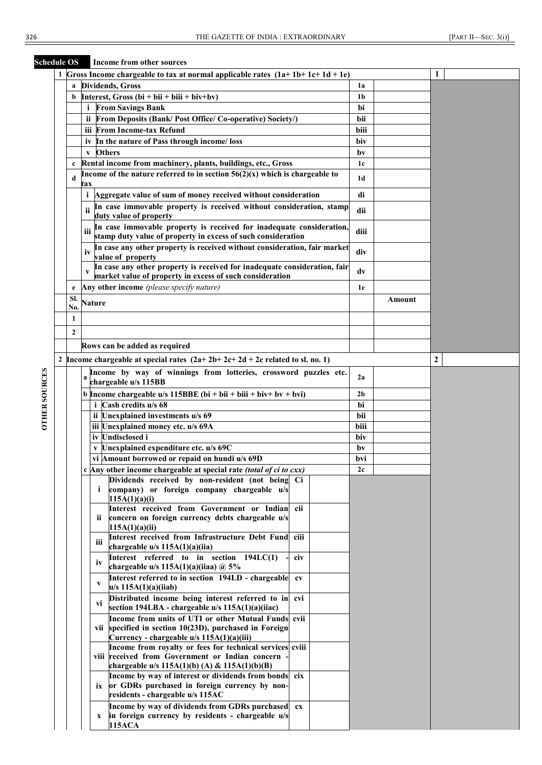**Schedule OS Income from other sources**

| <b>Heuthe</b> Ob     |                  | THEOTHE IT OILL OTHER SOUL LES                                                                            |                |        |   |
|----------------------|------------------|-----------------------------------------------------------------------------------------------------------|----------------|--------|---|
|                      |                  | 1 Gross Income chargeable to tax at normal applicable rates $(1a+1b+1c+1d+1e)$                            |                |        | 1 |
|                      | a                | <b>Dividends</b> , Gross                                                                                  | 1a             |        |   |
|                      | b                | Interest, Gross (bi + bii + biii + biv+bv)                                                                | 1b             |        |   |
|                      |                  | <b>From Savings Bank</b><br>i.                                                                            | bi             |        |   |
|                      |                  | From Deposits (Bank/Post Office/Co-operative) Society/)<br>ii.                                            | bii            |        |   |
|                      |                  |                                                                                                           |                |        |   |
|                      |                  | iii From Income-tax Refund                                                                                | biii           |        |   |
|                      |                  | iv In the nature of Pass through income/loss                                                              | biv            |        |   |
|                      |                  | <b>Others</b><br>$\mathbf{V}$                                                                             | by             |        |   |
|                      |                  | Rental income from machinery, plants, buildings, etc., Gross                                              | 1c             |        |   |
|                      | d                | Income of the nature referred to in section $56(2)(x)$ which is chargeable to                             | 1d             |        |   |
|                      |                  | tax                                                                                                       |                |        |   |
|                      |                  | Aggregate value of sum of money received without consideration<br>i.                                      | di             |        |   |
|                      |                  | In case immovable property is received without consideration, stamp                                       |                |        |   |
|                      |                  | duty value of property                                                                                    | dii            |        |   |
|                      |                  | In case immovable property is received for inadequate consideration,                                      |                |        |   |
|                      |                  | iii<br>stamp duty value of property in excess of such consideration                                       | diii           |        |   |
|                      |                  | In case any other property is received without consideration, fair market                                 |                |        |   |
|                      |                  | value of property                                                                                         | div            |        |   |
|                      |                  | In case any other property is received for inadequate consideration, fair                                 |                |        |   |
|                      |                  | market value of property in excess of such consideration                                                  | dv             |        |   |
|                      | e                | Any other income (please specify nature)                                                                  | 1e             |        |   |
|                      | SI.              |                                                                                                           |                | Amount |   |
|                      | No.              | <b>Nature</b>                                                                                             |                |        |   |
|                      | 1                |                                                                                                           |                |        |   |
|                      |                  |                                                                                                           |                |        |   |
|                      | $\boldsymbol{2}$ |                                                                                                           |                |        |   |
|                      |                  | Rows can be added as required                                                                             |                |        |   |
|                      |                  | 2   Income chargeable at special rates $(2a+2b+2c+2d+2e$ related to sl. no. 1)                            |                |        | 2 |
|                      |                  |                                                                                                           |                |        |   |
|                      |                  | Income by way of winnings from lotteries, crossword puzzles etc.<br>a                                     | 2a             |        |   |
|                      |                  | chargeable u/s 115BB                                                                                      |                |        |   |
| <b>OTHER SOURCES</b> |                  | b Income chargeable u/s 115BBE (bi + bii + biii + biv+ bv + bvi)                                          | 2 <sub>b</sub> |        |   |
|                      |                  | i Cash credits u/s 68                                                                                     | bi             |        |   |
|                      |                  | ii Unexplained investments u/s 69                                                                         | bii            |        |   |
|                      |                  | iii Unexplained money etc. u/s 69A                                                                        | biii           |        |   |
|                      |                  | iv Undisclosed i                                                                                          | biv            |        |   |
|                      |                  | v Unexplained expenditure etc. u/s 69C                                                                    | bv             |        |   |
|                      |                  | vi Amount borrowed or repaid on hundi u/s 69D                                                             | bvi            |        |   |
|                      |                  | Any other income chargeable at special rate (total of ci to cxx)                                          | 2c             |        |   |
|                      |                  | Dividends received by non-resident (not being Ci                                                          |                |        |   |
|                      |                  | company) or foreign company chargeable u/s<br>i.                                                          |                |        |   |
|                      |                  | 115A(1)(a)(i)                                                                                             |                |        |   |
|                      |                  | Interest received from Government or Indian<br>cii                                                        |                |        |   |
|                      |                  | concern on foreign currency debts chargeable u/s<br>ii.                                                   |                |        |   |
|                      |                  | 115A(1)(a)(ii)                                                                                            |                |        |   |
|                      |                  | Interest received from Infrastructure Debt Fund<br>ciii<br>iii                                            |                |        |   |
|                      |                  | chargeable u/s 115A(1)(a)(iia)                                                                            |                |        |   |
|                      |                  | Interest referred to in section 194LC(1)<br>civ<br>iv                                                     |                |        |   |
|                      |                  | chargeable u/s $115A(1)(a)(iiaa) @ 5\%$                                                                   |                |        |   |
|                      |                  | Interest referred to in section 194LD - chargeable<br>$c$ v<br>V                                          |                |        |   |
|                      |                  | u/s 115A(1)(a)(iiab)                                                                                      |                |        |   |
|                      |                  | Distributed income being interest referred to in<br>cvi<br>VĬ                                             |                |        |   |
|                      |                  | section 194LBA - chargeable u/s 115A(1)(a)(iiac)                                                          |                |        |   |
|                      |                  | Income from units of UTI or other Mutual Funds cvii                                                       |                |        |   |
|                      |                  | vii specified in section 10(23D), purchased in Foreign                                                    |                |        |   |
|                      |                  | Currency - chargeable u/s 115A(1)(a)(iii)                                                                 |                |        |   |
|                      |                  | Income from royalty or fees for technical services cviii                                                  |                |        |   |
|                      |                  | viii received from Government or Indian concern                                                           |                |        |   |
|                      |                  | chargeable u/s 115A(1)(b) (A) & 115A(1)(b)(B)                                                             |                |        |   |
|                      |                  | Income by way of interest or dividends from bonds<br>cix                                                  |                |        |   |
|                      |                  | or GDRs purchased in foreign currency by non-<br>ix<br>residents - chargeable u/s 115AC                   |                |        |   |
|                      |                  |                                                                                                           |                |        |   |
|                      |                  | Income by way of dividends from GDRs purchased<br>cx<br>in foreign currency by residents - chargeable u/s |                |        |   |
|                      |                  | x<br>115ACA                                                                                               |                |        |   |
|                      |                  |                                                                                                           |                |        |   |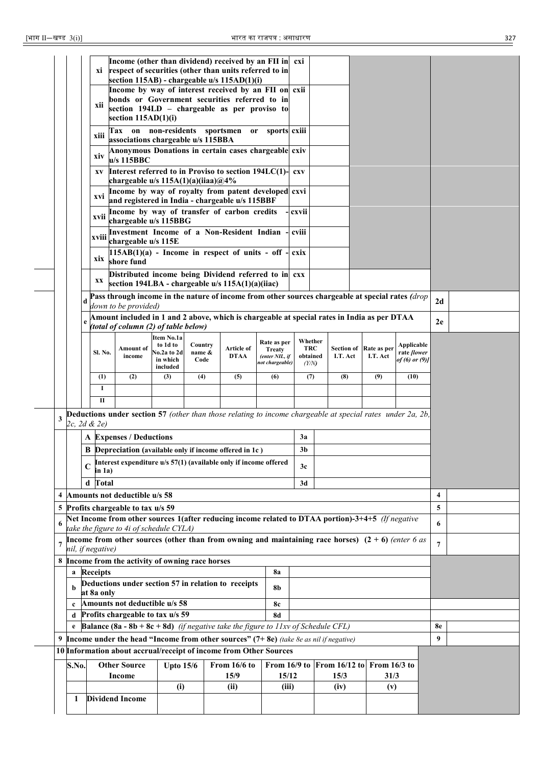|                                                                                         |                                                  | xi<br>xii<br>xiii<br>xiv<br>XV                                                                                                      | Income (other than dividend) received by an FII in cxi<br>respect of securities (other than units referred to in<br>section 115AB) - chargeable u/s 115AD(1)(i)<br>Income by way of interest received by an FII on exii<br>bonds or Government securities referred to in<br>section 194LD - chargeable as per proviso to<br>section $115AD(1)(i)$<br>Tax on non-residents sportsmen or sports exili<br>associations chargeable u/s 115BBA<br>Anonymous Donations in certain cases chargeable cxiv<br>$u/s$ 115BBC<br>Interest referred to in Proviso to section 194LC(1)- |                  |     |              |              | <b>CXV</b>     |  |                                |     |      |                |  |
|-----------------------------------------------------------------------------------------|--------------------------------------------------|-------------------------------------------------------------------------------------------------------------------------------------|---------------------------------------------------------------------------------------------------------------------------------------------------------------------------------------------------------------------------------------------------------------------------------------------------------------------------------------------------------------------------------------------------------------------------------------------------------------------------------------------------------------------------------------------------------------------------|------------------|-----|--------------|--------------|----------------|--|--------------------------------|-----|------|----------------|--|
|                                                                                         |                                                  | xvi                                                                                                                                 | chargeable u/s $115A(1)(a)(iiaa)@4%$<br>Income by way of royalty from patent developed cxvi<br>and registered in India - chargeable u/s 115BBF                                                                                                                                                                                                                                                                                                                                                                                                                            |                  |     |              |              |                |  |                                |     |      |                |  |
|                                                                                         |                                                  | xvii                                                                                                                                | Income by way of transfer of carbon credits<br>chargeable u/s 115BBG                                                                                                                                                                                                                                                                                                                                                                                                                                                                                                      |                  |     |              |              | cxvii          |  |                                |     |      |                |  |
|                                                                                         |                                                  | xviii                                                                                                                               | Investment Income of a Non-Resident Indian<br>chargeable u/s 115E                                                                                                                                                                                                                                                                                                                                                                                                                                                                                                         |                  |     |              |              | cviii          |  |                                |     |      |                |  |
|                                                                                         |                                                  | xix                                                                                                                                 | $115AB(1)(a)$ - Income in respect of units - off<br>shore fund                                                                                                                                                                                                                                                                                                                                                                                                                                                                                                            |                  |     |              |              | cxix           |  |                                |     |      |                |  |
|                                                                                         |                                                  | XX                                                                                                                                  | Distributed income being Dividend referred to in exx<br>section 194LBA - chargeable u/s 115A(1)(a)(iiac)                                                                                                                                                                                                                                                                                                                                                                                                                                                                  |                  |     |              |              |                |  |                                |     |      |                |  |
|                                                                                         |                                                  |                                                                                                                                     | Pass through income in the nature of income from other sources chargeable at special rates (drop<br>down to be provided)                                                                                                                                                                                                                                                                                                                                                                                                                                                  |                  |     |              |              |                |  |                                |     |      | 2d             |  |
|                                                                                         |                                                  | Amount included in 1 and 2 above, which is chargeable at special rates in India as per DTAA<br>(total of column (2) of table below) | 2e                                                                                                                                                                                                                                                                                                                                                                                                                                                                                                                                                                        |                  |     |              |              |                |  |                                |     |      |                |  |
|                                                                                         |                                                  | <b>Sl. No.</b>                                                                                                                      | <b>Applicable</b><br>rate <i>[lower</i><br>of (6) or (9)]                                                                                                                                                                                                                                                                                                                                                                                                                                                                                                                 |                  |     |              |              |                |  |                                |     |      |                |  |
|                                                                                         |                                                  | (1)                                                                                                                                 | (2)                                                                                                                                                                                                                                                                                                                                                                                                                                                                                                                                                                       | included<br>(3)  | (4) | (5)          | (6)          | (7)            |  | (8)                            | (9) | (10) |                |  |
|                                                                                         |                                                  | 1<br>$\mathbf{I}$                                                                                                                   |                                                                                                                                                                                                                                                                                                                                                                                                                                                                                                                                                                           |                  |     |              |              |                |  |                                |     |      |                |  |
| 3                                                                                       |                                                  | 2c, 2d & 2e)                                                                                                                        | <b>Deductions under section 57</b> (other than those relating to income chargeable at special rates under 2a, 2b,                                                                                                                                                                                                                                                                                                                                                                                                                                                         |                  |     |              |              |                |  |                                |     |      |                |  |
|                                                                                         |                                                  |                                                                                                                                     | <b>A</b> Expenses / Deductions                                                                                                                                                                                                                                                                                                                                                                                                                                                                                                                                            |                  |     |              |              | 3a             |  |                                |     |      |                |  |
|                                                                                         |                                                  |                                                                                                                                     | <b>B</b> Depreciation (available only if income offered in 1c)                                                                                                                                                                                                                                                                                                                                                                                                                                                                                                            |                  |     |              |              | 3 <sub>b</sub> |  |                                |     |      |                |  |
|                                                                                         |                                                  | C<br>in 1a)                                                                                                                         | Interest expenditure u/s 57(1) (available only if income offered                                                                                                                                                                                                                                                                                                                                                                                                                                                                                                          |                  |     |              |              | 3c             |  |                                |     |      |                |  |
|                                                                                         |                                                  | d Total                                                                                                                             |                                                                                                                                                                                                                                                                                                                                                                                                                                                                                                                                                                           |                  |     |              |              | 3d             |  |                                |     |      |                |  |
|                                                                                         |                                                  |                                                                                                                                     | 4 Amounts not deductible u/s 58                                                                                                                                                                                                                                                                                                                                                                                                                                                                                                                                           |                  |     |              |              |                |  |                                |     |      | 4              |  |
|                                                                                         |                                                  |                                                                                                                                     | 5 Profits chargeable to tax u/s 59<br>Net Income from other sources 1(after reducing income related to DTAA portion)-3+4+5 (If negative                                                                                                                                                                                                                                                                                                                                                                                                                                   |                  |     |              |              |                |  |                                |     |      | 5              |  |
| 6                                                                                       |                                                  |                                                                                                                                     | take the figure to 4i of schedule CYLA)                                                                                                                                                                                                                                                                                                                                                                                                                                                                                                                                   |                  |     |              |              |                |  |                                |     |      | 6              |  |
|                                                                                         |                                                  | nil, if negative)                                                                                                                   | Income from other sources (other than from owning and maintaining race horses) $(2 + 6)$ (enter 6 as                                                                                                                                                                                                                                                                                                                                                                                                                                                                      |                  |     |              |              |                |  |                                |     |      | $\overline{7}$ |  |
|                                                                                         |                                                  |                                                                                                                                     | 8 Income from the activity of owning race horses                                                                                                                                                                                                                                                                                                                                                                                                                                                                                                                          |                  |     |              |              |                |  |                                |     |      |                |  |
|                                                                                         |                                                  | a Receipts                                                                                                                          | Deductions under section 57 in relation to receipts                                                                                                                                                                                                                                                                                                                                                                                                                                                                                                                       |                  |     |              | <b>8a</b>    |                |  |                                |     |      |                |  |
|                                                                                         | b                                                | at 8a only                                                                                                                          |                                                                                                                                                                                                                                                                                                                                                                                                                                                                                                                                                                           |                  |     |              | 8b           |                |  |                                |     |      |                |  |
| Amounts not deductible u/s 58<br>8c<br>$\mathbf{c}$<br>Profits chargeable to tax u/s 59 |                                                  |                                                                                                                                     |                                                                                                                                                                                                                                                                                                                                                                                                                                                                                                                                                                           |                  |     |              |              |                |  |                                |     |      |                |  |
|                                                                                         | d                                                |                                                                                                                                     | <b>Balance (8a - 8b + 8c + 8d)</b> (if negative take the figure to 11xv of Schedule CFL)                                                                                                                                                                                                                                                                                                                                                                                                                                                                                  |                  |     |              | <b>8d</b>    |                |  |                                |     |      | 8e             |  |
|                                                                                         |                                                  |                                                                                                                                     | 9 <b>Income under the head "Income from other sources"</b> $(7+8e)$ (take 8e as nil if negative)                                                                                                                                                                                                                                                                                                                                                                                                                                                                          |                  |     |              |              |                |  |                                |     |      | 9              |  |
|                                                                                         |                                                  |                                                                                                                                     | 10 Information about accrual/receipt of income from Other Sources                                                                                                                                                                                                                                                                                                                                                                                                                                                                                                         |                  |     |              |              |                |  |                                |     |      |                |  |
|                                                                                         | S.No.                                            |                                                                                                                                     | <b>Other Source</b>                                                                                                                                                                                                                                                                                                                                                                                                                                                                                                                                                       | <b>Upto 15/6</b> |     | From 16/6 to | From 16/9 to |                |  | From $16/12$ to From $16/3$ to |     |      |                |  |
|                                                                                         | 15/9<br>15/12<br>15/3<br>31/3<br>Income<br>(iii) |                                                                                                                                     |                                                                                                                                                                                                                                                                                                                                                                                                                                                                                                                                                                           |                  |     |              |              |                |  |                                |     |      |                |  |
|                                                                                         | 1                                                |                                                                                                                                     | <b>Dividend Income</b>                                                                                                                                                                                                                                                                                                                                                                                                                                                                                                                                                    | (i)              |     | (ii)         |              |                |  | (iv)                           | (v) |      |                |  |
|                                                                                         |                                                  |                                                                                                                                     |                                                                                                                                                                                                                                                                                                                                                                                                                                                                                                                                                                           |                  |     |              |              |                |  |                                |     |      |                |  |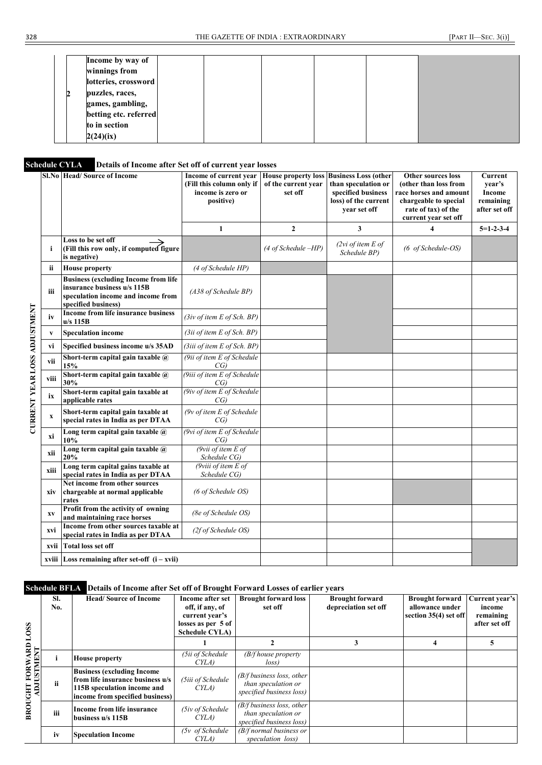| Income by way of           |  |  |  |
|----------------------------|--|--|--|
| winnings from              |  |  |  |
| lotteries, crossword       |  |  |  |
| puzzles, races,            |  |  |  |
| games, gambling,           |  |  |  |
| betting etc. referred      |  |  |  |
| to in section<br>2(24)(ix) |  |  |  |

# **Schedule CYLA Details of Income after Set off of current year losses**

|              | <b>Sl.No Head/Source of Income</b>                                                                                                      | Income of current year<br>(Fill this column only if<br>income is zero or<br>positive) | <b>House property loss</b><br>of the current year<br>set off | <b>Business Loss (other</b><br>than speculation or<br>specified business<br>loss) of the current<br>year set off | <b>Other sources loss</b><br>(other than loss from<br>race horses and amount<br>chargeable to special<br>rate of tax) of the<br>current year set off | Current<br>vear's<br><b>Income</b><br>remaining<br>after set off |
|--------------|-----------------------------------------------------------------------------------------------------------------------------------------|---------------------------------------------------------------------------------------|--------------------------------------------------------------|------------------------------------------------------------------------------------------------------------------|------------------------------------------------------------------------------------------------------------------------------------------------------|------------------------------------------------------------------|
|              |                                                                                                                                         | $\mathbf{1}$                                                                          | $\mathbf{2}$                                                 | $\mathbf{3}$                                                                                                     | 4                                                                                                                                                    | $5=1-2-3-4$                                                      |
| i            | Loss to be set off<br>(Fill this row only, if computed figure<br>is negative)                                                           |                                                                                       | (4 of Schedule -HP)                                          | (2vi of item E of<br>Schedule BP)                                                                                | (6 of Schedule-OS)                                                                                                                                   |                                                                  |
| ii           | <b>House property</b>                                                                                                                   | (4 of Schedule HP)                                                                    |                                                              |                                                                                                                  |                                                                                                                                                      |                                                                  |
| iii          | <b>Business (excluding Income from life</b><br>insurance business u/s 115B<br>speculation income and income from<br>specified business) | (A38 of Schedule BP)                                                                  |                                                              |                                                                                                                  |                                                                                                                                                      |                                                                  |
| iv           | Income from life insurance business<br>$u/s$ 115B                                                                                       | (3iv of item E of Sch. BP)                                                            |                                                              |                                                                                                                  |                                                                                                                                                      |                                                                  |
| $\mathbf{V}$ | <b>Speculation income</b>                                                                                                               | (3ii of item E of Sch. BP)                                                            |                                                              |                                                                                                                  |                                                                                                                                                      |                                                                  |
| vi           | Specified business income u/s 35AD                                                                                                      | (3iii of item E of Sch. BP)                                                           |                                                              |                                                                                                                  |                                                                                                                                                      |                                                                  |
| vii          | Short-term capital gain taxable @<br>15%                                                                                                | (9ii of item E of Schedule<br>CG)                                                     |                                                              |                                                                                                                  |                                                                                                                                                      |                                                                  |
| viii         | Short-term capital gain taxable @<br>30%                                                                                                | (9iii of item E of Schedule<br>CG)                                                    |                                                              |                                                                                                                  |                                                                                                                                                      |                                                                  |
| ix           | Short-term capital gain taxable at<br>applicable rates                                                                                  | (9iv of item E of Schedule<br>CG)                                                     |                                                              |                                                                                                                  |                                                                                                                                                      |                                                                  |
| $\mathbf X$  | Short-term capital gain taxable at<br>special rates in India as per DTAA                                                                | $(9v)$ of item E of Schedule<br>CG)                                                   |                                                              |                                                                                                                  |                                                                                                                                                      |                                                                  |
| хi           | Long term capital gain taxable $\overline{a}$<br>10%                                                                                    | (9vi of item E of Schedule)<br>CG)                                                    |                                                              |                                                                                                                  |                                                                                                                                                      |                                                                  |
| xii          | Long term capital gain taxable $\widehat{a}$<br>20%                                                                                     | (9vii of item $E$ of<br>Schedule CG)                                                  |                                                              |                                                                                                                  |                                                                                                                                                      |                                                                  |
| xiii         | Long term capital gains taxable at<br>special rates in India as per DTAA                                                                | ( $9$ viii of item $E$ of<br>Schedule CG)                                             |                                                              |                                                                                                                  |                                                                                                                                                      |                                                                  |
| xiv          | Net income from other sources<br>chargeable at normal applicable<br>rates                                                               | (6 of Schedule OS)                                                                    |                                                              |                                                                                                                  |                                                                                                                                                      |                                                                  |
| <b>XV</b>    | Profit from the activity of owning<br>and maintaining race horses                                                                       | (8e of Schedule OS)                                                                   |                                                              |                                                                                                                  |                                                                                                                                                      |                                                                  |
| xvi          | Income from other sources taxable at<br>special rates in India as per DTAA                                                              | (2f of Schedule OS)                                                                   |                                                              |                                                                                                                  |                                                                                                                                                      |                                                                  |
| xvii         | <b>Total loss set off</b>                                                                                                               |                                                                                       |                                                              |                                                                                                                  |                                                                                                                                                      |                                                                  |
|              | xviii Loss remaining after set-off $(i - xvii)$                                                                                         |                                                                                       |                                                              |                                                                                                                  |                                                                                                                                                      |                                                                  |

### **Schedule BFLA Details of Income after Set off of Brought Forward Losses of earlier years**

|                                      | SI.<br>No. | <b>Head/Source of Income</b>                                                                                                             | Income after set<br>off, if any, of<br>current year's<br>losses as per 5 of<br><b>Schedule CYLA</b> | <b>Brought forward loss</b><br>set off                                          | <b>Brought forward</b><br>depreciation set off | <b>Brought forward</b><br>allowance under<br>section 35(4) set off | Current year's<br>income<br>remaining<br>after set off |
|--------------------------------------|------------|------------------------------------------------------------------------------------------------------------------------------------------|-----------------------------------------------------------------------------------------------------|---------------------------------------------------------------------------------|------------------------------------------------|--------------------------------------------------------------------|--------------------------------------------------------|
|                                      |            |                                                                                                                                          |                                                                                                     |                                                                                 |                                                | 4                                                                  |                                                        |
| <b>FORWARD LOSS</b><br><b>EXEMPA</b> |            | <b>House property</b>                                                                                                                    | (5ii of Schedule<br>CYLA)                                                                           | $(B/f$ house property<br>loss)                                                  |                                                |                                                                    |                                                        |
| ADJU                                 | ïi         | <b>Business (excluding Income)</b><br>from life insurance business u/s<br>115B speculation income and<br>income from specified business) | (5iii of Schedule<br>CYLA)                                                                          | $(B/f)$ business loss, other<br>than speculation or<br>specified business loss) |                                                |                                                                    |                                                        |
| BROUGHT                              | iii        | Income from life insurance<br>business u/s 115B                                                                                          | (5iv of Schedule<br>CYLA)                                                                           | $(B/f)$ business loss, other<br>than speculation or<br>specified business loss) |                                                |                                                                    |                                                        |
|                                      | iv         | <b>Speculation Income</b>                                                                                                                | $(5v)$ of Schedule<br>CYLA)                                                                         | $(B/f$ normal business or<br>speculation loss)                                  |                                                |                                                                    |                                                        |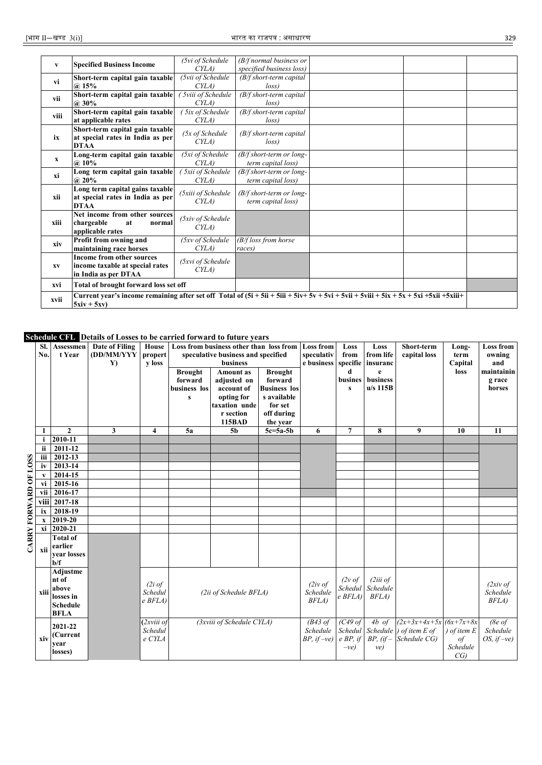|                      |                                            | (5vi of Schedule           | $(B/f$ normal business or                                      |  |  |  |
|----------------------|--------------------------------------------|----------------------------|----------------------------------------------------------------|--|--|--|
| V                    | <b>Specified Business Income</b>           | CYLA                       | specified business loss)                                       |  |  |  |
| vi                   | Short-term capital gain taxable            | (5vii of Schedule          | $(B/f short-term capital)$                                     |  |  |  |
|                      | (a) 15%                                    | CYLA)                      | loss                                                           |  |  |  |
| vii                  | Short-term capital gain taxable            | 5viii of Schedule          | $(B/f short-term capital)$                                     |  |  |  |
|                      | $@.30\%$                                   | CYLA                       | loss                                                           |  |  |  |
| viii                 | Short-term capital gain taxable            | 5ix of Schedule            | $(B/f short-term capital)$                                     |  |  |  |
|                      | at applicable rates                        | CYLA)                      | loss)                                                          |  |  |  |
|                      | Short-term capital gain taxable            | $(5x \text{ of Schedule})$ | $(B/f short-term capital)$                                     |  |  |  |
| ix                   | at special rates in India as per           | CYLA)                      | loss)                                                          |  |  |  |
|                      | <b>DTAA</b>                                |                            |                                                                |  |  |  |
| $\mathbf{x}$         | Long-term capital gain taxable             | (5xi of Schedule<br>CYLA   | $(B/f short-term or long-$                                     |  |  |  |
|                      | $@.10\%$                                   |                            | term capital loss)                                             |  |  |  |
| хi                   | Long term capital gain taxable<br>$@.20\%$ | 5xii of Schedule<br>CYLA)  | $\sqrt{\frac{B}{f}}$ short-term or long-<br>term capital loss) |  |  |  |
|                      | Long term capital gains taxable            |                            |                                                                |  |  |  |
| xii                  | at special rates in India as per           | (5xiii of Schedule         | $(B/f short-term or long-$                                     |  |  |  |
|                      | <b>DTAA</b>                                | CYLA)                      | term capital loss)                                             |  |  |  |
|                      | Net income from other sources              |                            |                                                                |  |  |  |
| xiii                 | chargeable<br>at<br>normal                 | (5xiv of Schedule          |                                                                |  |  |  |
|                      | applicable rates                           | CYLA)                      |                                                                |  |  |  |
| xiv                  | Profit from owning and                     | (5xv of Schedule           | $(B/f \text{ loss from horse})$                                |  |  |  |
|                      | maintaining race horses                    | CYLA                       | races)                                                         |  |  |  |
|                      | <b>Income from other sources</b>           | (5xvi of Schedule          |                                                                |  |  |  |
| XV                   | income taxable at special rates            | CYLA)                      |                                                                |  |  |  |
|                      | in India as per DTAA                       |                            |                                                                |  |  |  |
| xvi                  | Total of brought forward loss set off      |                            |                                                                |  |  |  |
| xvii<br>$5xiv + 5xv$ |                                            |                            |                                                                |  |  |  |

**Schedule CFL Details of Losses to be carried forward to future years**

|                       | SI.<br>No.   | Assessmen<br>t Year                                                       | Date of Filing<br>(DD/MM/YYY<br>$\mathbf{Y}$ | House<br>propert<br>y loss        | <b>Brought</b><br>forward<br>business los<br>s | Loss from business other than loss from<br>speculative business and specified<br>business<br><b>Amount</b> as<br>adjusted on<br>account of<br>opting for<br>taxation unde<br>r section<br><b>115BAD</b> | <b>Brought</b><br>forward<br><b>Business</b> los<br>s available<br>for set<br>off during<br>the year | <b>Loss from</b><br>speculativ<br>e business          | Loss<br>from<br>specifie<br>d<br>busines<br>$\mathbf{s}$ | Loss<br>from life<br>insuranc<br>e<br>business<br>$u/s$ 115B | Short-term<br>capital loss                                                                      | Long-<br>term<br>Capital<br>loss                 | <b>Loss from</b><br>owning<br>and<br>maintainin<br>g race<br>horses |
|-----------------------|--------------|---------------------------------------------------------------------------|----------------------------------------------|-----------------------------------|------------------------------------------------|---------------------------------------------------------------------------------------------------------------------------------------------------------------------------------------------------------|------------------------------------------------------------------------------------------------------|-------------------------------------------------------|----------------------------------------------------------|--------------------------------------------------------------|-------------------------------------------------------------------------------------------------|--------------------------------------------------|---------------------------------------------------------------------|
|                       | 1            | $\overline{2}$                                                            | 3                                            | 4                                 | 5a                                             | 5 <sub>b</sub>                                                                                                                                                                                          | $5c = 5a - 5b$                                                                                       | 6                                                     | 7                                                        | 8                                                            | 9                                                                                               | 10                                               | 11                                                                  |
|                       | i            | 2010-11                                                                   |                                              |                                   |                                                |                                                                                                                                                                                                         |                                                                                                      |                                                       |                                                          |                                                              |                                                                                                 |                                                  |                                                                     |
|                       | ii           | 2011-12                                                                   |                                              |                                   |                                                |                                                                                                                                                                                                         |                                                                                                      |                                                       |                                                          |                                                              |                                                                                                 |                                                  |                                                                     |
|                       | iii          | 2012-13                                                                   |                                              |                                   |                                                |                                                                                                                                                                                                         |                                                                                                      |                                                       |                                                          |                                                              |                                                                                                 |                                                  |                                                                     |
|                       | iv           | 2013-14                                                                   |                                              |                                   |                                                |                                                                                                                                                                                                         |                                                                                                      |                                                       |                                                          |                                                              |                                                                                                 |                                                  |                                                                     |
|                       | V            | 2014-15                                                                   |                                              |                                   |                                                |                                                                                                                                                                                                         |                                                                                                      |                                                       |                                                          |                                                              |                                                                                                 |                                                  |                                                                     |
|                       | vi           | 2015-16                                                                   |                                              |                                   |                                                |                                                                                                                                                                                                         |                                                                                                      |                                                       |                                                          |                                                              |                                                                                                 |                                                  |                                                                     |
|                       | vii          | 2016-17                                                                   |                                              |                                   |                                                |                                                                                                                                                                                                         |                                                                                                      |                                                       |                                                          |                                                              |                                                                                                 |                                                  |                                                                     |
|                       | viii         | 2017-18                                                                   |                                              |                                   |                                                |                                                                                                                                                                                                         |                                                                                                      |                                                       |                                                          |                                                              |                                                                                                 |                                                  |                                                                     |
|                       | ix           | 2018-19                                                                   |                                              |                                   |                                                |                                                                                                                                                                                                         |                                                                                                      |                                                       |                                                          |                                                              |                                                                                                 |                                                  |                                                                     |
|                       | $\mathbf{x}$ | 2019-20                                                                   |                                              |                                   |                                                |                                                                                                                                                                                                         |                                                                                                      |                                                       |                                                          |                                                              |                                                                                                 |                                                  |                                                                     |
|                       |              | xi 2020-21                                                                |                                              |                                   |                                                |                                                                                                                                                                                                         |                                                                                                      |                                                       |                                                          |                                                              |                                                                                                 |                                                  |                                                                     |
| CARRY FORWARD OF LOSS | xii          | <b>Total of</b><br>earlier<br>vear losses<br>$b/f$                        |                                              |                                   |                                                |                                                                                                                                                                                                         |                                                                                                      |                                                       |                                                          |                                                              |                                                                                                 |                                                  |                                                                     |
|                       | xiii         | Adjustme<br>nt of<br>above<br>losses in<br><b>Schedule</b><br><b>BFLA</b> |                                              | (2i of<br>Schedul<br>$e$ BFLA)    |                                                | (2ii of Schedule BFLA)                                                                                                                                                                                  |                                                                                                      | $(2iv \text{ of})$<br>Schedule<br>BFLA)               | $(2v \text{ of }$<br>Schedul<br>$e$ BFLA)                | (2iii)<br>Schedule<br>BFLA)                                  |                                                                                                 |                                                  | $(2xi)$ of<br>Schedule<br>BFLA)                                     |
|                       | xiv          | 2021-22<br>(Current<br>vear<br>losses)                                    |                                              | $(2xviii$ of<br>Schedul<br>e CYLA | (3xviii of Schedule CYLA)                      |                                                                                                                                                                                                         |                                                                                                      | $\overline{B}$ 43 of<br>Schedule<br>$BP$ , if $-ve$ ) | $(C49$ of<br>$e$ BP, if<br>$-ve)$                        | ve)                                                          | 4b of $(2x+3x+4x+5x)(6x+7x+8x)$<br>Schedul Schedule ) of item E of<br>$BP$ , (if – Schedule CG) | $\int$ of item $E$<br>$\iota$<br>Schedule<br>CG) | (8e of<br>Schedule<br>OS, if $-ve$ )                                |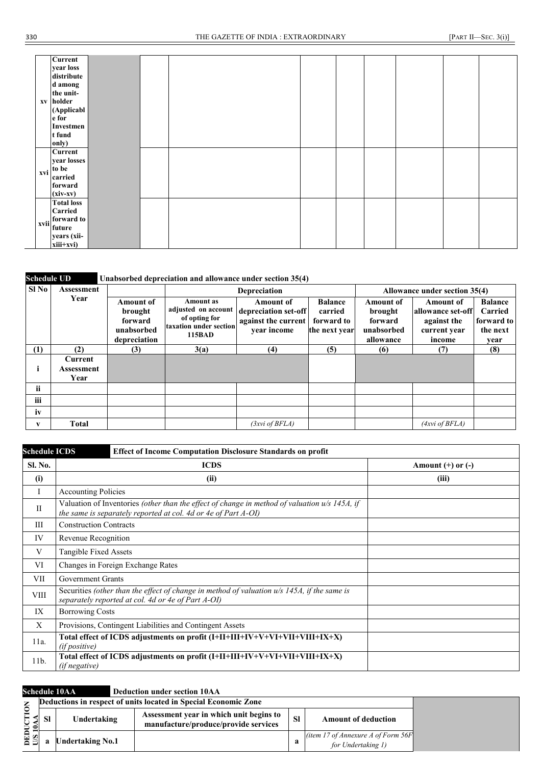|     | Current<br>year loss<br>distribute<br>d among<br>the unit-<br>xv holder<br>(Applicabl<br>e for<br>Investmen<br>t fund<br>only) |  |  |  |  |  |
|-----|--------------------------------------------------------------------------------------------------------------------------------|--|--|--|--|--|
| xvi | Current<br>year losses<br>to be<br>carried<br>forward<br>$(xiv-xv)$                                                            |  |  |  |  |  |
|     | <b>Total loss</b><br>Carried<br>xvii forward to<br>years (xii-<br>$xiii+xvi)$                                                  |  |  |  |  |  |

### **Schedule UD Unabsorbed depreciation and allowance under section 35(4)**

| Sl No | Assessment                    |                                                                      |                                                                                       | <b>Depreciation</b>                                                            |                                                          |                                                                   | Allowance under section 35(4)                                                  |                                                             |
|-------|-------------------------------|----------------------------------------------------------------------|---------------------------------------------------------------------------------------|--------------------------------------------------------------------------------|----------------------------------------------------------|-------------------------------------------------------------------|--------------------------------------------------------------------------------|-------------------------------------------------------------|
|       | Year                          | <b>Amount of</b><br>brought<br>forward<br>unabsorbed<br>depreciation | Amount as<br>adjusted on account<br>of opting for<br>taxation under section<br>115BAD | <b>Amount of</b><br>depreciation set-off<br>against the current<br>vear income | <b>Balance</b><br>carried<br>forward to<br>the next year | <b>Amount of</b><br>brought<br>forward<br>unabsorbed<br>allowance | <b>Amount of</b><br>allowance set-off<br>against the<br>current year<br>income | <b>Balance</b><br>Carried<br>forward to<br>the next<br>year |
| (1)   | (2)                           | (3)                                                                  | 3(a)                                                                                  | (4)                                                                            | (5)                                                      | (6)                                                               | (7)                                                                            | (8)                                                         |
| ī     | Current<br>Assessment<br>Year |                                                                      |                                                                                       |                                                                                |                                                          |                                                                   |                                                                                |                                                             |
| ii.   |                               |                                                                      |                                                                                       |                                                                                |                                                          |                                                                   |                                                                                |                                                             |
| iii   |                               |                                                                      |                                                                                       |                                                                                |                                                          |                                                                   |                                                                                |                                                             |
| iv    |                               |                                                                      |                                                                                       |                                                                                |                                                          |                                                                   |                                                                                |                                                             |
| V     | <b>Total</b>                  |                                                                      |                                                                                       | (3xvi of BFLA)                                                                 |                                                          |                                                                   | (4xvi of BFLA)                                                                 |                                                             |

| <b>Schedule ICDS</b> | <b>Effect of Income Computation Disclosure Standards on profit</b>                                                                                                |                       |
|----------------------|-------------------------------------------------------------------------------------------------------------------------------------------------------------------|-----------------------|
| Sl. No.              | <b>ICDS</b>                                                                                                                                                       | Amount $(+)$ or $(-)$ |
| (i)                  | (ii)                                                                                                                                                              | (iii)                 |
| $\perp$              | <b>Accounting Policies</b>                                                                                                                                        |                       |
| $\rm II$             | Valuation of Inventories (other than the effect of change in method of valuation $u/s$ 145A, if<br>the same is separately reported at col. 4d or 4e of Part A-OI) |                       |
| Ш                    | <b>Construction Contracts</b>                                                                                                                                     |                       |
| IV                   | Revenue Recognition                                                                                                                                               |                       |
| V                    | Tangible Fixed Assets                                                                                                                                             |                       |
| VI                   | Changes in Foreign Exchange Rates                                                                                                                                 |                       |
| VII                  | <b>Government Grants</b>                                                                                                                                          |                       |
| <b>VIII</b>          | Securities (other than the effect of change in method of valuation $u/s$ 145A, if the same is<br>separately reported at col. 4d or 4e of Part A-OI)               |                       |
| IX                   | <b>Borrowing Costs</b>                                                                                                                                            |                       |
| X                    | Provisions, Contingent Liabilities and Contingent Assets                                                                                                          |                       |
| 11a.                 | Total effect of ICDS adjustments on profit (I+II+III+IV+V+VI+VII+VIII+IX+X)<br>(if positive)                                                                      |                       |
| $11b$ .              | Total effect of ICDS adjustments on profit (I+II+III+IV+V+VI+VII+VIII+IX+X)<br><i>(if negative)</i>                                                               |                       |

|                    | <b>Schedule 10AA</b> | <b>Deduction under section 10AA</b>                                             |           |                                                              |
|--------------------|----------------------|---------------------------------------------------------------------------------|-----------|--------------------------------------------------------------|
|                    |                      | Deductions in respect of units located in Special Economic Zone                 |           |                                                              |
| TION<br><u>មន្</u> | Undertaking          | Assessment year in which unit begins to<br>manufacture/produce/provide services | <b>SI</b> | <b>Amount of deduction</b>                                   |
| <b>ESI</b>         | Undertaking No.1     |                                                                                 | a         | (item 17 of Annexure A of Form $56F$ )<br>for Undertaking 1) |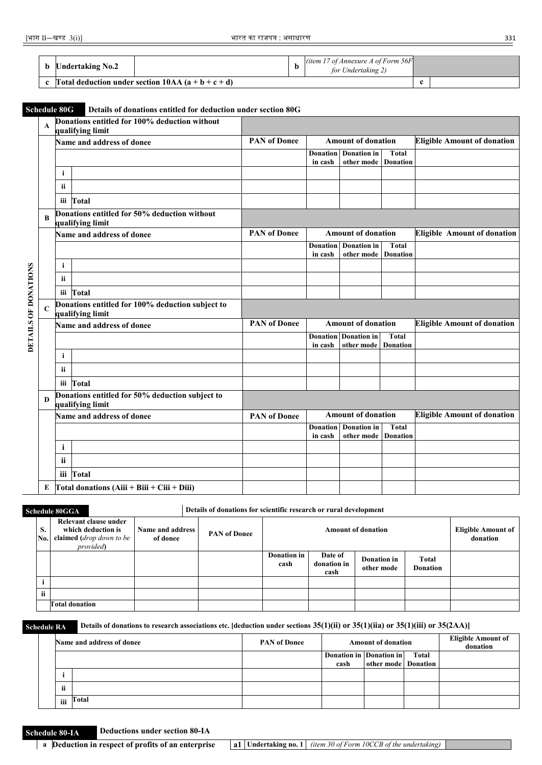| b | <b>Undertaking No.2</b>                            | (item 17 of Annexure A of Form $56F$ )<br>for Undertaking 2) |   |  |
|---|----------------------------------------------------|--------------------------------------------------------------|---|--|
|   | c [Total deduction under section $10AA(a+b+c+d)$ ] |                                                              | c |  |

### **Schedule 80G Details of donations entitled for deduction under section 80G**

|                      | A           |              | Donations entitled for 100% deduction without<br>qualifying limit    |                     |                            |                                                    |                                 |                                    |
|----------------------|-------------|--------------|----------------------------------------------------------------------|---------------------|----------------------------|----------------------------------------------------|---------------------------------|------------------------------------|
|                      |             |              | Name and address of donee                                            | <b>PAN</b> of Donee |                            | <b>Amount of donation</b>                          |                                 | <b>Eligible Amount of donation</b> |
|                      |             |              |                                                                      |                     | <b>Donation</b><br>in cash | <b>Donation</b> in<br>other mode                   | Total<br><b>Donation</b>        |                                    |
|                      |             | i.           |                                                                      |                     |                            |                                                    |                                 |                                    |
|                      |             | ii           |                                                                      |                     |                            |                                                    |                                 |                                    |
|                      |             |              | iii Total                                                            |                     |                            |                                                    |                                 |                                    |
|                      | R           |              | Donations entitled for 50% deduction without<br>qualifying limit     |                     |                            |                                                    |                                 |                                    |
|                      |             |              | Name and address of donee                                            | <b>PAN</b> of Donee |                            | <b>Amount of donation</b>                          |                                 | <b>Eligible Amount of donation</b> |
|                      |             |              |                                                                      |                     | in cash                    | <b>Donation</b> Donation in<br>other mode Donation | Total                           |                                    |
|                      |             | i.           |                                                                      |                     |                            |                                                    |                                 |                                    |
|                      |             | ii           |                                                                      |                     |                            |                                                    |                                 |                                    |
|                      |             |              | iii Total                                                            |                     |                            |                                                    |                                 |                                    |
| DETAILS OF DONATIONS | $\mathbf C$ |              | Donations entitled for 100% deduction subject to<br>qualifying limit |                     |                            |                                                    |                                 |                                    |
|                      |             |              | Name and address of donee                                            | <b>PAN</b> of Donee | <b>Amount of donation</b>  |                                                    |                                 | <b>Eligible Amount of donation</b> |
|                      |             |              |                                                                      |                     | in cash                    | <b>Donation</b> Donation in<br>other mode          | <b>Total</b><br><b>Donation</b> |                                    |
|                      |             | i            |                                                                      |                     |                            |                                                    |                                 |                                    |
|                      |             | ii           |                                                                      |                     |                            |                                                    |                                 |                                    |
|                      |             |              | iii Total                                                            |                     |                            |                                                    |                                 |                                    |
|                      | D           |              | Donations entitled for 50% deduction subject to<br>qualifying limit  |                     |                            |                                                    |                                 |                                    |
|                      |             |              | Name and address of donee                                            | <b>PAN of Donee</b> |                            | <b>Amount of donation</b>                          |                                 | <b>Eligible Amount of donation</b> |
|                      |             |              |                                                                      |                     | <b>Donation</b>            | <b>Donation</b> in                                 | Total                           |                                    |
|                      |             | $\mathbf{i}$ |                                                                      |                     | in cash                    | other mode Donation                                |                                 |                                    |
|                      |             |              |                                                                      |                     |                            |                                                    |                                 |                                    |
|                      |             | <b>ii</b>    |                                                                      |                     |                            |                                                    |                                 |                                    |
|                      |             |              | iii Total                                                            |                     |                            |                                                    |                                 |                                    |
|                      | E           |              | Total donations $(Aiii + Biii + Ciii + Diii)$                        |                     |                            |                                                    |                                 |                                    |

**Schedule 80GGA Details of donations for scientific research or rural development** 

| S.<br>No. | Relevant clause under<br>which deduction is<br>claimed ( <i>drop down to be</i><br><i>provided</i> ) | Name and address<br>of donee | <b>PAN</b> of Donee |                            |                                | <b>Amount of donation</b> |                          | Eligible Amount of<br>donation |
|-----------|------------------------------------------------------------------------------------------------------|------------------------------|---------------------|----------------------------|--------------------------------|---------------------------|--------------------------|--------------------------------|
|           |                                                                                                      |                              |                     | <b>Donation in</b><br>cash | Date of<br>donation in<br>cash | Donation in<br>other mode | Total<br><b>Donation</b> |                                |
|           |                                                                                                      |                              |                     |                            |                                |                           |                          |                                |
| ii.       |                                                                                                      |                              |                     |                            |                                |                           |                          |                                |
|           | <b>Total donation</b>                                                                                |                              |                     |                            |                                |                           |                          |                                |

**Schedule RA Details of donations to research associations etc. [deduction under sections 35(1)(ii) or 35(1)(iia) or 35(1)(iii) or 35(2AA)]** 

|     | Name and address of donee | <b>PAN</b> of Donee |                         | <b>Amount of donation</b> | <b>Eligible Amount of</b><br>donation |  |
|-----|---------------------------|---------------------|-------------------------|---------------------------|---------------------------------------|--|
|     |                           |                     | Donation in Donation in |                           | Total                                 |  |
|     |                           |                     | cash                    | other mode Donation       |                                       |  |
|     |                           |                     |                         |                           |                                       |  |
| ii  |                           |                     |                         |                           |                                       |  |
| iii | Total                     |                     |                         |                           |                                       |  |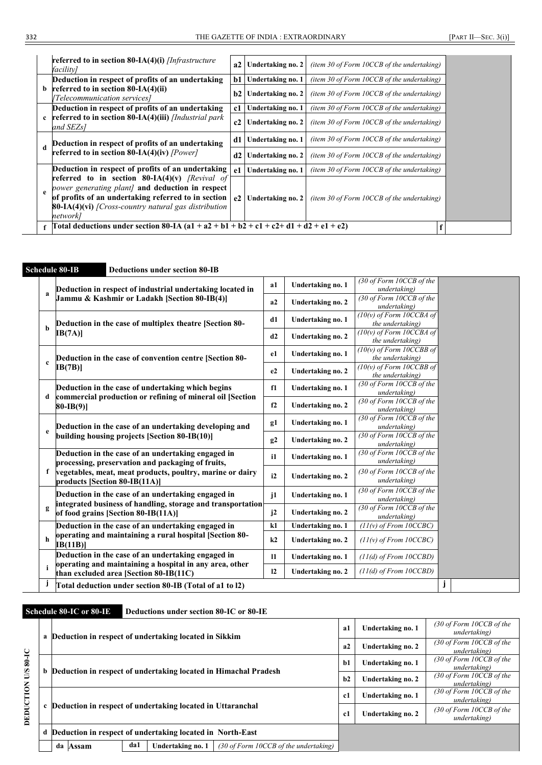|              | <b>referred to in section 80-IA(4)(i)</b> [Infrastructure]<br>facilitv]                                                                                                                                                                                                                     |          | a2 Undertaking no. 2                                  | (item 30 of Form $10CCB$ of the undertaking)                                                 |  |  |  |
|--------------|---------------------------------------------------------------------------------------------------------------------------------------------------------------------------------------------------------------------------------------------------------------------------------------------|----------|-------------------------------------------------------|----------------------------------------------------------------------------------------------|--|--|--|
| b            | Deduction in respect of profits of an undertaking<br>referred to in section $80-IA(4)(ii)$<br>[Telecommunication services]                                                                                                                                                                  |          | b1 Undertaking no. 1<br>b2   Undertaking no. 2        | (item 30 of Form $10CCB$ of the undertaking)<br>(item 30 of Form $10CCB$ of the undertaking) |  |  |  |
| $\mathbf{c}$ | Deduction in respect of profits of an undertaking<br>referred to in section 80-IA(4)(iii) [Industrial park<br>and SEZs1                                                                                                                                                                     | c1<br>c2 | Undertaking no. 1<br>Undertaking no. 2                | (item 30 of Form $10CCB$ of the undertaking)<br>(item 30 of Form $10CCB$ of the undertaking) |  |  |  |
|              | Deduction in respect of profits of an undertaking<br>referred to in section 80-IA(4)(iv) [Power]                                                                                                                                                                                            | d1<br>d2 | Undertaking no. 1<br>Undertaking no. 2                | (item 30 of Form 10CCB of the undertaking)<br>(item 30 of Form $10CCB$ of the undertaking)   |  |  |  |
| $\mathbf{e}$ | Deduction in respect of profits of an undertaking<br><b>referred to in section 80-IA(4)(v)</b> [Revival of<br>power generating plant] and deduction in respect<br>of profits of an undertaking referred to in section<br>$80-IA(4)(vi)$ [Cross-country natural gas distribution<br>network] | -e1      | Undertaking no. 1<br>e <sub>2</sub> Undertaking no. 2 | (item 30 of Form 10CCB of the undertaking)<br>(item 30 of Form 10CCB of the undertaking)     |  |  |  |
|              | Total deductions under section 80-IA $(a1 + a2 + b1 + b2 + c1 + c2 + d1 + d2 + e1 + e2)$                                                                                                                                                                                                    |          |                                                       |                                                                                              |  |  |  |

### **Schedule 80-IB Deductions under section 80-IB a Deduction in respect of industrial undertaking located in Jammu & Kashmir or Ladakh [Section 80-IB(4)] a1 Undertaking no. 1** *(30 of Form 10CCB of the undertaking)* **a2 Undertaking no. 2** *(30 of Form 10CCB of the undertaking)* **b Deduction in the case of multiplex theatre [Section 80- IB(7A)] d1 Undertaking no. 1** *(10(v) of Form 10CCBA of the undertaking)* **d2 Undertaking no. 2** *(10(v) of Form 10CCBA of the undertaking)* **c Deduction in the case of convention centre [Section 80- IB(7B)] e1 Undertaking no. 1** *(10(v) of Form 10CCBB of the undertaking)* **e2 Undertaking no. 2** *(10(v) of Form 10CCBB of the undertaking)* **d Deduction in the case of undertaking which begins commercial production or refining of mineral oil [Section 80-IB(9)] f1 Undertaking no. 1** *(30 of Form 10CCB of the undertaking)* **f2 Undertaking no. 2** *(30 of Form 10CCB of the undertaking)* **e Deduction in the case of an undertaking developing and building housing projects [Section 80-IB(10)] g1 Undertaking no. 1** *(30 of Form 10CCB of the undertaking)* **g2 Undertaking no. 2** *(30 of Form 10CCB of the undertaking)* **f Deduction in the case of an undertaking engaged in processing, preservation and packaging of fruits, vegetables, meat, meat products, poultry, marine or dairy products [Section 80-IB(11A)] i1 Undertaking no. 1** *(30 of Form 10CCB of the undertaking)* **i2 Undertaking no. 2** *(30 of Form 10CCB of the undertaking)* **g Deduction in the case of an undertaking engaged in integrated business of handling, storage and transportation of food grains [Section 80-IB(11A)] j1 Undertaking no. 1** *(30 of Form 10CCB of the undertaking)* **j2 Undertaking no. 2** *(30 of Form 10CCB of the undertaking)* **h Deduction in the case of an undertaking engaged in operating and maintaining a rural hospital [Section 80- IB(11B)] k1 Undertaking no. 1** *(11(v) of From 10CCBC)* **k2 Undertaking no. 2** *(11(v) of From 10CCBC)* **i Deduction in the case of an undertaking engaged in operating and maintaining a hospital in any area, other than excluded area [Section 80-IB(11C) l1 Undertaking no. 1** *(11(d) of From 10CCBD)* **l2 Undertaking no. 2** *(11(d) of From 10CCBD)* **j Total deduction under section 80-IB (Total of a1 to l2) j**

### **Schedule 80-IC or 80-IE Deductions under section 80-IC or 80-IE**

|                         | a Deduction in respect of undertaking located in Sikkim                                          | a1   | Undertaking no. 1 | $(30$ of Form 10CCB of the<br>undertaking) |
|-------------------------|--------------------------------------------------------------------------------------------------|------|-------------------|--------------------------------------------|
|                         |                                                                                                  | a2   | Undertaking no. 2 | $(30$ of Form 10CCB of the<br>undertaking) |
| $30-10$                 | b Deduction in respect of undertaking located in Himachal Pradesh                                | $b1$ | Undertaking no. 1 | $(30$ of Form 10CCB of the<br>undertaking) |
| $\overline{\mathbf{S}}$ |                                                                                                  |      | Undertaking no. 2 | (30 of Form 10CCB of the<br>undertaking)   |
|                         |                                                                                                  | c1   | Undertaking no. 1 | (30 of Form 10CCB of the<br>undertaking)   |
| DEDUCTION               | c Deduction in respect of undertaking located in Uttaranchal                                     | c1   | Undertaking no. 2 | (30 of Form 10CCB of the<br>undertaking)   |
|                         | d Deduction in respect of undertaking located in North-East                                      |      |                   |                                            |
|                         | da1<br>Undertaking no. 1<br>$(30 \text{ of Form } 10CCB \text{ of the undertaking})$<br>da Assam |      |                   |                                            |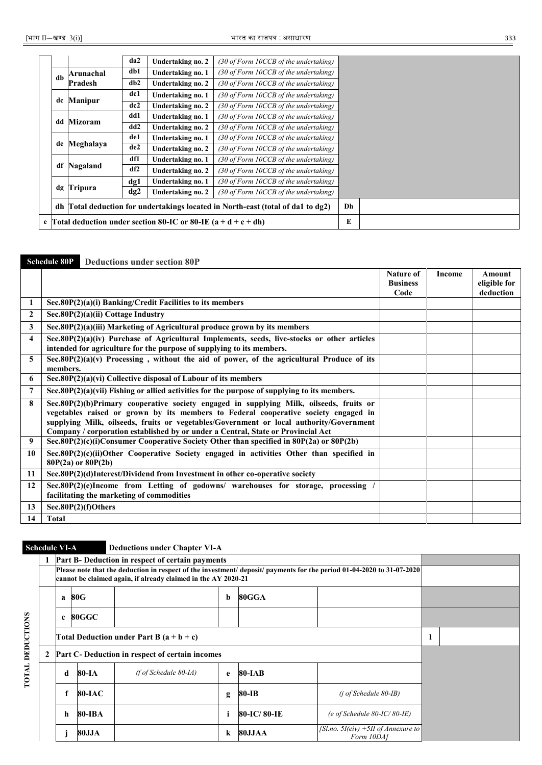|      |                                                                                 | da2  | <b>Undertaking no. 2</b>                                          | (30 of Form 10CCB of the undertaking) |   |
|------|---------------------------------------------------------------------------------|------|-------------------------------------------------------------------|---------------------------------------|---|
| $db$ | Arunachal                                                                       | db1  | Undertaking no. 1                                                 | (30 of Form 10CCB of the undertaking) |   |
|      | Pradesh                                                                         | db2  | Undertaking no. 2                                                 | (30 of Form 10CCB of the undertaking) |   |
|      |                                                                                 | dc1  | Undertaking no. 1                                                 | (30 of Form 10CCB of the undertaking) |   |
|      | de Manipur                                                                      | dc2  | Undertaking no. 2                                                 | (30 of Form 10CCB of the undertaking) |   |
|      | dd Mizoram                                                                      | dd 1 | Undertaking no. 1                                                 | (30 of Form 10CCB of the undertaking) |   |
|      |                                                                                 | dd2  | Undertaking no. 2                                                 | (30 of Form 10CCB of the undertaking) |   |
|      | de Meghalaya                                                                    | de1  | Undertaking no. 1                                                 | (30 of Form 10CCB of the undertaking) |   |
|      |                                                                                 | de2  | <b>Undertaking no. 2</b>                                          | (30 of Form 10CCB of the undertaking) |   |
|      |                                                                                 | df1  | Undertaking no. 1                                                 | (30 of Form 10CCB of the undertaking) |   |
| df   | Nagaland                                                                        | df2  | Undertaking no. 2                                                 | (30 of Form 10CCB of the undertaking) |   |
|      |                                                                                 | dg1  | Undertaking no. 1                                                 | (30 of Form 10CCB of the undertaking) |   |
|      | dg Tripura                                                                      | dg2  | Undertaking no. 2                                                 | (30 of Form 10CCB of the undertaking) |   |
|      | dh Total deduction for undertakings located in North-east (total of da1 to dg2) |      |                                                                   |                                       |   |
|      |                                                                                 |      | e Total deduction under section 80-IC or 80-IE $(a + d + c + dh)$ |                                       | E |

### **Schedule 80P Deductions under section 80P**

|              |                                                                                                                                                                                                                                                                                                                                                               | <b>Nature of</b><br><b>Business</b> | Income | Amount<br>eligible for |
|--------------|---------------------------------------------------------------------------------------------------------------------------------------------------------------------------------------------------------------------------------------------------------------------------------------------------------------------------------------------------------------|-------------------------------------|--------|------------------------|
|              |                                                                                                                                                                                                                                                                                                                                                               | Code                                |        | deduction              |
|              | Sec.80P(2)(a)(i) Banking/Credit Facilities to its members                                                                                                                                                                                                                                                                                                     |                                     |        |                        |
| $\mathbf{2}$ | Sec.80P(2)(a)(ii) Cottage Industry                                                                                                                                                                                                                                                                                                                            |                                     |        |                        |
| 3            | Sec.80P(2)(a)(iii) Marketing of Agricultural produce grown by its members                                                                                                                                                                                                                                                                                     |                                     |        |                        |
| 4            | Sec.80P(2)(a)(iv) Purchase of Agricultural Implements, seeds, live-stocks or other articles<br>intended for agriculture for the purpose of supplying to its members.                                                                                                                                                                                          |                                     |        |                        |
| 5            | Sec.80P $(2)(a)(v)$ Processing, without the aid of power, of the agricultural Produce of its<br>members.                                                                                                                                                                                                                                                      |                                     |        |                        |
| 6            | Sec.80P(2)(a)(vi) Collective disposal of Labour of its members                                                                                                                                                                                                                                                                                                |                                     |        |                        |
| 7            | Sec.80 $P(2)(a)(vi)$ Fishing or allied activities for the purpose of supplying to its members.                                                                                                                                                                                                                                                                |                                     |        |                        |
| 8            | Sec.80P(2)(b)Primary cooperative society engaged in supplying Milk, oilseeds, fruits or<br>vegetables raised or grown by its members to Federal cooperative society engaged in<br>supplying Milk, oilseeds, fruits or vegetables/Government or local authority/Government<br>Company / corporation established by or under a Central, State or Provincial Act |                                     |        |                        |
| 9            | Sec.80P $(2)(c)(i)$ Consumer Cooperative Society Other than specified in 80P $(2a)$ or 80P $(2b)$                                                                                                                                                                                                                                                             |                                     |        |                        |
| 10           | Sec.80P(2)(c)(ii)Other Cooperative Society engaged in activities Other than specified in<br>$80P(2a)$ or $80P(2b)$                                                                                                                                                                                                                                            |                                     |        |                        |
| 11           | Sec.80P(2)(d)Interest/Dividend from Investment in other co-operative society                                                                                                                                                                                                                                                                                  |                                     |        |                        |
| 12           | Sec.80P(2)(e)Income from Letting of godowns/ warehouses for storage, processing<br>facilitating the marketing of commodities                                                                                                                                                                                                                                  |                                     |        |                        |
| 13           | Sec.80P(2)(f)Others                                                                                                                                                                                                                                                                                                                                           |                                     |        |                        |
| 14           | <b>Total</b>                                                                                                                                                                                                                                                                                                                                                  |                                     |        |                        |

# **Schedule VI-A Deductions under Chapter VI-A**

|                   |   |                                                 |                                                                                                                                                                                         | Part B- Deduction in respect of certain payments |         |             |                                                   |  |  |  |  |  |  |
|-------------------|---|-------------------------------------------------|-----------------------------------------------------------------------------------------------------------------------------------------------------------------------------------------|--------------------------------------------------|---------|-------------|---------------------------------------------------|--|--|--|--|--|--|
|                   |   |                                                 | Please note that the deduction in respect of the investment/ deposit/ payments for the period 01-04-2020 to 31-07-2020<br>cannot be claimed again, if already claimed in the AY 2020-21 |                                                  |         |             |                                                   |  |  |  |  |  |  |
|                   |   | a                                               | 80G                                                                                                                                                                                     |                                                  | b       | 80GGA       |                                                   |  |  |  |  |  |  |
|                   |   | $\mathbf{c}$                                    | $80\rm{GGC}$                                                                                                                                                                            |                                                  |         |             |                                                   |  |  |  |  |  |  |
| <b>DEDUCTIONS</b> |   |                                                 | Total Deduction under Part B $(a + b + c)$                                                                                                                                              |                                                  |         |             |                                                   |  |  |  |  |  |  |
|                   | 2 | Part C- Deduction in respect of certain incomes |                                                                                                                                                                                         |                                                  |         |             |                                                   |  |  |  |  |  |  |
| TOTAL             |   | d                                               | 80-IA                                                                                                                                                                                   | $(f \circ f \text{ Scheduling 80-IA})$           | e       | 80-IAB      |                                                   |  |  |  |  |  |  |
|                   |   |                                                 | 80-IAC                                                                                                                                                                                  |                                                  | g       | 80-IB       | $(i$ of Schedule 80-IB)                           |  |  |  |  |  |  |
|                   |   | h.                                              | 80-IBA                                                                                                                                                                                  |                                                  |         | 80-IC/80-IE | (e of Schedule $80$ -IC/ $80$ -IE)                |  |  |  |  |  |  |
|                   |   |                                                 | 80JJA                                                                                                                                                                                   |                                                  | $\bf k$ | 80JJAA      | [Sl.no. 5I(eiv) +5II of Annexure to<br>Form 10DA1 |  |  |  |  |  |  |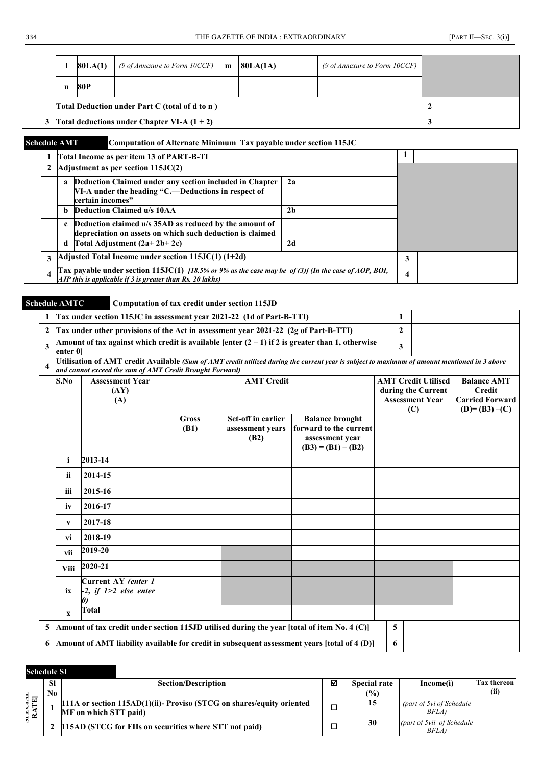|                                                 | 80LA(1) | (9 of Annexture to Form 10CCF) | m | 80LA(1A) | (9 of Annexure to Form 10CCF) |   |  |
|-------------------------------------------------|---------|--------------------------------|---|----------|-------------------------------|---|--|
|                                                 | 80P     |                                |   |          |                               |   |  |
| Total Deduction under Part C (total of d to n)  |         |                                |   |          |                               | 2 |  |
| 3 Total deductions under Chapter VI-A $(1 + 2)$ |         |                                |   |          |                               |   |  |

### **Schedule AMT Computation of Alternate Minimum Tax payable under section 115JC**

|                  | Total Income as per item 13 of PART-B-TI                                                                                                                                                  |  |   |  |
|------------------|-------------------------------------------------------------------------------------------------------------------------------------------------------------------------------------------|--|---|--|
|                  | Adjustment as per section 115JC(2)                                                                                                                                                        |  |   |  |
|                  | Deduction Claimed under any section included in Chapter<br>2a<br>a<br>VI-A under the heading "C.-Deductions in respect of<br>certain incomes"                                             |  |   |  |
|                  | Deduction Claimed u/s 10AA<br>2 <sub>b</sub><br><sub>b</sub>                                                                                                                              |  |   |  |
|                  | Deduction claimed u/s 35AD as reduced by the amount of<br>$\mathbf{c}$<br>depreciation on assets on which such deduction is claimed                                                       |  |   |  |
|                  | 2d<br>Total Adjustment $(2a+2b+2c)$<br>d                                                                                                                                                  |  |   |  |
| 3                | Adjusted Total Income under section $115JC(1)$ $(1+2d)$                                                                                                                                   |  | 3 |  |
| $\boldsymbol{4}$ | [Tax payable under section 115JC(1) $[18.5\% \text{ or } 9\% \text{ as the case may be of (3)]}$ (In the case of AOP, BOI,<br>AJP this is applicable if $3$ is greater than Rs. 20 lakhs) |  | 4 |  |

### **Schedule AMTC Computation of tax credit under section 115JD**

| 1                                                                                                                                                                                                                            | Tax under section 115JC in assessment year 2021-22 (1d of Part-B-TTI)                       |                      |                                                |                                                                                                  | 1            |                                                                                   |                                                                                     |  |  |
|------------------------------------------------------------------------------------------------------------------------------------------------------------------------------------------------------------------------------|---------------------------------------------------------------------------------------------|----------------------|------------------------------------------------|--------------------------------------------------------------------------------------------------|--------------|-----------------------------------------------------------------------------------|-------------------------------------------------------------------------------------|--|--|
| $\mathbf{2}$                                                                                                                                                                                                                 | Tax under other provisions of the Act in assessment year 2021-22 (2g of Part-B-TTI)         |                      |                                                |                                                                                                  | $\mathbf{2}$ |                                                                                   |                                                                                     |  |  |
| 3<br>enter 0]                                                                                                                                                                                                                |                                                                                             |                      |                                                | Amount of tax against which credit is available [enter $(2-1)$ if 2 is greater than 1, otherwise | 3            |                                                                                   |                                                                                     |  |  |
| Utilisation of AMT credit Available (Sum of AMT credit utilized during the current year is subject to maximum of amount mentioned in 3 above<br>$\boldsymbol{4}$<br>and cannot exceed the sum of AMT Credit Brought Forward) |                                                                                             |                      |                                                |                                                                                                  |              |                                                                                   |                                                                                     |  |  |
| S.No                                                                                                                                                                                                                         | <b>Assessment Year</b><br>(AY)<br>(A)                                                       |                      | <b>AMT</b> Credit                              |                                                                                                  |              | <b>AMT Credit Utilised</b><br>during the Current<br><b>Assessment Year</b><br>(C) | <b>Balance AMT</b><br><b>Credit</b><br><b>Carried Forward</b><br>$(D) = (B3) - (C)$ |  |  |
|                                                                                                                                                                                                                              |                                                                                             | <b>Gross</b><br>(B1) | Set-off in earlier<br>assessment years<br>(B2) | <b>Balance brought</b><br>forward to the current<br>assessment year<br>$(B3) = (B1) - (B2)$      |              |                                                                                   |                                                                                     |  |  |
| i                                                                                                                                                                                                                            | 2013-14                                                                                     |                      |                                                |                                                                                                  |              |                                                                                   |                                                                                     |  |  |
| ii                                                                                                                                                                                                                           | 2014-15                                                                                     |                      |                                                |                                                                                                  |              |                                                                                   |                                                                                     |  |  |
| iii                                                                                                                                                                                                                          | 2015-16                                                                                     |                      |                                                |                                                                                                  |              |                                                                                   |                                                                                     |  |  |
| iv                                                                                                                                                                                                                           | 2016-17                                                                                     |                      |                                                |                                                                                                  |              |                                                                                   |                                                                                     |  |  |
| V                                                                                                                                                                                                                            | 2017-18                                                                                     |                      |                                                |                                                                                                  |              |                                                                                   |                                                                                     |  |  |
| vi                                                                                                                                                                                                                           | 2018-19                                                                                     |                      |                                                |                                                                                                  |              |                                                                                   |                                                                                     |  |  |
| vii                                                                                                                                                                                                                          | 2019-20                                                                                     |                      |                                                |                                                                                                  |              |                                                                                   |                                                                                     |  |  |
| Viii                                                                                                                                                                                                                         | 2020-21                                                                                     |                      |                                                |                                                                                                  |              |                                                                                   |                                                                                     |  |  |
| ix                                                                                                                                                                                                                           | Current AY (enter 1<br>$-2$ , if $1>2$ else enter<br>$\boldsymbol{\theta}$                  |                      |                                                |                                                                                                  |              |                                                                                   |                                                                                     |  |  |
| $\mathbf{x}$                                                                                                                                                                                                                 | <b>Total</b>                                                                                |                      |                                                |                                                                                                  |              |                                                                                   |                                                                                     |  |  |
| 5                                                                                                                                                                                                                            | Amount of tax credit under section 115JD utilised during the year [total of item No. 4 (C)] |                      |                                                |                                                                                                  | 5            |                                                                                   |                                                                                     |  |  |
| 6                                                                                                                                                                                                                            |                                                                                             |                      |                                                | Amount of AMT liability available for credit in subsequent assessment years [total of 4 (D)]     | 6            |                                                                                   |                                                                                     |  |  |

### **Schedule SI**

|                         | <b>SI</b><br>No. | <b>Section/Description</b>                                                                      | ⊠ | <b>Special rate</b><br>(%) | Income(i)                           | <b>Tax thereon</b><br>(ii) |
|-------------------------|------------------|-------------------------------------------------------------------------------------------------|---|----------------------------|-------------------------------------|----------------------------|
| <u>इं ¤</u><br>ដ្ឋ<br>≅ |                  | [111A or section 115AD(1)(ii)- Proviso (STCG on shares/equity oriented<br>MF on which STT paid) |   |                            | (part of 5vi of Schedule)<br>BFLA)  |                            |
| Q.                      |                  | 2   115AD (STCG for FIIs on securities where STT not paid)                                      |   | 30                         | (part of 5vii of Schedule)<br>BFLA) |                            |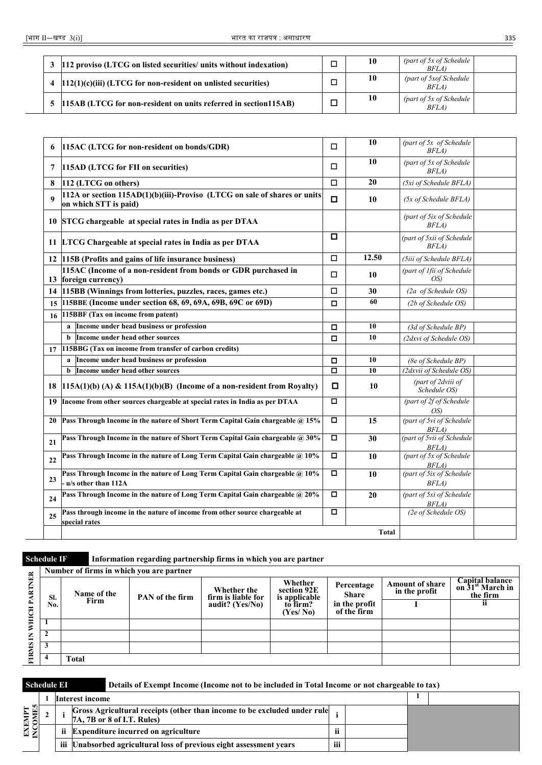|   | 3 112 proviso (LTCG on listed securities/ units without indexation)  | ◻ | 10 | (part of 5x of Schedule)<br>BFLA) |  |
|---|----------------------------------------------------------------------|---|----|-----------------------------------|--|
| 4 | $[112(1)(c)(iii)$ (LTCG for non-resident on unlisted securities)     | □ | 10 | (part of 5xof Schedule)<br>BFLA)  |  |
|   | 5   115AB (LTCG for non-resident on units referred in section 115AB) | − | 10 | (part of 5x of Schedule)<br>BFLA) |  |

| 6                | 115AC (LTCG for non-resident on bonds/GDR)                                                          | □      | 10           | (part of 5x of Schedule<br>BFLA)   |  |
|------------------|-----------------------------------------------------------------------------------------------------|--------|--------------|------------------------------------|--|
| 7                | 115AD (LTCG for FII on securities)                                                                  | □      | 10           | (part of 5x of Schedule<br>BFLA)   |  |
| 8                | 112 (LTCG on others)                                                                                | □      | 20           | (5xi of Schedule BFLA)             |  |
| $\boldsymbol{Q}$ | 112A or section 115AD(1)(b)(iii)-Proviso (LTCG on sale of shares or units<br>on which STT is paid)  | $\Box$ | 10           | (5x of Schedule BFLA)              |  |
|                  | 10 STCG chargeable at special rates in India as per DTAA                                            |        |              | (part of 5ix of Schedule<br>BFLA   |  |
|                  | 11 LTCG Chargeable at special rates in India as per DTAA                                            | О      |              | (part of 5xii of Schedule<br>BFLA) |  |
|                  | 12 115B (Profits and gains of life insurance business)                                              | □      | 12.50        | (5iii of Schedule BFLA)            |  |
|                  | 115AC (Income of a non-resident from bonds or GDR purchased in<br>13 foreign currency)              | □      | 10           | (part of 1fii of Schedule<br>OS)   |  |
|                  | 14   115BB (Winnings from lotteries, puzzles, races, games etc.)                                    | □      | 30           | (2a of Schedule OS)                |  |
|                  | 15 115BBE (Income under section 68, 69, 69A, 69B, 69C or 69D)                                       | о      | 60           | (2b of Schedule OS)                |  |
| 16               | 115BBF (Tax on income from patent)                                                                  |        |              |                                    |  |
|                  | a Income under head business or profession                                                          | 0      | 10           | (3d of Schedule BP)                |  |
|                  | Income under head other sources<br><sub>b</sub>                                                     | $\Box$ | 10           | (2dxvi of Schedule OS)             |  |
| 17               | 115BBG (Tax on income from transfer of carbon credits)                                              |        |              |                                    |  |
|                  | Income under head business or profession<br>a                                                       | О      | 10           | (8e of Schedule BP)                |  |
|                  | Income under head other sources<br>b                                                                | □      | 10           | (2dxvii of Schedule OS)            |  |
| 18               | $115A(1)(b)$ (A) & 115A(1)(b)(B) (Income of a non-resident from Royalty)                            | О      | 10           | (part of 2dviii of<br>Schedule OS) |  |
| 19               | Income from other sources chargeable at special rates in India as per DTAA                          | $\Box$ |              | (part of 2f of Schedule<br>OS)     |  |
| 20               | Pass Through Income in the nature of Short Term Capital Gain chargeable @ 15%                       | 0      | 15           | (part of 5vi of Schedule<br>BFLA)  |  |
| 21               | Pass Through Income in the nature of Short Term Capital Gain chargeable @ 30%                       | 0      | 30           | (part of 5vii of Schedule<br>BFLA) |  |
| 22               | Pass Through Income in the nature of Long Term Capital Gain chargeable @ 10%                        | o      | 10           | (part of 5x of Schedule<br>BFLA)   |  |
| 23               | Pass Through Income in the nature of Long Term Capital Gain chargeable @ 10%<br>u/s other than 112A | σ      | 10           | (part of 5ix of Schedule<br>BFLA)  |  |
| 24               | Pass Through Income in the nature of Long Term Capital Gain chargeable @ 20%                        | □      | 20           | (part of 5xi of Schedule<br>BFLA)  |  |
| 25               | Pass through income in the nature of income from other source chargeable at<br>special rates        | О      |              | (2e of Schedule OS)                |  |
|                  |                                                                                                     |        | <b>Total</b> |                                    |  |

**Schedule IF Information regarding partnership firms in which you are partner**

|                 |     | Number of firms in which you are partner |                 |                                   |                                       |                              |                                         |                                                          |
|-----------------|-----|------------------------------------------|-----------------|-----------------------------------|---------------------------------------|------------------------------|-----------------------------------------|----------------------------------------------------------|
| <b>VER</b><br>Ę | SI. | Name of the                              | PAN of the firm | Whether the<br>firm is liable for | Whether<br>section 92E                | Percentage<br><b>Share</b>   | <b>Amount of share</b><br>in the profit | <b>Capital balance</b><br>on $31st$ March in<br>the firm |
|                 | No. | Firm                                     |                 | audit? (Yes/No)                   | is applicable<br>to firm?<br>(Yes/No) | in the profit<br>of the firm |                                         | п                                                        |
| Ξ<br>⋧          |     |                                          |                 |                                   |                                       |                              |                                         |                                                          |
| Ξ               |     |                                          |                 |                                   |                                       |                              |                                         |                                                          |
| <b>FIRMS</b>    |     |                                          |                 |                                   |                                       |                              |                                         |                                                          |
|                 |     | <b>Total</b>                             |                 |                                   |                                       |                              |                                         |                                                          |

| <b>Schedule EI</b>       |     |                 | Details of Exempt Income (Income not to be included in Total Income or not chargeable to tax)          |       |  |  |
|--------------------------|-----|-----------------|--------------------------------------------------------------------------------------------------------|-------|--|--|
|                          |     | Interest income |                                                                                                        |       |  |  |
| <b>EXEMPT</b><br>INCOMES |     |                 | Gross Agricultural receipts (other than income to be excluded under rule<br>7A, 7B or 8 of I.T. Rules) |       |  |  |
|                          | ii. |                 | <b>Expenditure incurred on agriculture</b>                                                             | п     |  |  |
|                          | iii |                 | Unabsorbed agricultural loss of previous eight assessment years                                        | <br>Ш |  |  |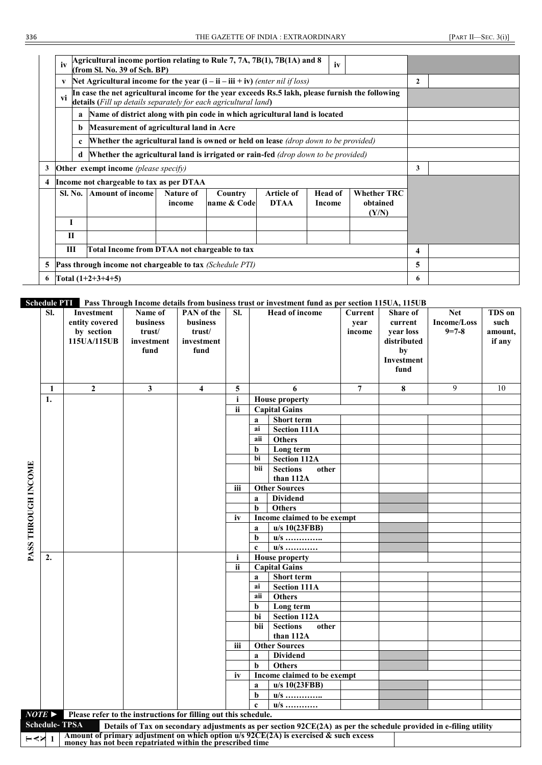|   | iv                                                |             | Agricultural income portion relating to Rule 7, 7A, 7B(1), 7B(1A) and 8<br>(from Sl. No. 39 of Sch. BP)                                                             |                     |                        |                                  | iv                       |  |                                         |   |  |
|---|---------------------------------------------------|-------------|---------------------------------------------------------------------------------------------------------------------------------------------------------------------|---------------------|------------------------|----------------------------------|--------------------------|--|-----------------------------------------|---|--|
|   | V                                                 |             | Net Agricultural income for the year $(i - ii - iii + iv)$ (enter nil if loss)                                                                                      |                     | $\mathbf{2}$           |                                  |                          |  |                                         |   |  |
|   | vi                                                |             | In case the net agricultural income for the year exceeds Rs.5 lakh, please furnish the following<br>details (Fill up details separately for each agricultural land) |                     |                        |                                  |                          |  |                                         |   |  |
|   |                                                   | a           | Name of district along with pin code in which agricultural land is located                                                                                          |                     |                        |                                  |                          |  |                                         |   |  |
|   |                                                   | b           | Measurement of agricultural land in Acre                                                                                                                            |                     |                        |                                  |                          |  |                                         |   |  |
|   |                                                   | $\mathbf c$ | <b>Whether the agricultural land is owned or held on lease</b> <i>(drop down to be provided)</i>                                                                    |                     |                        |                                  |                          |  |                                         |   |  |
|   |                                                   | d           | <b>Whether the agricultural land is irrigated or rain-fed</b> (drop down to be provided)                                                                            |                     |                        |                                  |                          |  |                                         |   |  |
| 3 |                                                   |             | Other exempt income (please specify)                                                                                                                                |                     |                        |                                  |                          |  |                                         | 3 |  |
| 4 |                                                   |             | Income not chargeable to tax as per DTAA                                                                                                                            |                     |                        |                                  |                          |  |                                         |   |  |
|   |                                                   | Sl. No.     | <b>Amount of income</b>                                                                                                                                             | Nature of<br>income | Country<br>name & Code | <b>Article of</b><br><b>DTAA</b> | <b>Head of</b><br>Income |  | <b>Whether TRC</b><br>obtained<br>(Y/N) |   |  |
|   | I                                                 |             |                                                                                                                                                                     |                     |                        |                                  |                          |  |                                         |   |  |
|   | $\mathbf{H}$                                      |             |                                                                                                                                                                     |                     |                        |                                  |                          |  |                                         |   |  |
|   | Ш<br>Total Income from DTAA not chargeable to tax |             |                                                                                                                                                                     |                     |                        |                                  |                          |  |                                         |   |  |
| 5 |                                                   |             | <b>Pass through income not chargeable to tax</b> (Schedule PTI)                                                                                                     |                     |                        |                                  |                          |  |                                         | 5 |  |
| 6 |                                                   |             | Total $(1+2+3+4+5)$                                                                                                                                                 |                     | 6.                     |                                  |                          |  |                                         |   |  |

### **Schedule PTI Pass Through Income details from business trust or investment fund as per section 115UA, 115UB**

|                     | SI.                   | <b>Investment</b><br>entity covered<br>by section<br>115UA/115UB | Name of<br>business<br>trust/<br>investment<br>fund | <b>PAN</b> of the<br>business<br>trust/<br>investment<br>fund | SI.          |             | <b>Head of income</b>                                                                                            | Current<br>year<br>income | <b>Share of</b><br>current<br>year loss<br>distributed<br>by<br>Investment<br>fund | <b>Net</b><br>Income/Loss<br>$9 = 7 - 8$ | <b>TDS</b> on<br>such<br>amount,<br>if any |
|---------------------|-----------------------|------------------------------------------------------------------|-----------------------------------------------------|---------------------------------------------------------------|--------------|-------------|------------------------------------------------------------------------------------------------------------------|---------------------------|------------------------------------------------------------------------------------|------------------------------------------|--------------------------------------------|
|                     |                       |                                                                  |                                                     |                                                               |              |             |                                                                                                                  |                           |                                                                                    |                                          |                                            |
|                     | 1                     | $\mathbf{2}$                                                     | $\mathbf{3}$                                        | $\overline{4}$                                                | 5            |             | 6                                                                                                                | 7                         | 8                                                                                  | 9                                        | 10                                         |
|                     | 1.                    |                                                                  |                                                     |                                                               | $\mathbf{i}$ |             | <b>House property</b>                                                                                            |                           |                                                                                    |                                          |                                            |
|                     |                       |                                                                  |                                                     |                                                               | <b>ii</b>    |             | <b>Capital Gains</b>                                                                                             |                           |                                                                                    |                                          |                                            |
|                     |                       |                                                                  |                                                     |                                                               |              | a           | <b>Short term</b>                                                                                                |                           |                                                                                    |                                          |                                            |
|                     |                       |                                                                  |                                                     |                                                               |              | ai          | <b>Section 111A</b>                                                                                              |                           |                                                                                    |                                          |                                            |
|                     |                       |                                                                  |                                                     |                                                               |              | aii         | <b>Others</b>                                                                                                    |                           |                                                                                    |                                          |                                            |
|                     |                       |                                                                  |                                                     |                                                               |              | b           | Long term                                                                                                        |                           |                                                                                    |                                          |                                            |
|                     |                       |                                                                  |                                                     |                                                               |              | bi          | <b>Section 112A</b>                                                                                              |                           |                                                                                    |                                          |                                            |
| PASS THROUGH INCOME |                       |                                                                  |                                                     |                                                               |              | bii         | <b>Sections</b><br>other                                                                                         |                           |                                                                                    |                                          |                                            |
|                     |                       |                                                                  |                                                     |                                                               | iii          |             | than 112A<br><b>Other Sources</b>                                                                                |                           |                                                                                    |                                          |                                            |
|                     |                       |                                                                  |                                                     |                                                               |              |             | <b>Dividend</b>                                                                                                  |                           |                                                                                    |                                          |                                            |
|                     |                       |                                                                  |                                                     |                                                               |              | a<br>b      | <b>Others</b>                                                                                                    |                           |                                                                                    |                                          |                                            |
|                     |                       |                                                                  |                                                     |                                                               | iv           |             | Income claimed to be exempt                                                                                      |                           |                                                                                    |                                          |                                            |
|                     |                       |                                                                  |                                                     |                                                               |              | a           | $u/s$ 10(23FBB)                                                                                                  |                           |                                                                                    |                                          |                                            |
|                     |                       |                                                                  |                                                     |                                                               |              | b           |                                                                                                                  |                           |                                                                                    |                                          |                                            |
|                     |                       |                                                                  |                                                     |                                                               |              | $\mathbf c$ | $u/s$<br>$u/s$                                                                                                   |                           |                                                                                    |                                          |                                            |
|                     | 2.                    |                                                                  |                                                     |                                                               | i            |             | <b>House property</b>                                                                                            |                           |                                                                                    |                                          |                                            |
|                     |                       |                                                                  |                                                     |                                                               | ii           |             | <b>Capital Gains</b>                                                                                             |                           |                                                                                    |                                          |                                            |
|                     |                       |                                                                  |                                                     |                                                               |              | a           | <b>Short term</b>                                                                                                |                           |                                                                                    |                                          |                                            |
|                     |                       |                                                                  |                                                     |                                                               |              | ai          | <b>Section 111A</b>                                                                                              |                           |                                                                                    |                                          |                                            |
|                     |                       |                                                                  |                                                     |                                                               |              | aii         | <b>Others</b>                                                                                                    |                           |                                                                                    |                                          |                                            |
|                     |                       |                                                                  |                                                     |                                                               |              | b           | Long term                                                                                                        |                           |                                                                                    |                                          |                                            |
|                     |                       |                                                                  |                                                     |                                                               |              | bi          | <b>Section 112A</b>                                                                                              |                           |                                                                                    |                                          |                                            |
|                     |                       |                                                                  |                                                     |                                                               |              | bii         | <b>Sections</b><br>other                                                                                         |                           |                                                                                    |                                          |                                            |
|                     |                       |                                                                  |                                                     |                                                               |              |             | than 112A                                                                                                        |                           |                                                                                    |                                          |                                            |
|                     |                       |                                                                  |                                                     |                                                               | iii          |             | <b>Other Sources</b>                                                                                             |                           |                                                                                    |                                          |                                            |
|                     |                       |                                                                  |                                                     |                                                               |              | a           | <b>Dividend</b>                                                                                                  |                           |                                                                                    |                                          |                                            |
|                     |                       |                                                                  |                                                     |                                                               |              | b           | <b>Others</b>                                                                                                    |                           |                                                                                    |                                          |                                            |
|                     |                       |                                                                  |                                                     |                                                               | iv           |             | Income claimed to be exempt                                                                                      |                           |                                                                                    |                                          |                                            |
|                     |                       |                                                                  |                                                     |                                                               |              | a           | u/s 10(23FBB)                                                                                                    |                           |                                                                                    |                                          |                                            |
|                     |                       |                                                                  |                                                     |                                                               |              | b           | $u/s$                                                                                                            |                           |                                                                                    |                                          |                                            |
|                     |                       |                                                                  |                                                     |                                                               |              | $\mathbf c$ | $u/s$                                                                                                            |                           |                                                                                    |                                          |                                            |
|                     | $NOTE \triangleright$ | Please refer to the instructions for filling out this schedule.  |                                                     |                                                               |              |             |                                                                                                                  |                           |                                                                                    |                                          |                                            |
|                     | <b>Schedule-TPSA</b>  |                                                                  |                                                     |                                                               |              |             | Details of Tax on secondary adjustments as per section 92CE(2A) as per the schedule provided in e-filing utility |                           |                                                                                    |                                          |                                            |
| ⊢∢×                 |                       | money has not been repatriated within the prescribed time        |                                                     |                                                               |              |             | Amount of primary adjustment on which option $u/s$ 92CE(2A) is exercised & such excess                           |                           |                                                                                    |                                          |                                            |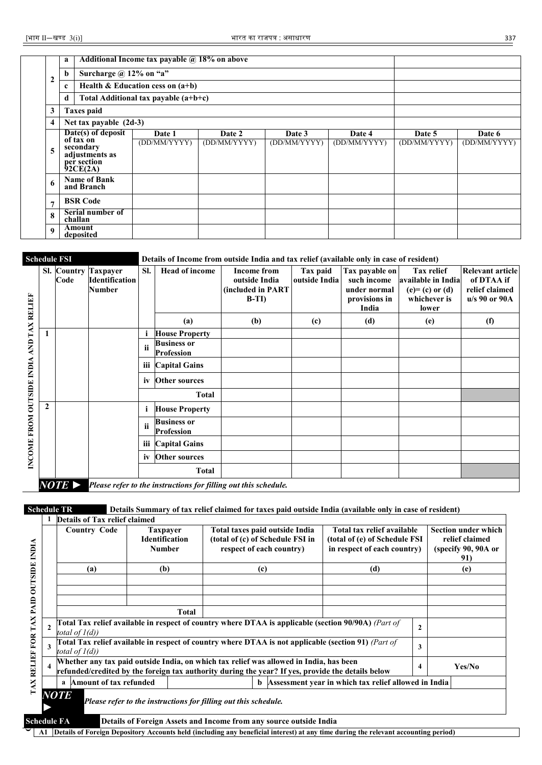|                  | a                                                                                         | Additional Income tax payable @ 18% on above |                        |                        |                        |                        |                        |
|------------------|-------------------------------------------------------------------------------------------|----------------------------------------------|------------------------|------------------------|------------------------|------------------------|------------------------|
| $\mathbf{2}$     | Surcharge $\omega$ 12% on "a"<br>b                                                        |                                              |                        |                        |                        |                        |                        |
|                  | c                                                                                         | Health & Education cess on $(a+b)$           |                        |                        |                        |                        |                        |
|                  | d                                                                                         | Total Additional tax payable (a+b+c)         |                        |                        |                        |                        |                        |
| 3                | <b>Taxes paid</b>                                                                         |                                              |                        |                        |                        |                        |                        |
| 4                | Net tax payable $(2d-3)$                                                                  |                                              |                        |                        |                        |                        |                        |
| 5                | Date(s) of deposit<br>of tax on<br>secondary<br>adjustments as<br>per section<br>92CE(2A) | Date 1<br>(DD/MM/YYYY)                       | Date 2<br>(DD/MM/YYYY) | Date 3<br>(DD/MM/YYYY) | Date 4<br>(DD/MM/YYYY) | Date 5<br>(DD/MM/YYYY) | Date 6<br>(DD/MM/YYYY) |
| 6                | <b>Name of Bank</b><br>and Branch                                                         |                                              |                        |                        |                        |                        |                        |
| $\overline{7}$   | <b>BSR Code</b>                                                                           |                                              |                        |                        |                        |                        |                        |
| 8                | Serial number of<br>challan                                                               |                                              |                        |                        |                        |                        |                        |
| $\boldsymbol{Q}$ | Amount<br>deposited                                                                       |                                              |                        |                        |                        |                        |                        |

**Schedule FSI Details of Income from outside India and tax relief (available only in case of resident)**

| AND TAX RELIEF            |              | Code                  | Sl. Country Taxpayer<br>Identification<br>Number | SI.        | <b>Head of income</b>                   | <b>Income from</b><br>outside India<br>(included in PART<br>$B-TI$ | Tax paid<br>outside India | Tax payable on<br>such income<br>under normal<br>provisions in<br>India | <b>Tax relief</b><br>available in India<br>$(e)=(c)$ or $(d)$<br>whichever is<br>lower | Relevant article<br>of DTAA if<br>relief claimed<br>u/s 90 or 90A |
|---------------------------|--------------|-----------------------|--------------------------------------------------|------------|-----------------------------------------|--------------------------------------------------------------------|---------------------------|-------------------------------------------------------------------------|----------------------------------------------------------------------------------------|-------------------------------------------------------------------|
|                           |              |                       |                                                  |            | (a)                                     | (b)                                                                | (c)                       | (d)                                                                     | (e)                                                                                    | (f)                                                               |
|                           |              |                       |                                                  |            | <b>House Property</b>                   |                                                                    |                           |                                                                         |                                                                                        |                                                                   |
|                           |              |                       |                                                  | ii         | <b>Business or</b><br><b>Profession</b> |                                                                    |                           |                                                                         |                                                                                        |                                                                   |
|                           |              |                       |                                                  | <b>iii</b> | <b>Capital Gains</b>                    |                                                                    |                           |                                                                         |                                                                                        |                                                                   |
|                           |              |                       |                                                  | iv         | <b>Other sources</b>                    |                                                                    |                           |                                                                         |                                                                                        |                                                                   |
|                           |              |                       |                                                  |            | <b>Total</b>                            |                                                                    |                           |                                                                         |                                                                                        |                                                                   |
|                           | $\mathbf{2}$ |                       |                                                  | i          | <b>House Property</b>                   |                                                                    |                           |                                                                         |                                                                                        |                                                                   |
| INCOME FROM OUTSIDE INDIA |              |                       |                                                  | ii         | <b>Business or</b><br><b>Profession</b> |                                                                    |                           |                                                                         |                                                                                        |                                                                   |
|                           |              |                       |                                                  | iii        | <b>Capital Gains</b>                    |                                                                    |                           |                                                                         |                                                                                        |                                                                   |
|                           |              |                       |                                                  | iv         | <b>Other sources</b>                    |                                                                    |                           |                                                                         |                                                                                        |                                                                   |
|                           |              |                       |                                                  |            | <b>Total</b>                            |                                                                    |                           |                                                                         |                                                                                        |                                                                   |
|                           |              | $NOTE \triangleright$ |                                                  |            |                                         | Please refer to the instructions for filling out this schedule.    |                           |                                                                         |                                                                                        |                                                                   |

**Schedule TR Details Summary of tax relief claimed for taxes paid outside India (available only in case of resident)**

| <b>NDIA</b>             | <b>Country Code</b>                                                                                                                                                                         | <b>Taxpayer</b><br><b>Identification</b><br><b>Number</b>       | Total taxes paid outside India<br>(total of (c) of Schedule FSI in<br>respect of each country) | Total tax relief available<br>(total of (e) of Schedule FSI<br>in respect of each country)          |                | <b>Section under which</b><br>relief claimed<br>(specify 90, 90A or<br>91) |
|-------------------------|---------------------------------------------------------------------------------------------------------------------------------------------------------------------------------------------|-----------------------------------------------------------------|------------------------------------------------------------------------------------------------|-----------------------------------------------------------------------------------------------------|----------------|----------------------------------------------------------------------------|
| <b>OUTSIDE</b>          | (a)                                                                                                                                                                                         | (b)                                                             | (c)                                                                                            | (d)                                                                                                 |                | (e)                                                                        |
| TAX RELIEF FOR TAX PAID |                                                                                                                                                                                             | <b>Total</b>                                                    |                                                                                                |                                                                                                     |                |                                                                            |
| $\mathbf{2}$            | total of $1(d)$ )                                                                                                                                                                           |                                                                 |                                                                                                | Total Tax relief available in respect of country where DTAA is applicable (section 90/90A) (Part of | $\overline{2}$ |                                                                            |
| 3                       | total of $1(d)$ )                                                                                                                                                                           |                                                                 |                                                                                                | Total Tax relief available in respect of country where DTAA is not applicable (section 91) (Part of | 3              |                                                                            |
| $\overline{\mathbf{4}}$ | Whether any tax paid outside India, on which tax relief was allowed in India, has been<br>refunded/credited by the foreign tax authority during the year? If yes, provide the details below |                                                                 |                                                                                                |                                                                                                     | 4              | Yes/No                                                                     |
|                         | <b>Amount of tax refunded</b><br>a                                                                                                                                                          |                                                                 | b                                                                                              | Assessment year in which tax relief allowed in India                                                |                |                                                                            |
|                         | <b>NOTE</b>                                                                                                                                                                                 | Please refer to the instructions for filling out this schedule. |                                                                                                |                                                                                                     |                |                                                                            |

**O**A1 Details of Foreign Depository Accounts held (including any beneficial interest) at any time during the relevant accounting period)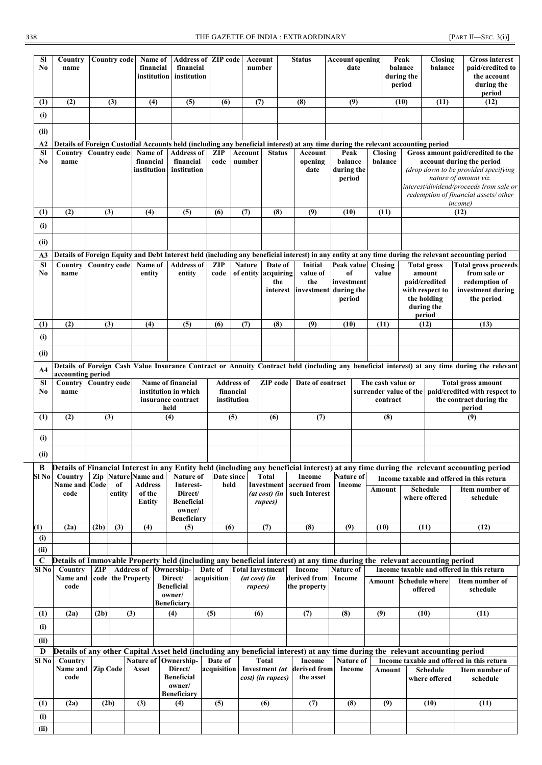| <b>SI</b>                 | Country                                                                                                                          |                     | <b>Country code</b> | Name of                                |                              | <b>Address of ZIP code</b>    |         |                        |           | Account                     |                         | <b>Status</b>                | <b>Account opening</b> |         | Peak                 |                        | Closing                          |                         | <b>Gross interest</b>                                                                                                                                                               |
|---------------------------|----------------------------------------------------------------------------------------------------------------------------------|---------------------|---------------------|----------------------------------------|------------------------------|-------------------------------|---------|------------------------|-----------|-----------------------------|-------------------------|------------------------------|------------------------|---------|----------------------|------------------------|----------------------------------|-------------------------|-------------------------------------------------------------------------------------------------------------------------------------------------------------------------------------|
| No                        | name                                                                                                                             |                     |                     | financial                              |                              | financial                     |         |                        |           | number                      |                         |                              | date                   |         | balance              |                        | balance                          |                         | paid/credited to                                                                                                                                                                    |
|                           |                                                                                                                                  |                     |                     | institution                            |                              | institution                   |         |                        |           |                             |                         |                              |                        |         | during the<br>period |                        |                                  |                         | the account<br>during the                                                                                                                                                           |
|                           |                                                                                                                                  |                     |                     |                                        |                              |                               |         |                        |           |                             |                         |                              |                        |         |                      |                        |                                  |                         | period                                                                                                                                                                              |
| (1)                       | (2)                                                                                                                              |                     | (3)                 | (4)                                    |                              | (5)                           |         | (6)                    |           | $\overline{(\overline{7})}$ |                         | (8)                          | (9)                    |         | (10)                 |                        | (11)                             |                         | (12)                                                                                                                                                                                |
| (i)                       |                                                                                                                                  |                     |                     |                                        |                              |                               |         |                        |           |                             |                         |                              |                        |         |                      |                        |                                  |                         |                                                                                                                                                                                     |
| (ii)                      |                                                                                                                                  |                     |                     |                                        |                              |                               |         |                        |           |                             |                         |                              |                        |         |                      |                        |                                  |                         |                                                                                                                                                                                     |
| A2<br>$\overline{\bf SI}$ | Details of Foreign Custodial Accounts held (including any beneficial interest) at any time during the relevant accounting period |                     |                     |                                        |                              | <b>Address of</b>             |         |                        |           | <b>Account</b>              |                         |                              |                        |         |                      |                        |                                  |                         |                                                                                                                                                                                     |
| No                        | Country<br>name                                                                                                                  |                     |                     | Country code Name of<br>financial      |                              | financial                     |         | <b>ZIP</b><br>code     |           | number                      | <b>Status</b>           | Account<br>opening           | Peak<br>balance        |         | Closing<br>balance   |                        |                                  |                         | Gross amount paid/credited to the<br>account during the period                                                                                                                      |
|                           |                                                                                                                                  |                     |                     | institution                            |                              | institution                   |         |                        |           |                             |                         | date                         | during the             |         |                      |                        |                                  |                         | (drop down to be provided specifying                                                                                                                                                |
|                           |                                                                                                                                  |                     |                     |                                        |                              |                               |         |                        |           |                             |                         |                              | period                 |         |                      |                        |                                  |                         | nature of amount viz.<br>interest/dividend/proceeds from sale or                                                                                                                    |
|                           |                                                                                                                                  |                     |                     |                                        |                              |                               |         |                        |           |                             |                         |                              |                        |         |                      |                        |                                  |                         | redemption of financial assets/ other                                                                                                                                               |
| (1)                       | (2)                                                                                                                              | (3)                 |                     | (4)                                    |                              | (5)                           |         | (6)                    |           | (7)                         | (8)                     | (9)                          | (10)                   |         | (11)                 |                        |                                  | <i>income</i> )<br>(12) |                                                                                                                                                                                     |
| (i)                       |                                                                                                                                  |                     |                     |                                        |                              |                               |         |                        |           |                             |                         |                              |                        |         |                      |                        |                                  |                         |                                                                                                                                                                                     |
|                           |                                                                                                                                  |                     |                     |                                        |                              |                               |         |                        |           |                             |                         |                              |                        |         |                      |                        |                                  |                         |                                                                                                                                                                                     |
| (ii)                      |                                                                                                                                  |                     |                     |                                        |                              |                               |         |                        |           |                             |                         |                              |                        |         |                      |                        |                                  |                         |                                                                                                                                                                                     |
| A3<br><b>SI</b>           | Country                                                                                                                          | <b>Country code</b> |                     | Name of                                |                              | <b>Address of</b>             |         | <b>ZIP</b>             |           | <b>Nature</b>               | Date of                 | Initial                      | Peak value             | Closing |                      |                        | <b>Total gross</b>               |                         | Details of Foreign Equity and Debt Interest held (including any beneficial interest) in any entity at any time during the relevant accounting period<br><b>Total gross proceeds</b> |
| No                        | name                                                                                                                             |                     |                     | entity                                 |                              | entity                        |         | code                   |           | of entity                   | acquiring               | value of                     | of                     | value   |                      |                        | amount                           |                         | from sale or                                                                                                                                                                        |
|                           |                                                                                                                                  |                     |                     |                                        |                              |                               |         |                        |           |                             | the<br>interest         | the<br>investment during the | investment             |         |                      |                        | paid/credited<br>with respect to |                         | redemption of<br>investment during                                                                                                                                                  |
|                           |                                                                                                                                  |                     |                     |                                        |                              |                               |         |                        |           |                             |                         |                              | period                 |         |                      |                        | the holding                      |                         | the period                                                                                                                                                                          |
|                           |                                                                                                                                  |                     |                     |                                        |                              |                               |         |                        |           |                             |                         |                              |                        |         |                      |                        | during the<br>period             |                         |                                                                                                                                                                                     |
| (1)                       | (2)                                                                                                                              | (3)                 |                     | (4)                                    |                              | (5)                           |         | (6)                    |           | (7)                         | (8)                     | $\overline{(9)}$             | (10)                   | (11)    |                      |                        | (12)                             |                         | (13)                                                                                                                                                                                |
| (i)                       |                                                                                                                                  |                     |                     |                                        |                              |                               |         |                        |           |                             |                         |                              |                        |         |                      |                        |                                  |                         |                                                                                                                                                                                     |
| (ii)                      |                                                                                                                                  |                     |                     |                                        |                              |                               |         |                        |           |                             |                         |                              |                        |         |                      |                        |                                  |                         |                                                                                                                                                                                     |
| A4                        |                                                                                                                                  |                     |                     |                                        |                              |                               |         |                        |           |                             |                         |                              |                        |         |                      |                        |                                  |                         | Details of Foreign Cash Value Insurance Contract or Annuity Contract held (including any beneficial interest) at any time during the relevant                                       |
| <b>SI</b>                 | accounting period<br>Country                                                                                                     | <b>Country code</b> |                     |                                        |                              | Name of financial             |         | <b>Address of</b>      |           |                             | ZIP code                | Date of contract             |                        |         | The cash value or    |                        |                                  |                         | <b>Total gross amount</b>                                                                                                                                                           |
| No                        | name                                                                                                                             |                     |                     |                                        |                              | institution in which          |         |                        | financial |                             |                         |                              |                        |         |                      | surrender value of the |                                  |                         | paid/credited with respect to                                                                                                                                                       |
|                           |                                                                                                                                  |                     |                     |                                        | held                         | insurance contract            |         | institution            |           |                             |                         |                              |                        |         | contract             |                        |                                  |                         | the contract during the<br>period                                                                                                                                                   |
| (1)                       | (2)                                                                                                                              | (3)                 |                     |                                        | (4)                          |                               |         |                        | (5)       |                             | (6)                     | (7)                          |                        |         | (8)                  |                        |                                  |                         | (9)                                                                                                                                                                                 |
|                           |                                                                                                                                  |                     |                     |                                        |                              |                               |         |                        |           |                             |                         |                              |                        |         |                      |                        |                                  |                         |                                                                                                                                                                                     |
| (i)                       |                                                                                                                                  |                     |                     |                                        |                              |                               |         |                        |           |                             |                         |                              |                        |         |                      |                        |                                  |                         |                                                                                                                                                                                     |
| (ii)                      |                                                                                                                                  |                     |                     |                                        |                              |                               |         |                        |           |                             |                         |                              |                        |         |                      |                        |                                  |                         |                                                                                                                                                                                     |
| B                         | Country                                                                                                                          |                     |                     | <b>Nature</b> Name and                 |                              |                               |         |                        |           |                             | Total                   |                              |                        |         |                      |                        |                                  |                         | Details of Financial Interest in any Entity held (including any beneficial interest) at any time during the relevant accounting period                                              |
| SI No                     | Name and Code                                                                                                                    | Zip                 | of                  | Address                                |                              | <b>Nature of</b><br>Interest- |         | Date since<br>held     |           |                             | Investment              | Income<br>accrued from       | Nature of<br>Income    |         | Amount               |                        | <b>Schedule</b>                  |                         | Income taxable and offered in this return<br>Item number of                                                                                                                         |
|                           | code                                                                                                                             |                     | entity              | of the                                 |                              | Direct/<br><b>Beneficial</b>  |         |                        |           |                             | (at cost) (in           | such Interest                |                        |         |                      |                        | where offered                    |                         | schedule                                                                                                                                                                            |
|                           |                                                                                                                                  |                     |                     | Entity                                 |                              | owner/                        |         |                        |           |                             | rupees)                 |                              |                        |         |                      |                        |                                  |                         |                                                                                                                                                                                     |
| (1)                       | (2a)                                                                                                                             | (2b)                | (3)                 | (4)                                    |                              | <b>Beneficiary</b><br>(5)     |         | (6)                    |           |                             | (7)                     | (8)                          | (9)                    | (10)    |                      |                        | (11)                             |                         | (12)                                                                                                                                                                                |
| (i)                       |                                                                                                                                  |                     |                     |                                        |                              |                               |         |                        |           |                             |                         |                              |                        |         |                      |                        |                                  |                         |                                                                                                                                                                                     |
| (ii)                      |                                                                                                                                  |                     |                     |                                        |                              |                               |         |                        |           |                             |                         |                              |                        |         |                      |                        |                                  |                         |                                                                                                                                                                                     |
| $\mathbf C$               | Details of Immovable Property held (including any beneficial interest) at any time during the relevant accounting period         |                     |                     |                                        |                              |                               |         |                        |           |                             |                         |                              |                        |         |                      |                        |                                  |                         |                                                                                                                                                                                     |
| SI No                     | Country<br>Name and                                                                                                              | ZIP                 |                     | <b>Address of</b><br>code the Property | Direct/                      | Ownership-                    | Date of | acquisition            |           | (at cost) (in               | <b>Total Investment</b> | Income<br>derived from       | Nature of<br>Income    |         |                      |                        |                                  |                         | Income taxable and offered in this return                                                                                                                                           |
|                           | code                                                                                                                             |                     |                     |                                        | <b>Beneficial</b>            |                               |         |                        |           | rupees)                     |                         | the property                 |                        | Amount  |                      |                        | <b>Schedule where</b><br>offered |                         | Item number of<br>schedule                                                                                                                                                          |
|                           |                                                                                                                                  |                     |                     |                                        | owner/<br><b>Beneficiary</b> |                               |         |                        |           |                             |                         |                              |                        |         |                      |                        |                                  |                         |                                                                                                                                                                                     |
| (1)                       | (2a)                                                                                                                             | (2b)                |                     | (3)                                    | (4)                          |                               | (5)     |                        |           | (6)                         |                         | (7)                          | (8)                    | (9)     |                      | (10)                   |                                  |                         | (11)                                                                                                                                                                                |
| (i)                       |                                                                                                                                  |                     |                     |                                        |                              |                               |         |                        |           |                             |                         |                              |                        |         |                      |                        |                                  |                         |                                                                                                                                                                                     |
| (ii)                      |                                                                                                                                  |                     |                     |                                        |                              |                               |         |                        |           |                             |                         |                              |                        |         |                      |                        |                                  |                         |                                                                                                                                                                                     |
| D                         | Details of any other Capital Asset held (including any beneficial interest) at any time during the relevant accounting period    |                     |                     |                                        |                              |                               |         |                        |           |                             |                         |                              |                        |         |                      |                        |                                  |                         |                                                                                                                                                                                     |
| SI No                     | Country<br>Name and                                                                                                              | <b>Zip Code</b>     |                     | Nature of<br>Asset                     |                              | Ownership-<br>Direct/         |         | Date of<br>acquisition |           |                             | Total<br>Investment (at | Income<br>derived from       | Nature of<br>Income    |         | Amount               |                        | <b>Schedule</b>                  |                         | Income taxable and offered in this return<br>Item number of                                                                                                                         |
|                           | code                                                                                                                             |                     |                     |                                        |                              | <b>Beneficial</b>             |         |                        |           |                             | cost) (in rupees)       | the asset                    |                        |         |                      |                        | where offered                    |                         | schedule                                                                                                                                                                            |
|                           |                                                                                                                                  |                     |                     |                                        |                              | owner/<br><b>Beneficiary</b>  |         |                        |           |                             |                         |                              |                        |         |                      |                        |                                  |                         |                                                                                                                                                                                     |
| (1)                       | (2a)                                                                                                                             | (2b)                |                     | (3)                                    |                              | (4)                           |         | (5)                    |           |                             | (6)                     | $\overline{(7)}$             | (8)                    |         | (9)                  |                        | (10)                             |                         | (11)                                                                                                                                                                                |
| (i)                       |                                                                                                                                  |                     |                     |                                        |                              |                               |         |                        |           |                             |                         |                              |                        |         |                      |                        |                                  |                         |                                                                                                                                                                                     |
| (ii)                      |                                                                                                                                  |                     |                     |                                        |                              |                               |         |                        |           |                             |                         |                              |                        |         |                      |                        |                                  |                         |                                                                                                                                                                                     |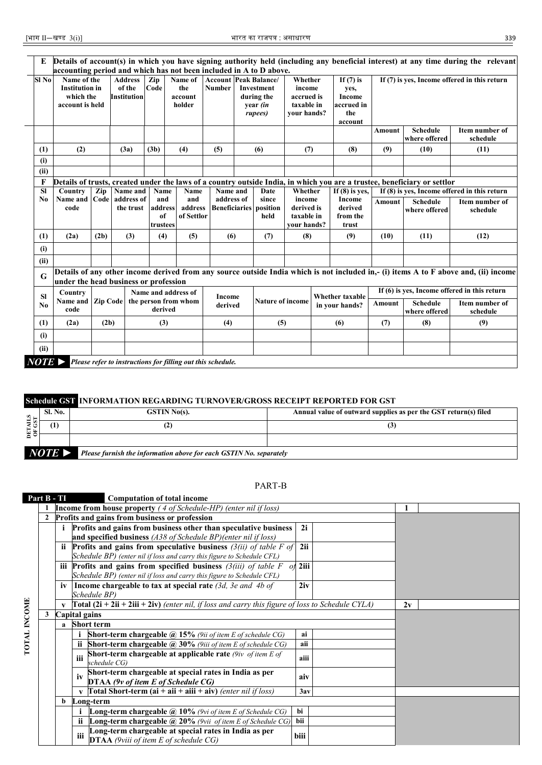| E                                                                                                                                                                                                                                                                    |                                                                      |      |                                                |                           |                                                             |                                               |  |                                                               |                                                              |  |                                                               |               |                                                                                                                          | Details of account(s) in which you have signing authority held (including any beneficial interest) at any time during the relevant   |
|----------------------------------------------------------------------------------------------------------------------------------------------------------------------------------------------------------------------------------------------------------------------|----------------------------------------------------------------------|------|------------------------------------------------|---------------------------|-------------------------------------------------------------|-----------------------------------------------|--|---------------------------------------------------------------|--------------------------------------------------------------|--|---------------------------------------------------------------|---------------|--------------------------------------------------------------------------------------------------------------------------|--------------------------------------------------------------------------------------------------------------------------------------|
|                                                                                                                                                                                                                                                                      | accounting period and which has not been included in A to D above.   |      |                                                |                           |                                                             |                                               |  |                                                               |                                                              |  |                                                               |               |                                                                                                                          |                                                                                                                                      |
| Sl No                                                                                                                                                                                                                                                                | Name of the<br><b>Institution</b> in<br>which the<br>account is held |      | <b>Address</b><br>of the<br><b>Institution</b> | Zip<br>Code               | Name of<br>the<br>account<br>holder                         | <b>Account Peak Balance/</b><br><b>Number</b> |  | <b>Investment</b><br>during the<br>year <i>(in</i><br>rupees) | Whether<br>income<br>accrued is<br>taxable in<br>your hands? |  | If $(7)$ is<br>yes,<br>Income<br>accrued in<br>the<br>account |               |                                                                                                                          | If (7) is yes, Income offered in this return                                                                                         |
|                                                                                                                                                                                                                                                                      |                                                                      |      |                                                |                           |                                                             |                                               |  |                                                               |                                                              |  |                                                               | Amount        | <b>Schedule</b><br>where offered                                                                                         | Item number of<br>schedule                                                                                                           |
| (1)                                                                                                                                                                                                                                                                  | (2)                                                                  |      | (3a)                                           | (3b)                      | (4)                                                         | (5)                                           |  | (6)                                                           | (7)                                                          |  | (8)                                                           | (9)           | (10)                                                                                                                     | (11)                                                                                                                                 |
| (i)                                                                                                                                                                                                                                                                  |                                                                      |      |                                                |                           |                                                             |                                               |  |                                                               |                                                              |  |                                                               |               |                                                                                                                          |                                                                                                                                      |
| (ii)                                                                                                                                                                                                                                                                 |                                                                      |      |                                                |                           |                                                             |                                               |  |                                                               |                                                              |  |                                                               |               |                                                                                                                          |                                                                                                                                      |
| F                                                                                                                                                                                                                                                                    |                                                                      |      |                                                |                           |                                                             |                                               |  |                                                               |                                                              |  |                                                               |               | Details of trusts, created under the laws of a country outside India, in which you are a trustee, beneficiary or settlor |                                                                                                                                      |
| Name and<br>If (8) is ves, Income offered in this return<br><b>SI</b><br>Zip<br>Name<br>Whether<br>If $(8)$ is ves,<br>Country<br>Name<br>Name and<br>Date<br>Code address of<br>address of<br>Income<br>Name and<br>and<br>and<br>since<br>income<br>N <sub>0</sub> |                                                                      |      |                                                |                           |                                                             |                                               |  |                                                               |                                                              |  |                                                               |               |                                                                                                                          |                                                                                                                                      |
|                                                                                                                                                                                                                                                                      | code                                                                 |      | the trust                                      | address<br>of<br>trustees | address<br>of Settlor                                       |                                               |  | <b>Beneficiaries</b> position<br>held                         | derived is<br>taxable in<br>your hands?                      |  | derived<br>from the<br>trust                                  | <b>Amount</b> | <b>Schedule</b><br>where offered                                                                                         | Item number of<br>schedule                                                                                                           |
| (1)                                                                                                                                                                                                                                                                  | (2a)                                                                 | (2b) | (3)                                            | (4)                       | (5)                                                         | (6)                                           |  | (7)                                                           | (8)                                                          |  | (9)                                                           | (10)          | (11)                                                                                                                     | (12)                                                                                                                                 |
| (i)                                                                                                                                                                                                                                                                  |                                                                      |      |                                                |                           |                                                             |                                               |  |                                                               |                                                              |  |                                                               |               |                                                                                                                          |                                                                                                                                      |
| (ii)                                                                                                                                                                                                                                                                 |                                                                      |      |                                                |                           |                                                             |                                               |  |                                                               |                                                              |  |                                                               |               |                                                                                                                          |                                                                                                                                      |
| G                                                                                                                                                                                                                                                                    | under the head business or profession                                |      |                                                |                           |                                                             |                                               |  |                                                               |                                                              |  |                                                               |               |                                                                                                                          | Details of any other income derived from any source outside India which is not included in,- (i) items A to F above and, (ii) income |
| <b>SI</b>                                                                                                                                                                                                                                                            | Country                                                              |      |                                                |                           | Name and address of                                         | Income                                        |  |                                                               |                                                              |  | <b>Whether taxable</b>                                        |               |                                                                                                                          | If (6) is yes, Income offered in this return                                                                                         |
| N <sub>0</sub>                                                                                                                                                                                                                                                       | Name and Zip Code<br>code                                            |      |                                                | derived                   | the person from whom                                        | derived                                       |  | <b>Nature of income</b>                                       |                                                              |  | in your hands?                                                | Amount        | <b>Schedule</b><br>where offered                                                                                         | Item number of<br>schedule                                                                                                           |
| (1)                                                                                                                                                                                                                                                                  | (2a)                                                                 | (2b) |                                                | (3)                       |                                                             | (4)                                           |  | (5)                                                           |                                                              |  | (6)                                                           | (7)           | (8)                                                                                                                      | (9)                                                                                                                                  |
| (i)                                                                                                                                                                                                                                                                  |                                                                      |      |                                                |                           |                                                             |                                               |  |                                                               |                                                              |  |                                                               |               |                                                                                                                          |                                                                                                                                      |
| (ii)                                                                                                                                                                                                                                                                 |                                                                      |      |                                                |                           |                                                             |                                               |  |                                                               |                                                              |  |                                                               |               |                                                                                                                          |                                                                                                                                      |
| $NOTE \triangleright$                                                                                                                                                                                                                                                |                                                                      |      |                                                |                           | Please refer to instructions for filling out this schedule. |                                               |  |                                                               |                                                              |  |                                                               |               |                                                                                                                          |                                                                                                                                      |

## **Schedule GST INFORMATION REGARDING TURNOVER/GROSS RECEIPT REPORTED FOR GST**

| $\frac{1}{2}$ | <b>Sl. No.</b>        | $GSTIN No(s)$ .                                                    | Annual value of outward supplies as per the GST return(s) filed |
|---------------|-----------------------|--------------------------------------------------------------------|-----------------------------------------------------------------|
| DET)          | $\left(1\right)$      |                                                                    |                                                                 |
|               |                       |                                                                    |                                                                 |
|               | $NOTE \triangleright$ | Please furnish the information above for each GSTIN No. separately |                                                                 |

### PART-B

| Part B - TI  |   |               |     | <b>Computation of total income</b>                                                                       |      |    |  |
|--------------|---|---------------|-----|----------------------------------------------------------------------------------------------------------|------|----|--|
|              |   |               |     | <b>Income from house property</b> $(4 of Schedule-HP)$ (enter nil if loss)                               |      |    |  |
|              |   |               |     | Profits and gains from business or profession                                                            |      |    |  |
|              |   |               |     | Profits and gains from business other than speculative business                                          | 2i   |    |  |
|              |   |               |     | and specified business (A38 of Schedule BP)(enter nil if loss)                                           |      |    |  |
|              |   | ii.           |     | <b>Profits and gains from speculative business</b> $(3(ii) of table F of)$                               | 2ii  |    |  |
|              |   |               |     | Schedule BP) (enter nil if loss and carry this figure to Schedule CFL)                                   |      |    |  |
|              |   |               |     | iii Profits and gains from specified business $(3(iii)$ of table F of 2iii                               |      |    |  |
|              |   |               |     | Schedule BP) (enter nil if loss and carry this figure to Schedule CFL)                                   |      |    |  |
|              |   | iv            |     | Income chargeable to tax at special rate $(3d, 3e$ and 4b of                                             | 2iv  |    |  |
|              |   |               |     | Schedule BP)                                                                                             |      |    |  |
|              |   |               |     | <b>Total (2i + 2ii + 2iii + 2iv)</b> (enter nil, if loss and carry this figure of loss to Schedule CYLA) |      | 2v |  |
| TOTAL INCOME | 3 | Capital gains |     |                                                                                                          |      |    |  |
|              |   |               |     | a Short term                                                                                             |      |    |  |
|              |   |               |     | Short-term chargeable @ 15% (9ii of item E of schedule CG)                                               | ai   |    |  |
|              |   |               |     | <b>Short-term chargeable <math>\omega</math> 30%</b> (9iii of item E of schedule CG)                     | aii  |    |  |
|              |   |               | iii | Short-term chargeable at applicable rate $(9iv \ of item E of$<br>schedule CG)                           | aiii |    |  |
|              |   |               | iv  | Short-term chargeable at special rates in India as per<br>DTAA (9v of item E of Schedule CG)             | aiv  |    |  |
|              |   |               |     | <b>Total Short-term (ai + aii + aiii + aiv)</b> (enter nil if loss)                                      | 3av  |    |  |
|              |   | b             |     | Long-term                                                                                                |      |    |  |
|              |   |               |     | <b>Long-term chargeable</b> $\omega$ 10% (9vi of item E of Schedule CG)                                  | bi   |    |  |
|              |   |               |     | <b>Long-term chargeable @ 20%</b> (9vii of item E of Schedule CG)                                        | bii  |    |  |
|              |   |               | iii | Long-term chargeable at special rates in India as per<br><b>DTAA</b> (9viii of item E of schedule CG)    | biii |    |  |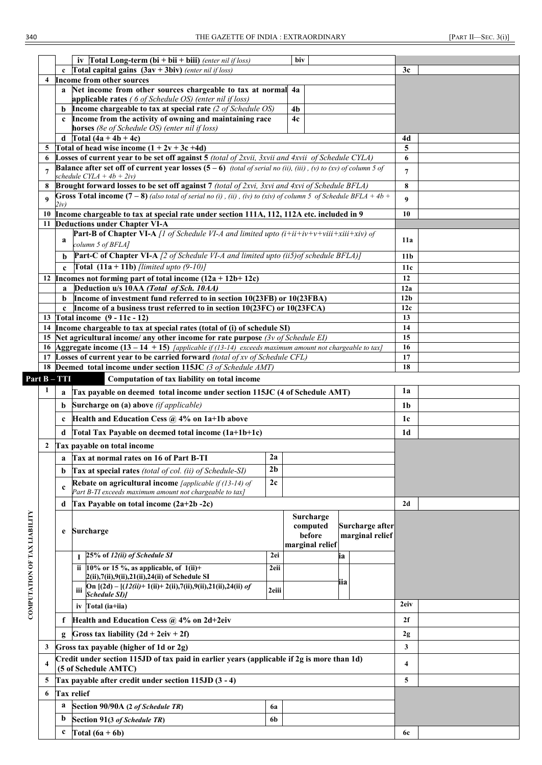|                              |              |              | iv Total Long-term (bi + bii + biii) (enter nil if loss)                                                                                                                |                | biv                       |                 |                 |  |
|------------------------------|--------------|--------------|-------------------------------------------------------------------------------------------------------------------------------------------------------------------------|----------------|---------------------------|-----------------|-----------------|--|
|                              |              | $\mathbf c$  | Total capital gains $(3av + 3biv)$ (enter nil if loss)                                                                                                                  |                |                           |                 | 3c              |  |
|                              |              |              | 4 Income from other sources                                                                                                                                             |                |                           |                 |                 |  |
|                              |              |              | a Net income from other sources chargeable to tax at normal 4a<br>applicable rates (6 of Schedule OS) (enter nil if loss)                                               |                |                           |                 |                 |  |
|                              |              | b            | Income chargeable to tax at special rate (2 of Schedule OS)                                                                                                             |                | 4 <sub>b</sub>            |                 |                 |  |
|                              |              | $\mathbf c$  | Income from the activity of owning and maintaining race                                                                                                                 |                | 4c                        |                 |                 |  |
|                              |              |              | horses (8e of Schedule OS) (enter nil if loss)                                                                                                                          |                |                           |                 |                 |  |
|                              |              | d            | Total $(4a + 4b + 4c)$                                                                                                                                                  |                |                           |                 | 4d              |  |
|                              | 5            |              | Total of head wise income $(1 + 2v + 3c +4d)$                                                                                                                           |                |                           |                 | 5               |  |
|                              | 6            |              | Losses of current year to be set off against 5 (total of 2xvii, 3xvii and 4xvii of Schedule CYLA)                                                                       |                |                           |                 | 6               |  |
|                              | 7            |              | <b>Balance after set off of current year losses (5 – 6)</b> <i>(total of serial no (ii), (iii), (v) to (xv) of column 5 of</i><br>schedule CYLA + $4b + 2iv$ )          |                |                           |                 | $\overline{7}$  |  |
|                              | 8            |              | Brought forward losses to be set off against 7 (total of 2xvi, 3xvi and 4xvi of Schedule BFLA)                                                                          |                |                           |                 | 8               |  |
|                              | 9            |              | Gross Total income $(7-8)$ (also total of serial no (i), (ii), (iv) to (xiv) of column 5 of Schedule BFLA + 4b +                                                        |                |                           |                 | 9               |  |
|                              |              | 2iv)         |                                                                                                                                                                         |                |                           |                 |                 |  |
|                              | 10<br>11     |              | Income chargeable to tax at special rate under section 111A, 112, 112A etc. included in 9<br><b>Deductions under Chapter VI-A</b>                                       |                |                           |                 | 10              |  |
|                              |              |              | <b>Part-B of Chapter VI-A</b> [1 of Schedule VI-A and limited upto $(i + ii + iv + v + viii + xiii + xiv)$ of                                                           |                |                           |                 |                 |  |
|                              |              | a            | column 5 of BFLA]                                                                                                                                                       |                |                           |                 | 11a             |  |
|                              |              | h            | <b>Part-C of Chapter VI-A</b> [2 of Schedule VI-A and limited upto (ii5) of schedule BFLA)]                                                                             |                |                           |                 | 11 <sub>b</sub> |  |
|                              |              |              | <b>Total</b> $(11a + 11b)$ [limited upto $(9-10)$ ]                                                                                                                     |                |                           |                 | 11c             |  |
|                              |              |              | 12 Incomes not forming part of total income $(12a + 12b + 12c)$                                                                                                         |                |                           |                 | 12              |  |
|                              |              | a            | Deduction u/s 10AA (Total of Sch. 10AA)                                                                                                                                 |                |                           |                 | 12a             |  |
|                              |              | b            | Income of investment fund referred to in section 10(23FB) or 10(23FBA)                                                                                                  |                |                           |                 | 12 <sub>b</sub> |  |
|                              |              | $\mathbf c$  | Income of a business trust referred to in section 10(23FC) or 10(23FCA)                                                                                                 |                |                           |                 | 12c             |  |
|                              |              |              | 13 Total income $(9 - 11c - 12)$                                                                                                                                        |                |                           |                 | 13              |  |
|                              | 14           |              | Income chargeable to tax at special rates (total of (i) of schedule SI)<br>15 Net agricultural income/ any other income for rate purpose $(3v \text{ of Schedule } EI)$ |                |                           |                 | 14<br>15        |  |
|                              |              |              | 16 Aggregate income $(13 - 14 + 15)$ [applicable if (13-14) exceeds maximum amount not chargeable to tax)                                                               |                |                           |                 | 16              |  |
|                              |              |              | 17 Losses of current year to be carried forward (total of xv of Schedule CFL)                                                                                           |                |                           |                 | 17              |  |
|                              |              |              | 18 Deemed total income under section 115JC (3 of Schedule AMT)                                                                                                          |                | 18                        |                 |                 |  |
|                              |              | Part B – TTI | Computation of tax liability on total income                                                                                                                            |                |                           |                 |                 |  |
|                              | 1            | a            | Tax payable on deemed total income under section 115JC (4 of Schedule AMT)                                                                                              |                |                           |                 | 1a              |  |
|                              |              | b            | Surcharge on (a) above (if applicable)                                                                                                                                  |                |                           |                 | 1b              |  |
|                              |              | c            | Health and Education Cess @ 4% on 1a+1b above                                                                                                                           |                |                           |                 | 1c              |  |
|                              |              | d            | Total Tax Payable on deemed total income (1a+1b+1c)                                                                                                                     |                |                           |                 | 1d              |  |
|                              | $\mathbf{2}$ |              | Tax payable on total income                                                                                                                                             |                |                           |                 |                 |  |
|                              |              |              | a Tax at normal rates on 16 of Part B-TI                                                                                                                                | 2a             |                           |                 |                 |  |
|                              |              | b            | Tax at special rates (total of col. (ii) of Schedule-SI)                                                                                                                | 2 <sub>b</sub> |                           |                 |                 |  |
|                              |              |              | Rebate on agricultural income [applicable if (13-14) of                                                                                                                 | 2c             |                           |                 |                 |  |
|                              |              | $\mathbf c$  | Part B-TI exceeds maximum amount not chargeable to tax]                                                                                                                 |                |                           |                 |                 |  |
|                              |              | d            | Tax Payable on total income (2a+2b -2c)                                                                                                                                 |                |                           |                 | 2d              |  |
|                              |              |              |                                                                                                                                                                         |                | Surcharge                 |                 |                 |  |
|                              |              | e            | <b>Surcharge</b>                                                                                                                                                        |                | computed                  | Surcharge after |                 |  |
|                              |              |              |                                                                                                                                                                         |                | before<br>marginal relief | marginal relief |                 |  |
|                              |              |              | 25% of 12(ii) of Schedule SI                                                                                                                                            | 2ei            |                           | ia              |                 |  |
|                              |              |              | ii 10% or 15 %, as applicable, of $1(ii)$ +                                                                                                                             | 2eii           |                           |                 |                 |  |
|                              |              |              | 2(ii),7(ii),9(ii),21(ii),24(ii) of Schedule SI                                                                                                                          |                |                           | 112             |                 |  |
|                              |              |              | On $[(2d) - [(12(ii) + 1(ii) + 2(ii), 7(ii), 9(ii), 21(ii), 24(ii)]$ of<br>iii<br>Schedule SI)]                                                                         | 2eiii          |                           |                 |                 |  |
| COMPUTATION OF TAX LIABILITY |              |              | Total (ia+iia)<br>iv                                                                                                                                                    |                |                           |                 | 2eiv            |  |
|                              |              | f            | Health and Education Cess @ 4% on 2d+2eiv                                                                                                                               |                |                           |                 | 2f              |  |
|                              |              |              | Gross tax liability $(2d + 2eiv + 2f)$                                                                                                                                  |                |                           |                 | 2g              |  |
|                              | 3            |              | Gross tax payable (higher of 1d or 2g)                                                                                                                                  |                |                           |                 | 3               |  |
|                              |              |              | Credit under section 115JD of tax paid in earlier years (applicable if 2g is more than 1d)                                                                              |                |                           |                 |                 |  |
|                              | 4            |              | (5 of Schedule AMTC)                                                                                                                                                    |                |                           |                 | 4               |  |
|                              | 5            |              | Tax payable after credit under section 115JD (3 - 4)                                                                                                                    |                |                           |                 | 5               |  |
|                              | 6            |              | <b>Tax relief</b>                                                                                                                                                       |                |                           |                 |                 |  |
|                              |              | a            | Section 90/90A (2 of Schedule TR)                                                                                                                                       | 6a             |                           |                 |                 |  |
|                              |              | $\mathbf b$  | Section 91(3 of Schedule TR)                                                                                                                                            | 6b             |                           |                 |                 |  |
|                              |              | c            | Total $(6a + 6b)$                                                                                                                                                       |                |                           |                 | 6с              |  |
|                              |              |              |                                                                                                                                                                         |                |                           |                 |                 |  |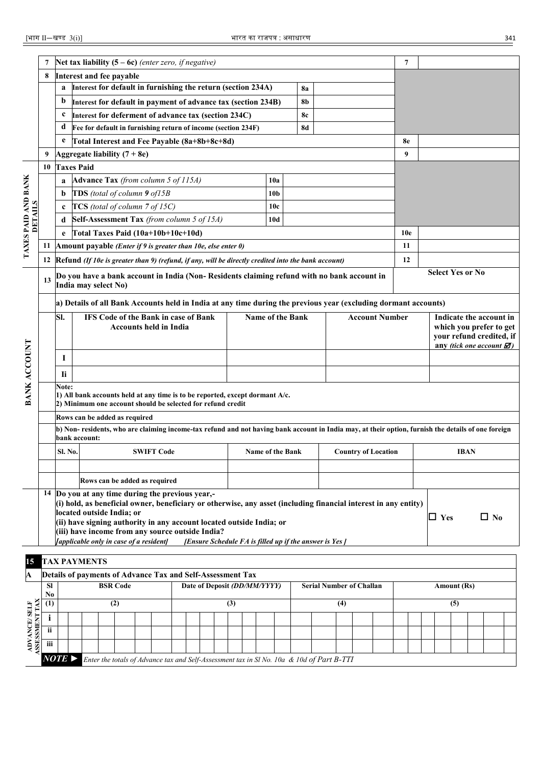| Interest and fee payable<br>8<br>Interest for default in furnishing the return (section 234A)<br>a<br><b>8a</b><br>b<br>Interest for default in payment of advance tax (section 234B)<br>8b<br>8c<br>c<br>Interest for deferment of advance tax (section 234C)<br>d<br>Fee for default in furnishing return of income (section 234F)<br><b>8d</b><br>Total Interest and Fee Payable (8a+8b+8c+8d)<br>e<br>8e<br>Aggregate liability $(7 + 8e)$<br>9<br>9<br><b>Taxes Paid</b><br>10<br>TAXES PAID AND BANK<br>Advance Tax (from column 5 of 115A)<br>10a<br>a<br>TDS (total of column 9 of15B<br>10 <sub>b</sub><br>b<br>DETAILS<br>TCS (total of column 7 of 15C)<br>10c<br>c<br>Self-Assessment Tax (from column 5 of 15A)<br>d<br>10d<br>Total Taxes Paid (10a+10b+10c+10d)<br>10e<br>e<br>Amount payable (Enter if 9 is greater than 10e, else enter 0)<br>11<br>11<br>Refund (If 10e is greater than 9) (refund, if any, will be directly credited into the bank account)<br>12<br>12<br><b>Select Yes or No</b><br>Do you have a bank account in India (Non- Residents claiming refund with no bank account in<br>13<br>India may select No)<br>a) Details of all Bank Accounts held in India at any time during the previous year (excluding dormant accounts)<br>SI.<br>Name of the Bank<br><b>IFS Code of the Bank in case of Bank</b><br><b>Account Number</b><br>Indicate the account in<br><b>Accounts held in India</b><br>which you prefer to get<br>your refund credited, if<br><b>BANK ACCOUNT</b><br>any (tick one account $\mathbf{\mathcal{D}}$ )<br>$\bf{l}$<br><b>Ii</b><br>Note:<br>1) All bank accounts held at any time is to be reported, except dormant $A/c$ .<br>2) Minimum one account should be selected for refund credit<br>Rows can be added as required<br>b) Non-residents, who are claiming income-tax refund and not having bank account in India may, at their option, furnish the details of one foreign<br>bank account:<br><b>Sl. No.</b><br><b>SWIFT Code</b><br><b>Name of the Bank</b><br><b>Country of Location</b><br><b>IBAN</b><br>Rows can be added as required<br>14 Do you at any time during the previous year,-<br>(i) hold, as beneficial owner, beneficiary or otherwise, any asset (including financial interest in any entity)<br>located outside India; or<br>$\Box$ Yes<br>$\Box$ No<br>(ii) have signing authority in any account located outside India; or<br>(iii) have income from any source outside India?<br>[applicable only in case of a resident]<br>[Ensure Schedule FA is filled up if the answer is Yes]<br><b>TAX PAYMENTS</b><br>15<br>Details of payments of Advance Tax and Self-Assessment Tax<br>A<br><b>BSR Code</b><br>Date of Deposit (DD/MM/YYYY)<br><b>Serial Number of Challan</b><br>Amount (Rs)<br><b>SI</b><br>No<br>ASESSMENT TAX<br>(2)<br>(3)<br>(4)<br>(5)<br>(1)<br>ADVANCE/SELF<br>i<br>ii<br>iii |  | Net tax liability $(5 - 6c)$ (enter zero, if negative) |  |  |  |  |  |  |  |  |  |  |  | 7 |  |  |  |  |  |  |  |  |  |  |  |  |  |  |  |
|------------------------------------------------------------------------------------------------------------------------------------------------------------------------------------------------------------------------------------------------------------------------------------------------------------------------------------------------------------------------------------------------------------------------------------------------------------------------------------------------------------------------------------------------------------------------------------------------------------------------------------------------------------------------------------------------------------------------------------------------------------------------------------------------------------------------------------------------------------------------------------------------------------------------------------------------------------------------------------------------------------------------------------------------------------------------------------------------------------------------------------------------------------------------------------------------------------------------------------------------------------------------------------------------------------------------------------------------------------------------------------------------------------------------------------------------------------------------------------------------------------------------------------------------------------------------------------------------------------------------------------------------------------------------------------------------------------------------------------------------------------------------------------------------------------------------------------------------------------------------------------------------------------------------------------------------------------------------------------------------------------------------------------------------------------------------------------------------------------------------------------------------------------------------------------------------------------------------------------------------------------------------------------------------------------------------------------------------------------------------------------------------------------------------------------------------------------------------------------------------------------------------------------------------------------------------------------------------------------------------------------------------------------------------------------------------------------------------------------------------------------------------------------------------------------------------------------------------------------------------------------------------|--|--------------------------------------------------------|--|--|--|--|--|--|--|--|--|--|--|---|--|--|--|--|--|--|--|--|--|--|--|--|--|--|--|
|                                                                                                                                                                                                                                                                                                                                                                                                                                                                                                                                                                                                                                                                                                                                                                                                                                                                                                                                                                                                                                                                                                                                                                                                                                                                                                                                                                                                                                                                                                                                                                                                                                                                                                                                                                                                                                                                                                                                                                                                                                                                                                                                                                                                                                                                                                                                                                                                                                                                                                                                                                                                                                                                                                                                                                                                                                                                                                |  |                                                        |  |  |  |  |  |  |  |  |  |  |  |   |  |  |  |  |  |  |  |  |  |  |  |  |  |  |  |
|                                                                                                                                                                                                                                                                                                                                                                                                                                                                                                                                                                                                                                                                                                                                                                                                                                                                                                                                                                                                                                                                                                                                                                                                                                                                                                                                                                                                                                                                                                                                                                                                                                                                                                                                                                                                                                                                                                                                                                                                                                                                                                                                                                                                                                                                                                                                                                                                                                                                                                                                                                                                                                                                                                                                                                                                                                                                                                |  |                                                        |  |  |  |  |  |  |  |  |  |  |  |   |  |  |  |  |  |  |  |  |  |  |  |  |  |  |  |
|                                                                                                                                                                                                                                                                                                                                                                                                                                                                                                                                                                                                                                                                                                                                                                                                                                                                                                                                                                                                                                                                                                                                                                                                                                                                                                                                                                                                                                                                                                                                                                                                                                                                                                                                                                                                                                                                                                                                                                                                                                                                                                                                                                                                                                                                                                                                                                                                                                                                                                                                                                                                                                                                                                                                                                                                                                                                                                |  |                                                        |  |  |  |  |  |  |  |  |  |  |  |   |  |  |  |  |  |  |  |  |  |  |  |  |  |  |  |
|                                                                                                                                                                                                                                                                                                                                                                                                                                                                                                                                                                                                                                                                                                                                                                                                                                                                                                                                                                                                                                                                                                                                                                                                                                                                                                                                                                                                                                                                                                                                                                                                                                                                                                                                                                                                                                                                                                                                                                                                                                                                                                                                                                                                                                                                                                                                                                                                                                                                                                                                                                                                                                                                                                                                                                                                                                                                                                |  |                                                        |  |  |  |  |  |  |  |  |  |  |  |   |  |  |  |  |  |  |  |  |  |  |  |  |  |  |  |
|                                                                                                                                                                                                                                                                                                                                                                                                                                                                                                                                                                                                                                                                                                                                                                                                                                                                                                                                                                                                                                                                                                                                                                                                                                                                                                                                                                                                                                                                                                                                                                                                                                                                                                                                                                                                                                                                                                                                                                                                                                                                                                                                                                                                                                                                                                                                                                                                                                                                                                                                                                                                                                                                                                                                                                                                                                                                                                |  |                                                        |  |  |  |  |  |  |  |  |  |  |  |   |  |  |  |  |  |  |  |  |  |  |  |  |  |  |  |
|                                                                                                                                                                                                                                                                                                                                                                                                                                                                                                                                                                                                                                                                                                                                                                                                                                                                                                                                                                                                                                                                                                                                                                                                                                                                                                                                                                                                                                                                                                                                                                                                                                                                                                                                                                                                                                                                                                                                                                                                                                                                                                                                                                                                                                                                                                                                                                                                                                                                                                                                                                                                                                                                                                                                                                                                                                                                                                |  |                                                        |  |  |  |  |  |  |  |  |  |  |  |   |  |  |  |  |  |  |  |  |  |  |  |  |  |  |  |
|                                                                                                                                                                                                                                                                                                                                                                                                                                                                                                                                                                                                                                                                                                                                                                                                                                                                                                                                                                                                                                                                                                                                                                                                                                                                                                                                                                                                                                                                                                                                                                                                                                                                                                                                                                                                                                                                                                                                                                                                                                                                                                                                                                                                                                                                                                                                                                                                                                                                                                                                                                                                                                                                                                                                                                                                                                                                                                |  |                                                        |  |  |  |  |  |  |  |  |  |  |  |   |  |  |  |  |  |  |  |  |  |  |  |  |  |  |  |
|                                                                                                                                                                                                                                                                                                                                                                                                                                                                                                                                                                                                                                                                                                                                                                                                                                                                                                                                                                                                                                                                                                                                                                                                                                                                                                                                                                                                                                                                                                                                                                                                                                                                                                                                                                                                                                                                                                                                                                                                                                                                                                                                                                                                                                                                                                                                                                                                                                                                                                                                                                                                                                                                                                                                                                                                                                                                                                |  |                                                        |  |  |  |  |  |  |  |  |  |  |  |   |  |  |  |  |  |  |  |  |  |  |  |  |  |  |  |
|                                                                                                                                                                                                                                                                                                                                                                                                                                                                                                                                                                                                                                                                                                                                                                                                                                                                                                                                                                                                                                                                                                                                                                                                                                                                                                                                                                                                                                                                                                                                                                                                                                                                                                                                                                                                                                                                                                                                                                                                                                                                                                                                                                                                                                                                                                                                                                                                                                                                                                                                                                                                                                                                                                                                                                                                                                                                                                |  |                                                        |  |  |  |  |  |  |  |  |  |  |  |   |  |  |  |  |  |  |  |  |  |  |  |  |  |  |  |
|                                                                                                                                                                                                                                                                                                                                                                                                                                                                                                                                                                                                                                                                                                                                                                                                                                                                                                                                                                                                                                                                                                                                                                                                                                                                                                                                                                                                                                                                                                                                                                                                                                                                                                                                                                                                                                                                                                                                                                                                                                                                                                                                                                                                                                                                                                                                                                                                                                                                                                                                                                                                                                                                                                                                                                                                                                                                                                |  |                                                        |  |  |  |  |  |  |  |  |  |  |  |   |  |  |  |  |  |  |  |  |  |  |  |  |  |  |  |
|                                                                                                                                                                                                                                                                                                                                                                                                                                                                                                                                                                                                                                                                                                                                                                                                                                                                                                                                                                                                                                                                                                                                                                                                                                                                                                                                                                                                                                                                                                                                                                                                                                                                                                                                                                                                                                                                                                                                                                                                                                                                                                                                                                                                                                                                                                                                                                                                                                                                                                                                                                                                                                                                                                                                                                                                                                                                                                |  |                                                        |  |  |  |  |  |  |  |  |  |  |  |   |  |  |  |  |  |  |  |  |  |  |  |  |  |  |  |
|                                                                                                                                                                                                                                                                                                                                                                                                                                                                                                                                                                                                                                                                                                                                                                                                                                                                                                                                                                                                                                                                                                                                                                                                                                                                                                                                                                                                                                                                                                                                                                                                                                                                                                                                                                                                                                                                                                                                                                                                                                                                                                                                                                                                                                                                                                                                                                                                                                                                                                                                                                                                                                                                                                                                                                                                                                                                                                |  |                                                        |  |  |  |  |  |  |  |  |  |  |  |   |  |  |  |  |  |  |  |  |  |  |  |  |  |  |  |
|                                                                                                                                                                                                                                                                                                                                                                                                                                                                                                                                                                                                                                                                                                                                                                                                                                                                                                                                                                                                                                                                                                                                                                                                                                                                                                                                                                                                                                                                                                                                                                                                                                                                                                                                                                                                                                                                                                                                                                                                                                                                                                                                                                                                                                                                                                                                                                                                                                                                                                                                                                                                                                                                                                                                                                                                                                                                                                |  |                                                        |  |  |  |  |  |  |  |  |  |  |  |   |  |  |  |  |  |  |  |  |  |  |  |  |  |  |  |
|                                                                                                                                                                                                                                                                                                                                                                                                                                                                                                                                                                                                                                                                                                                                                                                                                                                                                                                                                                                                                                                                                                                                                                                                                                                                                                                                                                                                                                                                                                                                                                                                                                                                                                                                                                                                                                                                                                                                                                                                                                                                                                                                                                                                                                                                                                                                                                                                                                                                                                                                                                                                                                                                                                                                                                                                                                                                                                |  |                                                        |  |  |  |  |  |  |  |  |  |  |  |   |  |  |  |  |  |  |  |  |  |  |  |  |  |  |  |
|                                                                                                                                                                                                                                                                                                                                                                                                                                                                                                                                                                                                                                                                                                                                                                                                                                                                                                                                                                                                                                                                                                                                                                                                                                                                                                                                                                                                                                                                                                                                                                                                                                                                                                                                                                                                                                                                                                                                                                                                                                                                                                                                                                                                                                                                                                                                                                                                                                                                                                                                                                                                                                                                                                                                                                                                                                                                                                |  |                                                        |  |  |  |  |  |  |  |  |  |  |  |   |  |  |  |  |  |  |  |  |  |  |  |  |  |  |  |
|                                                                                                                                                                                                                                                                                                                                                                                                                                                                                                                                                                                                                                                                                                                                                                                                                                                                                                                                                                                                                                                                                                                                                                                                                                                                                                                                                                                                                                                                                                                                                                                                                                                                                                                                                                                                                                                                                                                                                                                                                                                                                                                                                                                                                                                                                                                                                                                                                                                                                                                                                                                                                                                                                                                                                                                                                                                                                                |  |                                                        |  |  |  |  |  |  |  |  |  |  |  |   |  |  |  |  |  |  |  |  |  |  |  |  |  |  |  |
|                                                                                                                                                                                                                                                                                                                                                                                                                                                                                                                                                                                                                                                                                                                                                                                                                                                                                                                                                                                                                                                                                                                                                                                                                                                                                                                                                                                                                                                                                                                                                                                                                                                                                                                                                                                                                                                                                                                                                                                                                                                                                                                                                                                                                                                                                                                                                                                                                                                                                                                                                                                                                                                                                                                                                                                                                                                                                                |  |                                                        |  |  |  |  |  |  |  |  |  |  |  |   |  |  |  |  |  |  |  |  |  |  |  |  |  |  |  |
|                                                                                                                                                                                                                                                                                                                                                                                                                                                                                                                                                                                                                                                                                                                                                                                                                                                                                                                                                                                                                                                                                                                                                                                                                                                                                                                                                                                                                                                                                                                                                                                                                                                                                                                                                                                                                                                                                                                                                                                                                                                                                                                                                                                                                                                                                                                                                                                                                                                                                                                                                                                                                                                                                                                                                                                                                                                                                                |  |                                                        |  |  |  |  |  |  |  |  |  |  |  |   |  |  |  |  |  |  |  |  |  |  |  |  |  |  |  |
|                                                                                                                                                                                                                                                                                                                                                                                                                                                                                                                                                                                                                                                                                                                                                                                                                                                                                                                                                                                                                                                                                                                                                                                                                                                                                                                                                                                                                                                                                                                                                                                                                                                                                                                                                                                                                                                                                                                                                                                                                                                                                                                                                                                                                                                                                                                                                                                                                                                                                                                                                                                                                                                                                                                                                                                                                                                                                                |  |                                                        |  |  |  |  |  |  |  |  |  |  |  |   |  |  |  |  |  |  |  |  |  |  |  |  |  |  |  |
|                                                                                                                                                                                                                                                                                                                                                                                                                                                                                                                                                                                                                                                                                                                                                                                                                                                                                                                                                                                                                                                                                                                                                                                                                                                                                                                                                                                                                                                                                                                                                                                                                                                                                                                                                                                                                                                                                                                                                                                                                                                                                                                                                                                                                                                                                                                                                                                                                                                                                                                                                                                                                                                                                                                                                                                                                                                                                                |  |                                                        |  |  |  |  |  |  |  |  |  |  |  |   |  |  |  |  |  |  |  |  |  |  |  |  |  |  |  |
|                                                                                                                                                                                                                                                                                                                                                                                                                                                                                                                                                                                                                                                                                                                                                                                                                                                                                                                                                                                                                                                                                                                                                                                                                                                                                                                                                                                                                                                                                                                                                                                                                                                                                                                                                                                                                                                                                                                                                                                                                                                                                                                                                                                                                                                                                                                                                                                                                                                                                                                                                                                                                                                                                                                                                                                                                                                                                                |  |                                                        |  |  |  |  |  |  |  |  |  |  |  |   |  |  |  |  |  |  |  |  |  |  |  |  |  |  |  |
|                                                                                                                                                                                                                                                                                                                                                                                                                                                                                                                                                                                                                                                                                                                                                                                                                                                                                                                                                                                                                                                                                                                                                                                                                                                                                                                                                                                                                                                                                                                                                                                                                                                                                                                                                                                                                                                                                                                                                                                                                                                                                                                                                                                                                                                                                                                                                                                                                                                                                                                                                                                                                                                                                                                                                                                                                                                                                                |  |                                                        |  |  |  |  |  |  |  |  |  |  |  |   |  |  |  |  |  |  |  |  |  |  |  |  |  |  |  |
|                                                                                                                                                                                                                                                                                                                                                                                                                                                                                                                                                                                                                                                                                                                                                                                                                                                                                                                                                                                                                                                                                                                                                                                                                                                                                                                                                                                                                                                                                                                                                                                                                                                                                                                                                                                                                                                                                                                                                                                                                                                                                                                                                                                                                                                                                                                                                                                                                                                                                                                                                                                                                                                                                                                                                                                                                                                                                                |  |                                                        |  |  |  |  |  |  |  |  |  |  |  |   |  |  |  |  |  |  |  |  |  |  |  |  |  |  |  |
|                                                                                                                                                                                                                                                                                                                                                                                                                                                                                                                                                                                                                                                                                                                                                                                                                                                                                                                                                                                                                                                                                                                                                                                                                                                                                                                                                                                                                                                                                                                                                                                                                                                                                                                                                                                                                                                                                                                                                                                                                                                                                                                                                                                                                                                                                                                                                                                                                                                                                                                                                                                                                                                                                                                                                                                                                                                                                                |  |                                                        |  |  |  |  |  |  |  |  |  |  |  |   |  |  |  |  |  |  |  |  |  |  |  |  |  |  |  |
|                                                                                                                                                                                                                                                                                                                                                                                                                                                                                                                                                                                                                                                                                                                                                                                                                                                                                                                                                                                                                                                                                                                                                                                                                                                                                                                                                                                                                                                                                                                                                                                                                                                                                                                                                                                                                                                                                                                                                                                                                                                                                                                                                                                                                                                                                                                                                                                                                                                                                                                                                                                                                                                                                                                                                                                                                                                                                                |  |                                                        |  |  |  |  |  |  |  |  |  |  |  |   |  |  |  |  |  |  |  |  |  |  |  |  |  |  |  |
|                                                                                                                                                                                                                                                                                                                                                                                                                                                                                                                                                                                                                                                                                                                                                                                                                                                                                                                                                                                                                                                                                                                                                                                                                                                                                                                                                                                                                                                                                                                                                                                                                                                                                                                                                                                                                                                                                                                                                                                                                                                                                                                                                                                                                                                                                                                                                                                                                                                                                                                                                                                                                                                                                                                                                                                                                                                                                                |  |                                                        |  |  |  |  |  |  |  |  |  |  |  |   |  |  |  |  |  |  |  |  |  |  |  |  |  |  |  |
|                                                                                                                                                                                                                                                                                                                                                                                                                                                                                                                                                                                                                                                                                                                                                                                                                                                                                                                                                                                                                                                                                                                                                                                                                                                                                                                                                                                                                                                                                                                                                                                                                                                                                                                                                                                                                                                                                                                                                                                                                                                                                                                                                                                                                                                                                                                                                                                                                                                                                                                                                                                                                                                                                                                                                                                                                                                                                                |  |                                                        |  |  |  |  |  |  |  |  |  |  |  |   |  |  |  |  |  |  |  |  |  |  |  |  |  |  |  |
|                                                                                                                                                                                                                                                                                                                                                                                                                                                                                                                                                                                                                                                                                                                                                                                                                                                                                                                                                                                                                                                                                                                                                                                                                                                                                                                                                                                                                                                                                                                                                                                                                                                                                                                                                                                                                                                                                                                                                                                                                                                                                                                                                                                                                                                                                                                                                                                                                                                                                                                                                                                                                                                                                                                                                                                                                                                                                                |  |                                                        |  |  |  |  |  |  |  |  |  |  |  |   |  |  |  |  |  |  |  |  |  |  |  |  |  |  |  |
|                                                                                                                                                                                                                                                                                                                                                                                                                                                                                                                                                                                                                                                                                                                                                                                                                                                                                                                                                                                                                                                                                                                                                                                                                                                                                                                                                                                                                                                                                                                                                                                                                                                                                                                                                                                                                                                                                                                                                                                                                                                                                                                                                                                                                                                                                                                                                                                                                                                                                                                                                                                                                                                                                                                                                                                                                                                                                                |  |                                                        |  |  |  |  |  |  |  |  |  |  |  |   |  |  |  |  |  |  |  |  |  |  |  |  |  |  |  |
|                                                                                                                                                                                                                                                                                                                                                                                                                                                                                                                                                                                                                                                                                                                                                                                                                                                                                                                                                                                                                                                                                                                                                                                                                                                                                                                                                                                                                                                                                                                                                                                                                                                                                                                                                                                                                                                                                                                                                                                                                                                                                                                                                                                                                                                                                                                                                                                                                                                                                                                                                                                                                                                                                                                                                                                                                                                                                                |  |                                                        |  |  |  |  |  |  |  |  |  |  |  |   |  |  |  |  |  |  |  |  |  |  |  |  |  |  |  |
|                                                                                                                                                                                                                                                                                                                                                                                                                                                                                                                                                                                                                                                                                                                                                                                                                                                                                                                                                                                                                                                                                                                                                                                                                                                                                                                                                                                                                                                                                                                                                                                                                                                                                                                                                                                                                                                                                                                                                                                                                                                                                                                                                                                                                                                                                                                                                                                                                                                                                                                                                                                                                                                                                                                                                                                                                                                                                                |  |                                                        |  |  |  |  |  |  |  |  |  |  |  |   |  |  |  |  |  |  |  |  |  |  |  |  |  |  |  |
|                                                                                                                                                                                                                                                                                                                                                                                                                                                                                                                                                                                                                                                                                                                                                                                                                                                                                                                                                                                                                                                                                                                                                                                                                                                                                                                                                                                                                                                                                                                                                                                                                                                                                                                                                                                                                                                                                                                                                                                                                                                                                                                                                                                                                                                                                                                                                                                                                                                                                                                                                                                                                                                                                                                                                                                                                                                                                                |  |                                                        |  |  |  |  |  |  |  |  |  |  |  |   |  |  |  |  |  |  |  |  |  |  |  |  |  |  |  |
|                                                                                                                                                                                                                                                                                                                                                                                                                                                                                                                                                                                                                                                                                                                                                                                                                                                                                                                                                                                                                                                                                                                                                                                                                                                                                                                                                                                                                                                                                                                                                                                                                                                                                                                                                                                                                                                                                                                                                                                                                                                                                                                                                                                                                                                                                                                                                                                                                                                                                                                                                                                                                                                                                                                                                                                                                                                                                                |  |                                                        |  |  |  |  |  |  |  |  |  |  |  |   |  |  |  |  |  |  |  |  |  |  |  |  |  |  |  |
|                                                                                                                                                                                                                                                                                                                                                                                                                                                                                                                                                                                                                                                                                                                                                                                                                                                                                                                                                                                                                                                                                                                                                                                                                                                                                                                                                                                                                                                                                                                                                                                                                                                                                                                                                                                                                                                                                                                                                                                                                                                                                                                                                                                                                                                                                                                                                                                                                                                                                                                                                                                                                                                                                                                                                                                                                                                                                                |  |                                                        |  |  |  |  |  |  |  |  |  |  |  |   |  |  |  |  |  |  |  |  |  |  |  |  |  |  |  |
|                                                                                                                                                                                                                                                                                                                                                                                                                                                                                                                                                                                                                                                                                                                                                                                                                                                                                                                                                                                                                                                                                                                                                                                                                                                                                                                                                                                                                                                                                                                                                                                                                                                                                                                                                                                                                                                                                                                                                                                                                                                                                                                                                                                                                                                                                                                                                                                                                                                                                                                                                                                                                                                                                                                                                                                                                                                                                                |  |                                                        |  |  |  |  |  |  |  |  |  |  |  |   |  |  |  |  |  |  |  |  |  |  |  |  |  |  |  |
|                                                                                                                                                                                                                                                                                                                                                                                                                                                                                                                                                                                                                                                                                                                                                                                                                                                                                                                                                                                                                                                                                                                                                                                                                                                                                                                                                                                                                                                                                                                                                                                                                                                                                                                                                                                                                                                                                                                                                                                                                                                                                                                                                                                                                                                                                                                                                                                                                                                                                                                                                                                                                                                                                                                                                                                                                                                                                                |  |                                                        |  |  |  |  |  |  |  |  |  |  |  |   |  |  |  |  |  |  |  |  |  |  |  |  |  |  |  |
|                                                                                                                                                                                                                                                                                                                                                                                                                                                                                                                                                                                                                                                                                                                                                                                                                                                                                                                                                                                                                                                                                                                                                                                                                                                                                                                                                                                                                                                                                                                                                                                                                                                                                                                                                                                                                                                                                                                                                                                                                                                                                                                                                                                                                                                                                                                                                                                                                                                                                                                                                                                                                                                                                                                                                                                                                                                                                                |  |                                                        |  |  |  |  |  |  |  |  |  |  |  |   |  |  |  |  |  |  |  |  |  |  |  |  |  |  |  |
|                                                                                                                                                                                                                                                                                                                                                                                                                                                                                                                                                                                                                                                                                                                                                                                                                                                                                                                                                                                                                                                                                                                                                                                                                                                                                                                                                                                                                                                                                                                                                                                                                                                                                                                                                                                                                                                                                                                                                                                                                                                                                                                                                                                                                                                                                                                                                                                                                                                                                                                                                                                                                                                                                                                                                                                                                                                                                                |  |                                                        |  |  |  |  |  |  |  |  |  |  |  |   |  |  |  |  |  |  |  |  |  |  |  |  |  |  |  |
|                                                                                                                                                                                                                                                                                                                                                                                                                                                                                                                                                                                                                                                                                                                                                                                                                                                                                                                                                                                                                                                                                                                                                                                                                                                                                                                                                                                                                                                                                                                                                                                                                                                                                                                                                                                                                                                                                                                                                                                                                                                                                                                                                                                                                                                                                                                                                                                                                                                                                                                                                                                                                                                                                                                                                                                                                                                                                                |  |                                                        |  |  |  |  |  |  |  |  |  |  |  |   |  |  |  |  |  |  |  |  |  |  |  |  |  |  |  |
|                                                                                                                                                                                                                                                                                                                                                                                                                                                                                                                                                                                                                                                                                                                                                                                                                                                                                                                                                                                                                                                                                                                                                                                                                                                                                                                                                                                                                                                                                                                                                                                                                                                                                                                                                                                                                                                                                                                                                                                                                                                                                                                                                                                                                                                                                                                                                                                                                                                                                                                                                                                                                                                                                                                                                                                                                                                                                                |  |                                                        |  |  |  |  |  |  |  |  |  |  |  |   |  |  |  |  |  |  |  |  |  |  |  |  |  |  |  |
|                                                                                                                                                                                                                                                                                                                                                                                                                                                                                                                                                                                                                                                                                                                                                                                                                                                                                                                                                                                                                                                                                                                                                                                                                                                                                                                                                                                                                                                                                                                                                                                                                                                                                                                                                                                                                                                                                                                                                                                                                                                                                                                                                                                                                                                                                                                                                                                                                                                                                                                                                                                                                                                                                                                                                                                                                                                                                                |  |                                                        |  |  |  |  |  |  |  |  |  |  |  |   |  |  |  |  |  |  |  |  |  |  |  |  |  |  |  |
|                                                                                                                                                                                                                                                                                                                                                                                                                                                                                                                                                                                                                                                                                                                                                                                                                                                                                                                                                                                                                                                                                                                                                                                                                                                                                                                                                                                                                                                                                                                                                                                                                                                                                                                                                                                                                                                                                                                                                                                                                                                                                                                                                                                                                                                                                                                                                                                                                                                                                                                                                                                                                                                                                                                                                                                                                                                                                                |  |                                                        |  |  |  |  |  |  |  |  |  |  |  |   |  |  |  |  |  |  |  |  |  |  |  |  |  |  |  |
|                                                                                                                                                                                                                                                                                                                                                                                                                                                                                                                                                                                                                                                                                                                                                                                                                                                                                                                                                                                                                                                                                                                                                                                                                                                                                                                                                                                                                                                                                                                                                                                                                                                                                                                                                                                                                                                                                                                                                                                                                                                                                                                                                                                                                                                                                                                                                                                                                                                                                                                                                                                                                                                                                                                                                                                                                                                                                                |  |                                                        |  |  |  |  |  |  |  |  |  |  |  |   |  |  |  |  |  |  |  |  |  |  |  |  |  |  |  |
|                                                                                                                                                                                                                                                                                                                                                                                                                                                                                                                                                                                                                                                                                                                                                                                                                                                                                                                                                                                                                                                                                                                                                                                                                                                                                                                                                                                                                                                                                                                                                                                                                                                                                                                                                                                                                                                                                                                                                                                                                                                                                                                                                                                                                                                                                                                                                                                                                                                                                                                                                                                                                                                                                                                                                                                                                                                                                                |  |                                                        |  |  |  |  |  |  |  |  |  |  |  |   |  |  |  |  |  |  |  |  |  |  |  |  |  |  |  |

*NOTE* **►** *Enter the totals of Advance tax and Self-Assessment tax in Sl No. 10a & 10d of Part B-TTI*